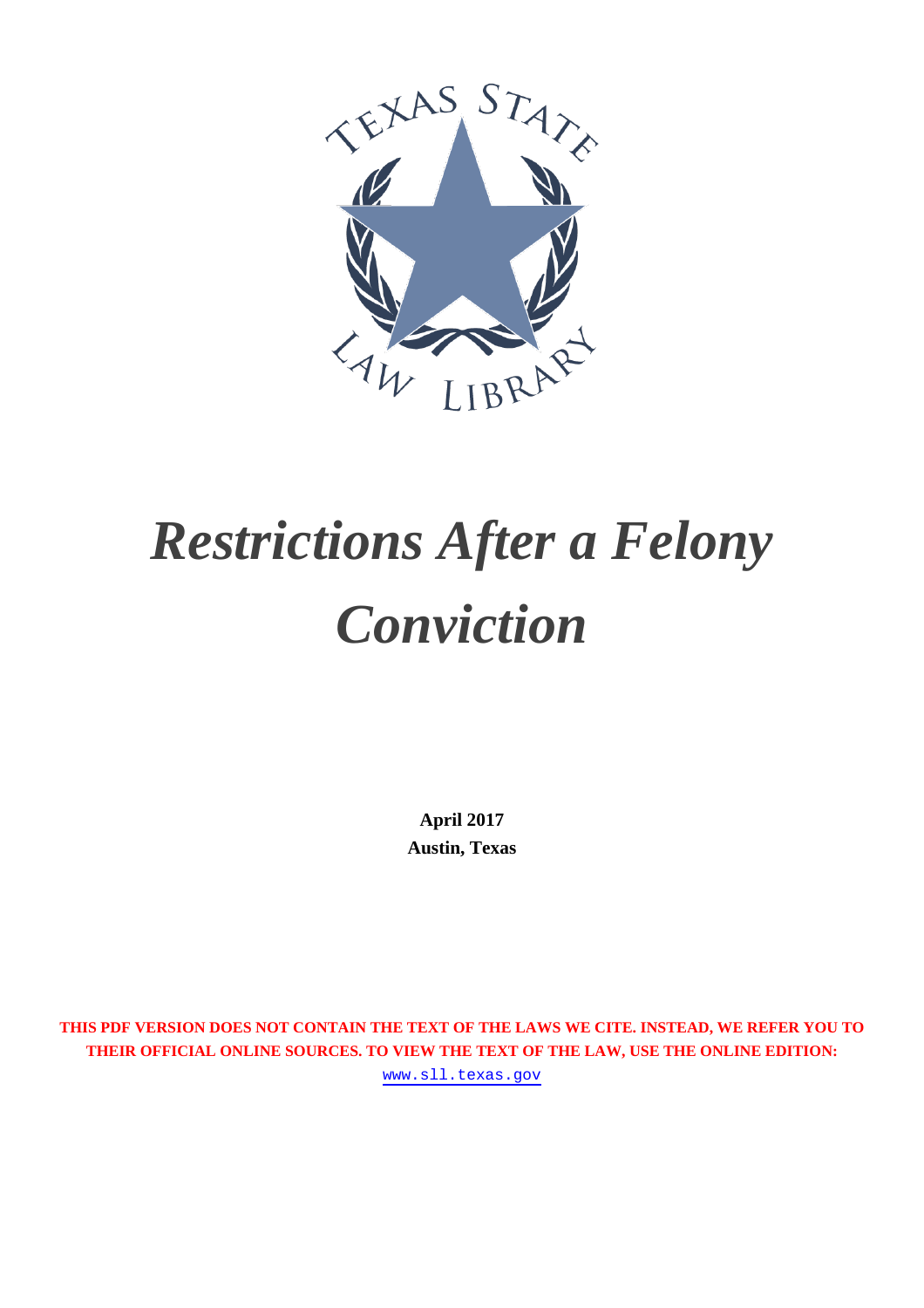

# *Restrictions After a Felony Conviction*

**April 2017 Austin, Texas**

**THIS PDF VERSION DOES NOT CONTAIN THE TEXT OF THE LAWS WE CITE. INSTEAD, WE REFER YOU TO THEIR OFFICIAL ONLINE SOURCES. TO VIEW THE TEXT OF THE LAW, USE THE ONLINE EDITION:**

[www.sll.texas.gov](https://www.sll.texas.gov/library-resources/collections/restrictions-after-a-felony-conviction/)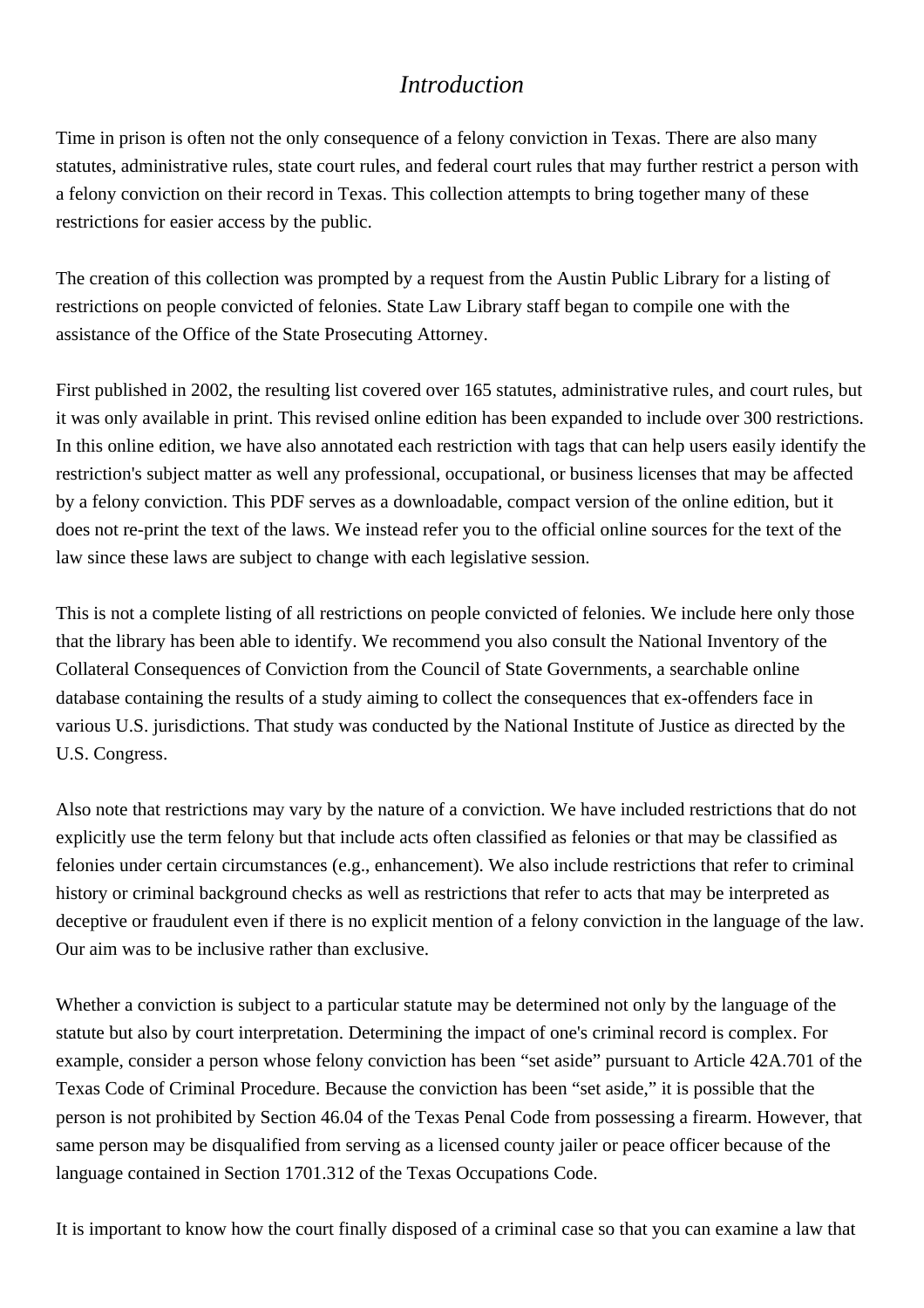## *Introduction*

Time in prison is often not the only consequence of a felony conviction in Texas. There are also many statutes, administrative rules, state court rules, and federal court rules that may further restrict a person with a felony conviction on their record in Texas. This collection attempts to bring together many of these restrictions for easier access by the public.

The creation of this collection was prompted by a request from the Austin Public Library for a listing of restrictions on people convicted of felonies. State Law Library staff began to compile one with the assistance of the Office of the State Prosecuting Attorney.

First published in 2002, the resulting list covered over 165 statutes, administrative rules, and court rules, but it was only available in print. This revised online edition has been expanded to include over 300 restrictions. In this online edition, we have also annotated each restriction with tags that can help users easily identify the restriction's subject matter as well any professional, occupational, or business licenses that may be affected by a felony conviction. This PDF serves as a downloadable, compact version of the online edition, but it does not re-print the text of the laws. We instead refer you to the official online sources for the text of the law since these laws are subject to change with each legislative session.

This is not a complete listing of all restrictions on people convicted of felonies. We include here only those that the library has been able to identify. We recommend you also consult the National Inventory of the Collateral Consequences of Conviction from the Council of State Governments, a searchable online database containing the results of a study aiming to collect the consequences that ex-offenders face in various U.S. jurisdictions. That study was conducted by the National Institute of Justice as directed by the U.S. Congress.

Also note that restrictions may vary by the nature of a conviction. We have included restrictions that do not explicitly use the term felony but that include acts often classified as felonies or that may be classified as felonies under certain circumstances (e.g., enhancement). We also include restrictions that refer to criminal history or criminal background checks as well as restrictions that refer to acts that may be interpreted as deceptive or fraudulent even if there is no explicit mention of a felony conviction in the language of the law. Our aim was to be inclusive rather than exclusive.

Whether a conviction is subject to a particular statute may be determined not only by the language of the statute but also by court interpretation. Determining the impact of one's criminal record is complex. For example, consider a person whose felony conviction has been "set aside" pursuant to Article 42A.701 of the Texas Code of Criminal Procedure. Because the conviction has been "set aside," it is possible that the person is not prohibited by Section 46.04 of the Texas Penal Code from possessing a firearm. However, that same person may be disqualified from serving as a licensed county jailer or peace officer because of the language contained in Section 1701.312 of the Texas Occupations Code.

It is important to know how the court finally disposed of a criminal case so that you can examine a law that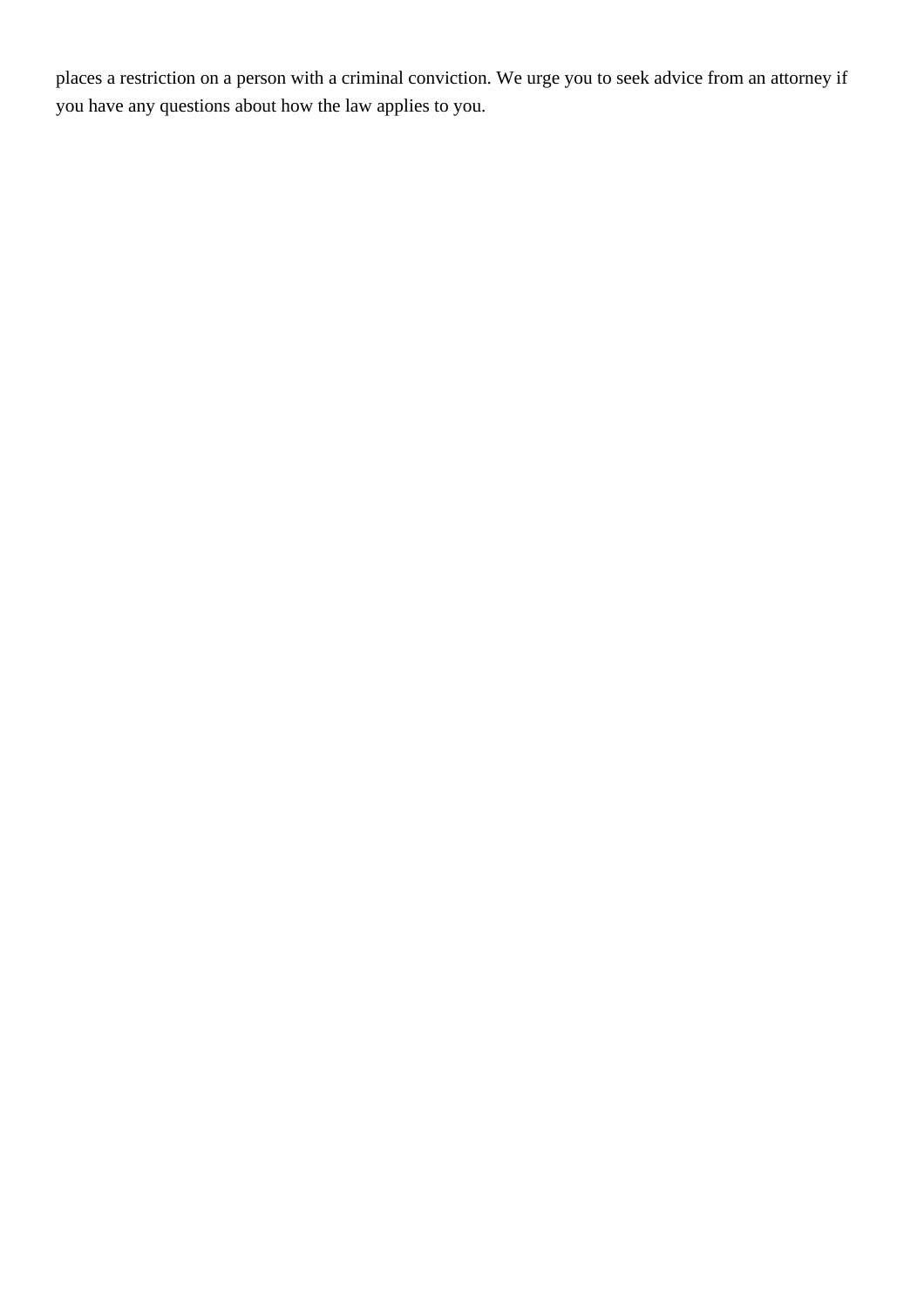places a restriction on a person with a criminal conviction. We urge you to seek advice from an attorney if you have any questions about how the law applies to you.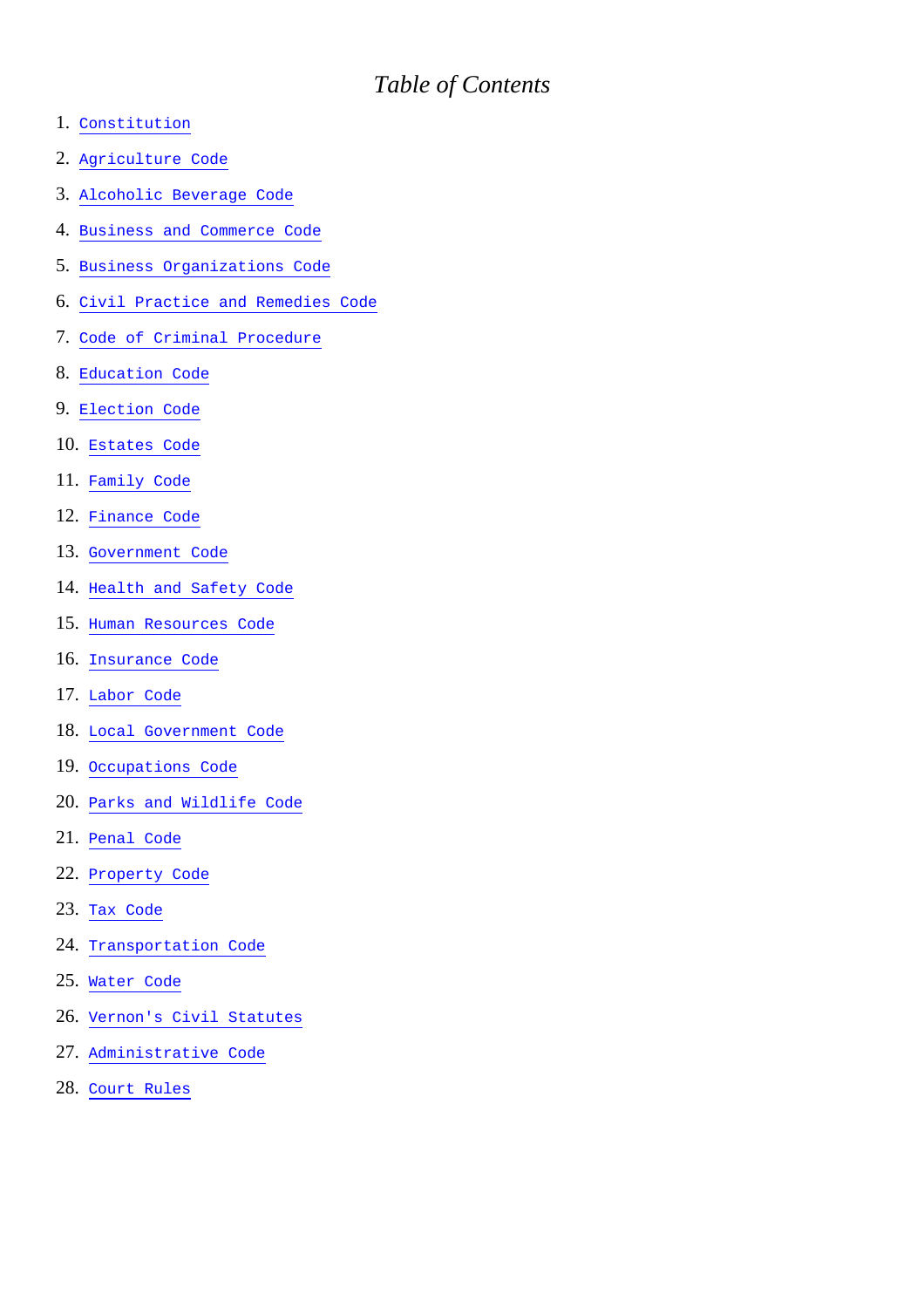## *Table of Contents*

- 1. [Constitution](#26)
- 2. [Agriculture Code](#1)
- 3. [Alcoholic Beverage Code](#2)
- 4. [Business and Commerce Code](#3)
- 5. [Business Organizations Code](#4)
- 6. [Civil Practice and Remedies Code](#5)
- 7. [Code of Criminal Procedure](#6)
- 8. [Education Code](#7)
- 9. [Election Code](#8)
- 10. [Estates Code](#9)
- 11. [Family Code](#10)
- 12. [Finance Code](#11)
- 13. [Government Code](#12)
- 14. [Health and Safety Code](#13)
- 15. [Human Resources Code](#14)
- 16. [Insurance Code](#15)
- 17. [Labor Code](#16)
- 18. [Local Government Code](#17)
- 19. [Occupations Code](#18)
- 20. [Parks and Wildlife Code](#29)
- 21. [Penal Code](#19)
- 22. [Property Code](#21)
- 23. [Tax Code](#22)
- 24. [Transportation Code](#23)
- 25. [Water Code](#25)
- 26. [Vernon's Civil Statutes](#24)
- 27. [Administrative Code](#27)
- 28. [Court Rules](#28)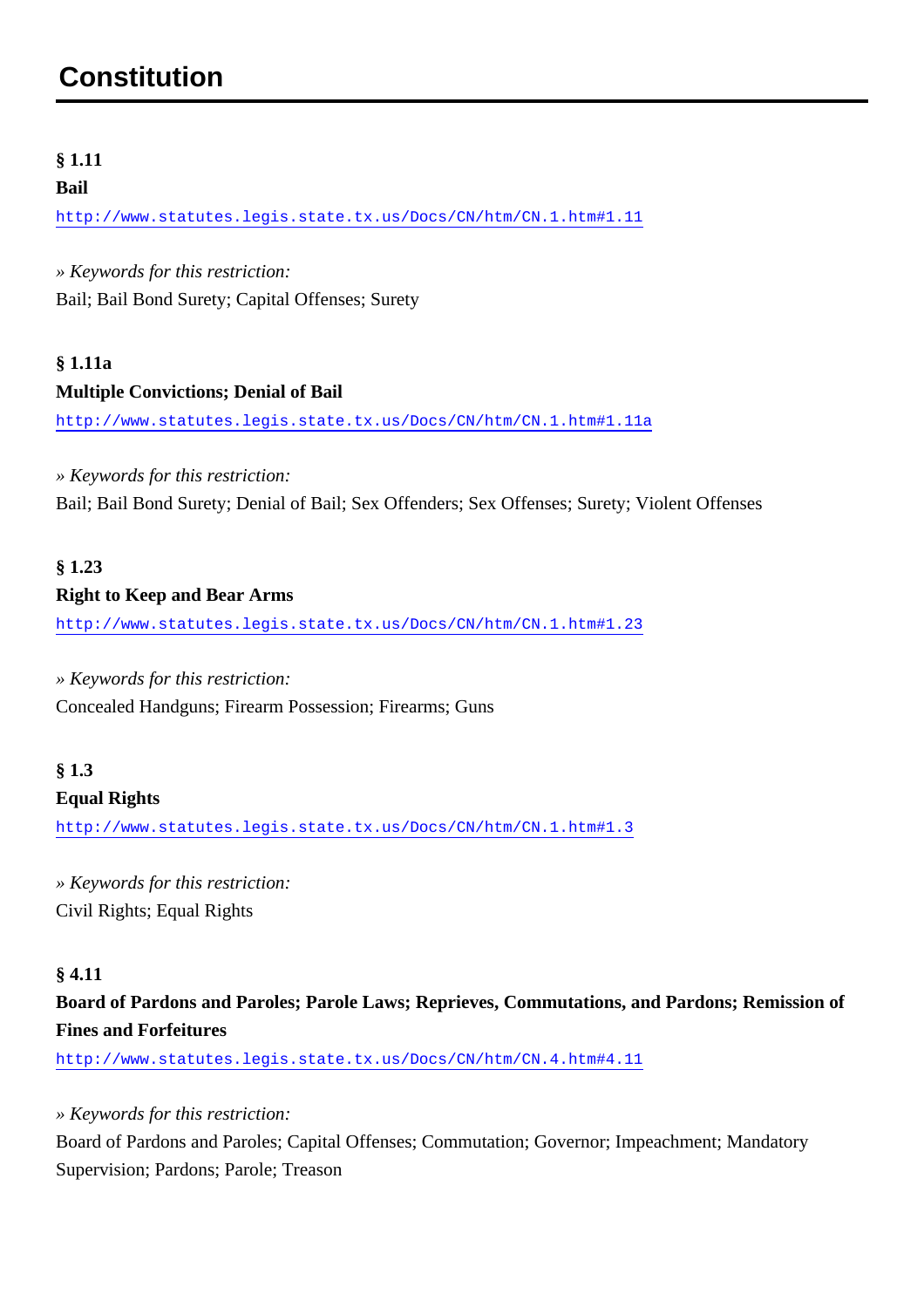## <span id="page-4-0"></span>**Constitution**

#### **§ 1.11**

#### **Bail**

<http://www.statutes.legis.state.tx.us/Docs/CN/htm/CN.1.htm#1.11>

*» Keywords for this restriction:* Bail; Bail Bond Surety; Capital Offenses; Surety

### **§ 1.11a Multiple Convictions; Denial of Bail**

<http://www.statutes.legis.state.tx.us/Docs/CN/htm/CN.1.htm#1.11a>

*» Keywords for this restriction:* Bail; Bail Bond Surety; Denial of Bail; Sex Offenders; Sex Offenses; Surety; Violent Offenses

## **§ 1.23**

#### **Right to Keep and Bear Arms**

<http://www.statutes.legis.state.tx.us/Docs/CN/htm/CN.1.htm#1.23>

#### *» Keywords for this restriction:*

Concealed Handguns; Firearm Possession; Firearms; Guns

### **§ 1.3**

#### **Equal Rights**

<http://www.statutes.legis.state.tx.us/Docs/CN/htm/CN.1.htm#1.3>

*» Keywords for this restriction:* Civil Rights; Equal Rights

#### **§ 4.11**

**Board of Pardons and Paroles; Parole Laws; Reprieves, Commutations, and Pardons; Remission of Fines and Forfeitures**

<http://www.statutes.legis.state.tx.us/Docs/CN/htm/CN.4.htm#4.11>

#### *» Keywords for this restriction:*

Board of Pardons and Paroles; Capital Offenses; Commutation; Governor; Impeachment; Mandatory Supervision; Pardons; Parole; Treason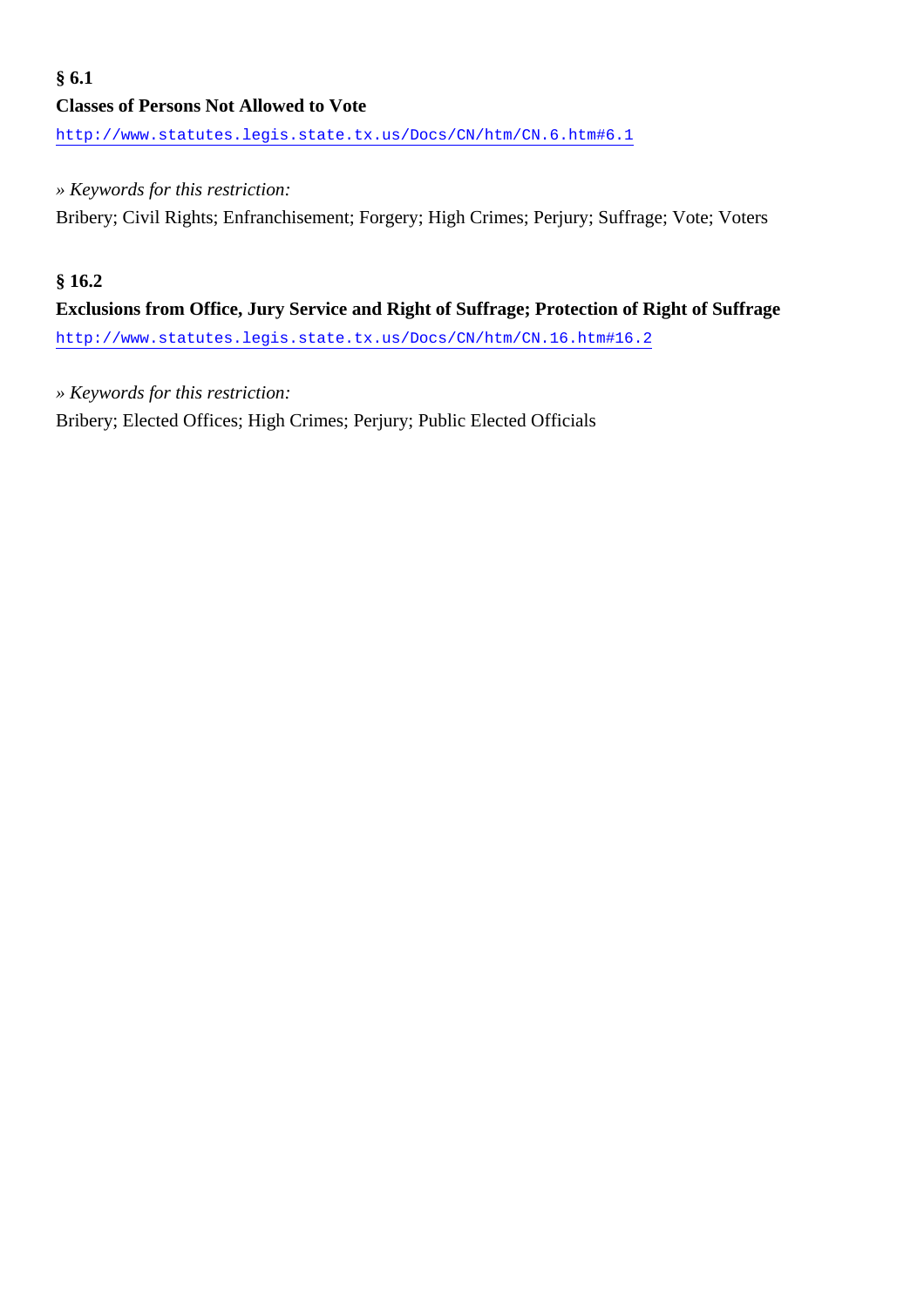## **Classes of Persons Not Allowed to Vote**

<http://www.statutes.legis.state.tx.us/Docs/CN/htm/CN.6.htm#6.1>

#### *» Keywords for this restriction:*

Bribery; Civil Rights; Enfranchisement; Forgery; High Crimes; Perjury; Suffrage; Vote; Voters

#### **§ 16.2**

## **Exclusions from Office, Jury Service and Right of Suffrage; Protection of Right of Suffrage**

<http://www.statutes.legis.state.tx.us/Docs/CN/htm/CN.16.htm#16.2>

#### *» Keywords for this restriction:*

Bribery; Elected Offices; High Crimes; Perjury; Public Elected Officials

#### **§ 6.1**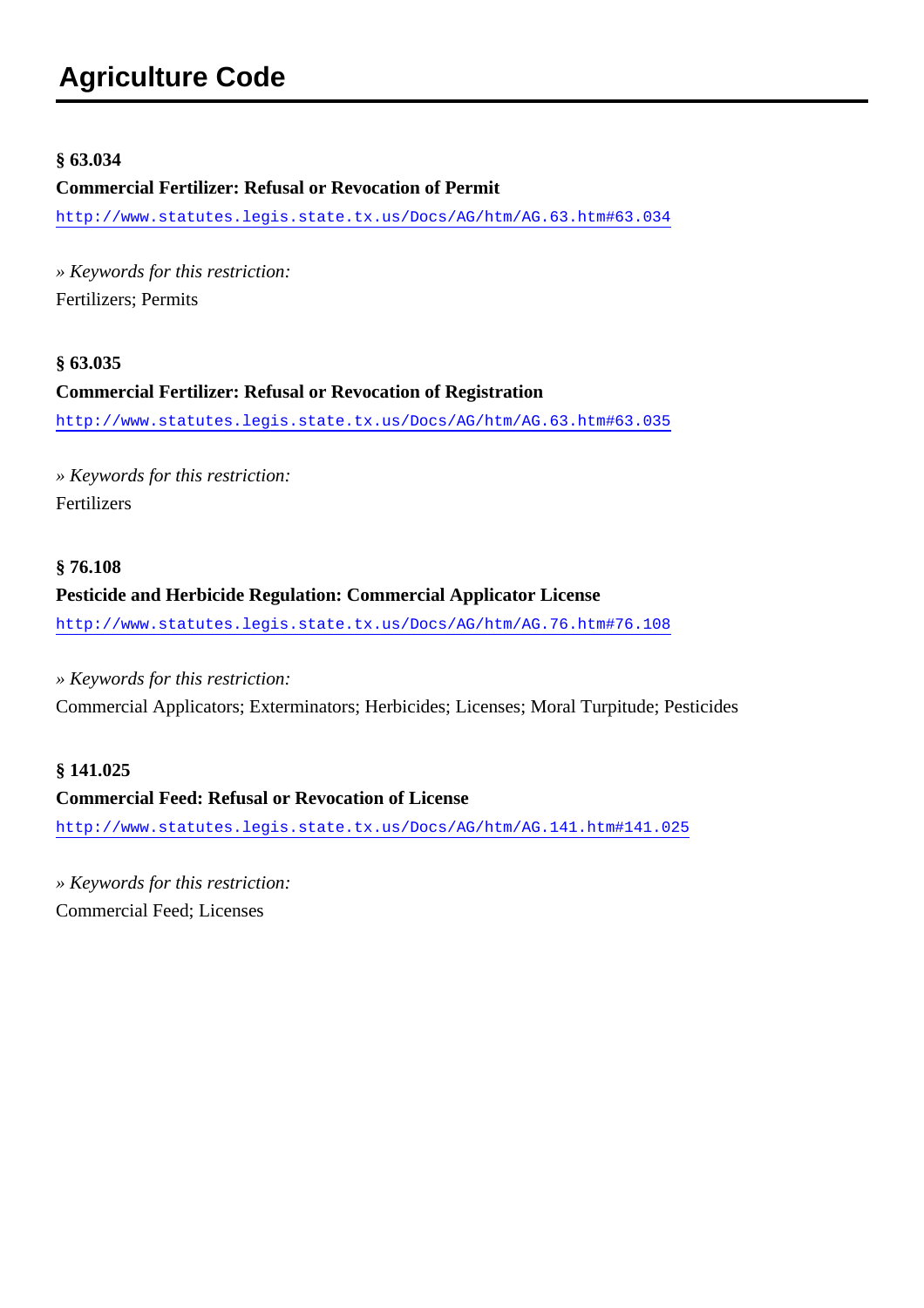#### <span id="page-6-0"></span>**§ 63.034**

#### **Commercial Fertilizer: Refusal or Revocation of Permit**

<http://www.statutes.legis.state.tx.us/Docs/AG/htm/AG.63.htm#63.034>

*» Keywords for this restriction:* Fertilizers; Permits

#### **§ 63.035**

#### **Commercial Fertilizer: Refusal or Revocation of Registration**

<http://www.statutes.legis.state.tx.us/Docs/AG/htm/AG.63.htm#63.035>

*» Keywords for this restriction:* Fertilizers

## **§ 76.108 Pesticide and Herbicide Regulation: Commercial Applicator License**

<http://www.statutes.legis.state.tx.us/Docs/AG/htm/AG.76.htm#76.108>

#### *» Keywords for this restriction:*

Commercial Applicators; Exterminators; Herbicides; Licenses; Moral Turpitude; Pesticides

#### **§ 141.025**

#### **Commercial Feed: Refusal or Revocation of License**

<http://www.statutes.legis.state.tx.us/Docs/AG/htm/AG.141.htm#141.025>

*» Keywords for this restriction:* Commercial Feed; Licenses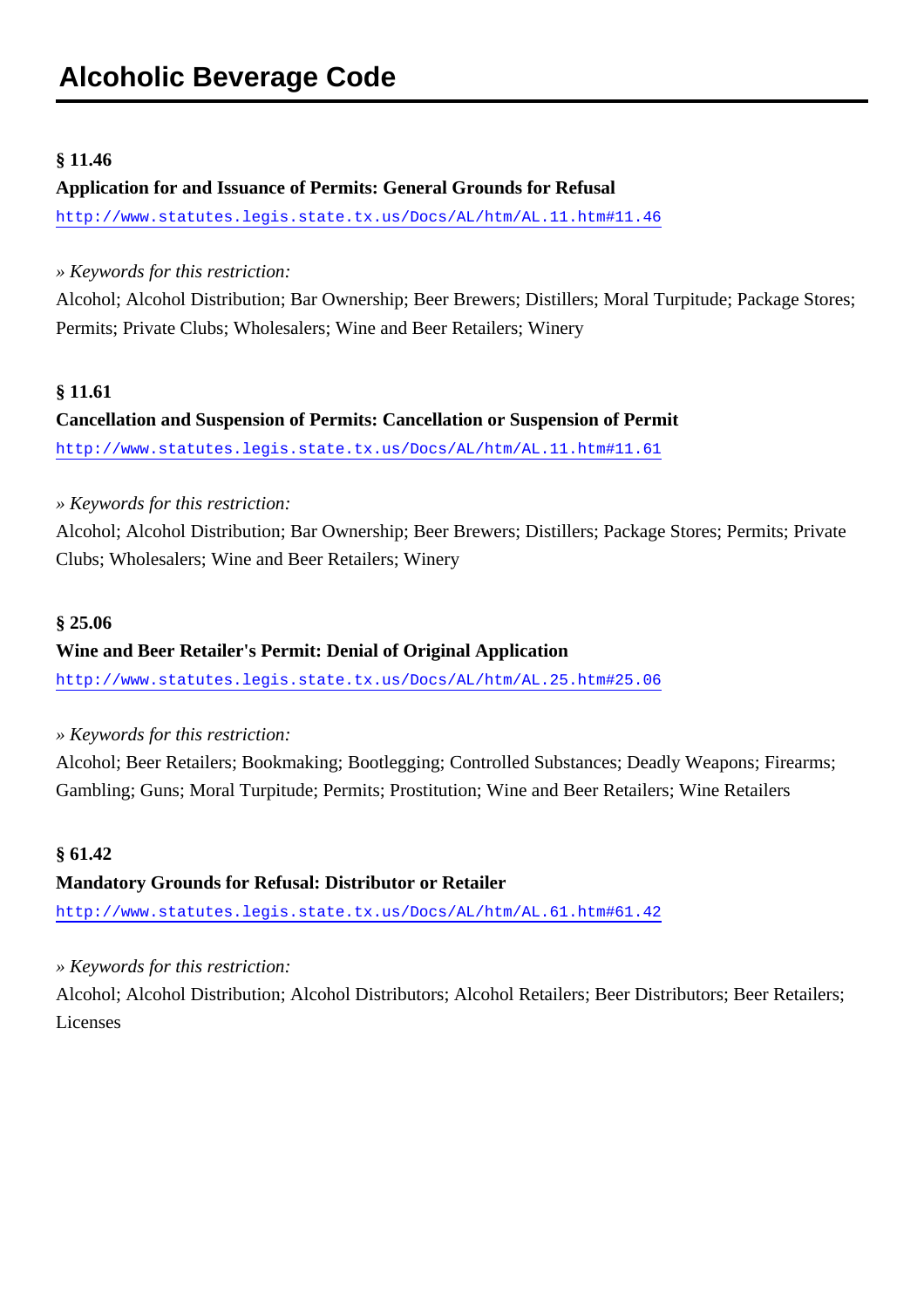#### <span id="page-7-0"></span>**§ 11.46**

#### **Application for and Issuance of Permits: General Grounds for Refusal**

<http://www.statutes.legis.state.tx.us/Docs/AL/htm/AL.11.htm#11.46>

#### *» Keywords for this restriction:*

Alcohol; Alcohol Distribution; Bar Ownership; Beer Brewers; Distillers; Moral Turpitude; Package Stores; Permits; Private Clubs; Wholesalers; Wine and Beer Retailers; Winery

#### **§ 11.61**

## **Cancellation and Suspension of Permits: Cancellation or Suspension of Permit** <http://www.statutes.legis.state.tx.us/Docs/AL/htm/AL.11.htm#11.61>

#### *» Keywords for this restriction:*

Alcohol; Alcohol Distribution; Bar Ownership; Beer Brewers; Distillers; Package Stores; Permits; Private Clubs; Wholesalers; Wine and Beer Retailers; Winery

#### **§ 25.06**

#### **Wine and Beer Retailer's Permit: Denial of Original Application**

<http://www.statutes.legis.state.tx.us/Docs/AL/htm/AL.25.htm#25.06>

*» Keywords for this restriction:*

Alcohol; Beer Retailers; Bookmaking; Bootlegging; Controlled Substances; Deadly Weapons; Firearms; Gambling; Guns; Moral Turpitude; Permits; Prostitution; Wine and Beer Retailers; Wine Retailers

#### **§ 61.42**

#### **Mandatory Grounds for Refusal: Distributor or Retailer**

<http://www.statutes.legis.state.tx.us/Docs/AL/htm/AL.61.htm#61.42>

*» Keywords for this restriction:*

Alcohol; Alcohol Distribution; Alcohol Distributors; Alcohol Retailers; Beer Distributors; Beer Retailers; **Licenses**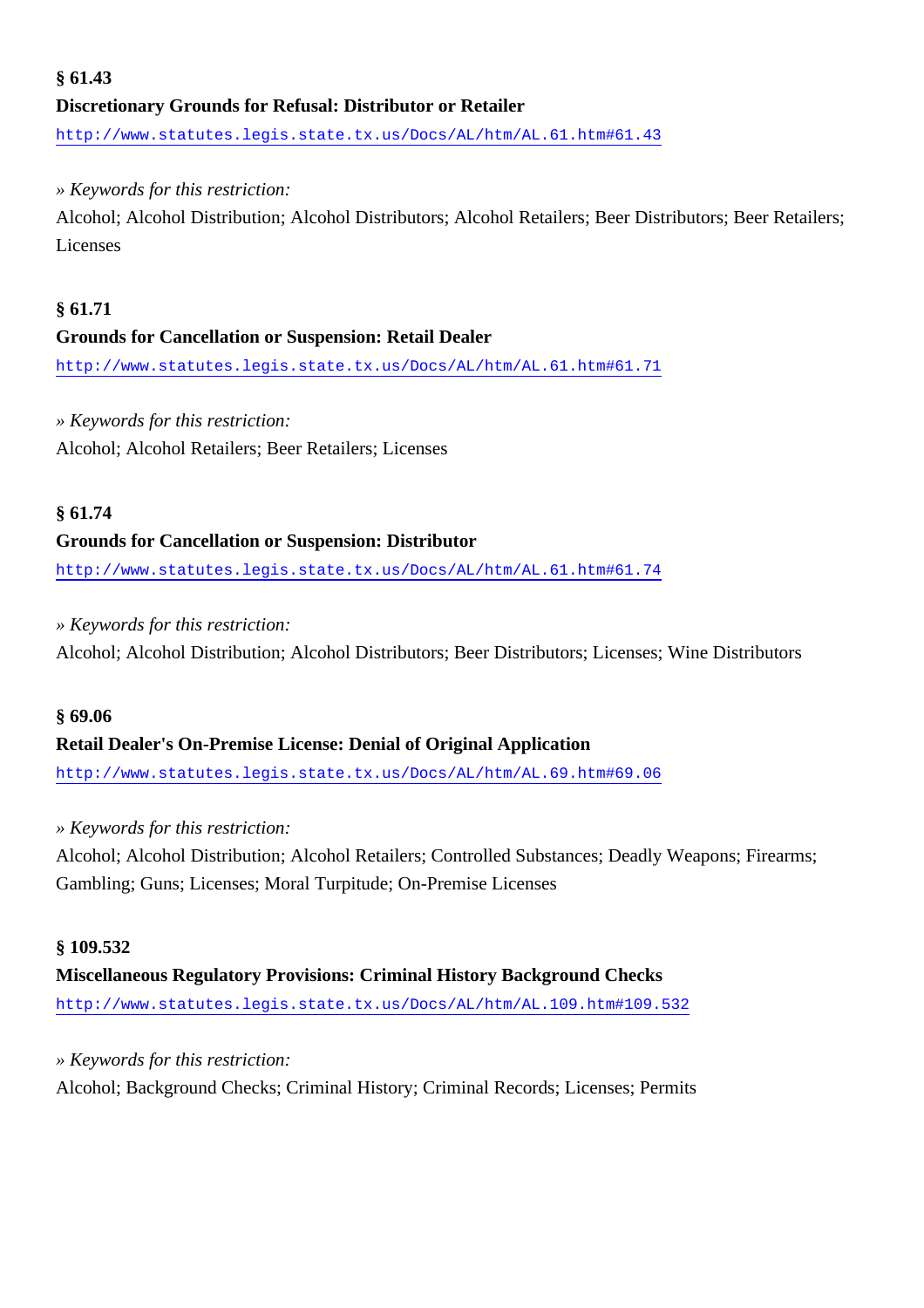## **§ 61.43 Discretionary Grounds for Refusal: Distributor or Retailer**

<http://www.statutes.legis.state.tx.us/Docs/AL/htm/AL.61.htm#61.43>

#### *» Keywords for this restriction:*

Alcohol; Alcohol Distribution; Alcohol Distributors; Alcohol Retailers; Beer Distributors; Beer Retailers; Licenses

#### **§ 61.71**

#### **Grounds for Cancellation or Suspension: Retail Dealer**

<http://www.statutes.legis.state.tx.us/Docs/AL/htm/AL.61.htm#61.71>

#### *» Keywords for this restriction:*

Alcohol; Alcohol Retailers; Beer Retailers; Licenses

#### **§ 61.74**

#### **Grounds for Cancellation or Suspension: Distributor**

<http://www.statutes.legis.state.tx.us/Docs/AL/htm/AL.61.htm#61.74>

#### *» Keywords for this restriction:*

Alcohol; Alcohol Distribution; Alcohol Distributors; Beer Distributors; Licenses; Wine Distributors

#### **§ 69.06**

#### **Retail Dealer's On-Premise License: Denial of Original Application**

<http://www.statutes.legis.state.tx.us/Docs/AL/htm/AL.69.htm#69.06>

#### *» Keywords for this restriction:*

Alcohol; Alcohol Distribution; Alcohol Retailers; Controlled Substances; Deadly Weapons; Firearms; Gambling; Guns; Licenses; Moral Turpitude; On-Premise Licenses

#### **§ 109.532**

## **Miscellaneous Regulatory Provisions: Criminal History Background Checks**

<http://www.statutes.legis.state.tx.us/Docs/AL/htm/AL.109.htm#109.532>

#### *» Keywords for this restriction:*

Alcohol; Background Checks; Criminal History; Criminal Records; Licenses; Permits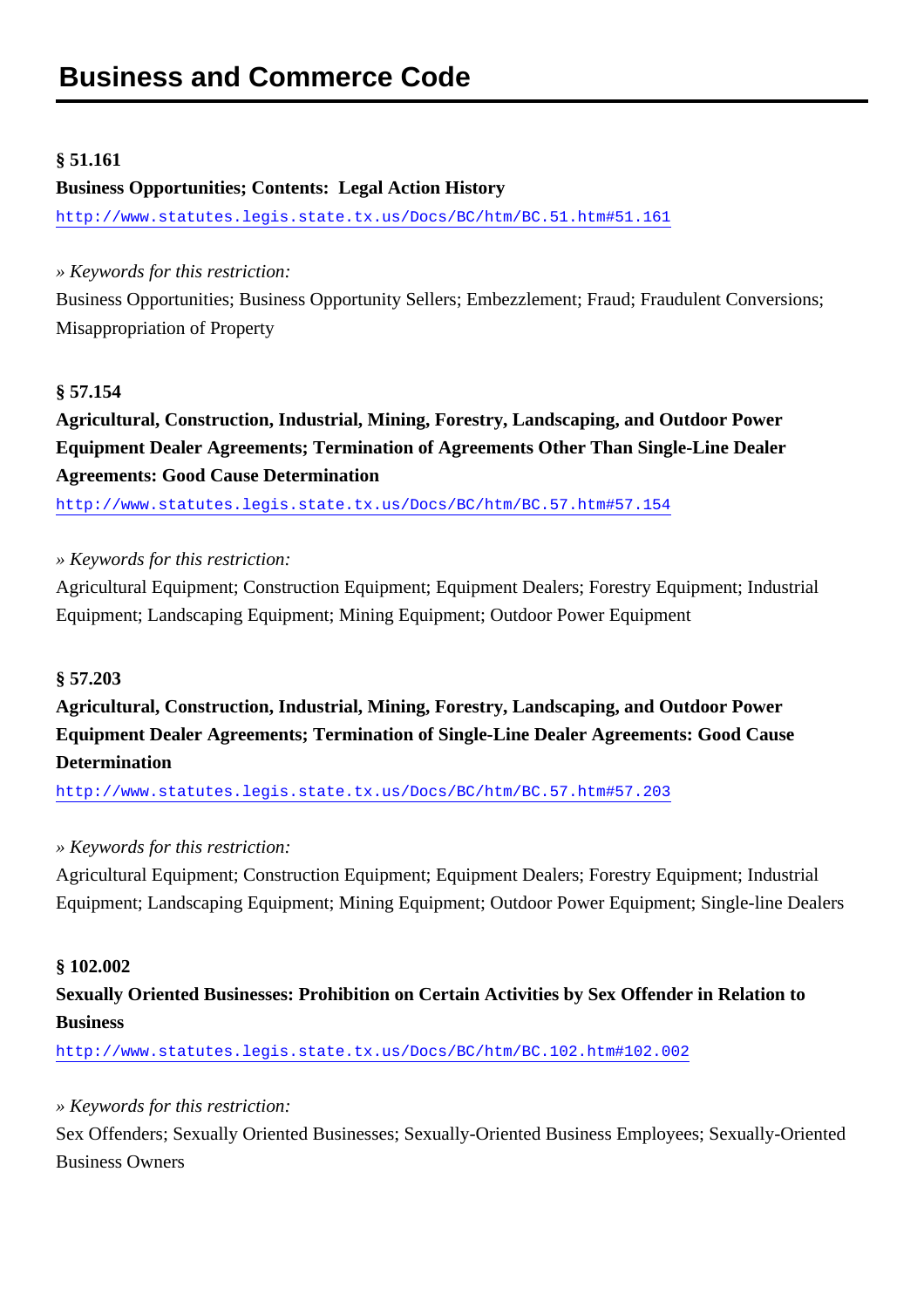#### <span id="page-9-0"></span>**§ 51.161**

#### **Business Opportunities; Contents: Legal Action History**

<http://www.statutes.legis.state.tx.us/Docs/BC/htm/BC.51.htm#51.161>

#### *» Keywords for this restriction:*

Business Opportunities; Business Opportunity Sellers; Embezzlement; Fraud; Fraudulent Conversions; Misappropriation of Property

#### **§ 57.154**

## **Agricultural, Construction, Industrial, Mining, Forestry, Landscaping, and Outdoor Power Equipment Dealer Agreements; Termination of Agreements Other Than Single-Line Dealer Agreements: Good Cause Determination**

<http://www.statutes.legis.state.tx.us/Docs/BC/htm/BC.57.htm#57.154>

#### *» Keywords for this restriction:*

Agricultural Equipment; Construction Equipment; Equipment Dealers; Forestry Equipment; Industrial Equipment; Landscaping Equipment; Mining Equipment; Outdoor Power Equipment

#### **§ 57.203**

**Agricultural, Construction, Industrial, Mining, Forestry, Landscaping, and Outdoor Power Equipment Dealer Agreements; Termination of Single-Line Dealer Agreements: Good Cause Determination**

<http://www.statutes.legis.state.tx.us/Docs/BC/htm/BC.57.htm#57.203>

#### *» Keywords for this restriction:*

Agricultural Equipment; Construction Equipment; Equipment Dealers; Forestry Equipment; Industrial Equipment; Landscaping Equipment; Mining Equipment; Outdoor Power Equipment; Single-line Dealers

#### **§ 102.002**

## **Sexually Oriented Businesses: Prohibition on Certain Activities by Sex Offender in Relation to Business**

<http://www.statutes.legis.state.tx.us/Docs/BC/htm/BC.102.htm#102.002>

#### *» Keywords for this restriction:*

Sex Offenders; Sexually Oriented Businesses; Sexually-Oriented Business Employees; Sexually-Oriented Business Owners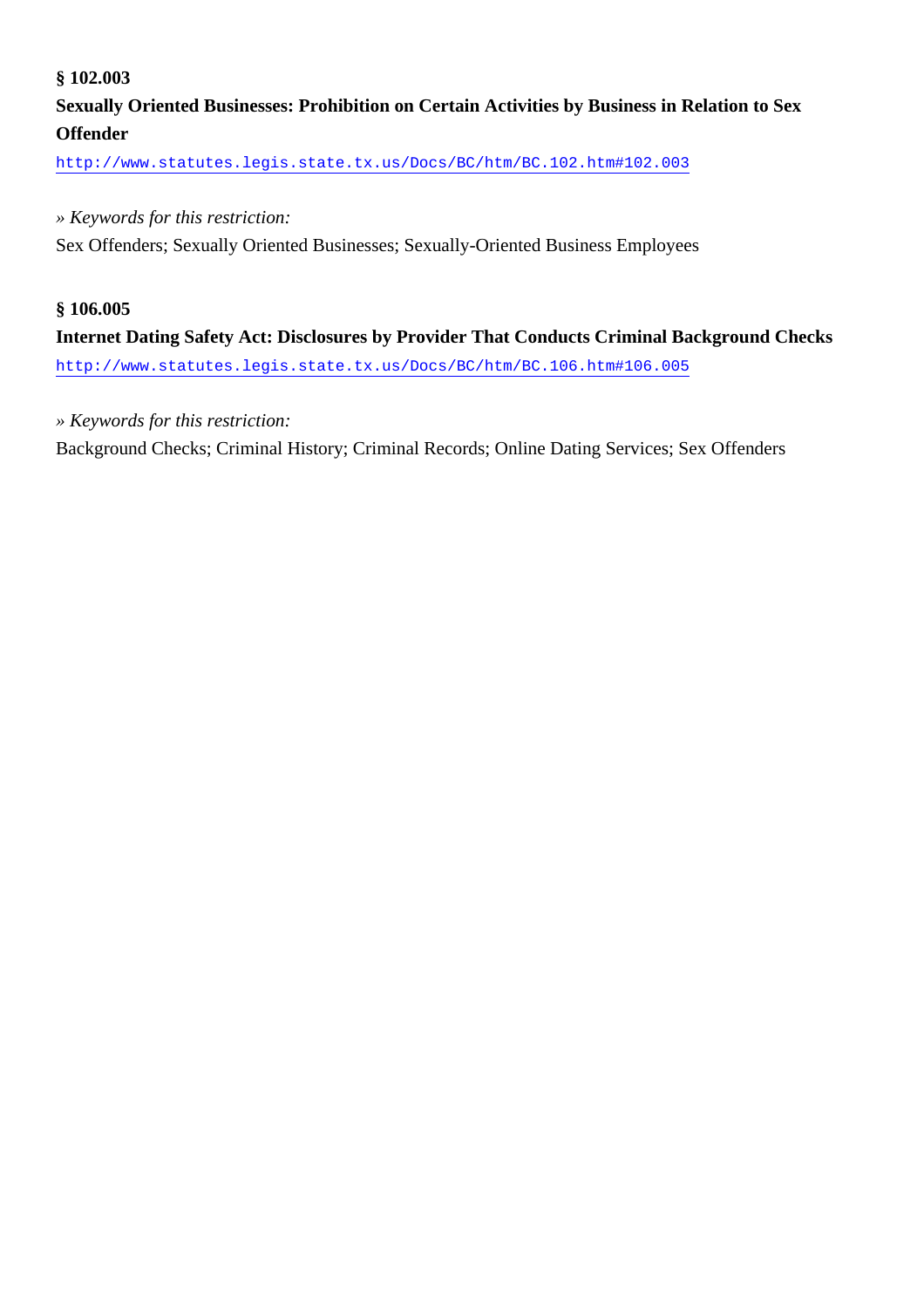#### **§ 102.003**

## **Sexually Oriented Businesses: Prohibition on Certain Activities by Business in Relation to Sex Offender**

<http://www.statutes.legis.state.tx.us/Docs/BC/htm/BC.102.htm#102.003>

#### *» Keywords for this restriction:*

Sex Offenders; Sexually Oriented Businesses; Sexually-Oriented Business Employees

#### **§ 106.005**

**Internet Dating Safety Act: Disclosures by Provider That Conducts Criminal Background Checks** <http://www.statutes.legis.state.tx.us/Docs/BC/htm/BC.106.htm#106.005>

#### *» Keywords for this restriction:*

Background Checks; Criminal History; Criminal Records; Online Dating Services; Sex Offenders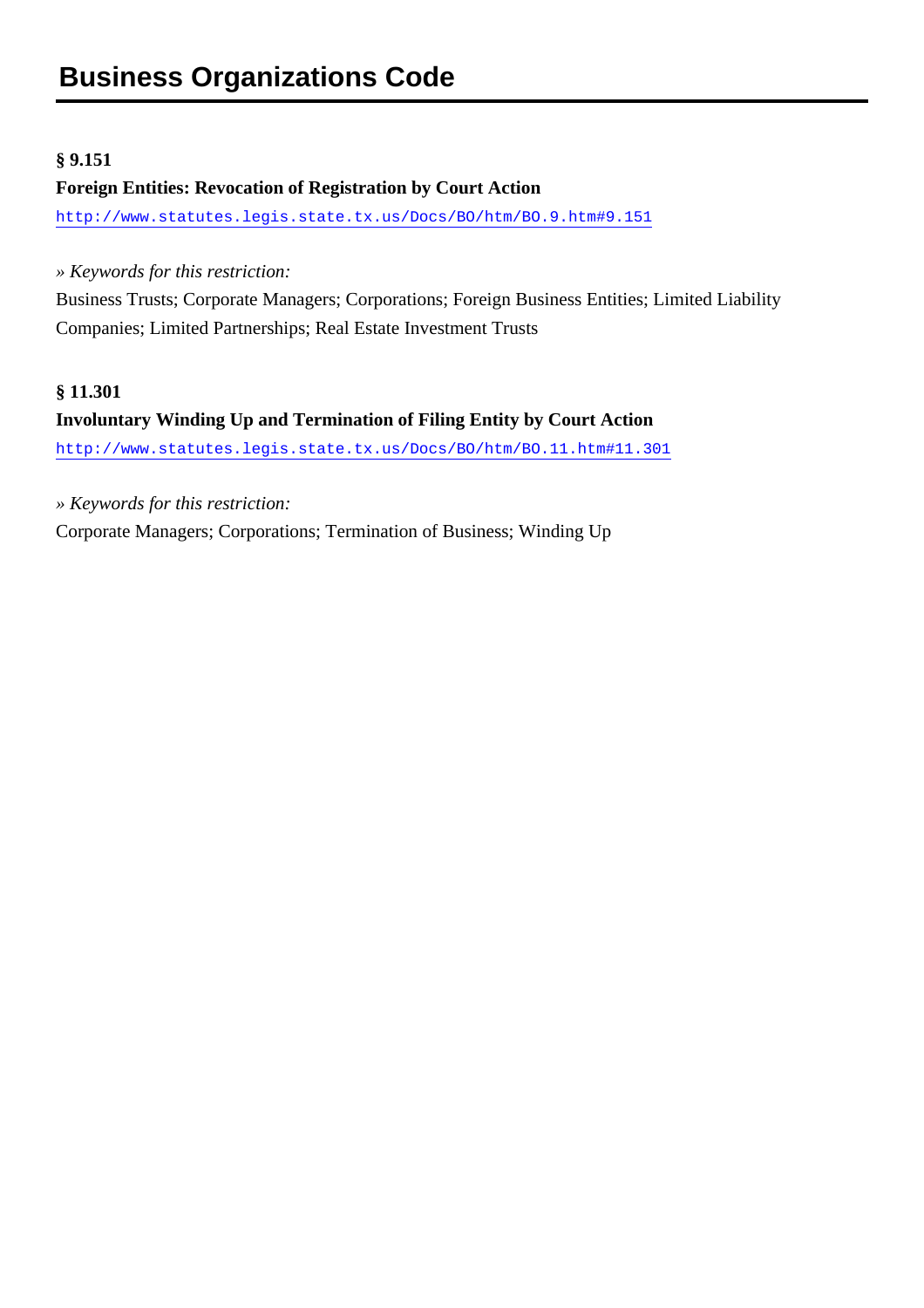#### <span id="page-11-0"></span>**§ 9.151**

#### **Foreign Entities: Revocation of Registration by Court Action**

<http://www.statutes.legis.state.tx.us/Docs/BO/htm/BO.9.htm#9.151>

*» Keywords for this restriction:*

Business Trusts; Corporate Managers; Corporations; Foreign Business Entities; Limited Liability Companies; Limited Partnerships; Real Estate Investment Trusts

#### **§ 11.301**

## **Involuntary Winding Up and Termination of Filing Entity by Court Action** <http://www.statutes.legis.state.tx.us/Docs/BO/htm/BO.11.htm#11.301>

*» Keywords for this restriction:*

Corporate Managers; Corporations; Termination of Business; Winding Up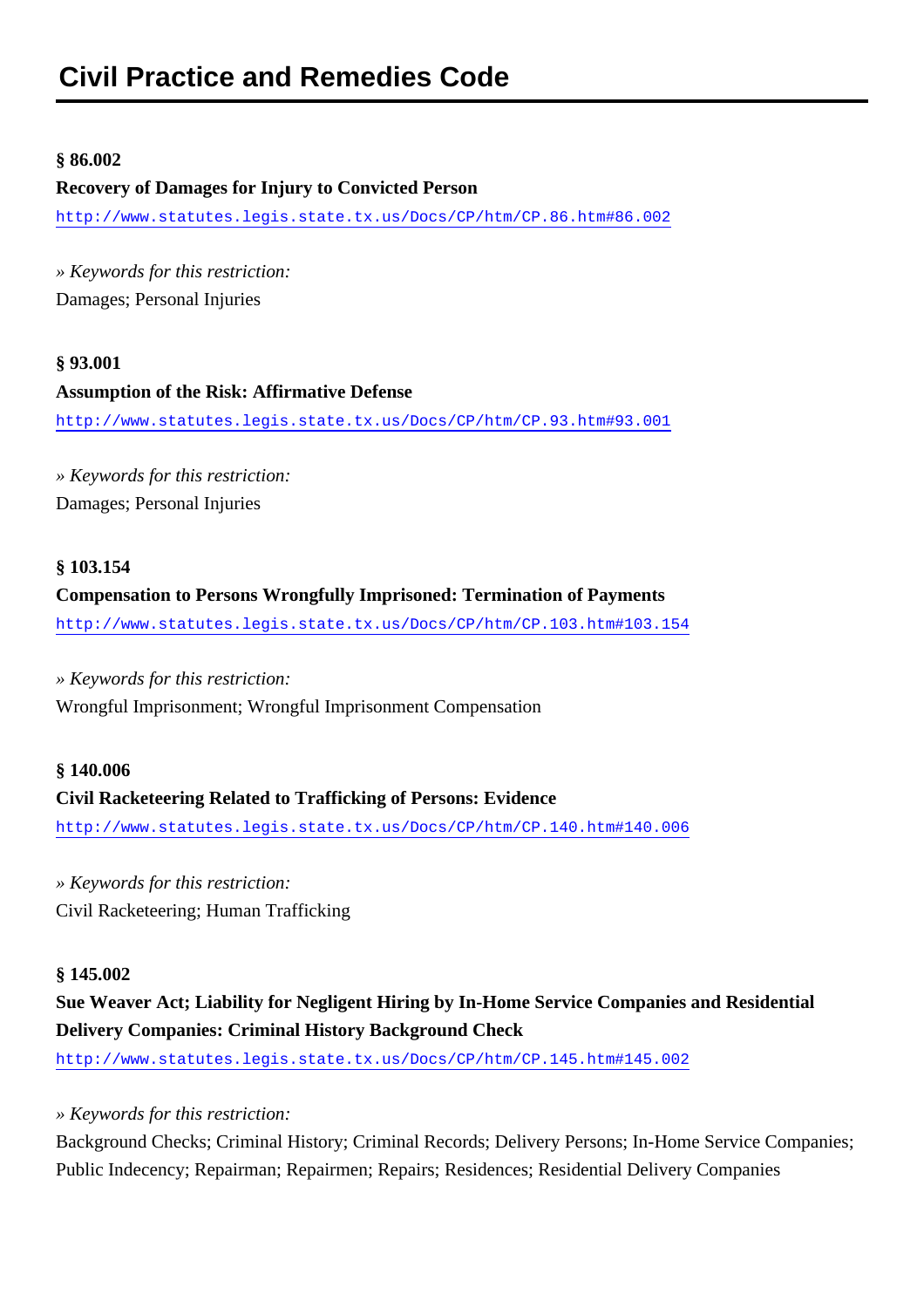#### <span id="page-12-0"></span>**§ 86.002**

#### **Recovery of Damages for Injury to Convicted Person**

<http://www.statutes.legis.state.tx.us/Docs/CP/htm/CP.86.htm#86.002>

*» Keywords for this restriction:* Damages; Personal Injuries

## **§ 93.001 Assumption of the Risk: Affirmative Defense** <http://www.statutes.legis.state.tx.us/Docs/CP/htm/CP.93.htm#93.001>

*» Keywords for this restriction:* Damages; Personal Injuries

#### **§ 103.154**

#### **Compensation to Persons Wrongfully Imprisoned: Termination of Payments**

<http://www.statutes.legis.state.tx.us/Docs/CP/htm/CP.103.htm#103.154>

#### *» Keywords for this restriction:*

Wrongful Imprisonment; Wrongful Imprisonment Compensation

#### **§ 140.006**

#### **Civil Racketeering Related to Trafficking of Persons: Evidence**

<http://www.statutes.legis.state.tx.us/Docs/CP/htm/CP.140.htm#140.006>

*» Keywords for this restriction:* Civil Racketeering; Human Trafficking

#### **§ 145.002**

**Sue Weaver Act; Liability for Negligent Hiring by In-Home Service Companies and Residential Delivery Companies: Criminal History Background Check**

<http://www.statutes.legis.state.tx.us/Docs/CP/htm/CP.145.htm#145.002>

#### *» Keywords for this restriction:*

Background Checks; Criminal History; Criminal Records; Delivery Persons; In-Home Service Companies; Public Indecency; Repairman; Repairmen; Repairs; Residences; Residential Delivery Companies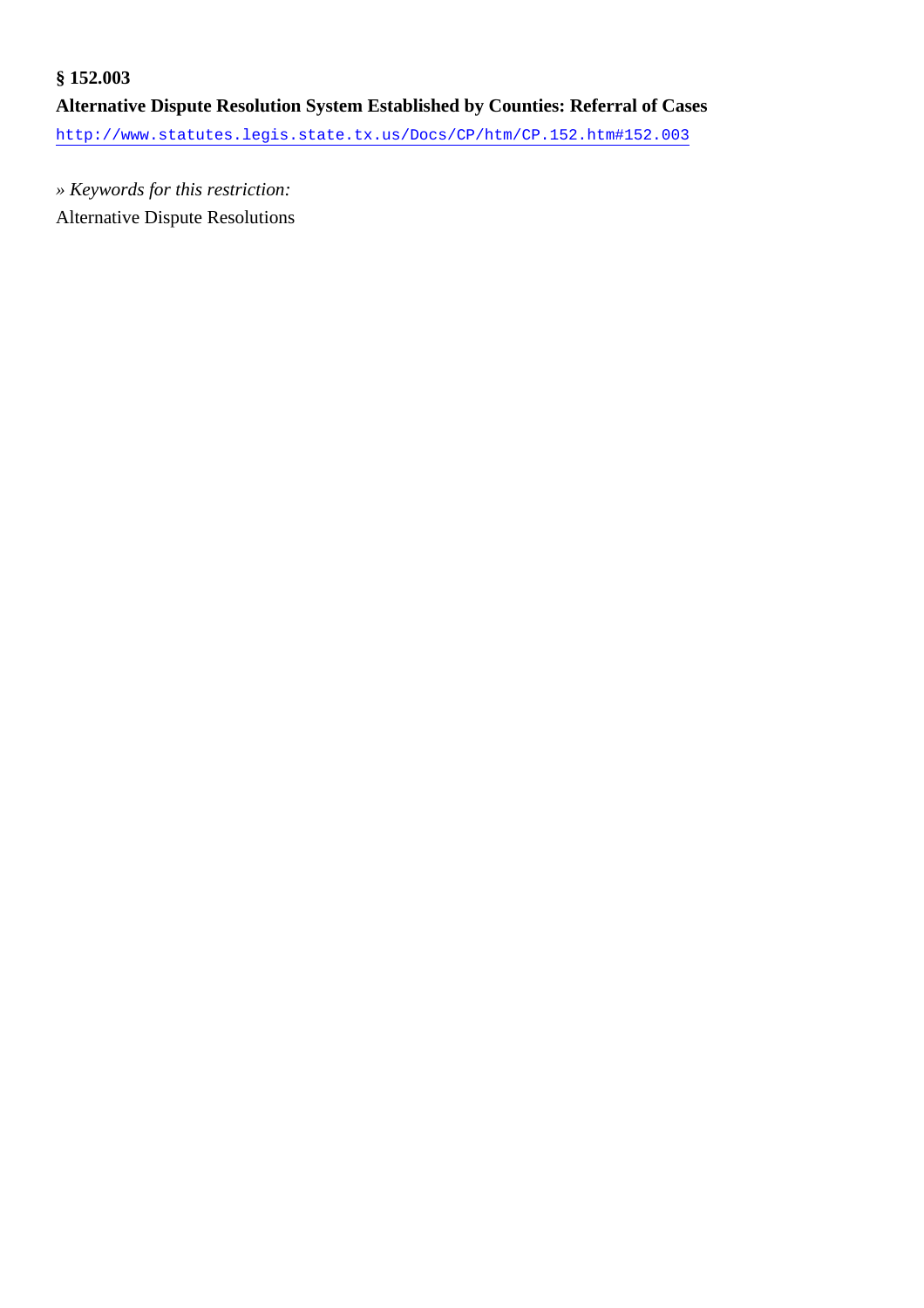## **§ 152.003 Alternative Dispute Resolution System Established by Counties: Referral of Cases** <http://www.statutes.legis.state.tx.us/Docs/CP/htm/CP.152.htm#152.003>

*» Keywords for this restriction:* Alternative Dispute Resolutions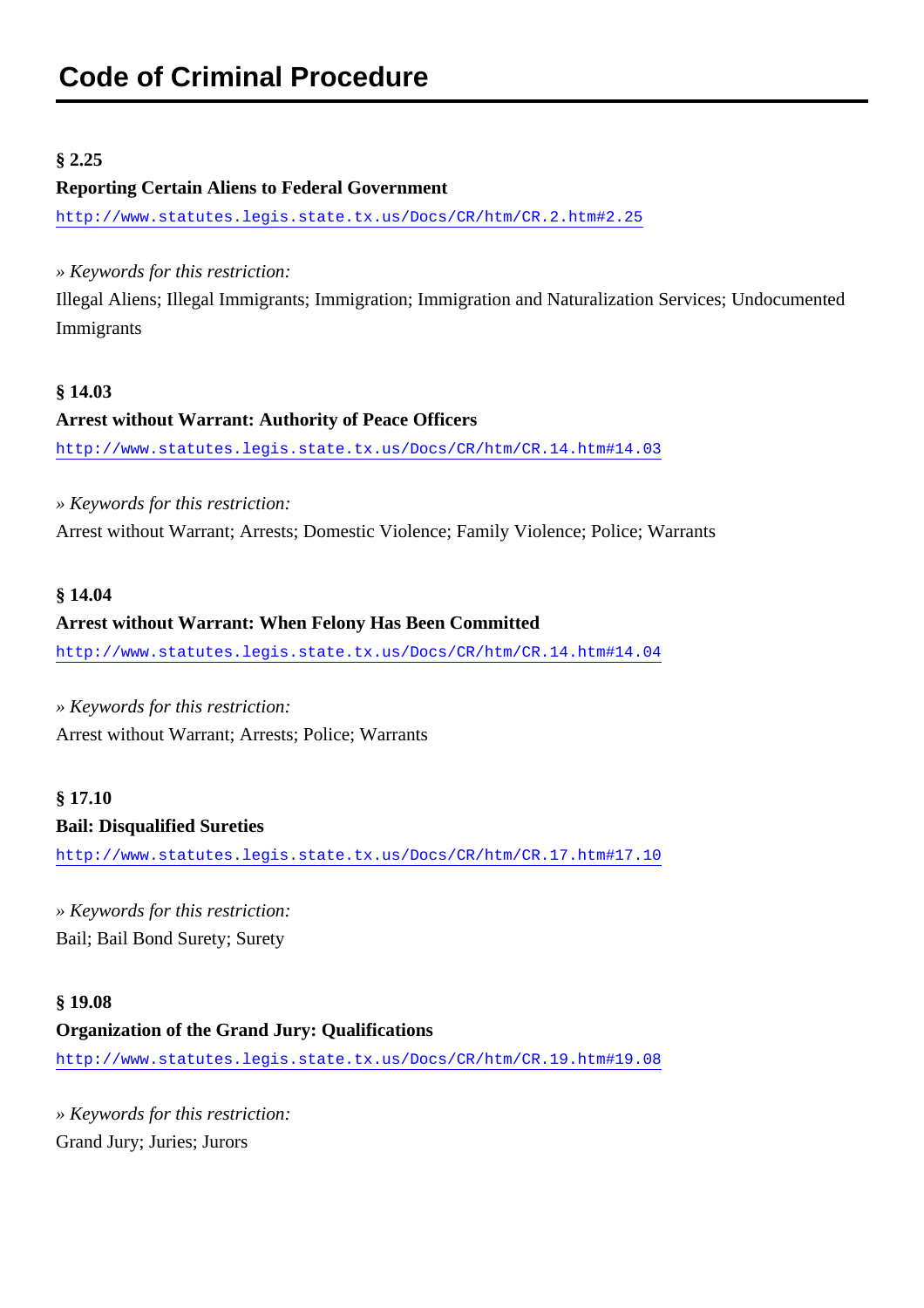#### <span id="page-14-0"></span>**§ 2.25**

#### **Reporting Certain Aliens to Federal Government**

<http://www.statutes.legis.state.tx.us/Docs/CR/htm/CR.2.htm#2.25>

*» Keywords for this restriction:*

Illegal Aliens; Illegal Immigrants; Immigration; Immigration and Naturalization Services; Undocumented Immigrants

#### **§ 14.03**

#### **Arrest without Warrant: Authority of Peace Officers**

<http://www.statutes.legis.state.tx.us/Docs/CR/htm/CR.14.htm#14.03>

*» Keywords for this restriction:* Arrest without Warrant; Arrests; Domestic Violence; Family Violence; Police; Warrants

#### **§ 14.04**

#### **Arrest without Warrant: When Felony Has Been Committed**

<http://www.statutes.legis.state.tx.us/Docs/CR/htm/CR.14.htm#14.04>

*» Keywords for this restriction:*

Arrest without Warrant; Arrests; Police; Warrants

### **§ 17.10 Bail: Disqualified Sureties**

<http://www.statutes.legis.state.tx.us/Docs/CR/htm/CR.17.htm#17.10>

*» Keywords for this restriction:* Bail; Bail Bond Surety; Surety

## **§ 19.08 Organization of the Grand Jury: Qualifications** <http://www.statutes.legis.state.tx.us/Docs/CR/htm/CR.19.htm#19.08>

*» Keywords for this restriction:* Grand Jury; Juries; Jurors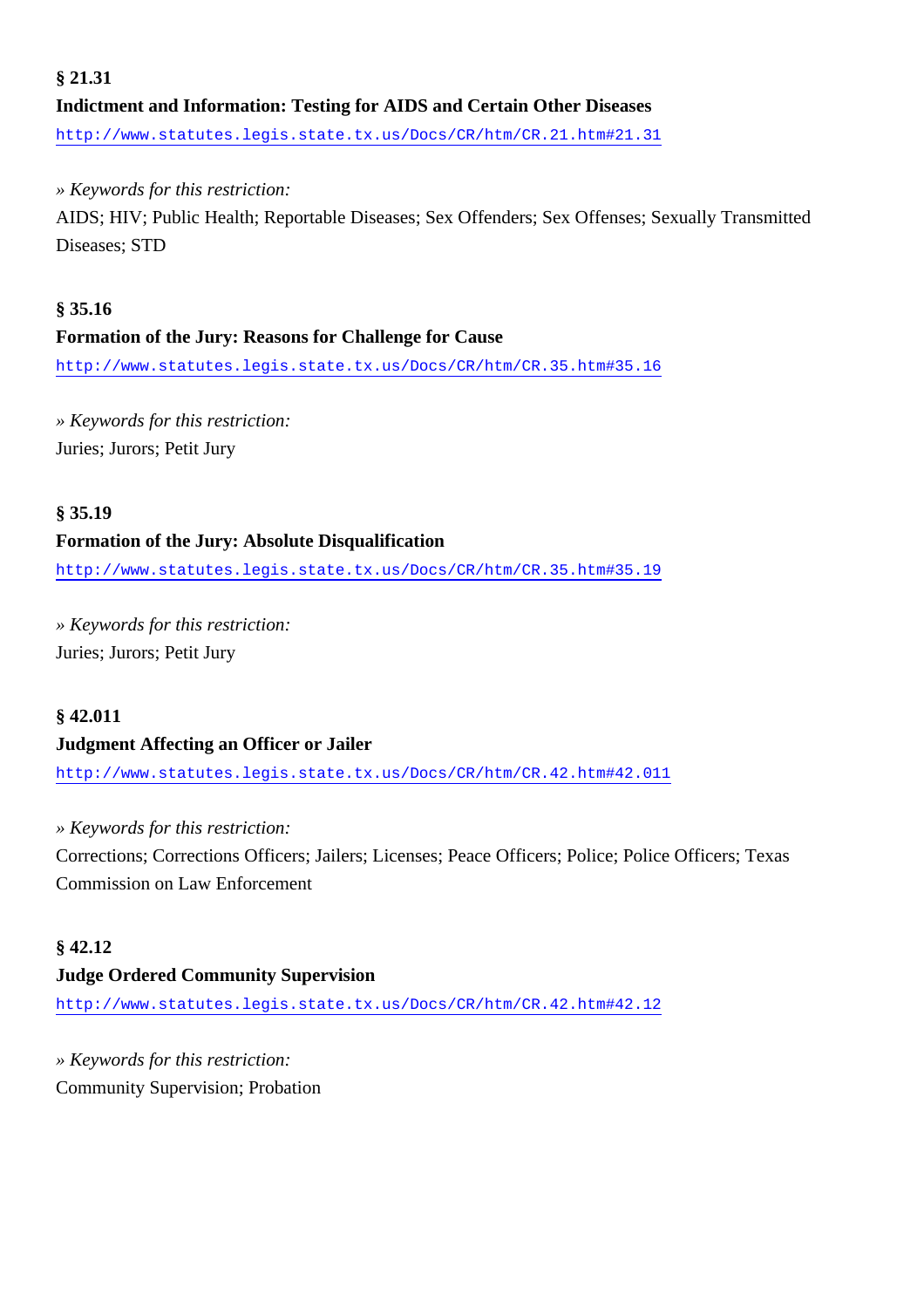## **§ 21.31 Indictment and Information: Testing for AIDS and Certain Other Diseases** <http://www.statutes.legis.state.tx.us/Docs/CR/htm/CR.21.htm#21.31>

*» Keywords for this restriction:*

AIDS; HIV; Public Health; Reportable Diseases; Sex Offenders; Sex Offenses; Sexually Transmitted Diseases; STD

#### **§ 35.16**

#### **Formation of the Jury: Reasons for Challenge for Cause**

<http://www.statutes.legis.state.tx.us/Docs/CR/htm/CR.35.htm#35.16>

*» Keywords for this restriction:* Juries; Jurors; Petit Jury

#### **§ 35.19**

#### **Formation of the Jury: Absolute Disqualification**

<http://www.statutes.legis.state.tx.us/Docs/CR/htm/CR.35.htm#35.19>

*» Keywords for this restriction:* Juries; Jurors; Petit Jury

#### **§ 42.011 Judgment Affecting an Officer or Jailer**

<http://www.statutes.legis.state.tx.us/Docs/CR/htm/CR.42.htm#42.011>

*» Keywords for this restriction:* Corrections; Corrections Officers; Jailers; Licenses; Peace Officers; Police; Police Officers; Texas Commission on Law Enforcement

#### **§ 42.12**

#### **Judge Ordered Community Supervision**

<http://www.statutes.legis.state.tx.us/Docs/CR/htm/CR.42.htm#42.12>

*» Keywords for this restriction:* Community Supervision; Probation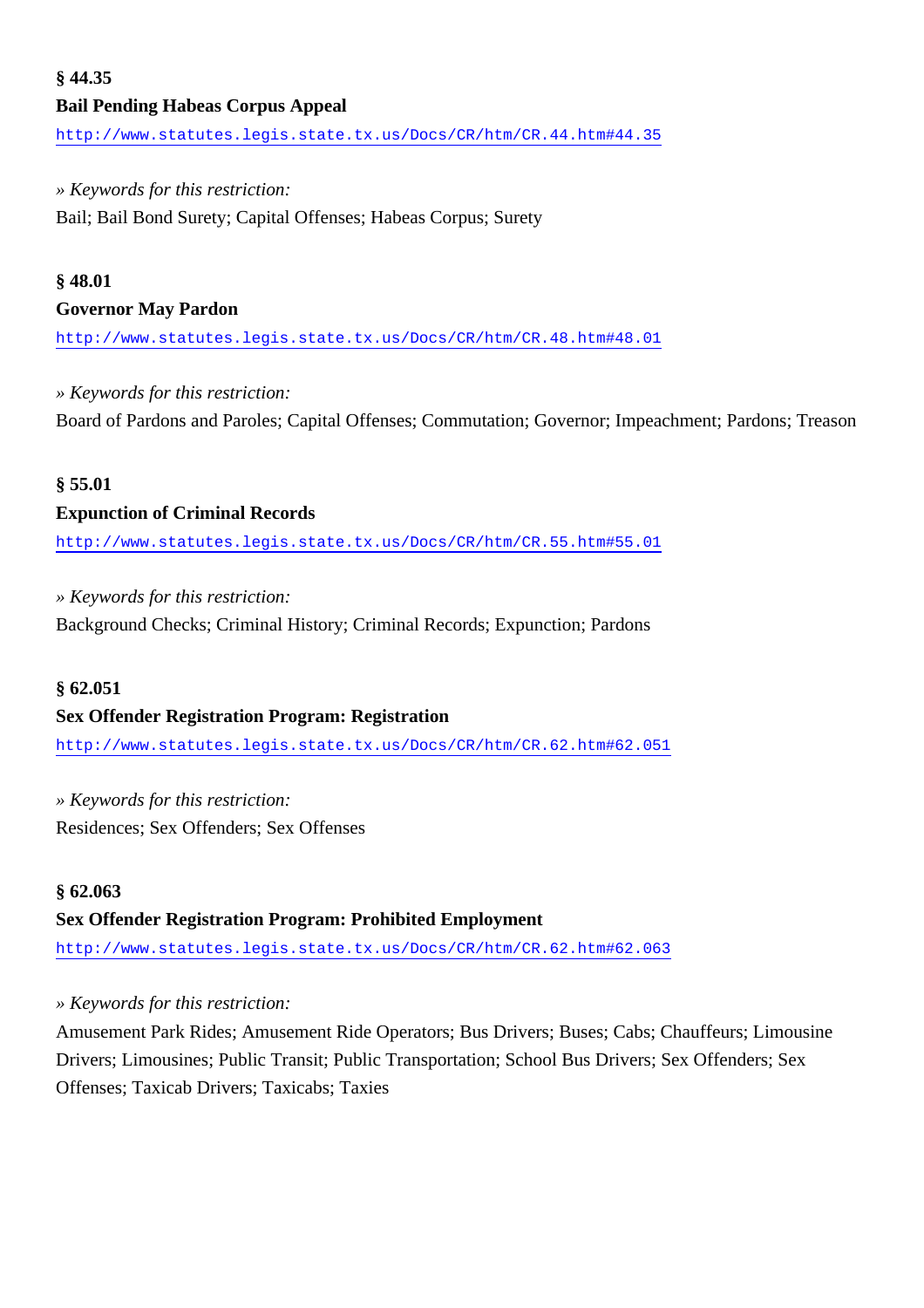## **§ 44.35 Bail Pending Habeas Corpus Appeal**

<http://www.statutes.legis.state.tx.us/Docs/CR/htm/CR.44.htm#44.35>

#### *» Keywords for this restriction:*

Bail; Bail Bond Surety; Capital Offenses; Habeas Corpus; Surety

#### **§ 48.01**

#### **Governor May Pardon**

<http://www.statutes.legis.state.tx.us/Docs/CR/htm/CR.48.htm#48.01>

#### *» Keywords for this restriction:*

Board of Pardons and Paroles; Capital Offenses; Commutation; Governor; Impeachment; Pardons; Treason

#### **§ 55.01**

#### **Expunction of Criminal Records**

<http://www.statutes.legis.state.tx.us/Docs/CR/htm/CR.55.htm#55.01>

#### *» Keywords for this restriction:*

Background Checks; Criminal History; Criminal Records; Expunction; Pardons

#### **§ 62.051**

#### **Sex Offender Registration Program: Registration**

<http://www.statutes.legis.state.tx.us/Docs/CR/htm/CR.62.htm#62.051>

*» Keywords for this restriction:* Residences; Sex Offenders; Sex Offenses

#### **§ 62.063**

#### **Sex Offender Registration Program: Prohibited Employment**

<http://www.statutes.legis.state.tx.us/Docs/CR/htm/CR.62.htm#62.063>

#### *» Keywords for this restriction:*

Amusement Park Rides; Amusement Ride Operators; Bus Drivers; Buses; Cabs; Chauffeurs; Limousine Drivers; Limousines; Public Transit; Public Transportation; School Bus Drivers; Sex Offenders; Sex Offenses; Taxicab Drivers; Taxicabs; Taxies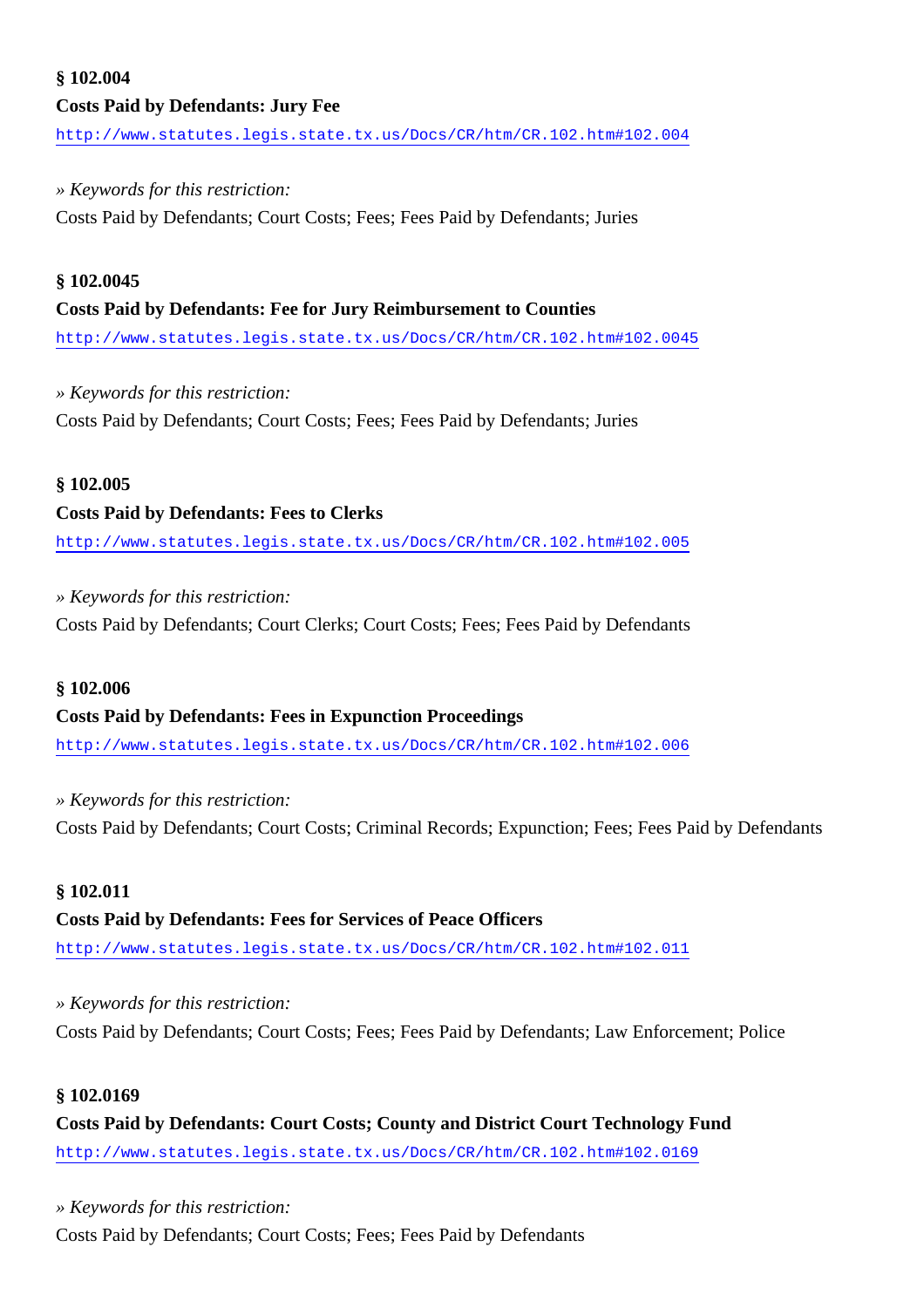## **§ 102.004 Costs Paid by Defendants: Jury Fee**

<http://www.statutes.legis.state.tx.us/Docs/CR/htm/CR.102.htm#102.004>

#### *» Keywords for this restriction:*

Costs Paid by Defendants; Court Costs; Fees; Fees Paid by Defendants; Juries

#### **§ 102.0045**

#### **Costs Paid by Defendants: Fee for Jury Reimbursement to Counties**

<http://www.statutes.legis.state.tx.us/Docs/CR/htm/CR.102.htm#102.0045>

#### *» Keywords for this restriction:*

Costs Paid by Defendants; Court Costs; Fees; Fees Paid by Defendants; Juries

#### **§ 102.005**

#### **Costs Paid by Defendants: Fees to Clerks**

<http://www.statutes.legis.state.tx.us/Docs/CR/htm/CR.102.htm#102.005>

#### *» Keywords for this restriction:*

Costs Paid by Defendants; Court Clerks; Court Costs; Fees; Fees Paid by Defendants

#### **§ 102.006**

#### **Costs Paid by Defendants: Fees in Expunction Proceedings**

<http://www.statutes.legis.state.tx.us/Docs/CR/htm/CR.102.htm#102.006>

*» Keywords for this restriction:* Costs Paid by Defendants; Court Costs; Criminal Records; Expunction; Fees; Fees Paid by Defendants

#### **§ 102.011**

## **Costs Paid by Defendants: Fees for Services of Peace Officers**

<http://www.statutes.legis.state.tx.us/Docs/CR/htm/CR.102.htm#102.011>

*» Keywords for this restriction:* Costs Paid by Defendants; Court Costs; Fees; Fees Paid by Defendants; Law Enforcement; Police

#### **§ 102.0169**

**Costs Paid by Defendants: Court Costs; County and District Court Technology Fund** <http://www.statutes.legis.state.tx.us/Docs/CR/htm/CR.102.htm#102.0169>

#### *» Keywords for this restriction:*

Costs Paid by Defendants; Court Costs; Fees; Fees Paid by Defendants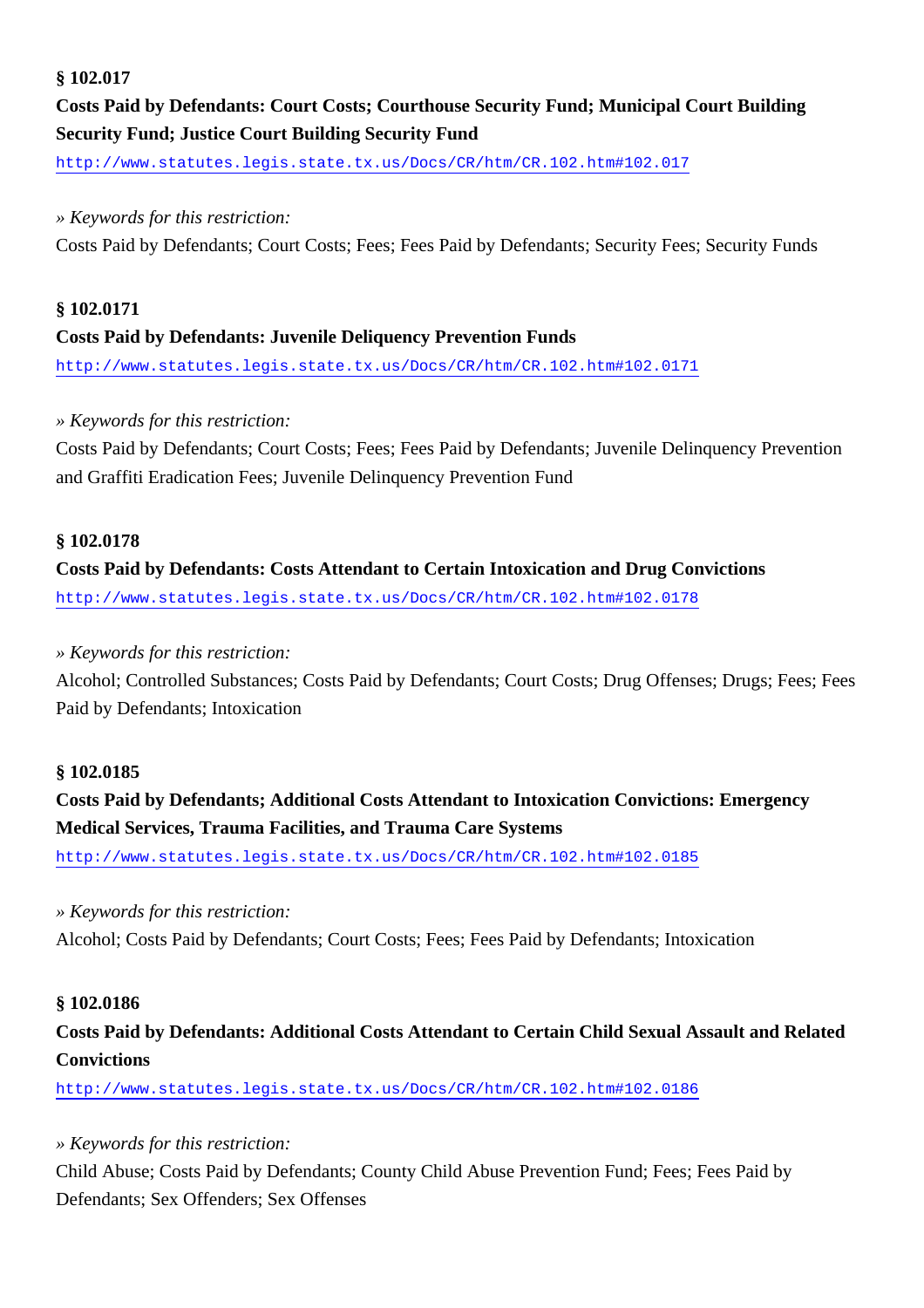#### **§ 102.017**

## **Costs Paid by Defendants: Court Costs; Courthouse Security Fund; Municipal Court Building Security Fund; Justice Court Building Security Fund**

<http://www.statutes.legis.state.tx.us/Docs/CR/htm/CR.102.htm#102.017>

#### *» Keywords for this restriction:*

Costs Paid by Defendants; Court Costs; Fees; Fees Paid by Defendants; Security Fees; Security Funds

#### **§ 102.0171 Costs Paid by Defendants: Juvenile Deliquency Prevention Funds**

<http://www.statutes.legis.state.tx.us/Docs/CR/htm/CR.102.htm#102.0171>

#### *» Keywords for this restriction:*

Costs Paid by Defendants; Court Costs; Fees; Fees Paid by Defendants; Juvenile Delinquency Prevention and Graffiti Eradication Fees; Juvenile Delinquency Prevention Fund

#### **§ 102.0178**

## **Costs Paid by Defendants: Costs Attendant to Certain Intoxication and Drug Convictions**

<http://www.statutes.legis.state.tx.us/Docs/CR/htm/CR.102.htm#102.0178>

#### *» Keywords for this restriction:*

Alcohol; Controlled Substances; Costs Paid by Defendants; Court Costs; Drug Offenses; Drugs; Fees; Fees Paid by Defendants; Intoxication

#### **§ 102.0185**

### **Costs Paid by Defendants; Additional Costs Attendant to Intoxication Convictions: Emergency Medical Services, Trauma Facilities, and Trauma Care Systems**

<http://www.statutes.legis.state.tx.us/Docs/CR/htm/CR.102.htm#102.0185>

#### *» Keywords for this restriction:*

Alcohol; Costs Paid by Defendants; Court Costs; Fees; Fees Paid by Defendants; Intoxication

#### **§ 102.0186**

### **Costs Paid by Defendants: Additional Costs Attendant to Certain Child Sexual Assault and Related Convictions**

<http://www.statutes.legis.state.tx.us/Docs/CR/htm/CR.102.htm#102.0186>

#### *» Keywords for this restriction:*

Child Abuse; Costs Paid by Defendants; County Child Abuse Prevention Fund; Fees; Fees Paid by Defendants; Sex Offenders; Sex Offenses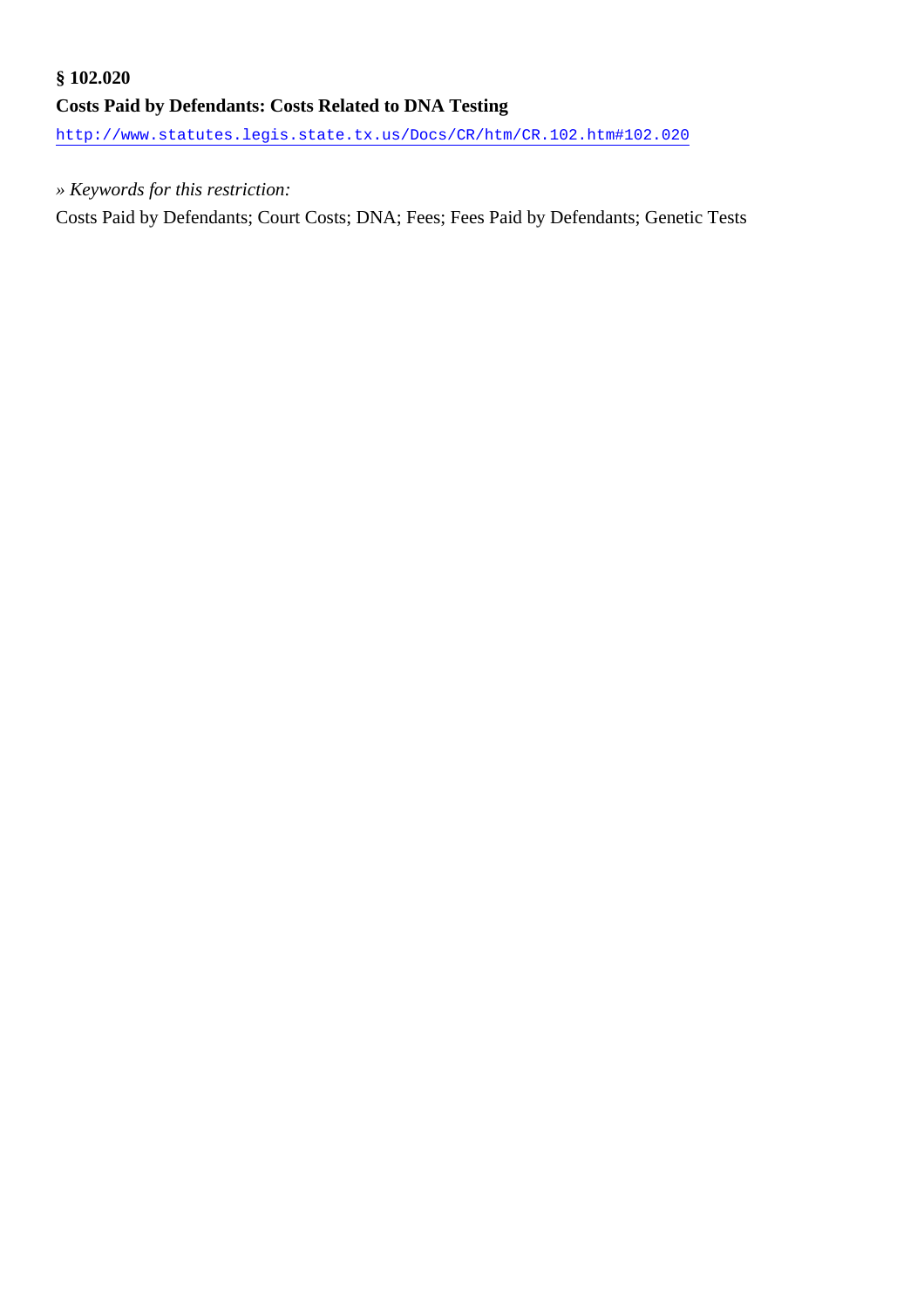## **§ 102.020 Costs Paid by Defendants: Costs Related to DNA Testing**

<http://www.statutes.legis.state.tx.us/Docs/CR/htm/CR.102.htm#102.020>

#### *» Keywords for this restriction:*

Costs Paid by Defendants; Court Costs; DNA; Fees; Fees Paid by Defendants; Genetic Tests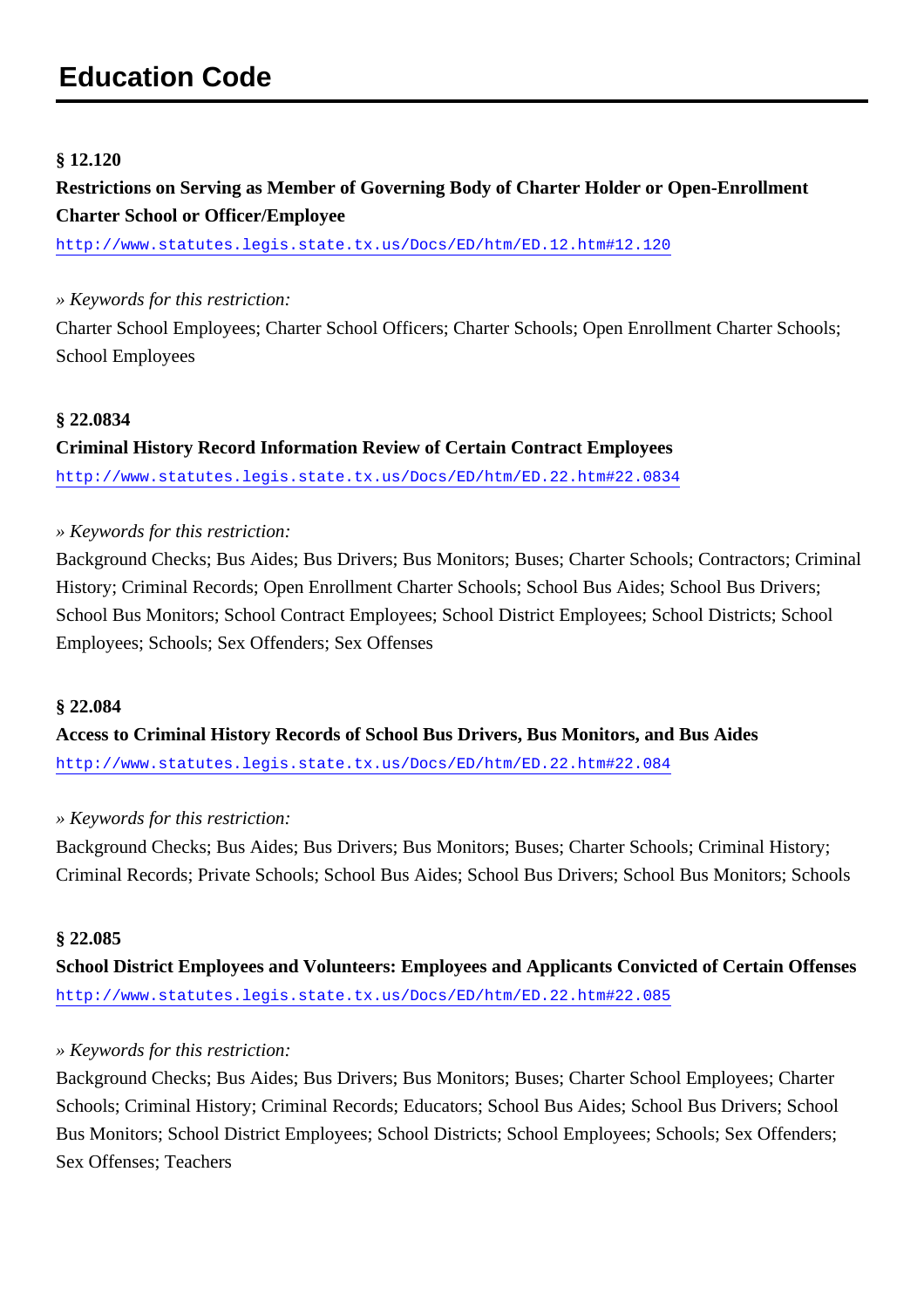#### <span id="page-20-0"></span>**§ 12.120**

**Restrictions on Serving as Member of Governing Body of Charter Holder or Open-Enrollment Charter School or Officer/Employee**

<http://www.statutes.legis.state.tx.us/Docs/ED/htm/ED.12.htm#12.120>

#### *» Keywords for this restriction:*

Charter School Employees; Charter School Officers; Charter Schools; Open Enrollment Charter Schools; School Employees

#### **§ 22.0834**

**Criminal History Record Information Review of Certain Contract Employees** <http://www.statutes.legis.state.tx.us/Docs/ED/htm/ED.22.htm#22.0834>

#### *» Keywords for this restriction:*

Background Checks; Bus Aides; Bus Drivers; Bus Monitors; Buses; Charter Schools; Contractors; Criminal History; Criminal Records; Open Enrollment Charter Schools; School Bus Aides; School Bus Drivers; School Bus Monitors; School Contract Employees; School District Employees; School Districts; School Employees; Schools; Sex Offenders; Sex Offenses

#### **§ 22.084**

**Access to Criminal History Records of School Bus Drivers, Bus Monitors, and Bus Aides** <http://www.statutes.legis.state.tx.us/Docs/ED/htm/ED.22.htm#22.084>

#### *» Keywords for this restriction:*

Background Checks; Bus Aides; Bus Drivers; Bus Monitors; Buses; Charter Schools; Criminal History; Criminal Records; Private Schools; School Bus Aides; School Bus Drivers; School Bus Monitors; Schools

#### **§ 22.085**

**School District Employees and Volunteers: Employees and Applicants Convicted of Certain Offenses** <http://www.statutes.legis.state.tx.us/Docs/ED/htm/ED.22.htm#22.085>

#### *» Keywords for this restriction:*

Background Checks; Bus Aides; Bus Drivers; Bus Monitors; Buses; Charter School Employees; Charter Schools; Criminal History; Criminal Records; Educators; School Bus Aides; School Bus Drivers; School Bus Monitors; School District Employees; School Districts; School Employees; Schools; Sex Offenders; Sex Offenses; Teachers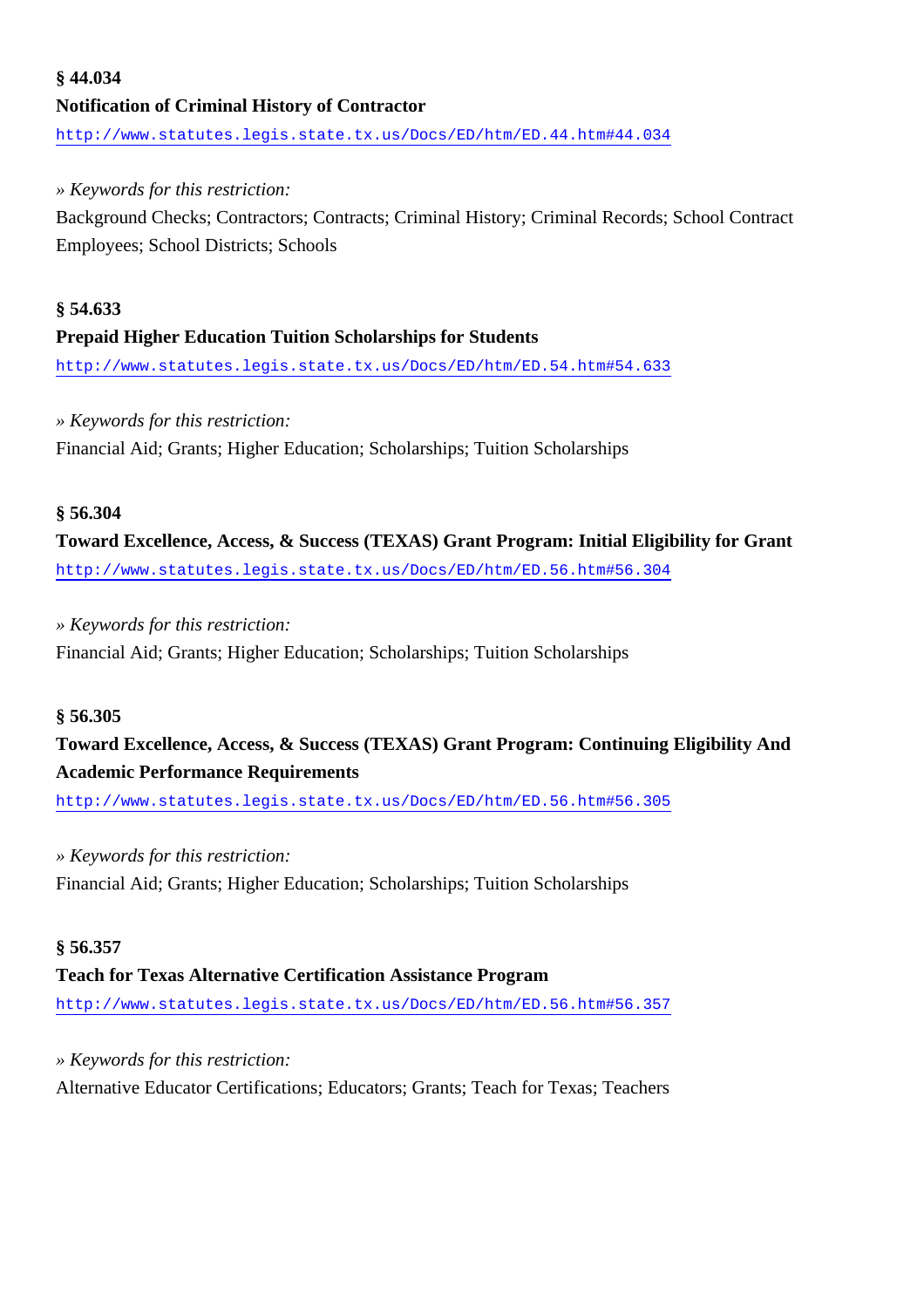## **§ 44.034 Notification of Criminal History of Contractor** <http://www.statutes.legis.state.tx.us/Docs/ED/htm/ED.44.htm#44.034>

#### *» Keywords for this restriction:*

Background Checks; Contractors; Contracts; Criminal History; Criminal Records; School Contract Employees; School Districts; Schools

## **§ 54.633 Prepaid Higher Education Tuition Scholarships for Students**

<http://www.statutes.legis.state.tx.us/Docs/ED/htm/ED.54.htm#54.633>

#### *» Keywords for this restriction:*

Financial Aid; Grants; Higher Education; Scholarships; Tuition Scholarships

#### **§ 56.304**

**Toward Excellence, Access, & Success (TEXAS) Grant Program: Initial Eligibility for Grant** <http://www.statutes.legis.state.tx.us/Docs/ED/htm/ED.56.htm#56.304>

#### *» Keywords for this restriction:*

Financial Aid; Grants; Higher Education; Scholarships; Tuition Scholarships

#### **§ 56.305**

## **Toward Excellence, Access, & Success (TEXAS) Grant Program: Continuing Eligibility And Academic Performance Requirements**

<http://www.statutes.legis.state.tx.us/Docs/ED/htm/ED.56.htm#56.305>

#### *» Keywords for this restriction:*

Financial Aid; Grants; Higher Education; Scholarships; Tuition Scholarships

#### **§ 56.357**

#### **Teach for Texas Alternative Certification Assistance Program**

<http://www.statutes.legis.state.tx.us/Docs/ED/htm/ED.56.htm#56.357>

#### *» Keywords for this restriction:*

Alternative Educator Certifications; Educators; Grants; Teach for Texas; Teachers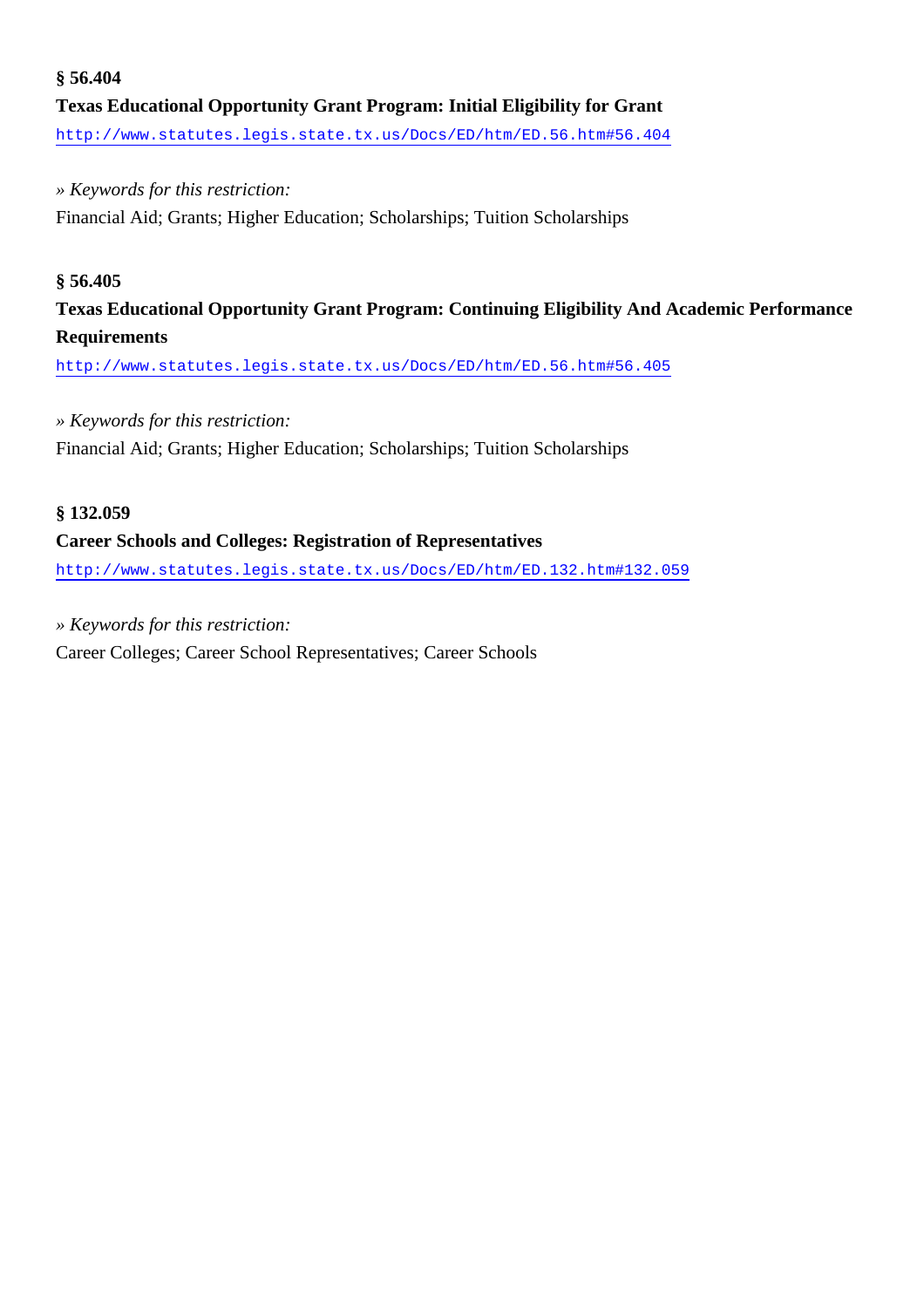## **§ 56.404 Texas Educational Opportunity Grant Program: Initial Eligibility for Grant**

<http://www.statutes.legis.state.tx.us/Docs/ED/htm/ED.56.htm#56.404>

#### *» Keywords for this restriction:*

Financial Aid; Grants; Higher Education; Scholarships; Tuition Scholarships

#### **§ 56.405**

### **Texas Educational Opportunity Grant Program: Continuing Eligibility And Academic Performance Requirements**

<http://www.statutes.legis.state.tx.us/Docs/ED/htm/ED.56.htm#56.405>

#### *» Keywords for this restriction:*

Financial Aid; Grants; Higher Education; Scholarships; Tuition Scholarships

#### **§ 132.059**

#### **Career Schools and Colleges: Registration of Representatives**

<http://www.statutes.legis.state.tx.us/Docs/ED/htm/ED.132.htm#132.059>

#### *» Keywords for this restriction:*

Career Colleges; Career School Representatives; Career Schools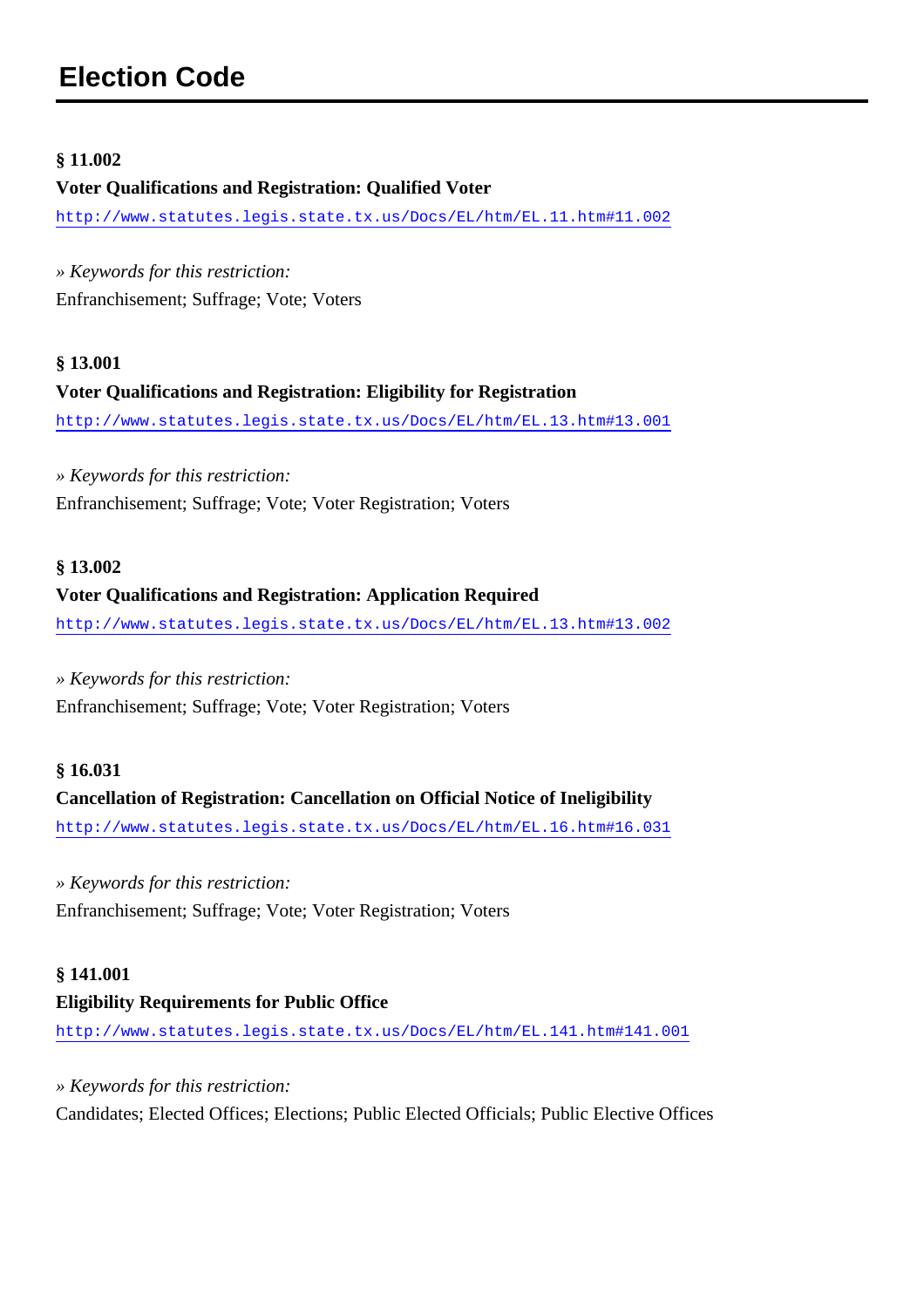#### <span id="page-23-0"></span>**§ 11.002**

#### **Voter Qualifications and Registration: Qualified Voter**

<http://www.statutes.legis.state.tx.us/Docs/EL/htm/EL.11.htm#11.002>

*» Keywords for this restriction:* Enfranchisement; Suffrage; Vote; Voters

## **§ 13.001 Voter Qualifications and Registration: Eligibility for Registration** <http://www.statutes.legis.state.tx.us/Docs/EL/htm/EL.13.htm#13.001>

*» Keywords for this restriction:* Enfranchisement; Suffrage; Vote; Voter Registration; Voters

#### **§ 13.002**

#### **Voter Qualifications and Registration: Application Required**

<http://www.statutes.legis.state.tx.us/Docs/EL/htm/EL.13.htm#13.002>

#### *» Keywords for this restriction:*

Enfranchisement; Suffrage; Vote; Voter Registration; Voters

#### **§ 16.031**

#### **Cancellation of Registration: Cancellation on Official Notice of Ineligibility**

<http://www.statutes.legis.state.tx.us/Docs/EL/htm/EL.16.htm#16.031>

#### *» Keywords for this restriction:*

Enfranchisement; Suffrage; Vote; Voter Registration; Voters

#### **§ 141.001**

#### **Eligibility Requirements for Public Office**

<http://www.statutes.legis.state.tx.us/Docs/EL/htm/EL.141.htm#141.001>

*» Keywords for this restriction:*

Candidates; Elected Offices; Elections; Public Elected Officials; Public Elective Offices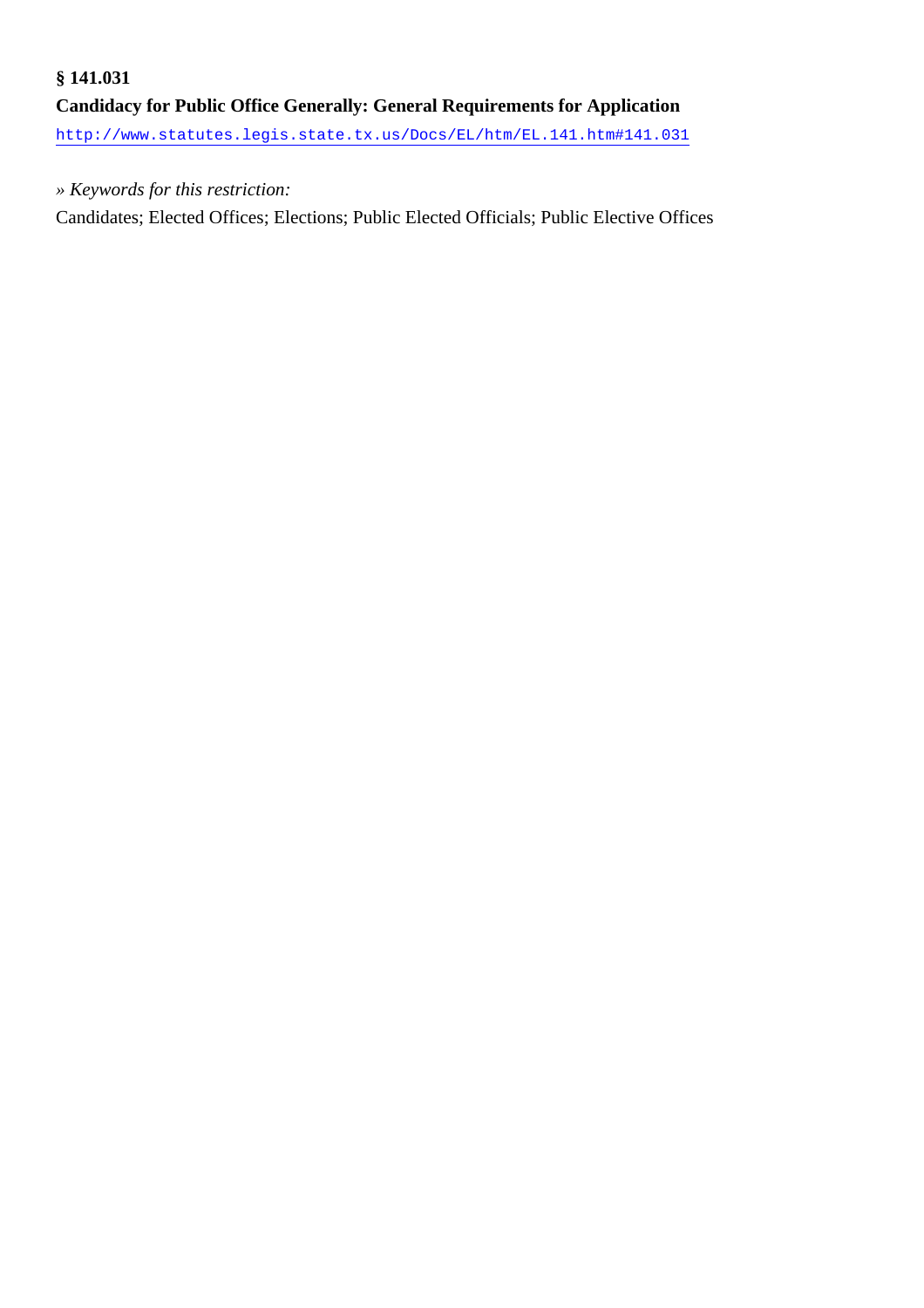## **§ 141.031 Candidacy for Public Office Generally: General Requirements for Application** <http://www.statutes.legis.state.tx.us/Docs/EL/htm/EL.141.htm#141.031>

#### *» Keywords for this restriction:*

Candidates; Elected Offices; Elections; Public Elected Officials; Public Elective Offices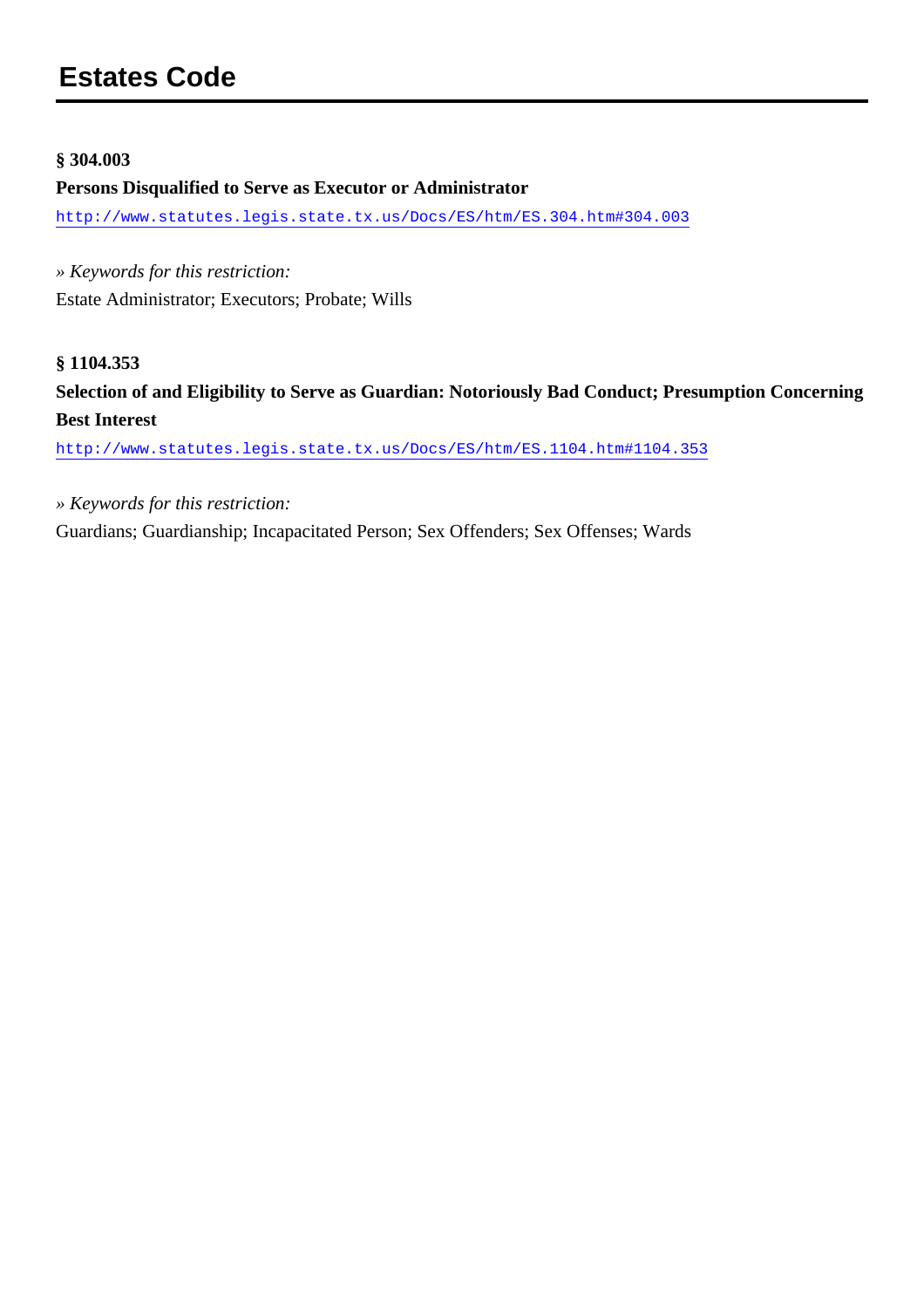#### <span id="page-25-0"></span>**§ 304.003**

#### **Persons Disqualified to Serve as Executor or Administrator**

<http://www.statutes.legis.state.tx.us/Docs/ES/htm/ES.304.htm#304.003>

*» Keywords for this restriction:* Estate Administrator; Executors; Probate; Wills

#### **§ 1104.353**

**Selection of and Eligibility to Serve as Guardian: Notoriously Bad Conduct; Presumption Concerning Best Interest**

<http://www.statutes.legis.state.tx.us/Docs/ES/htm/ES.1104.htm#1104.353>

*» Keywords for this restriction:*

Guardians; Guardianship; Incapacitated Person; Sex Offenders; Sex Offenses; Wards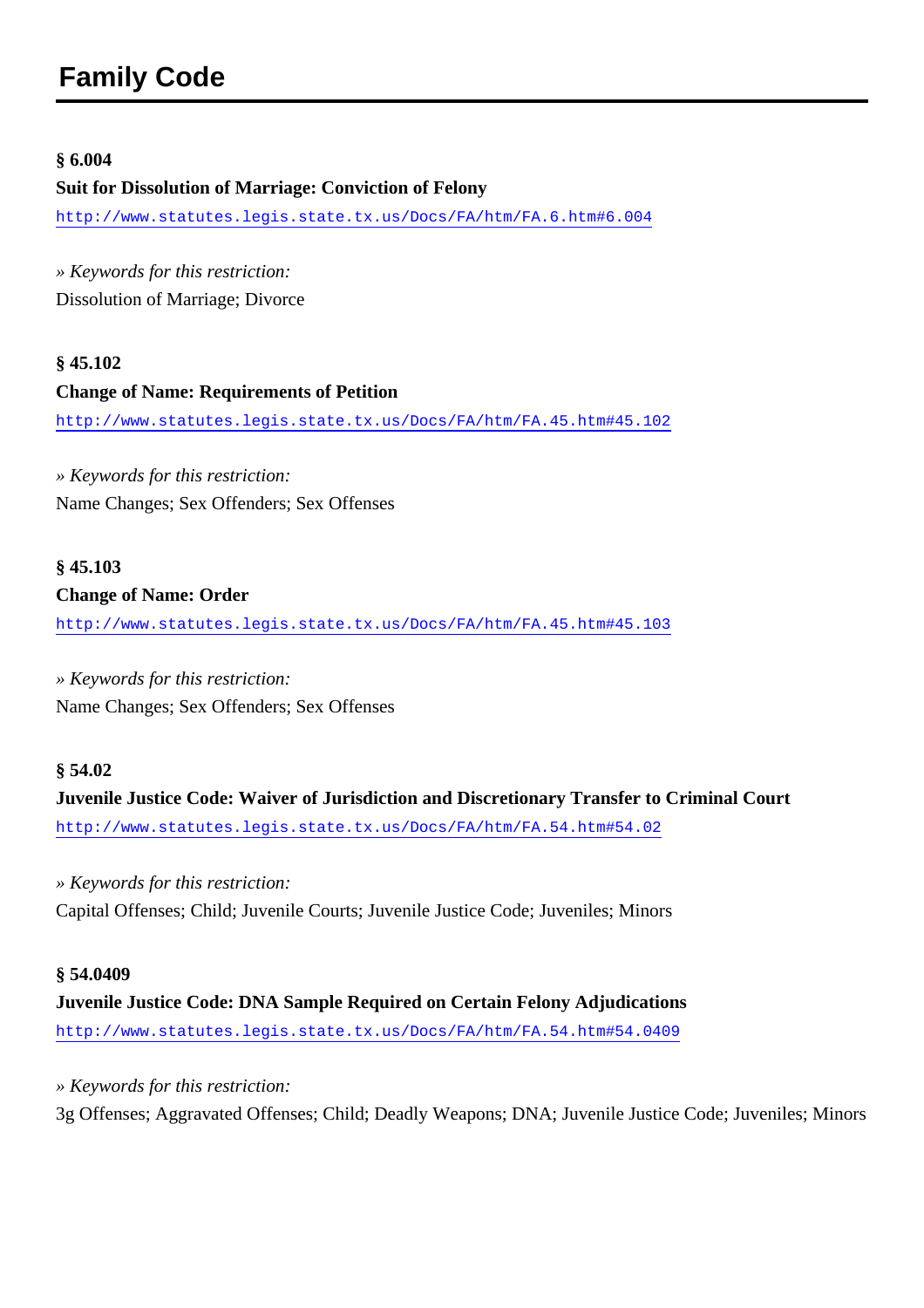#### <span id="page-26-0"></span>**§ 6.004**

**Suit for Dissolution of Marriage: Conviction of Felony** <http://www.statutes.legis.state.tx.us/Docs/FA/htm/FA.6.htm#6.004>

*» Keywords for this restriction:* Dissolution of Marriage; Divorce

**§ 45.102 Change of Name: Requirements of Petition** <http://www.statutes.legis.state.tx.us/Docs/FA/htm/FA.45.htm#45.102>

*» Keywords for this restriction:* Name Changes; Sex Offenders; Sex Offenses

#### **§ 45.103 Change of Name: Order**

<http://www.statutes.legis.state.tx.us/Docs/FA/htm/FA.45.htm#45.103>

*» Keywords for this restriction:* Name Changes; Sex Offenders; Sex Offenses

#### **§ 54.02**

**Juvenile Justice Code: Waiver of Jurisdiction and Discretionary Transfer to Criminal Court** <http://www.statutes.legis.state.tx.us/Docs/FA/htm/FA.54.htm#54.02>

*» Keywords for this restriction:* Capital Offenses; Child; Juvenile Courts; Juvenile Justice Code; Juveniles; Minors

**§ 54.0409 Juvenile Justice Code: DNA Sample Required on Certain Felony Adjudications** <http://www.statutes.legis.state.tx.us/Docs/FA/htm/FA.54.htm#54.0409>

*» Keywords for this restriction:*

3g Offenses; Aggravated Offenses; Child; Deadly Weapons; DNA; Juvenile Justice Code; Juveniles; Minors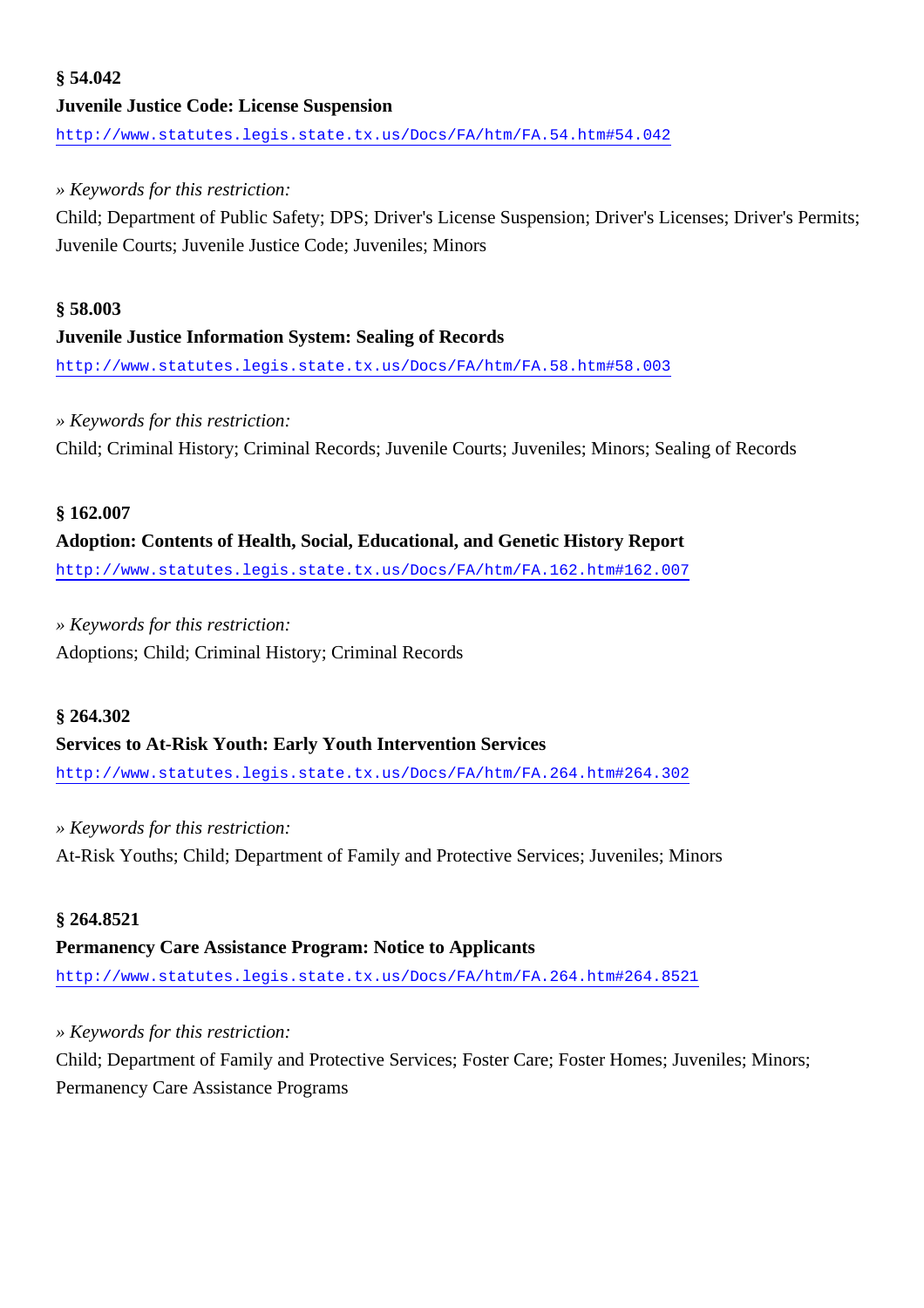## **§ 54.042 Juvenile Justice Code: License Suspension** <http://www.statutes.legis.state.tx.us/Docs/FA/htm/FA.54.htm#54.042>

#### *» Keywords for this restriction:*

Child; Department of Public Safety; DPS; Driver's License Suspension; Driver's Licenses; Driver's Permits; Juvenile Courts; Juvenile Justice Code; Juveniles; Minors

## **§ 58.003 Juvenile Justice Information System: Sealing of Records**

<http://www.statutes.legis.state.tx.us/Docs/FA/htm/FA.58.htm#58.003>

#### *» Keywords for this restriction:*

Child; Criminal History; Criminal Records; Juvenile Courts; Juveniles; Minors; Sealing of Records

#### **§ 162.007**

**Adoption: Contents of Health, Social, Educational, and Genetic History Report** <http://www.statutes.legis.state.tx.us/Docs/FA/htm/FA.162.htm#162.007>

#### *» Keywords for this restriction:*

Adoptions; Child; Criminal History; Criminal Records

#### **§ 264.302**

#### **Services to At-Risk Youth: Early Youth Intervention Services**

<http://www.statutes.legis.state.tx.us/Docs/FA/htm/FA.264.htm#264.302>

#### *» Keywords for this restriction:*

At-Risk Youths; Child; Department of Family and Protective Services; Juveniles; Minors

#### **§ 264.8521**

#### **Permanency Care Assistance Program: Notice to Applicants**

<http://www.statutes.legis.state.tx.us/Docs/FA/htm/FA.264.htm#264.8521>

#### *» Keywords for this restriction:*

Child; Department of Family and Protective Services; Foster Care; Foster Homes; Juveniles; Minors; Permanency Care Assistance Programs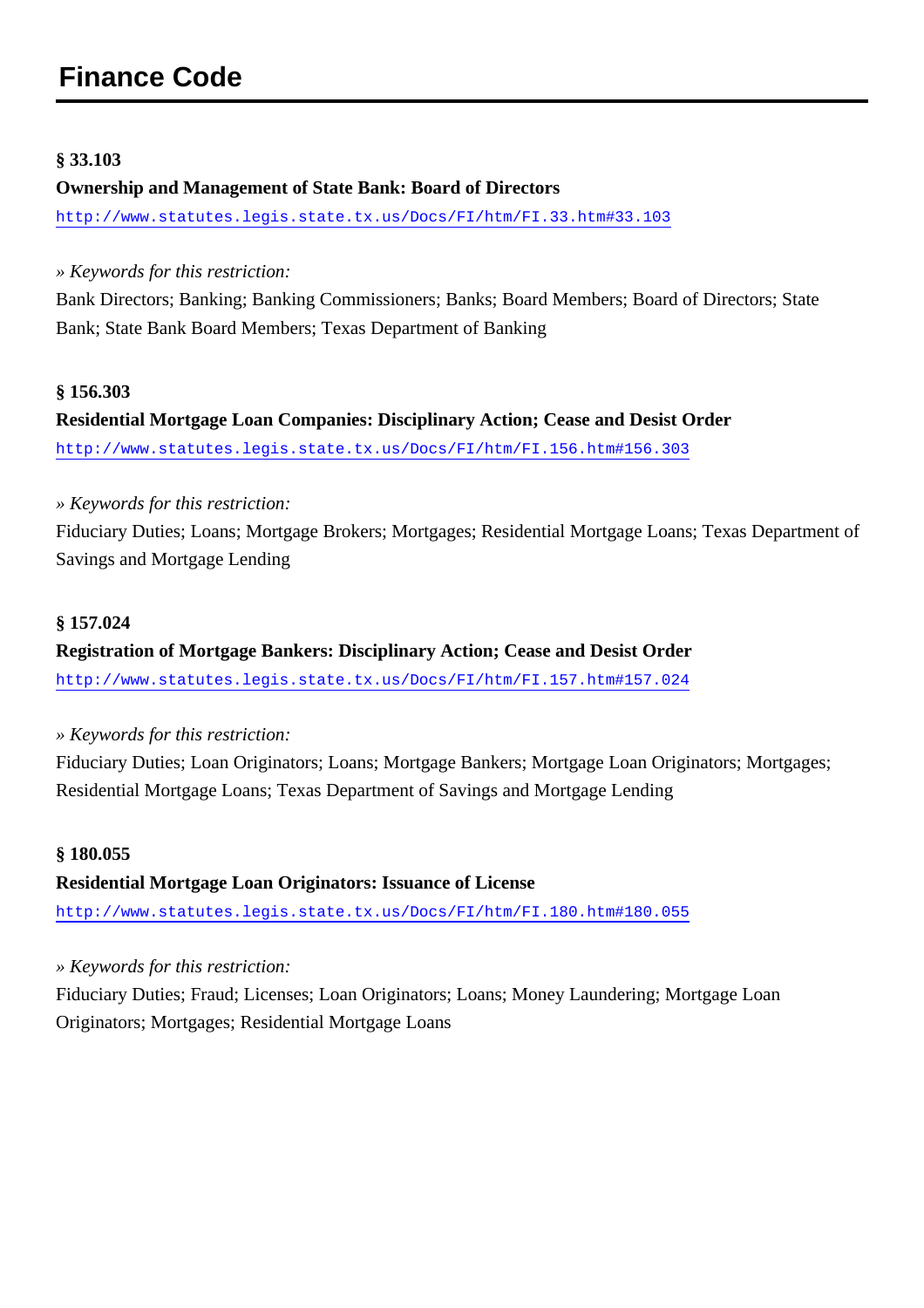## <span id="page-28-0"></span>**Finance Code**

#### **§ 33.103**

#### **Ownership and Management of State Bank: Board of Directors**

<http://www.statutes.legis.state.tx.us/Docs/FI/htm/FI.33.htm#33.103>

*» Keywords for this restriction:*

Bank Directors; Banking; Banking Commissioners; Banks; Board Members; Board of Directors; State Bank; State Bank Board Members; Texas Department of Banking

#### **§ 156.303**

## **Residential Mortgage Loan Companies: Disciplinary Action; Cease and Desist Order** <http://www.statutes.legis.state.tx.us/Docs/FI/htm/FI.156.htm#156.303>

#### *» Keywords for this restriction:*

Fiduciary Duties; Loans; Mortgage Brokers; Mortgages; Residential Mortgage Loans; Texas Department of Savings and Mortgage Lending

#### **§ 157.024**

## **Registration of Mortgage Bankers: Disciplinary Action; Cease and Desist Order**

<http://www.statutes.legis.state.tx.us/Docs/FI/htm/FI.157.htm#157.024>

*» Keywords for this restriction:*

Fiduciary Duties; Loan Originators; Loans; Mortgage Bankers; Mortgage Loan Originators; Mortgages; Residential Mortgage Loans; Texas Department of Savings and Mortgage Lending

#### **§ 180.055**

**Residential Mortgage Loan Originators: Issuance of License**

<http://www.statutes.legis.state.tx.us/Docs/FI/htm/FI.180.htm#180.055>

*» Keywords for this restriction:*

Fiduciary Duties; Fraud; Licenses; Loan Originators; Loans; Money Laundering; Mortgage Loan Originators; Mortgages; Residential Mortgage Loans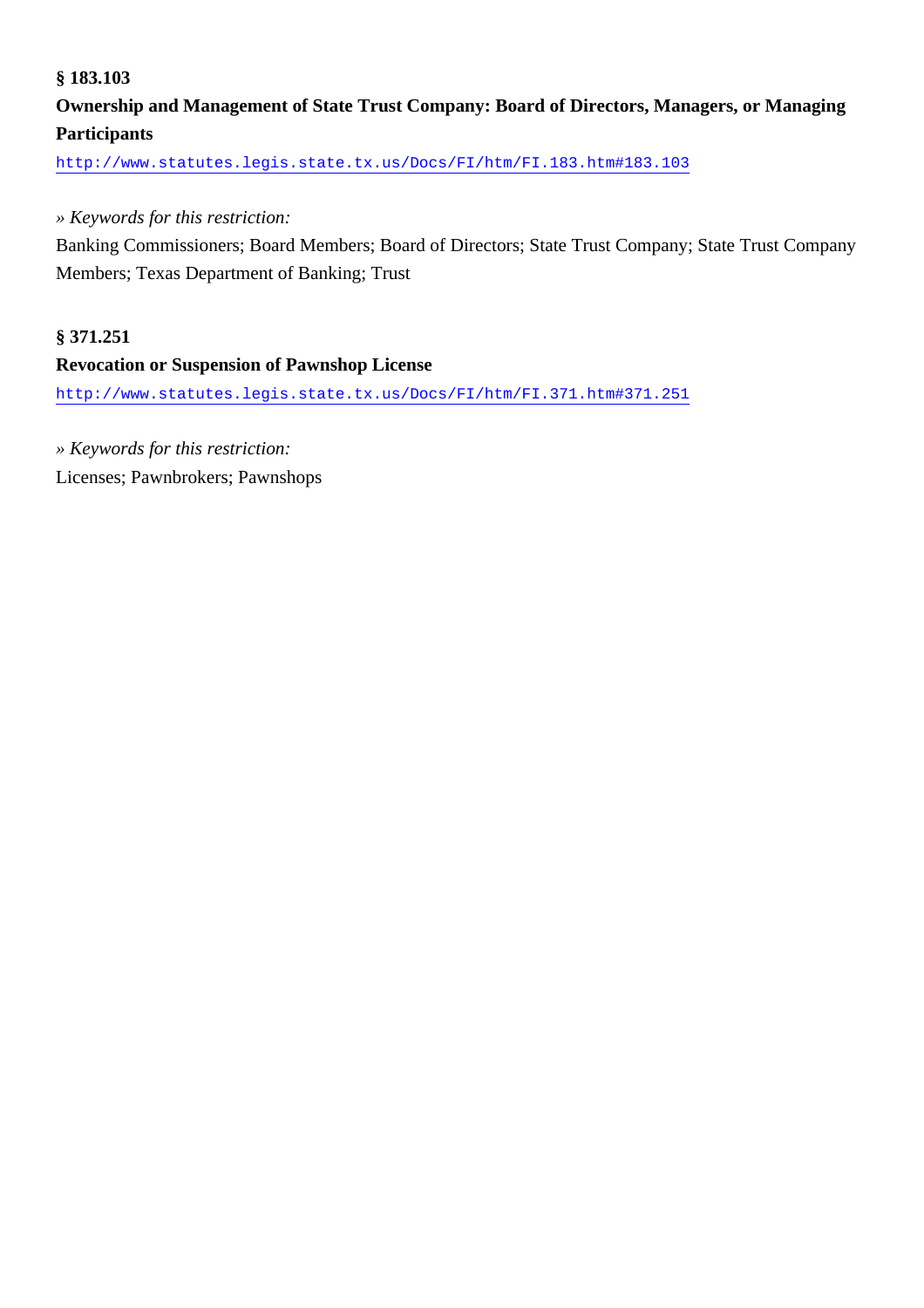#### **§ 183.103**

### **Ownership and Management of State Trust Company: Board of Directors, Managers, or Managing Participants**

<http://www.statutes.legis.state.tx.us/Docs/FI/htm/FI.183.htm#183.103>

#### *» Keywords for this restriction:*

Banking Commissioners; Board Members; Board of Directors; State Trust Company; State Trust Company Members; Texas Department of Banking; Trust

#### **§ 371.251**

#### **Revocation or Suspension of Pawnshop License**

<http://www.statutes.legis.state.tx.us/Docs/FI/htm/FI.371.htm#371.251>

*» Keywords for this restriction:*

Licenses; Pawnbrokers; Pawnshops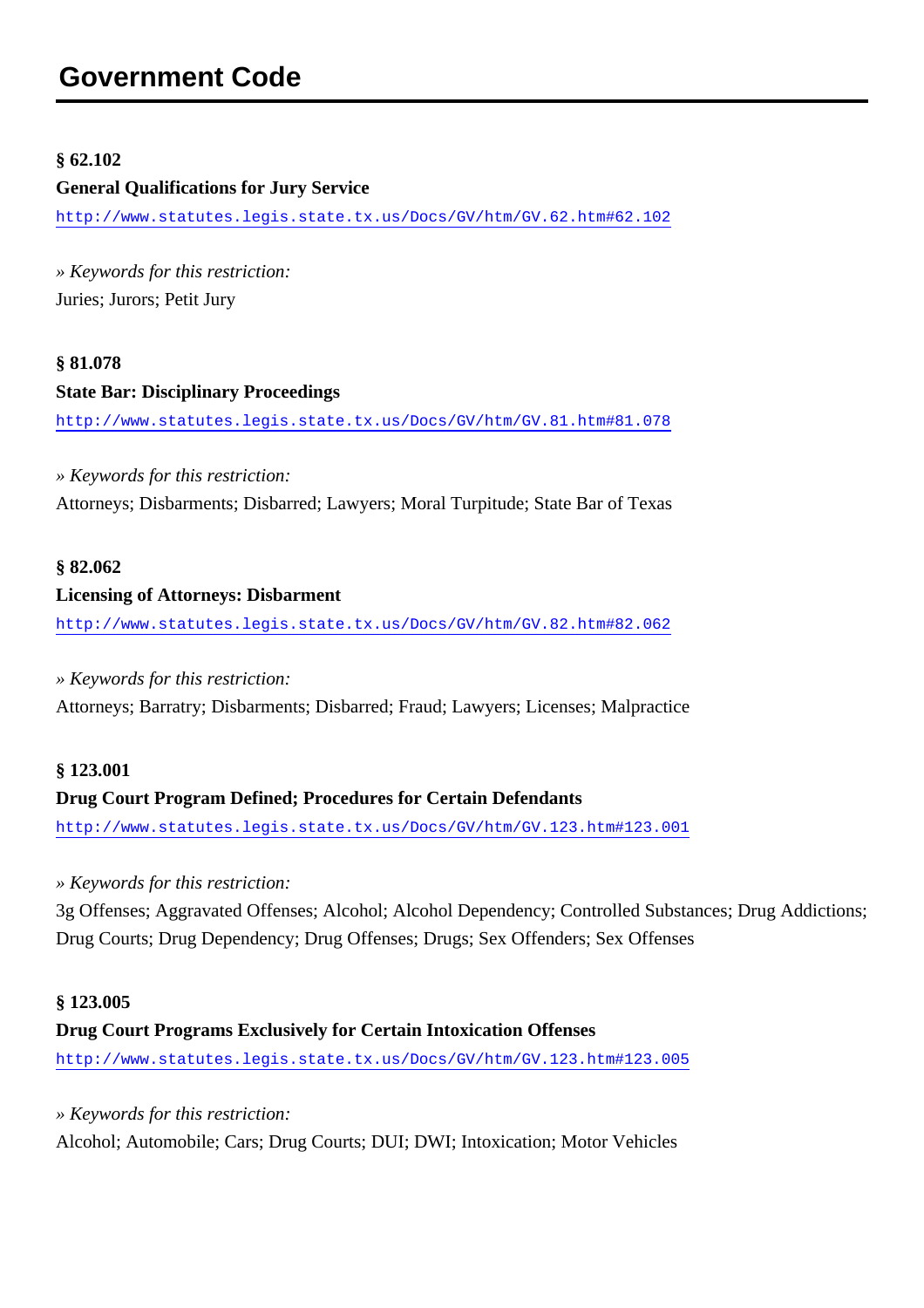## <span id="page-30-0"></span>**Government Code**

#### **§ 62.102**

#### **General Qualifications for Jury Service**

<http://www.statutes.legis.state.tx.us/Docs/GV/htm/GV.62.htm#62.102>

*» Keywords for this restriction:* Juries; Jurors; Petit Jury

## **§ 81.078 State Bar: Disciplinary Proceedings**

<http://www.statutes.legis.state.tx.us/Docs/GV/htm/GV.81.htm#81.078>

*» Keywords for this restriction:* Attorneys; Disbarments; Disbarred; Lawyers; Moral Turpitude; State Bar of Texas

#### **§ 82.062**

#### **Licensing of Attorneys: Disbarment**

<http://www.statutes.legis.state.tx.us/Docs/GV/htm/GV.82.htm#82.062>

#### *» Keywords for this restriction:*

Attorneys; Barratry; Disbarments; Disbarred; Fraud; Lawyers; Licenses; Malpractice

#### **§ 123.001**

#### **Drug Court Program Defined; Procedures for Certain Defendants**

<http://www.statutes.legis.state.tx.us/Docs/GV/htm/GV.123.htm#123.001>

#### *» Keywords for this restriction:*

3g Offenses; Aggravated Offenses; Alcohol; Alcohol Dependency; Controlled Substances; Drug Addictions; Drug Courts; Drug Dependency; Drug Offenses; Drugs; Sex Offenders; Sex Offenses

#### **§ 123.005**

#### **Drug Court Programs Exclusively for Certain Intoxication Offenses**

<http://www.statutes.legis.state.tx.us/Docs/GV/htm/GV.123.htm#123.005>

*» Keywords for this restriction:* Alcohol; Automobile; Cars; Drug Courts; DUI; DWI; Intoxication; Motor Vehicles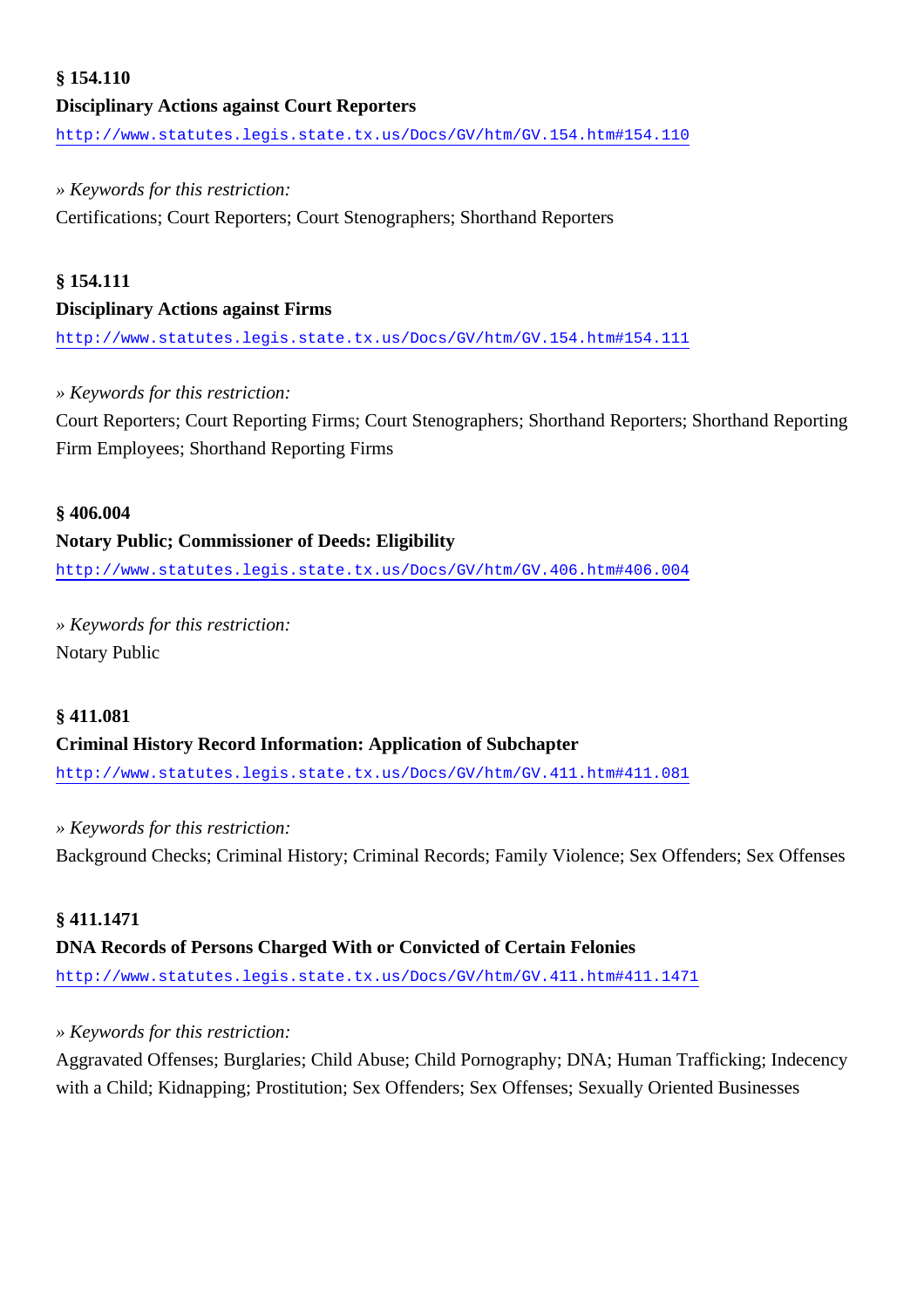## **§ 154.110 Disciplinary Actions against Court Reporters** <http://www.statutes.legis.state.tx.us/Docs/GV/htm/GV.154.htm#154.110>

#### *» Keywords for this restriction:*

Certifications; Court Reporters; Court Stenographers; Shorthand Reporters

#### **§ 154.111**

#### **Disciplinary Actions against Firms**

<http://www.statutes.legis.state.tx.us/Docs/GV/htm/GV.154.htm#154.111>

#### *» Keywords for this restriction:*

Court Reporters; Court Reporting Firms; Court Stenographers; Shorthand Reporters; Shorthand Reporting Firm Employees; Shorthand Reporting Firms

#### **§ 406.004**

#### **Notary Public; Commissioner of Deeds: Eligibility**

<http://www.statutes.legis.state.tx.us/Docs/GV/htm/GV.406.htm#406.004>

*» Keywords for this restriction:* Notary Public

#### **§ 411.081**

#### **Criminal History Record Information: Application of Subchapter**

<http://www.statutes.legis.state.tx.us/Docs/GV/htm/GV.411.htm#411.081>

#### *» Keywords for this restriction:*

Background Checks; Criminal History; Criminal Records; Family Violence; Sex Offenders; Sex Offenses

#### **§ 411.1471**

#### **DNA Records of Persons Charged With or Convicted of Certain Felonies**

<http://www.statutes.legis.state.tx.us/Docs/GV/htm/GV.411.htm#411.1471>

#### *» Keywords for this restriction:*

Aggravated Offenses; Burglaries; Child Abuse; Child Pornography; DNA; Human Trafficking; Indecency with a Child; Kidnapping; Prostitution; Sex Offenders; Sex Offenses; Sexually Oriented Businesses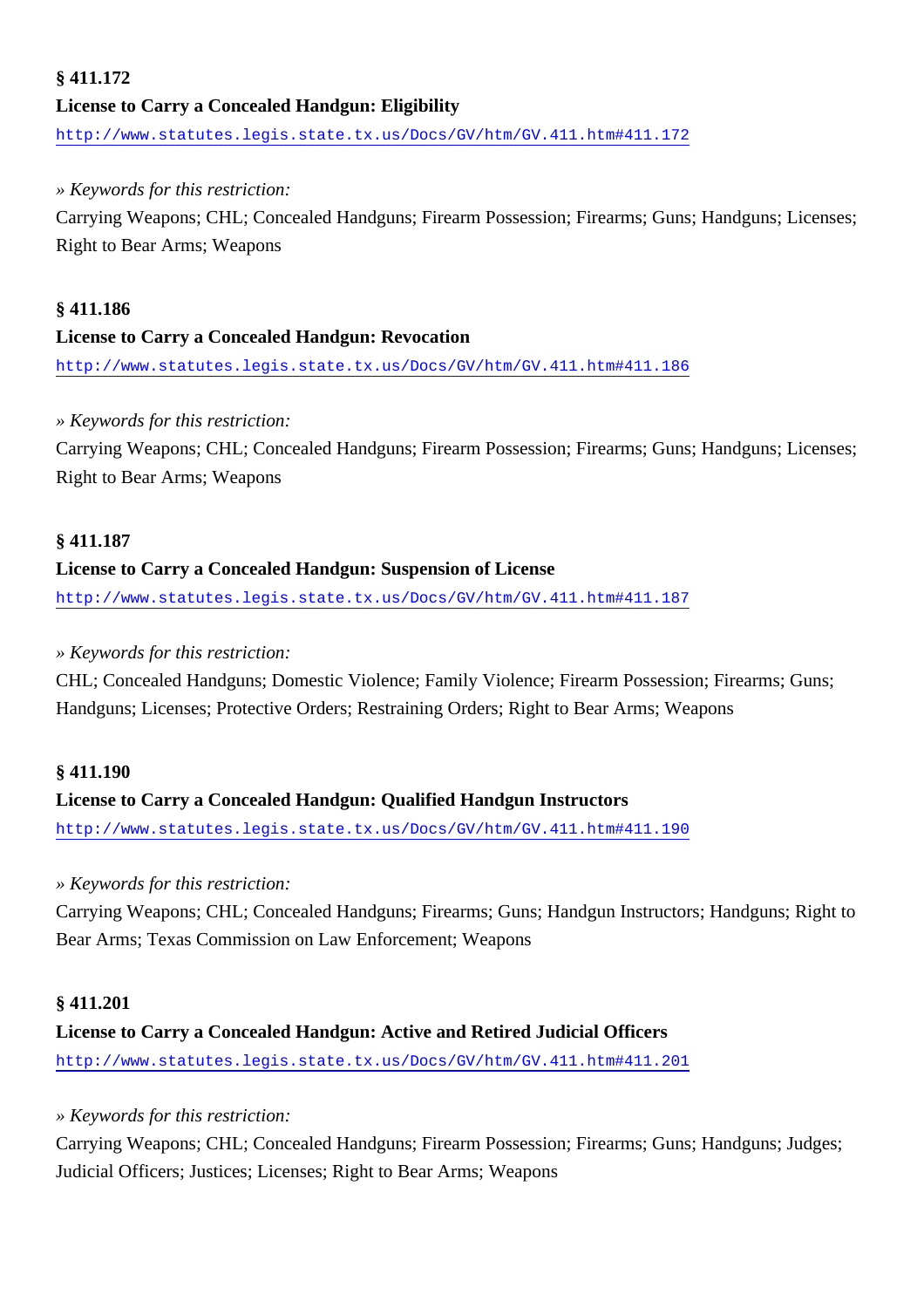#### **§ 411.172 License to Carry a Concealed Handgun: Eligibility**

<http://www.statutes.legis.state.tx.us/Docs/GV/htm/GV.411.htm#411.172>

#### *» Keywords for this restriction:*

Carrying Weapons; CHL; Concealed Handguns; Firearm Possession; Firearms; Guns; Handguns; Licenses; Right to Bear Arms; Weapons

#### **§ 411.186**

#### **License to Carry a Concealed Handgun: Revocation**

<http://www.statutes.legis.state.tx.us/Docs/GV/htm/GV.411.htm#411.186>

#### *» Keywords for this restriction:*

Carrying Weapons; CHL; Concealed Handguns; Firearm Possession; Firearms; Guns; Handguns; Licenses; Right to Bear Arms; Weapons

#### **§ 411.187**

#### **License to Carry a Concealed Handgun: Suspension of License**

<http://www.statutes.legis.state.tx.us/Docs/GV/htm/GV.411.htm#411.187>

#### *» Keywords for this restriction:*

CHL; Concealed Handguns; Domestic Violence; Family Violence; Firearm Possession; Firearms; Guns; Handguns; Licenses; Protective Orders; Restraining Orders; Right to Bear Arms; Weapons

#### **§ 411.190**

#### **License to Carry a Concealed Handgun: Qualified Handgun Instructors**

<http://www.statutes.legis.state.tx.us/Docs/GV/htm/GV.411.htm#411.190>

#### *» Keywords for this restriction:*

Carrying Weapons; CHL; Concealed Handguns; Firearms; Guns; Handgun Instructors; Handguns; Right to Bear Arms; Texas Commission on Law Enforcement; Weapons

#### **§ 411.201**

## **License to Carry a Concealed Handgun: Active and Retired Judicial Officers** <http://www.statutes.legis.state.tx.us/Docs/GV/htm/GV.411.htm#411.201>

#### *» Keywords for this restriction:*

Carrying Weapons; CHL; Concealed Handguns; Firearm Possession; Firearms; Guns; Handguns; Judges; Judicial Officers; Justices; Licenses; Right to Bear Arms; Weapons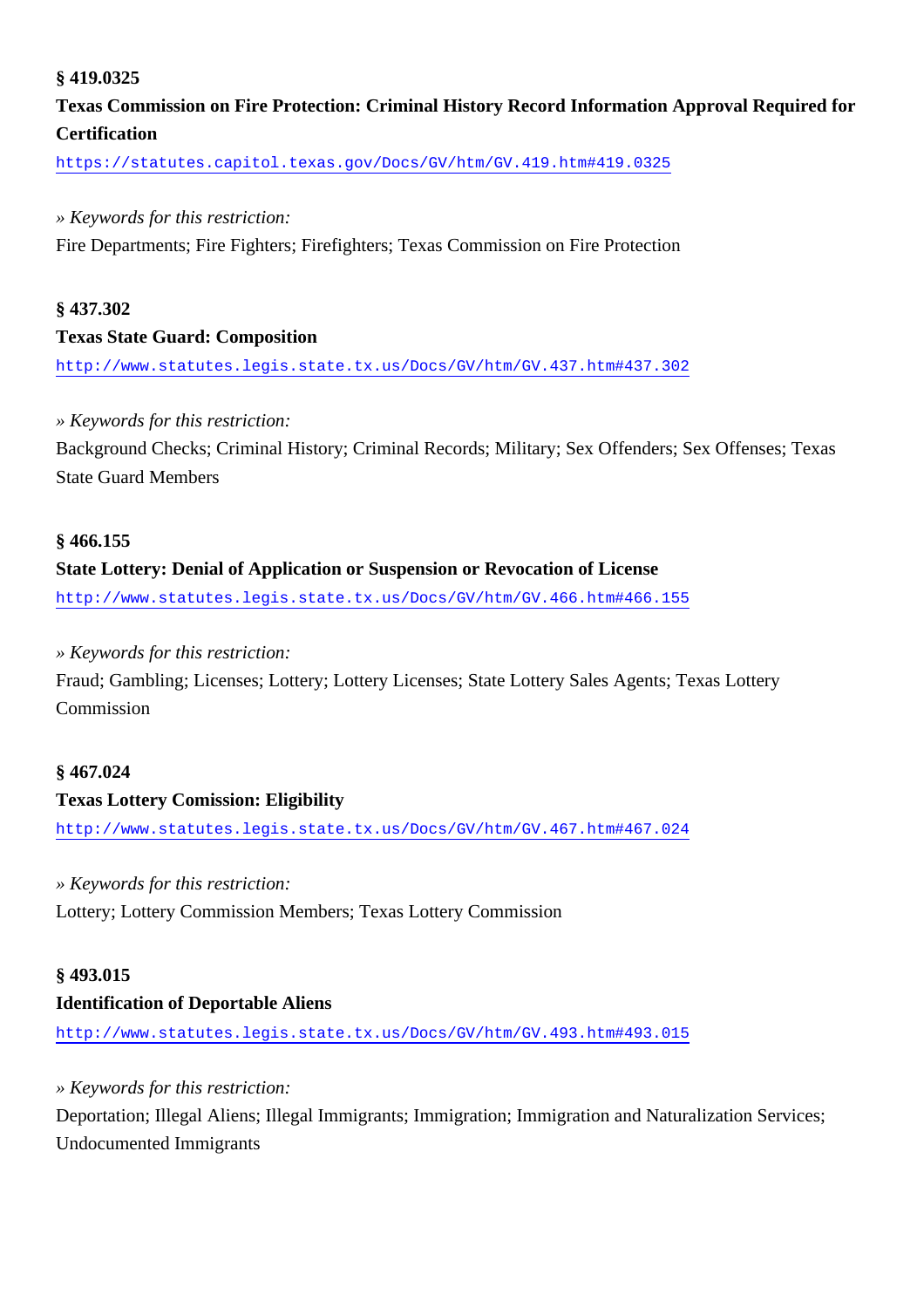#### **§ 419.0325**

## **Texas Commission on Fire Protection: Criminal History Record Information Approval Required for Certification**

<https://statutes.capitol.texas.gov/Docs/GV/htm/GV.419.htm#419.0325>

#### *» Keywords for this restriction:*

Fire Departments; Fire Fighters; Firefighters; Texas Commission on Fire Protection

#### **§ 437.302**

#### **Texas State Guard: Composition**

<http://www.statutes.legis.state.tx.us/Docs/GV/htm/GV.437.htm#437.302>

#### *» Keywords for this restriction:*

Background Checks; Criminal History; Criminal Records; Military; Sex Offenders; Sex Offenses; Texas State Guard Members

#### **§ 466.155**

#### **State Lottery: Denial of Application or Suspension or Revocation of License**

<http://www.statutes.legis.state.tx.us/Docs/GV/htm/GV.466.htm#466.155>

#### *» Keywords for this restriction:*

Fraud; Gambling; Licenses; Lottery; Lottery Licenses; State Lottery Sales Agents; Texas Lottery Commission

#### **§ 467.024**

#### **Texas Lottery Comission: Eligibility**

<http://www.statutes.legis.state.tx.us/Docs/GV/htm/GV.467.htm#467.024>

#### *» Keywords for this restriction:*

Lottery; Lottery Commission Members; Texas Lottery Commission

#### **§ 493.015**

#### **Identification of Deportable Aliens**

<http://www.statutes.legis.state.tx.us/Docs/GV/htm/GV.493.htm#493.015>

#### *» Keywords for this restriction:*

Deportation; Illegal Aliens; Illegal Immigrants; Immigration; Immigration and Naturalization Services; Undocumented Immigrants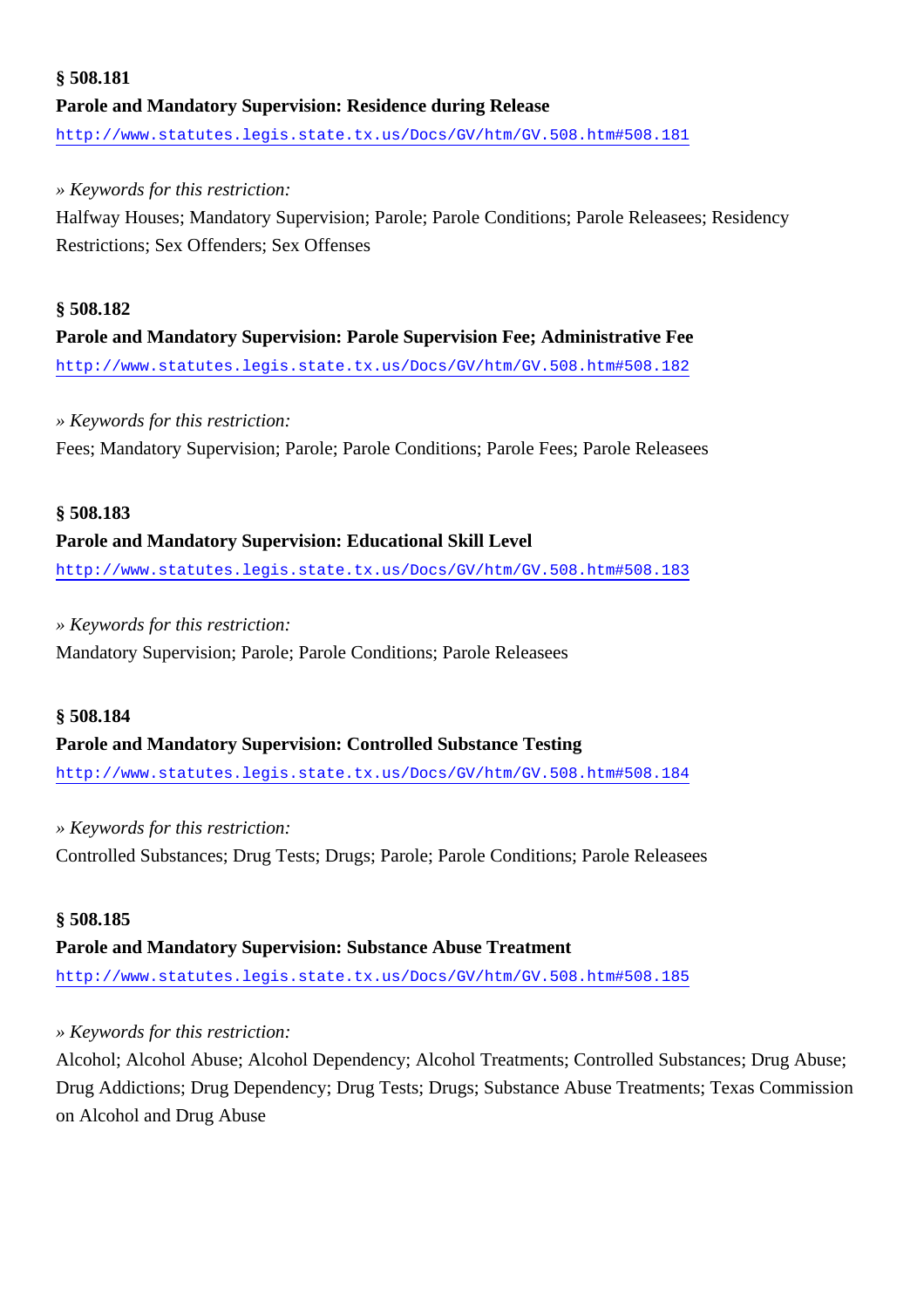## **§ 508.181 Parole and Mandatory Supervision: Residence during Release** <http://www.statutes.legis.state.tx.us/Docs/GV/htm/GV.508.htm#508.181>

#### *» Keywords for this restriction:*

Halfway Houses; Mandatory Supervision; Parole; Parole Conditions; Parole Releasees; Residency Restrictions; Sex Offenders; Sex Offenses

## **§ 508.182 Parole and Mandatory Supervision: Parole Supervision Fee; Administrative Fee** <http://www.statutes.legis.state.tx.us/Docs/GV/htm/GV.508.htm#508.182>

#### *» Keywords for this restriction:*

Fees; Mandatory Supervision; Parole; Parole Conditions; Parole Fees; Parole Releasees

#### **§ 508.183**

#### **Parole and Mandatory Supervision: Educational Skill Level**

<http://www.statutes.legis.state.tx.us/Docs/GV/htm/GV.508.htm#508.183>

#### *» Keywords for this restriction:*

Mandatory Supervision; Parole; Parole Conditions; Parole Releasees

#### **§ 508.184**

#### **Parole and Mandatory Supervision: Controlled Substance Testing**

<http://www.statutes.legis.state.tx.us/Docs/GV/htm/GV.508.htm#508.184>

#### *» Keywords for this restriction:*

Controlled Substances; Drug Tests; Drugs; Parole; Parole Conditions; Parole Releasees

#### **§ 508.185**

#### **Parole and Mandatory Supervision: Substance Abuse Treatment**

<http://www.statutes.legis.state.tx.us/Docs/GV/htm/GV.508.htm#508.185>

#### *» Keywords for this restriction:*

Alcohol; Alcohol Abuse; Alcohol Dependency; Alcohol Treatments; Controlled Substances; Drug Abuse; Drug Addictions; Drug Dependency; Drug Tests; Drugs; Substance Abuse Treatments; Texas Commission on Alcohol and Drug Abuse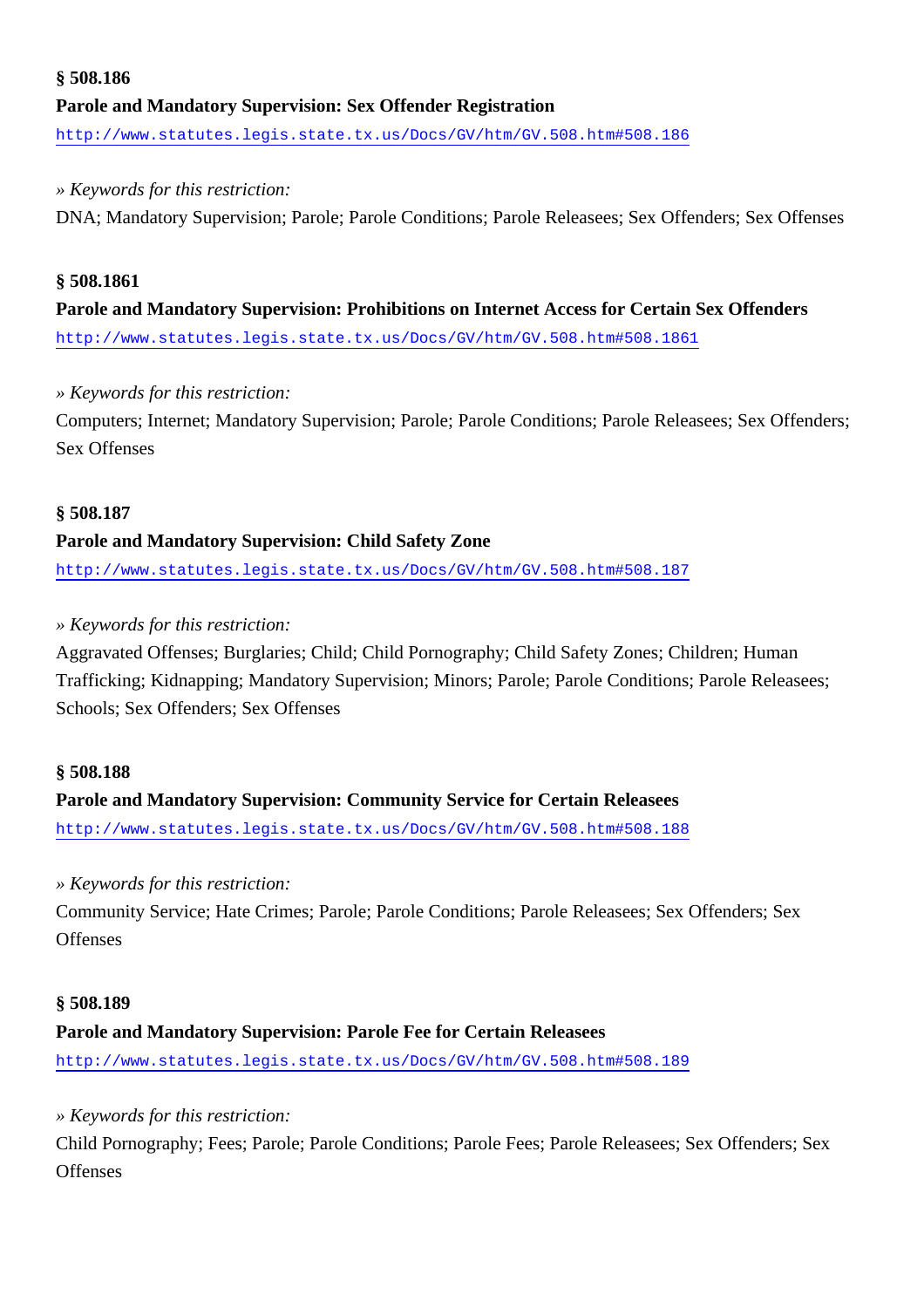## **§ 508.186 Parole and Mandatory Supervision: Sex Offender Registration** <http://www.statutes.legis.state.tx.us/Docs/GV/htm/GV.508.htm#508.186>

*» Keywords for this restriction:*

DNA; Mandatory Supervision; Parole; Parole Conditions; Parole Releasees; Sex Offenders; Sex Offenses

#### **§ 508.1861**

**Parole and Mandatory Supervision: Prohibitions on Internet Access for Certain Sex Offenders** <http://www.statutes.legis.state.tx.us/Docs/GV/htm/GV.508.htm#508.1861>

#### *» Keywords for this restriction:*

Computers; Internet; Mandatory Supervision; Parole; Parole Conditions; Parole Releasees; Sex Offenders; Sex Offenses

#### **§ 508.187**

#### **Parole and Mandatory Supervision: Child Safety Zone**

<http://www.statutes.legis.state.tx.us/Docs/GV/htm/GV.508.htm#508.187>

#### *» Keywords for this restriction:*

Aggravated Offenses; Burglaries; Child; Child Pornography; Child Safety Zones; Children; Human Trafficking; Kidnapping; Mandatory Supervision; Minors; Parole; Parole Conditions; Parole Releasees; Schools; Sex Offenders; Sex Offenses

#### **§ 508.188**

## **Parole and Mandatory Supervision: Community Service for Certain Releasees**

<http://www.statutes.legis.state.tx.us/Docs/GV/htm/GV.508.htm#508.188>

#### *» Keywords for this restriction:*

Community Service; Hate Crimes; Parole; Parole Conditions; Parole Releasees; Sex Offenders; Sex **Offenses** 

#### **§ 508.189**

#### **Parole and Mandatory Supervision: Parole Fee for Certain Releasees**

<http://www.statutes.legis.state.tx.us/Docs/GV/htm/GV.508.htm#508.189>

#### *» Keywords for this restriction:*

Child Pornography; Fees; Parole; Parole Conditions; Parole Fees; Parole Releasees; Sex Offenders; Sex **Offenses**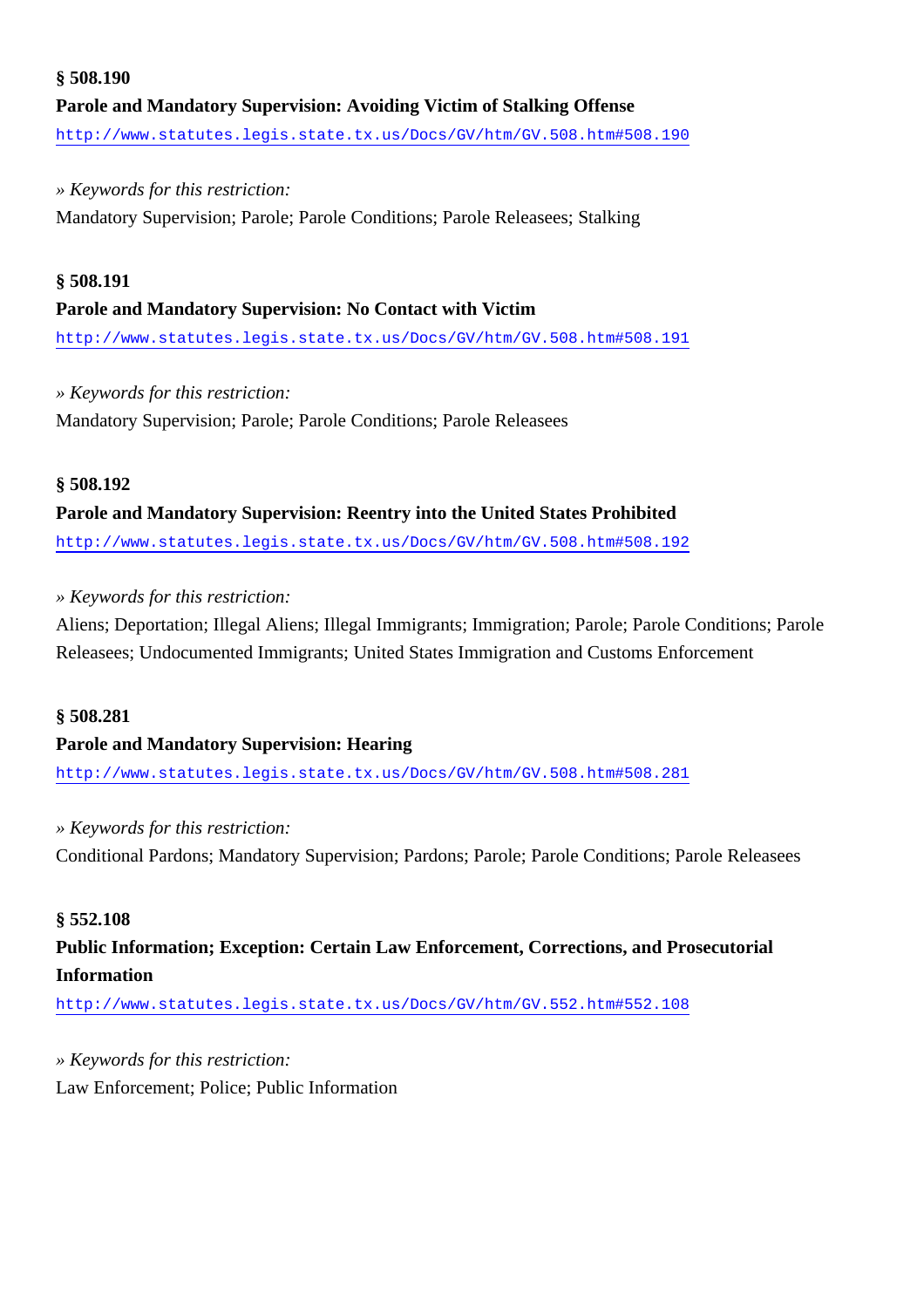### **§ 508.190 Parole and Mandatory Supervision: Avoiding Victim of Stalking Offense** <http://www.statutes.legis.state.tx.us/Docs/GV/htm/GV.508.htm#508.190>

### *» Keywords for this restriction:* Mandatory Supervision; Parole; Parole Conditions; Parole Releasees; Stalking

#### **§ 508.191**

### **Parole and Mandatory Supervision: No Contact with Victim**

<http://www.statutes.legis.state.tx.us/Docs/GV/htm/GV.508.htm#508.191>

#### *» Keywords for this restriction:*

Mandatory Supervision; Parole; Parole Conditions; Parole Releasees

### **§ 508.192**

### **Parole and Mandatory Supervision: Reentry into the United States Prohibited**

<http://www.statutes.legis.state.tx.us/Docs/GV/htm/GV.508.htm#508.192>

### *» Keywords for this restriction:*

Aliens; Deportation; Illegal Aliens; Illegal Immigrants; Immigration; Parole; Parole Conditions; Parole Releasees; Undocumented Immigrants; United States Immigration and Customs Enforcement

#### **§ 508.281**

### **Parole and Mandatory Supervision: Hearing**

<http://www.statutes.legis.state.tx.us/Docs/GV/htm/GV.508.htm#508.281>

#### *» Keywords for this restriction:*

Conditional Pardons; Mandatory Supervision; Pardons; Parole; Parole Conditions; Parole Releasees

#### **§ 552.108**

### **Public Information; Exception: Certain Law Enforcement, Corrections, and Prosecutorial Information**

<http://www.statutes.legis.state.tx.us/Docs/GV/htm/GV.552.htm#552.108>

#### *» Keywords for this restriction:*

Law Enforcement; Police; Public Information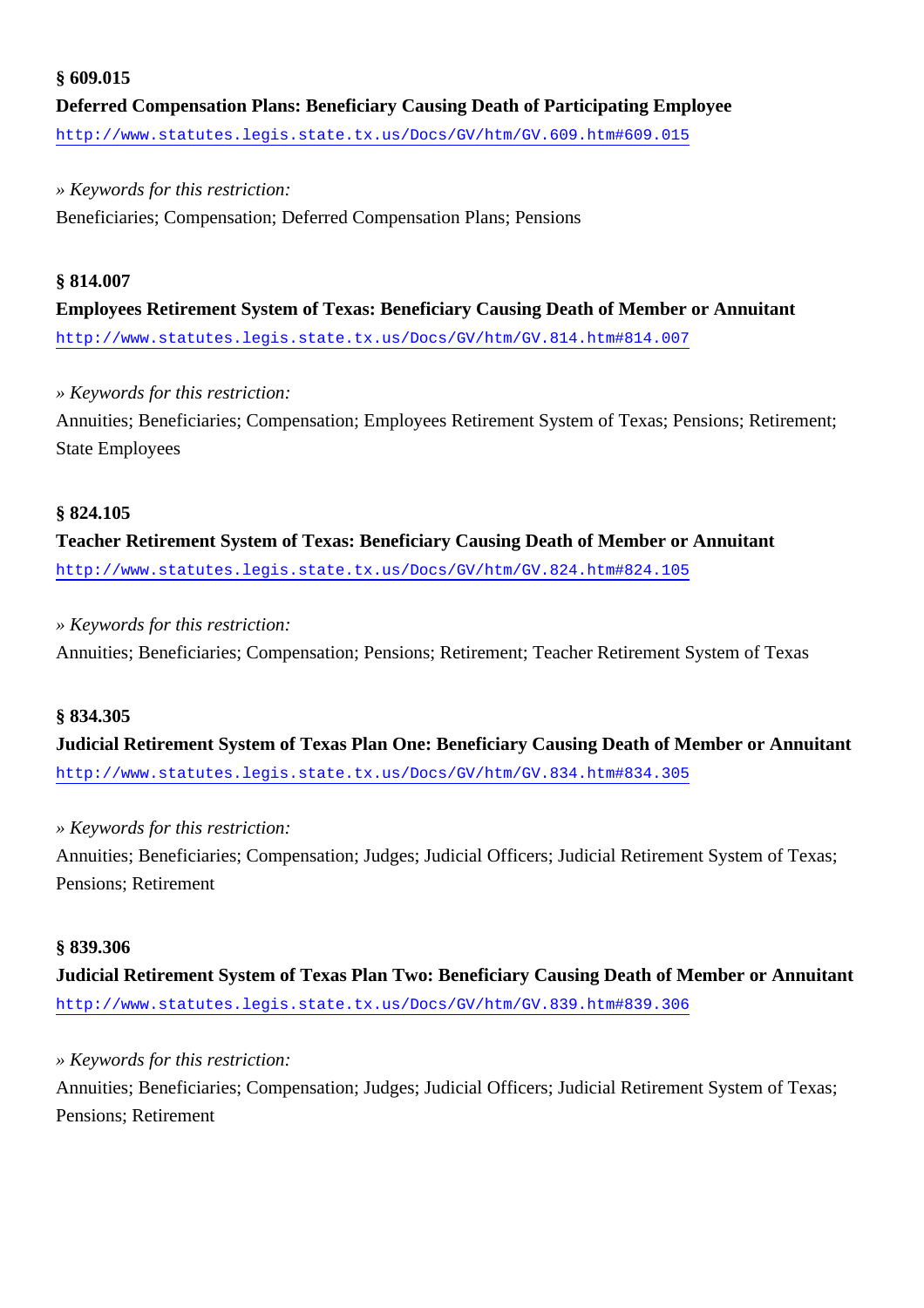#### **§ 609.015**

**Deferred Compensation Plans: Beneficiary Causing Death of Participating Employee** <http://www.statutes.legis.state.tx.us/Docs/GV/htm/GV.609.htm#609.015>

#### *» Keywords for this restriction:*

Beneficiaries; Compensation; Deferred Compensation Plans; Pensions

#### **§ 814.007**

**Employees Retirement System of Texas: Beneficiary Causing Death of Member or Annuitant** <http://www.statutes.legis.state.tx.us/Docs/GV/htm/GV.814.htm#814.007>

#### *» Keywords for this restriction:*

Annuities; Beneficiaries; Compensation; Employees Retirement System of Texas; Pensions; Retirement; State Employees

#### **§ 824.105**

**Teacher Retirement System of Texas: Beneficiary Causing Death of Member or Annuitant** <http://www.statutes.legis.state.tx.us/Docs/GV/htm/GV.824.htm#824.105>

#### *» Keywords for this restriction:*

Annuities; Beneficiaries; Compensation; Pensions; Retirement; Teacher Retirement System of Texas

#### **§ 834.305**

**Judicial Retirement System of Texas Plan One: Beneficiary Causing Death of Member or Annuitant** <http://www.statutes.legis.state.tx.us/Docs/GV/htm/GV.834.htm#834.305>

#### *» Keywords for this restriction:*

Annuities; Beneficiaries; Compensation; Judges; Judicial Officers; Judicial Retirement System of Texas; Pensions; Retirement

#### **§ 839.306**

**Judicial Retirement System of Texas Plan Two: Beneficiary Causing Death of Member or Annuitant** <http://www.statutes.legis.state.tx.us/Docs/GV/htm/GV.839.htm#839.306>

#### *» Keywords for this restriction:*

Annuities; Beneficiaries; Compensation; Judges; Judicial Officers; Judicial Retirement System of Texas; Pensions; Retirement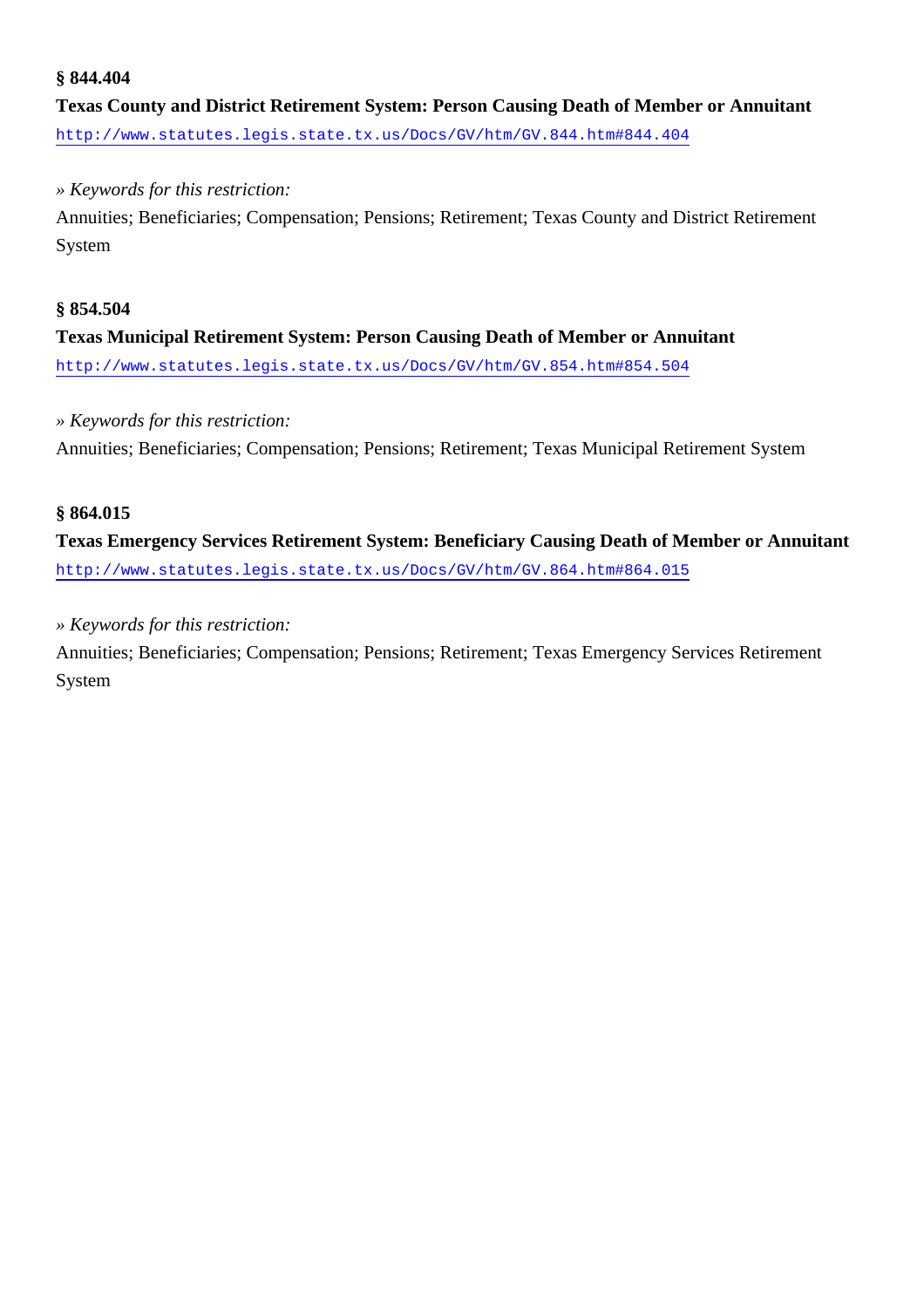#### **§ 844.404**

**Texas County and District Retirement System: Person Causing Death of Member or Annuitant** <http://www.statutes.legis.state.tx.us/Docs/GV/htm/GV.844.htm#844.404>

#### *» Keywords for this restriction:*

Annuities; Beneficiaries; Compensation; Pensions; Retirement; Texas County and District Retirement System

### **§ 854.504 Texas Municipal Retirement System: Person Causing Death of Member or Annuitant** <http://www.statutes.legis.state.tx.us/Docs/GV/htm/GV.854.htm#854.504>

#### *» Keywords for this restriction:*

Annuities; Beneficiaries; Compensation; Pensions; Retirement; Texas Municipal Retirement System

#### **§ 864.015**

**Texas Emergency Services Retirement System: Beneficiary Causing Death of Member or Annuitant** <http://www.statutes.legis.state.tx.us/Docs/GV/htm/GV.864.htm#864.015>

#### *» Keywords for this restriction:*

Annuities; Beneficiaries; Compensation; Pensions; Retirement; Texas Emergency Services Retirement System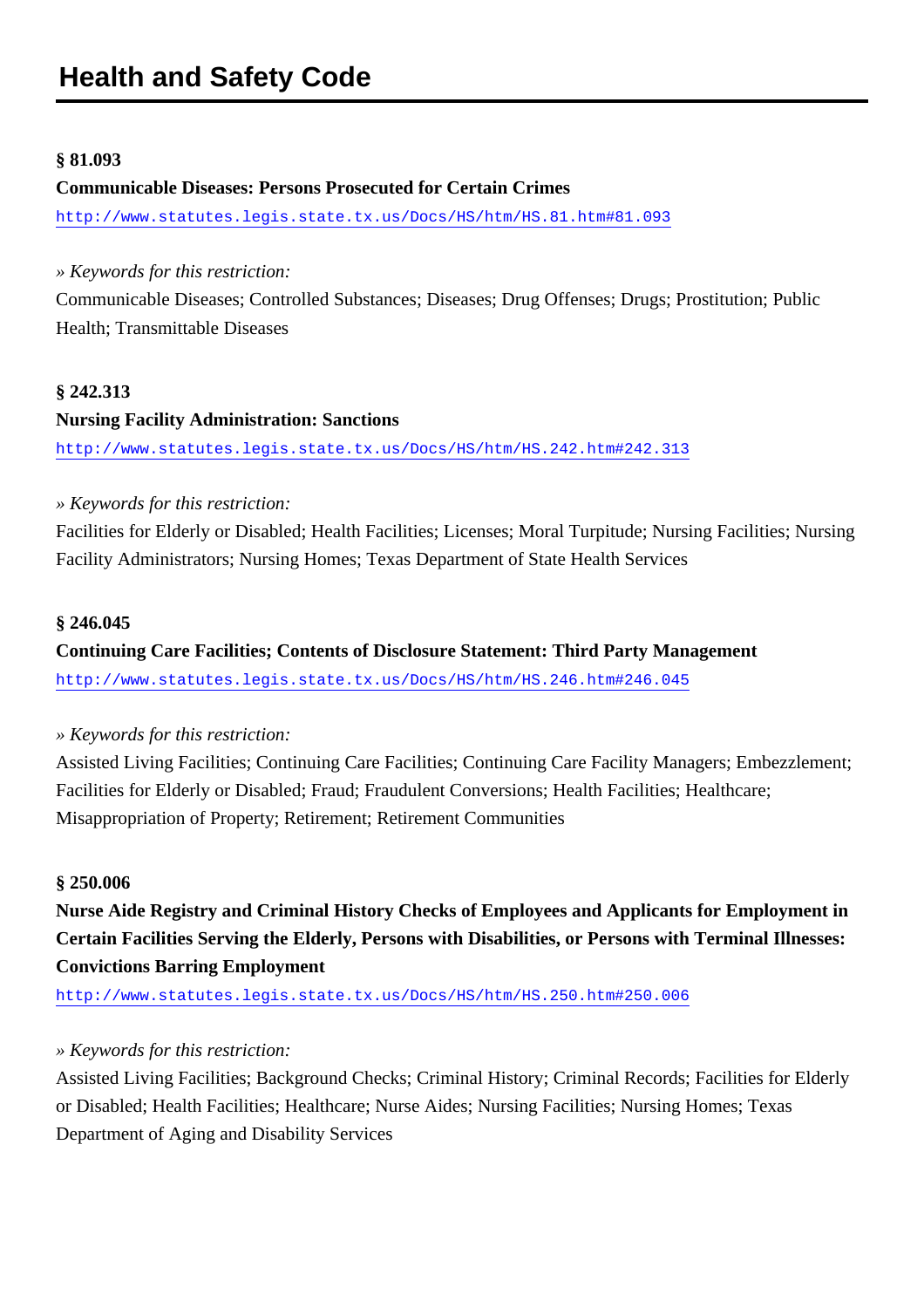#### **§ 81.093**

#### **Communicable Diseases: Persons Prosecuted for Certain Crimes**

<http://www.statutes.legis.state.tx.us/Docs/HS/htm/HS.81.htm#81.093>

#### *» Keywords for this restriction:*

Communicable Diseases; Controlled Substances; Diseases; Drug Offenses; Drugs; Prostitution; Public Health; Transmittable Diseases

#### **§ 242.313**

#### **Nursing Facility Administration: Sanctions**

<http://www.statutes.legis.state.tx.us/Docs/HS/htm/HS.242.htm#242.313>

#### *» Keywords for this restriction:*

Facilities for Elderly or Disabled; Health Facilities; Licenses; Moral Turpitude; Nursing Facilities; Nursing Facility Administrators; Nursing Homes; Texas Department of State Health Services

#### **§ 246.045**

### **Continuing Care Facilities; Contents of Disclosure Statement: Third Party Management** <http://www.statutes.legis.state.tx.us/Docs/HS/htm/HS.246.htm#246.045>

#### *» Keywords for this restriction:*

Assisted Living Facilities; Continuing Care Facilities; Continuing Care Facility Managers; Embezzlement; Facilities for Elderly or Disabled; Fraud; Fraudulent Conversions; Health Facilities; Healthcare; Misappropriation of Property; Retirement; Retirement Communities

#### **§ 250.006**

**Nurse Aide Registry and Criminal History Checks of Employees and Applicants for Employment in Certain Facilities Serving the Elderly, Persons with Disabilities, or Persons with Terminal Illnesses: Convictions Barring Employment**

<http://www.statutes.legis.state.tx.us/Docs/HS/htm/HS.250.htm#250.006>

#### *» Keywords for this restriction:*

Assisted Living Facilities; Background Checks; Criminal History; Criminal Records; Facilities for Elderly or Disabled; Health Facilities; Healthcare; Nurse Aides; Nursing Facilities; Nursing Homes; Texas Department of Aging and Disability Services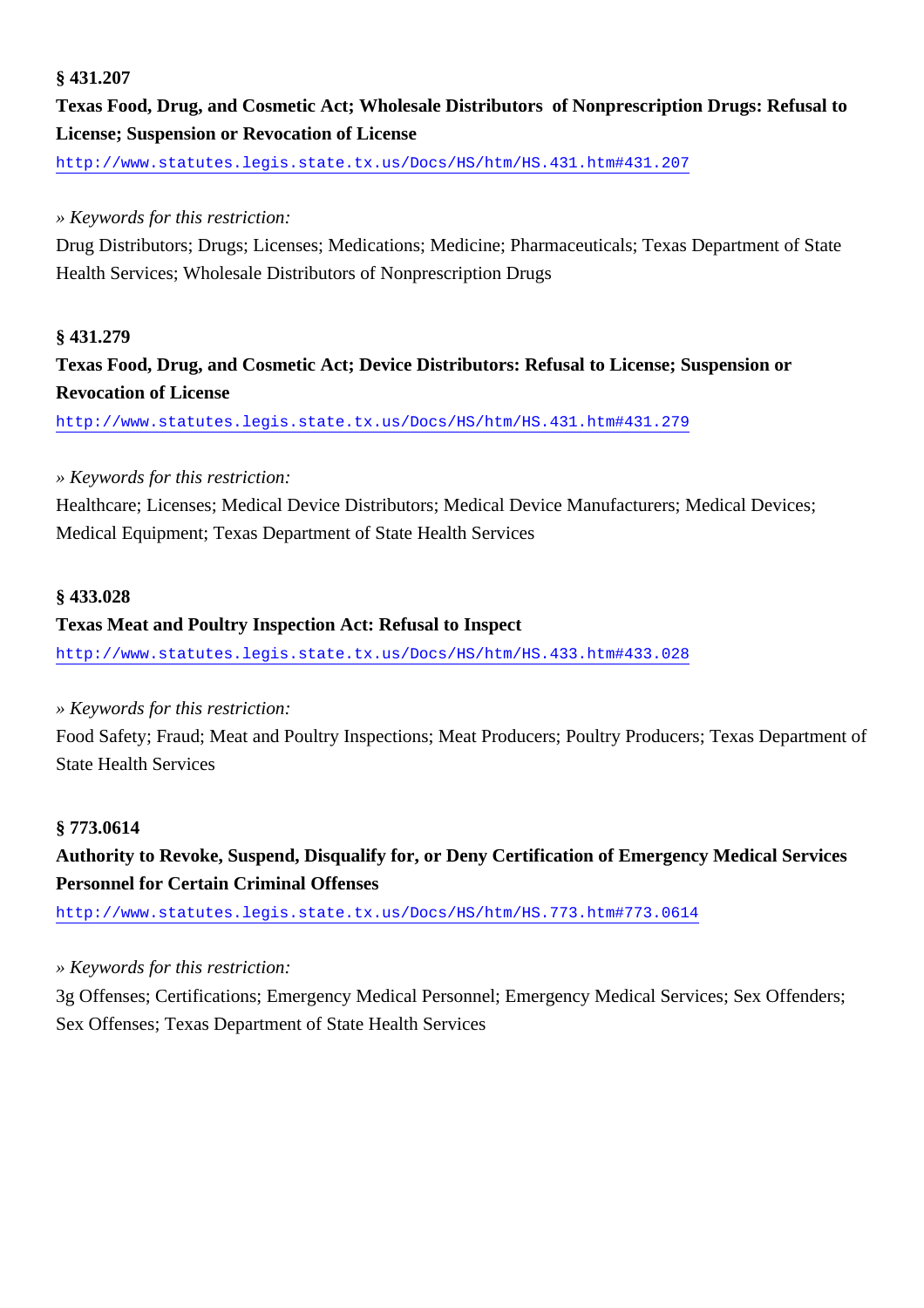#### **§ 431.207**

### **Texas Food, Drug, and Cosmetic Act; Wholesale Distributors of Nonprescription Drugs: Refusal to License; Suspension or Revocation of License**

<http://www.statutes.legis.state.tx.us/Docs/HS/htm/HS.431.htm#431.207>

#### *» Keywords for this restriction:*

Drug Distributors; Drugs; Licenses; Medications; Medicine; Pharmaceuticals; Texas Department of State Health Services; Wholesale Distributors of Nonprescription Drugs

#### **§ 431.279**

### **Texas Food, Drug, and Cosmetic Act; Device Distributors: Refusal to License; Suspension or Revocation of License**

<http://www.statutes.legis.state.tx.us/Docs/HS/htm/HS.431.htm#431.279>

#### *» Keywords for this restriction:*

Healthcare; Licenses; Medical Device Distributors; Medical Device Manufacturers; Medical Devices; Medical Equipment; Texas Department of State Health Services

#### **§ 433.028**

#### **Texas Meat and Poultry Inspection Act: Refusal to Inspect**

<http://www.statutes.legis.state.tx.us/Docs/HS/htm/HS.433.htm#433.028>

#### *» Keywords for this restriction:*

Food Safety; Fraud; Meat and Poultry Inspections; Meat Producers; Poultry Producers; Texas Department of State Health Services

#### **§ 773.0614**

**Authority to Revoke, Suspend, Disqualify for, or Deny Certification of Emergency Medical Services Personnel for Certain Criminal Offenses**

<http://www.statutes.legis.state.tx.us/Docs/HS/htm/HS.773.htm#773.0614>

#### *» Keywords for this restriction:*

3g Offenses; Certifications; Emergency Medical Personnel; Emergency Medical Services; Sex Offenders; Sex Offenses; Texas Department of State Health Services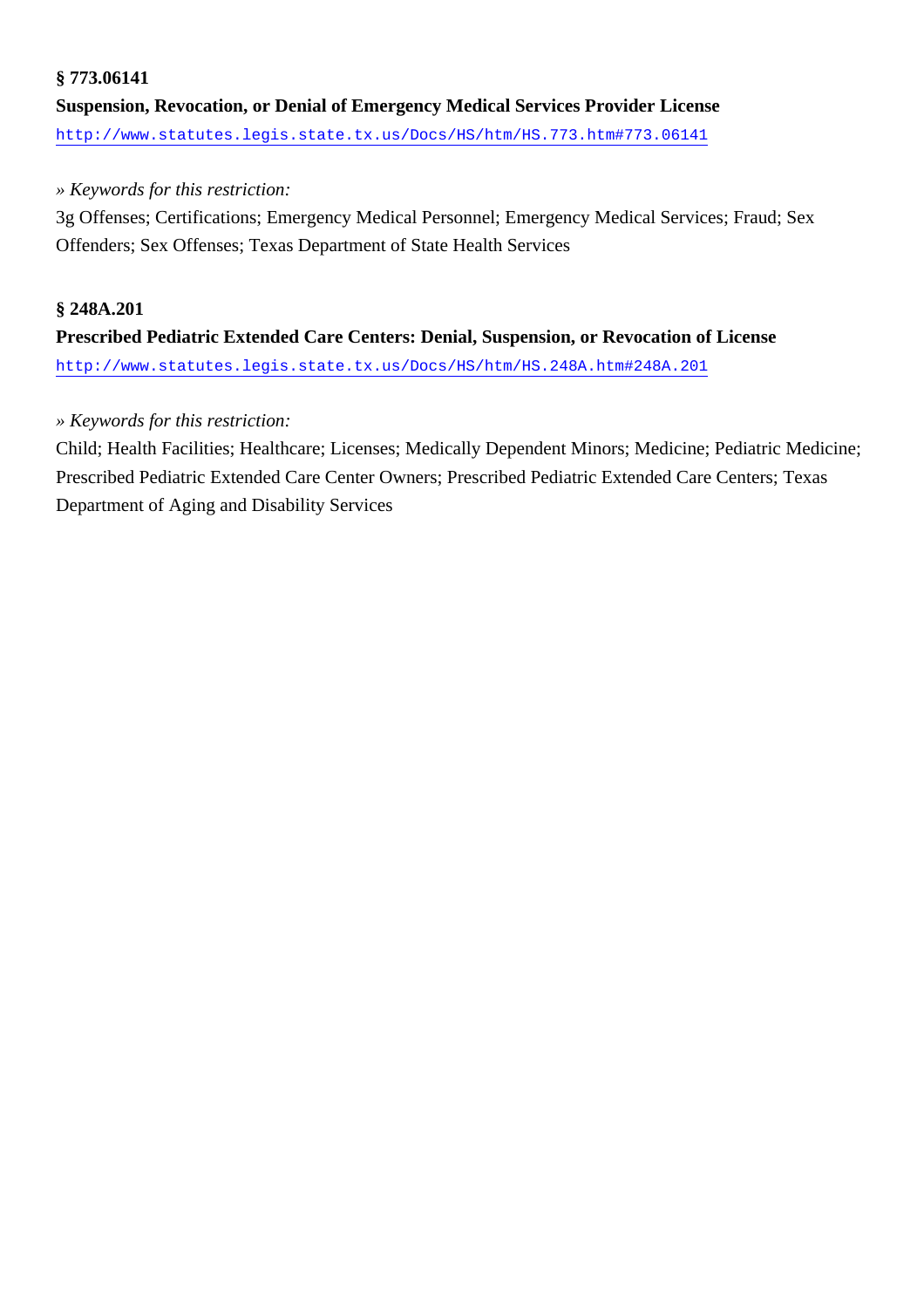#### **§ 773.06141**

### **Suspension, Revocation, or Denial of Emergency Medical Services Provider License** <http://www.statutes.legis.state.tx.us/Docs/HS/htm/HS.773.htm#773.06141>

#### *» Keywords for this restriction:*

3g Offenses; Certifications; Emergency Medical Personnel; Emergency Medical Services; Fraud; Sex Offenders; Sex Offenses; Texas Department of State Health Services

### **§ 248A.201 Prescribed Pediatric Extended Care Centers: Denial, Suspension, or Revocation of License** <http://www.statutes.legis.state.tx.us/Docs/HS/htm/HS.248A.htm#248A.201>

#### *» Keywords for this restriction:*

Child; Health Facilities; Healthcare; Licenses; Medically Dependent Minors; Medicine; Pediatric Medicine; Prescribed Pediatric Extended Care Center Owners; Prescribed Pediatric Extended Care Centers; Texas Department of Aging and Disability Services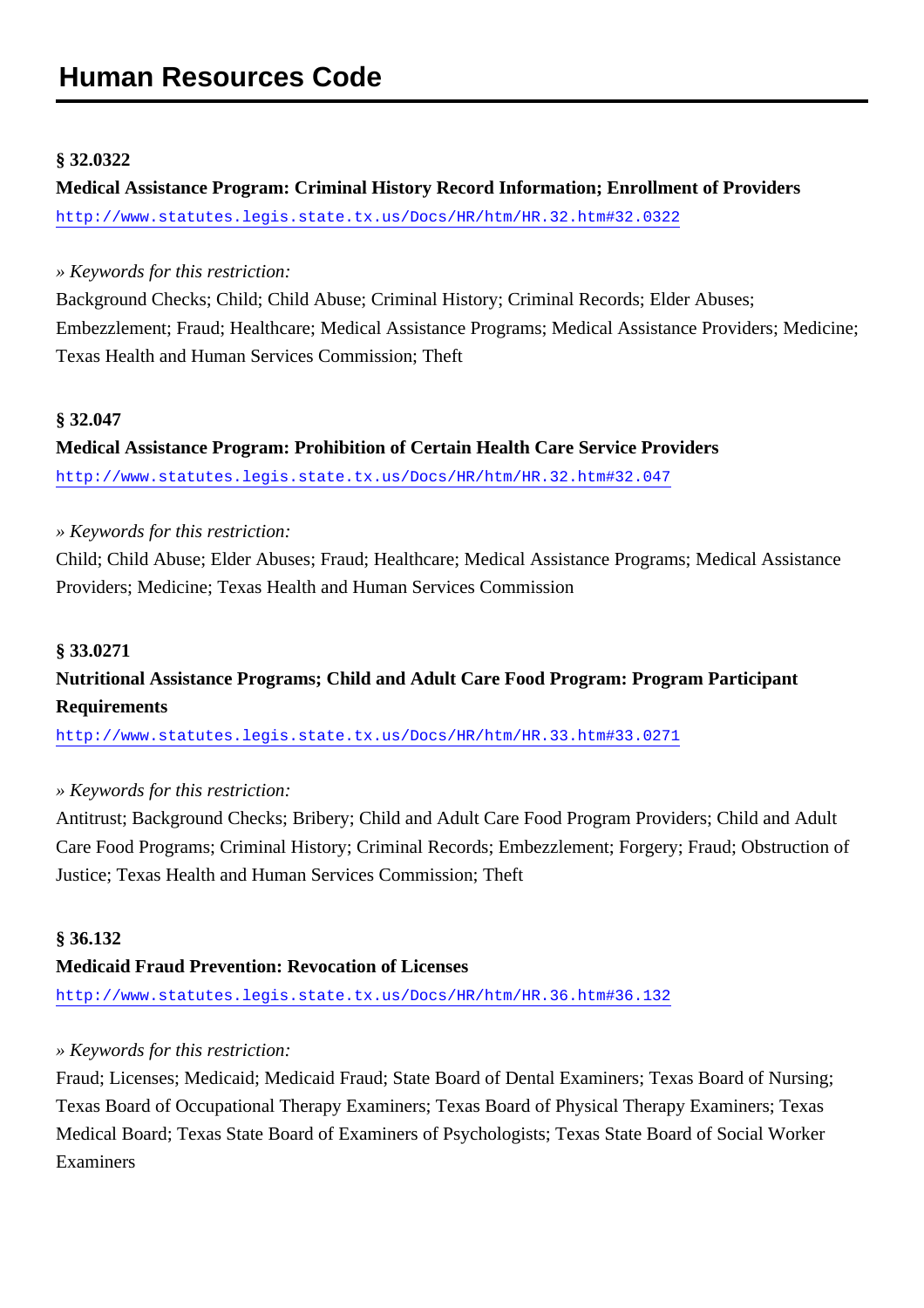#### **§ 32.0322**

**Medical Assistance Program: Criminal History Record Information; Enrollment of Providers** <http://www.statutes.legis.state.tx.us/Docs/HR/htm/HR.32.htm#32.0322>

#### *» Keywords for this restriction:*

Background Checks; Child; Child Abuse; Criminal History; Criminal Records; Elder Abuses; Embezzlement; Fraud; Healthcare; Medical Assistance Programs; Medical Assistance Providers; Medicine; Texas Health and Human Services Commission; Theft

#### **§ 32.047**

**Medical Assistance Program: Prohibition of Certain Health Care Service Providers** <http://www.statutes.legis.state.tx.us/Docs/HR/htm/HR.32.htm#32.047>

#### *» Keywords for this restriction:*

Child; Child Abuse; Elder Abuses; Fraud; Healthcare; Medical Assistance Programs; Medical Assistance Providers; Medicine; Texas Health and Human Services Commission

#### **§ 33.0271**

### **Nutritional Assistance Programs; Child and Adult Care Food Program: Program Participant Requirements**

<http://www.statutes.legis.state.tx.us/Docs/HR/htm/HR.33.htm#33.0271>

#### *» Keywords for this restriction:*

Antitrust; Background Checks; Bribery; Child and Adult Care Food Program Providers; Child and Adult Care Food Programs; Criminal History; Criminal Records; Embezzlement; Forgery; Fraud; Obstruction of Justice; Texas Health and Human Services Commission; Theft

#### **§ 36.132**

#### **Medicaid Fraud Prevention: Revocation of Licenses**

<http://www.statutes.legis.state.tx.us/Docs/HR/htm/HR.36.htm#36.132>

#### *» Keywords for this restriction:*

Fraud; Licenses; Medicaid; Medicaid Fraud; State Board of Dental Examiners; Texas Board of Nursing; Texas Board of Occupational Therapy Examiners; Texas Board of Physical Therapy Examiners; Texas Medical Board; Texas State Board of Examiners of Psychologists; Texas State Board of Social Worker Examiners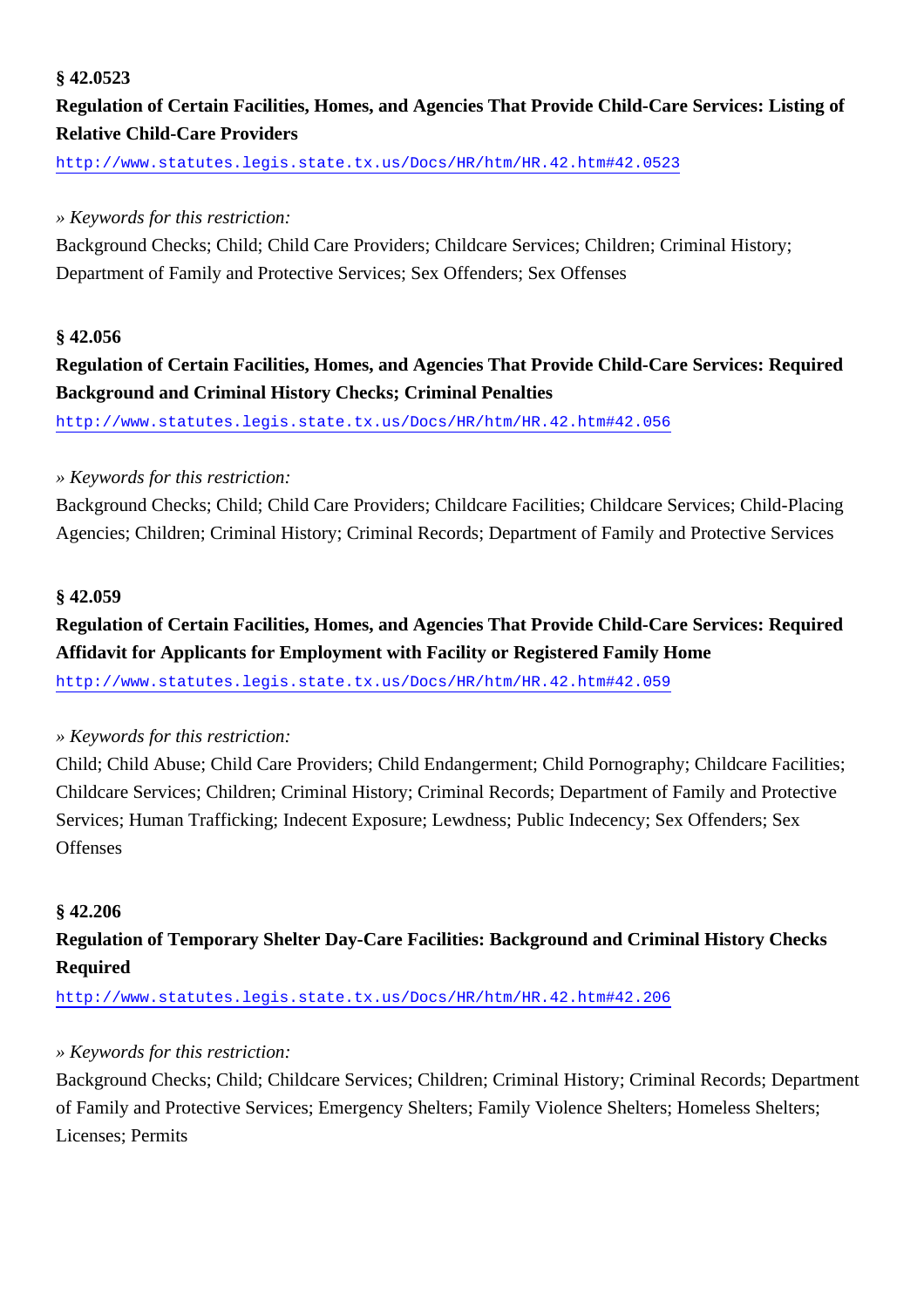#### **§ 42.0523**

### **Regulation of Certain Facilities, Homes, and Agencies That Provide Child-Care Services: Listing of Relative Child-Care Providers**

<http://www.statutes.legis.state.tx.us/Docs/HR/htm/HR.42.htm#42.0523>

### *» Keywords for this restriction:*

Background Checks; Child; Child Care Providers; Childcare Services; Children; Criminal History; Department of Family and Protective Services; Sex Offenders; Sex Offenses

#### **§ 42.056**

### **Regulation of Certain Facilities, Homes, and Agencies That Provide Child-Care Services: Required Background and Criminal History Checks; Criminal Penalties**

<http://www.statutes.legis.state.tx.us/Docs/HR/htm/HR.42.htm#42.056>

#### *» Keywords for this restriction:*

Background Checks; Child; Child Care Providers; Childcare Facilities; Childcare Services; Child-Placing Agencies; Children; Criminal History; Criminal Records; Department of Family and Protective Services

#### **§ 42.059**

# **Regulation of Certain Facilities, Homes, and Agencies That Provide Child-Care Services: Required Affidavit for Applicants for Employment with Facility or Registered Family Home**

<http://www.statutes.legis.state.tx.us/Docs/HR/htm/HR.42.htm#42.059>

#### *» Keywords for this restriction:*

Child; Child Abuse; Child Care Providers; Child Endangerment; Child Pornography; Childcare Facilities; Childcare Services; Children; Criminal History; Criminal Records; Department of Family and Protective Services; Human Trafficking; Indecent Exposure; Lewdness; Public Indecency; Sex Offenders; Sex **Offenses** 

#### **§ 42.206**

### **Regulation of Temporary Shelter Day-Care Facilities: Background and Criminal History Checks Required**

<http://www.statutes.legis.state.tx.us/Docs/HR/htm/HR.42.htm#42.206>

#### *» Keywords for this restriction:*

Background Checks; Child; Childcare Services; Children; Criminal History; Criminal Records; Department of Family and Protective Services; Emergency Shelters; Family Violence Shelters; Homeless Shelters; Licenses; Permits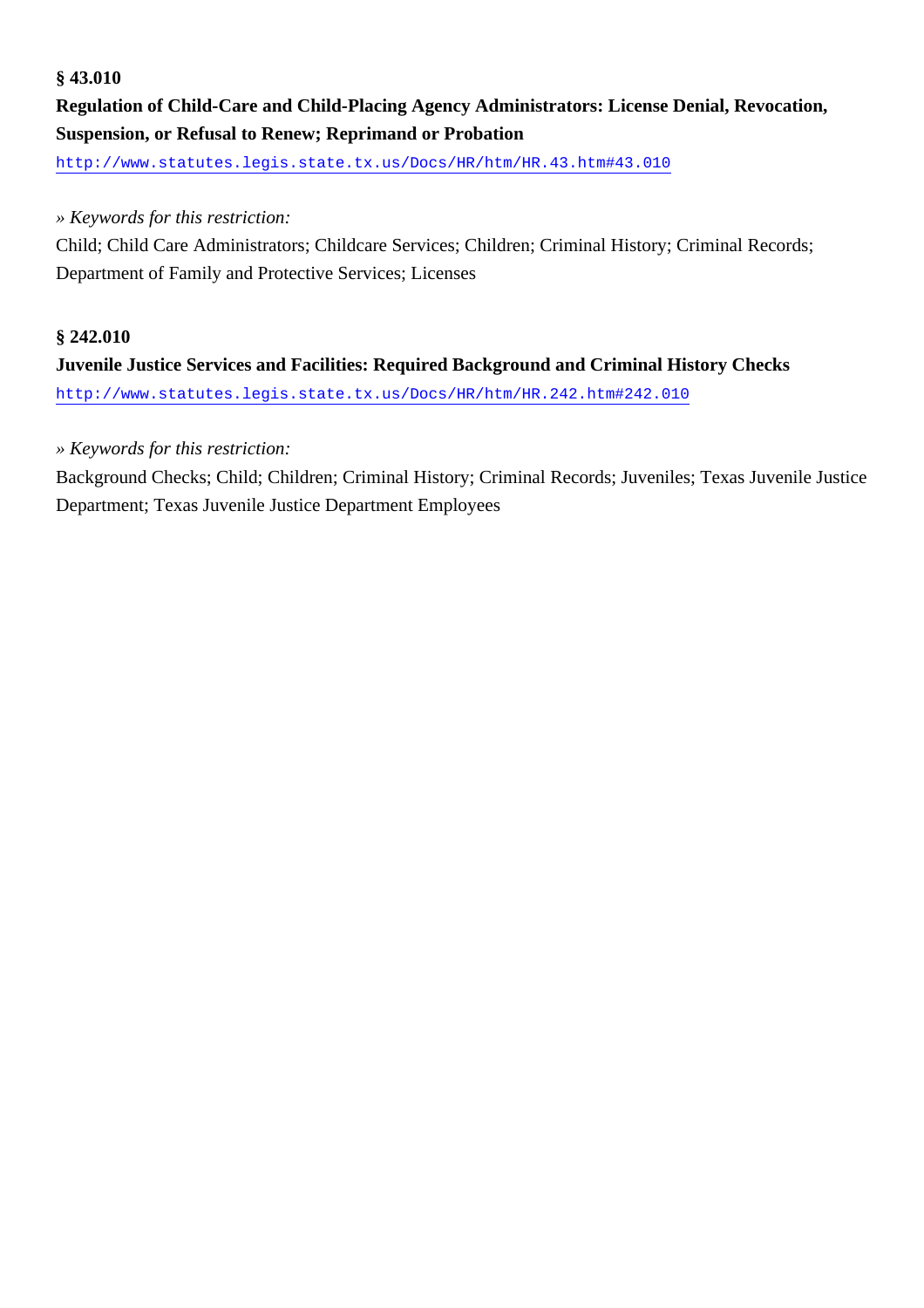#### **§ 43.010**

**Regulation of Child-Care and Child-Placing Agency Administrators: License Denial, Revocation, Suspension, or Refusal to Renew; Reprimand or Probation**

<http://www.statutes.legis.state.tx.us/Docs/HR/htm/HR.43.htm#43.010>

#### *» Keywords for this restriction:*

Child; Child Care Administrators; Childcare Services; Children; Criminal History; Criminal Records; Department of Family and Protective Services; Licenses

#### **§ 242.010**

**Juvenile Justice Services and Facilities: Required Background and Criminal History Checks** <http://www.statutes.legis.state.tx.us/Docs/HR/htm/HR.242.htm#242.010>

#### *» Keywords for this restriction:*

Background Checks; Child; Children; Criminal History; Criminal Records; Juveniles; Texas Juvenile Justice Department; Texas Juvenile Justice Department Employees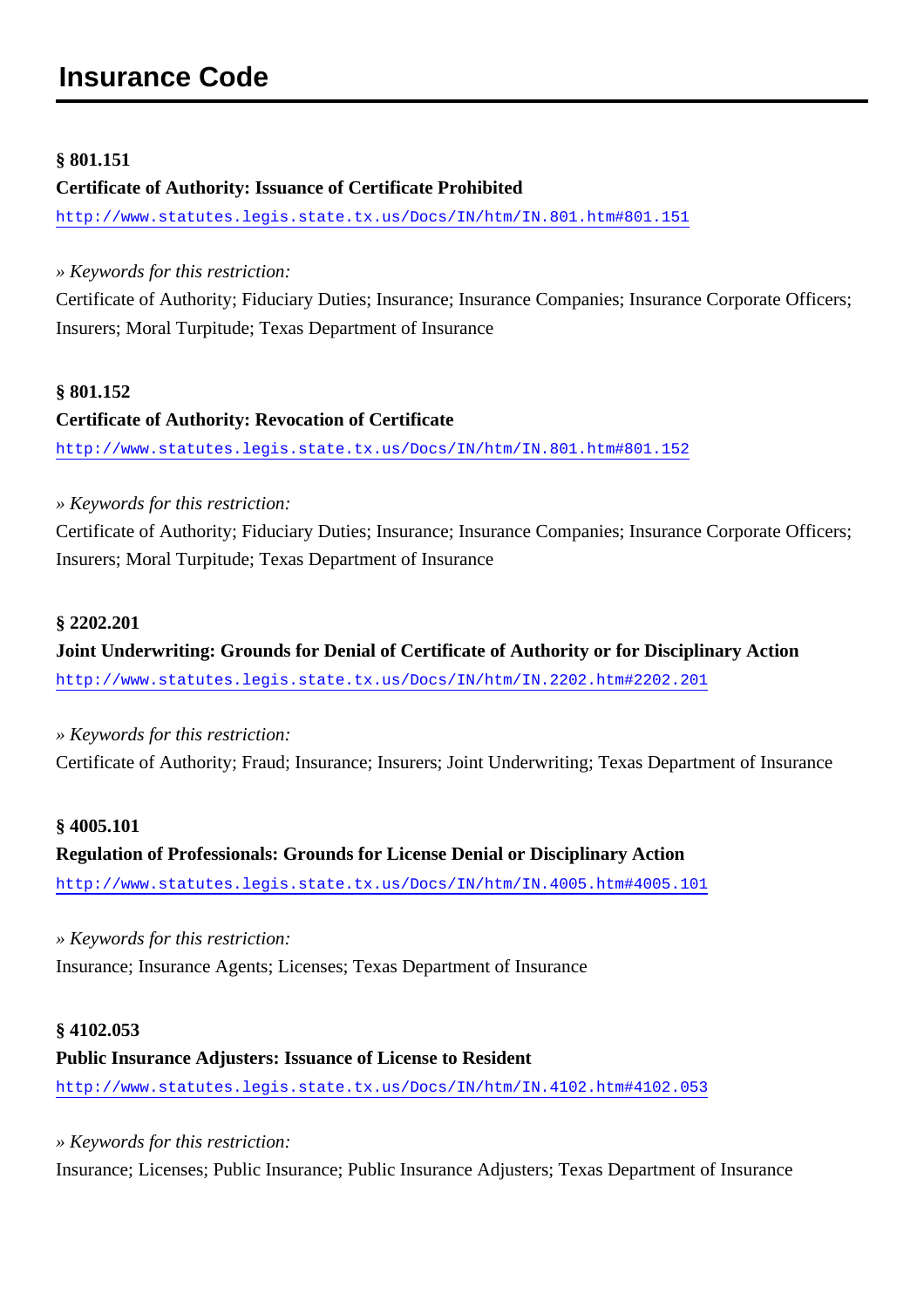#### **§ 801.151**

#### **Certificate of Authority: Issuance of Certificate Prohibited**

<http://www.statutes.legis.state.tx.us/Docs/IN/htm/IN.801.htm#801.151>

*» Keywords for this restriction:*

Certificate of Authority; Fiduciary Duties; Insurance; Insurance Companies; Insurance Corporate Officers; Insurers; Moral Turpitude; Texas Department of Insurance

#### **§ 801.152**

# **Certificate of Authority: Revocation of Certificate**

<http://www.statutes.legis.state.tx.us/Docs/IN/htm/IN.801.htm#801.152>

#### *» Keywords for this restriction:*

Certificate of Authority; Fiduciary Duties; Insurance; Insurance Companies; Insurance Corporate Officers; Insurers; Moral Turpitude; Texas Department of Insurance

#### **§ 2202.201**

**Joint Underwriting: Grounds for Denial of Certificate of Authority or for Disciplinary Action** <http://www.statutes.legis.state.tx.us/Docs/IN/htm/IN.2202.htm#2202.201>

*» Keywords for this restriction:* Certificate of Authority; Fraud; Insurance; Insurers; Joint Underwriting; Texas Department of Insurance

#### **§ 4005.101**

### **Regulation of Professionals: Grounds for License Denial or Disciplinary Action** <http://www.statutes.legis.state.tx.us/Docs/IN/htm/IN.4005.htm#4005.101>

*» Keywords for this restriction:* Insurance; Insurance Agents; Licenses; Texas Department of Insurance

#### **§ 4102.053**

#### **Public Insurance Adjusters: Issuance of License to Resident**

<http://www.statutes.legis.state.tx.us/Docs/IN/htm/IN.4102.htm#4102.053>

*» Keywords for this restriction:*

Insurance; Licenses; Public Insurance; Public Insurance Adjusters; Texas Department of Insurance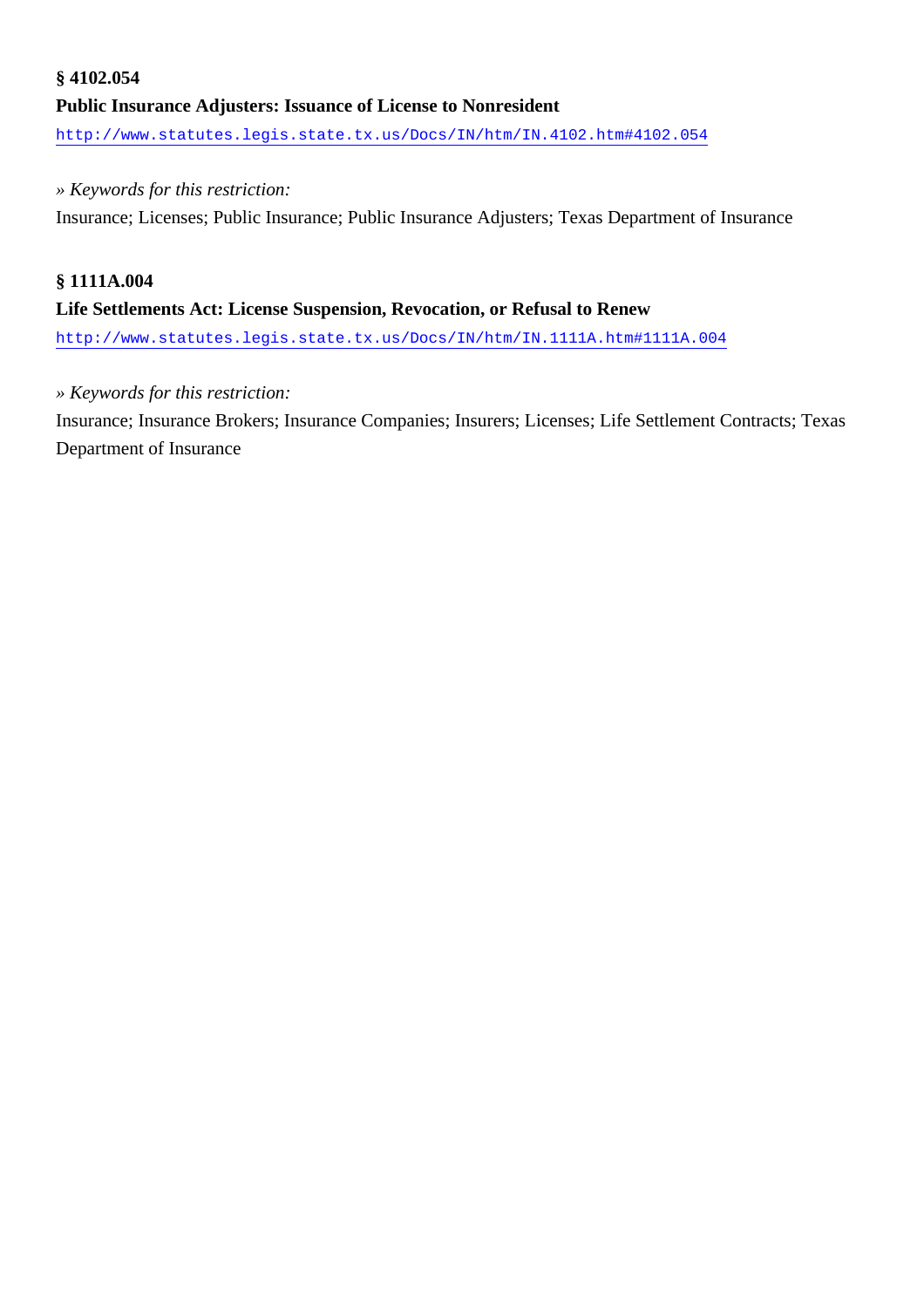### **§ 4102.054 Public Insurance Adjusters: Issuance of License to Nonresident** <http://www.statutes.legis.state.tx.us/Docs/IN/htm/IN.4102.htm#4102.054>

#### *» Keywords for this restriction:*

Insurance; Licenses; Public Insurance; Public Insurance Adjusters; Texas Department of Insurance

#### **§ 1111A.004**

#### **Life Settlements Act: License Suspension, Revocation, or Refusal to Renew**

<http://www.statutes.legis.state.tx.us/Docs/IN/htm/IN.1111A.htm#1111A.004>

#### *» Keywords for this restriction:*

Insurance; Insurance Brokers; Insurance Companies; Insurers; Licenses; Life Settlement Contracts; Texas Department of Insurance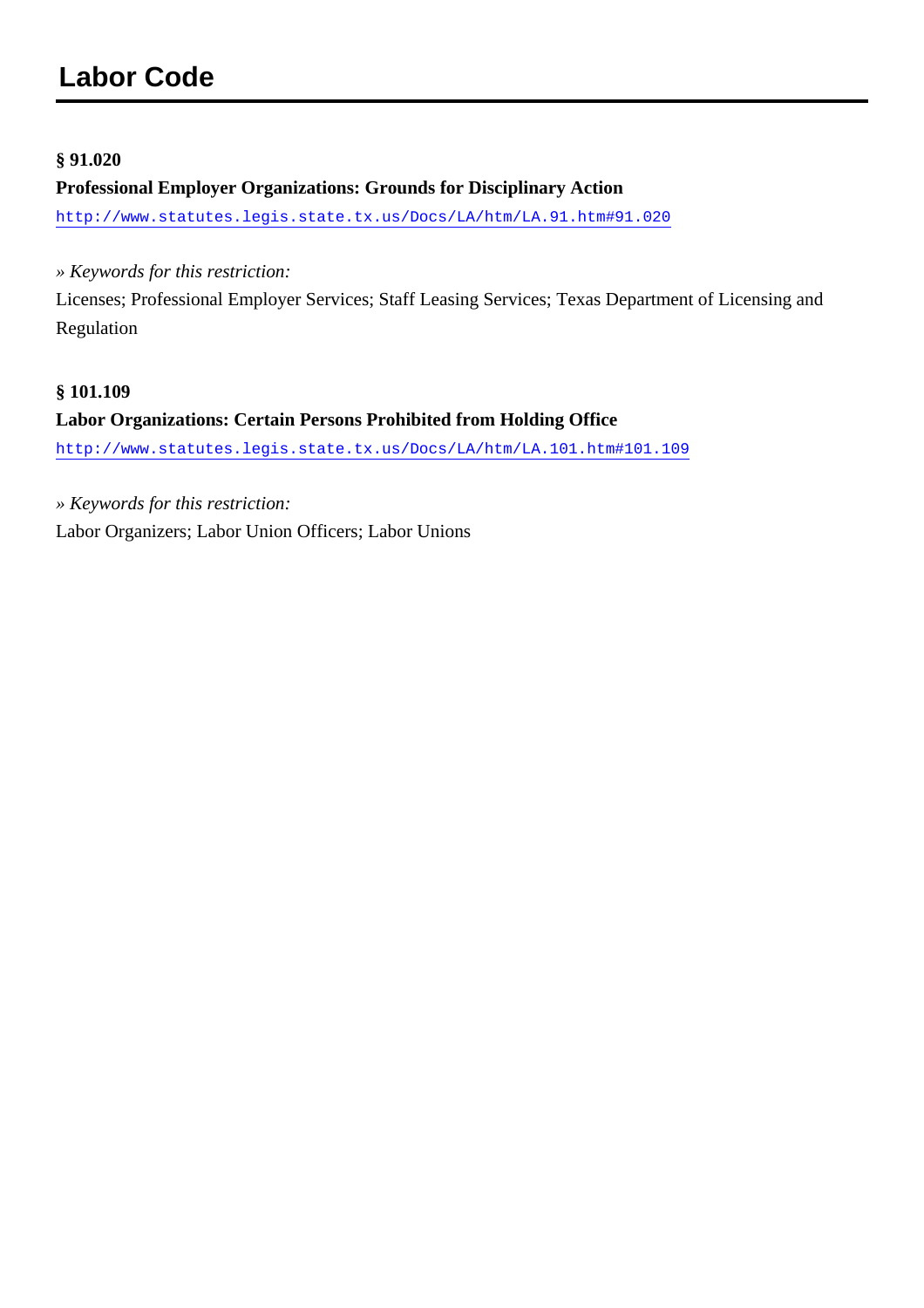#### **§ 91.020**

#### **Professional Employer Organizations: Grounds for Disciplinary Action**

<http://www.statutes.legis.state.tx.us/Docs/LA/htm/LA.91.htm#91.020>

*» Keywords for this restriction:*

Licenses; Professional Employer Services; Staff Leasing Services; Texas Department of Licensing and Regulation

#### **§ 101.109**

**Labor Organizations: Certain Persons Prohibited from Holding Office** <http://www.statutes.legis.state.tx.us/Docs/LA/htm/LA.101.htm#101.109>

*» Keywords for this restriction:*

Labor Organizers; Labor Union Officers; Labor Unions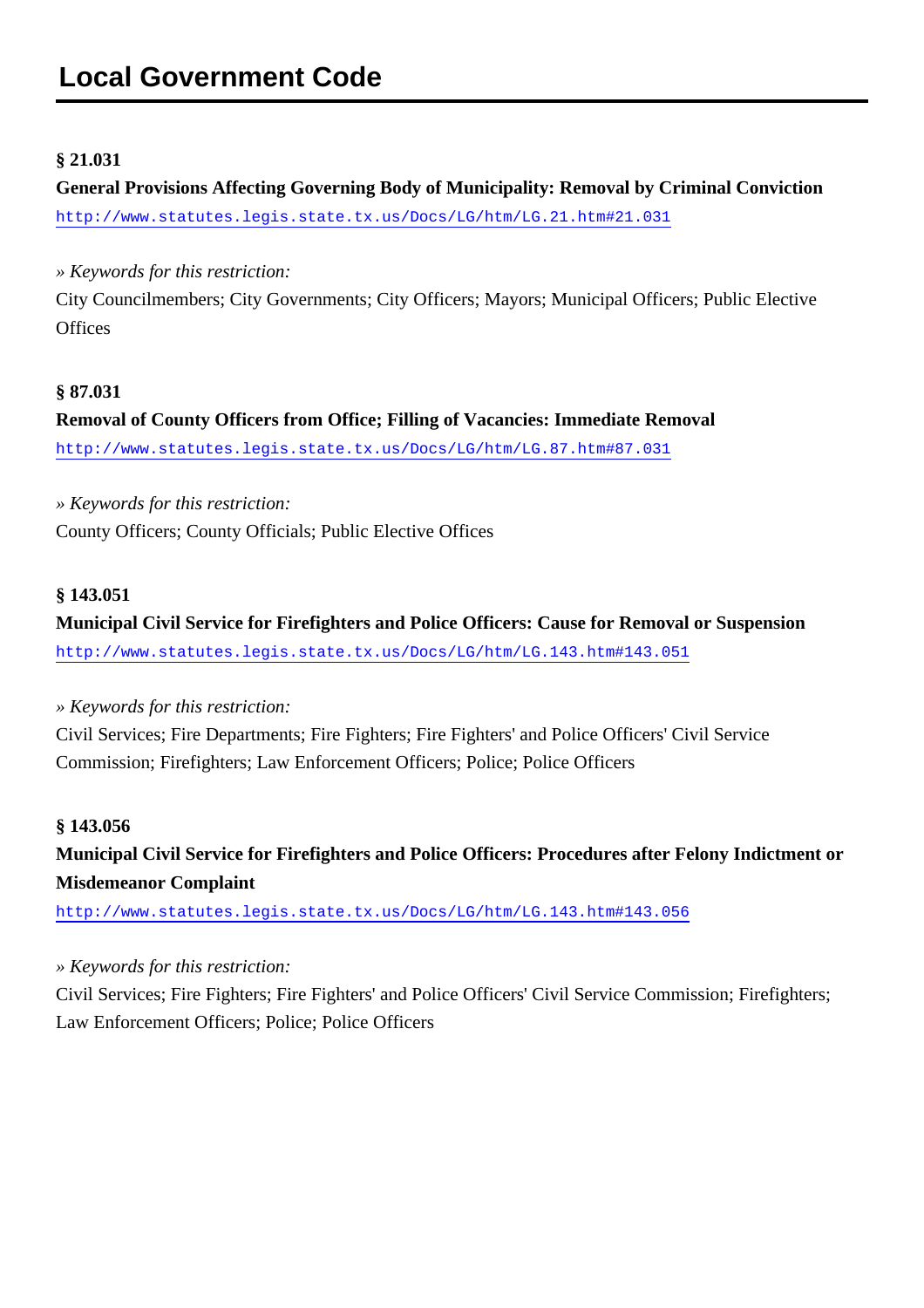#### **§ 21.031**

**General Provisions Affecting Governing Body of Municipality: Removal by Criminal Conviction** <http://www.statutes.legis.state.tx.us/Docs/LG/htm/LG.21.htm#21.031>

*» Keywords for this restriction:*

City Councilmembers; City Governments; City Officers; Mayors; Municipal Officers; Public Elective **Offices** 

#### **§ 87.031**

**Removal of County Officers from Office; Filling of Vacancies: Immediate Removal** <http://www.statutes.legis.state.tx.us/Docs/LG/htm/LG.87.htm#87.031>

*» Keywords for this restriction:* County Officers; County Officials; Public Elective Offices

### **§ 143.051**

**Municipal Civil Service for Firefighters and Police Officers: Cause for Removal or Suspension** <http://www.statutes.legis.state.tx.us/Docs/LG/htm/LG.143.htm#143.051>

*» Keywords for this restriction:*

Civil Services; Fire Departments; Fire Fighters; Fire Fighters' and Police Officers' Civil Service Commission; Firefighters; Law Enforcement Officers; Police; Police Officers

#### **§ 143.056**

**Municipal Civil Service for Firefighters and Police Officers: Procedures after Felony Indictment or Misdemeanor Complaint**

<http://www.statutes.legis.state.tx.us/Docs/LG/htm/LG.143.htm#143.056>

*» Keywords for this restriction:*

Civil Services; Fire Fighters; Fire Fighters' and Police Officers' Civil Service Commission; Firefighters; Law Enforcement Officers; Police; Police Officers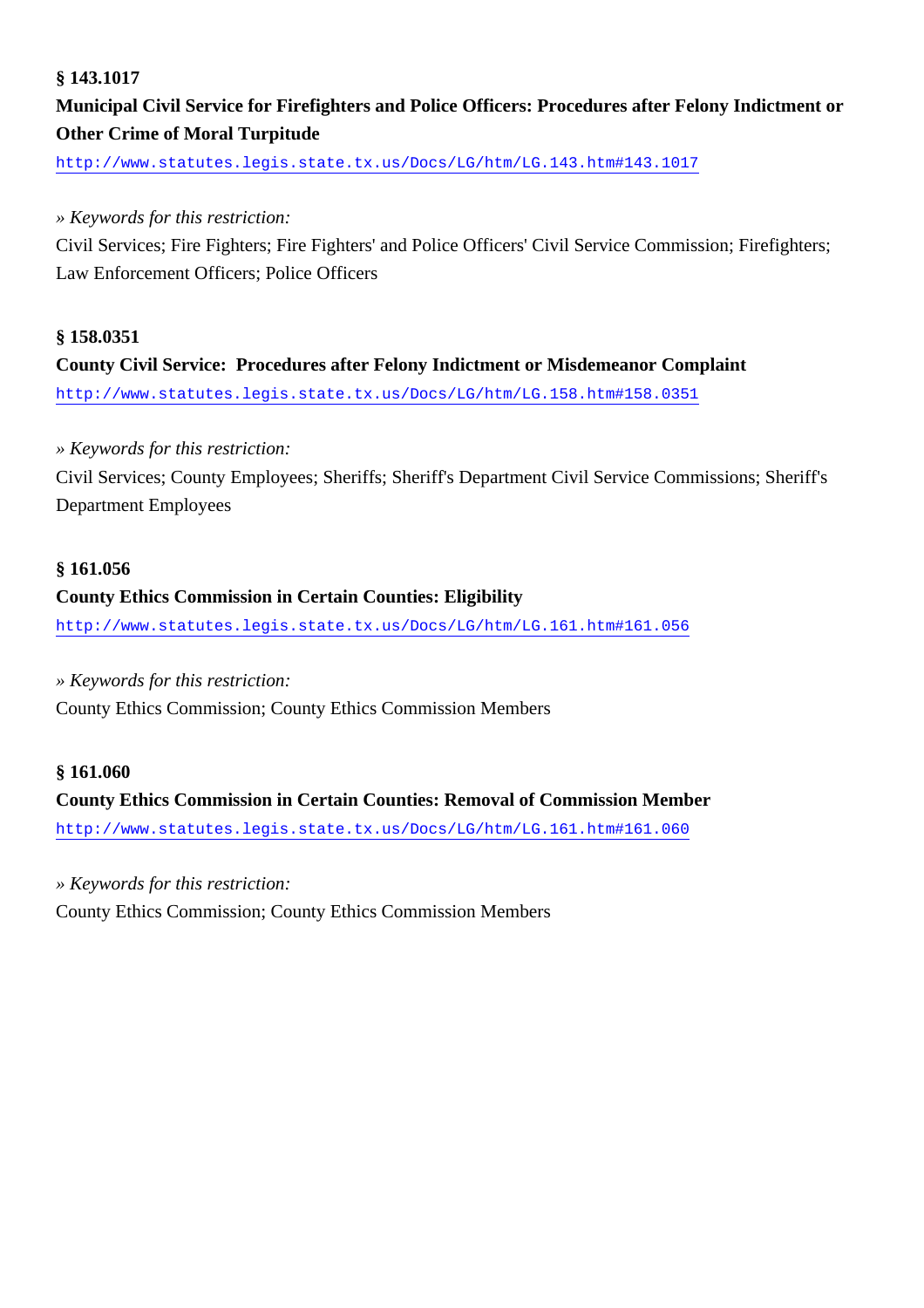#### **§ 143.1017**

### **Municipal Civil Service for Firefighters and Police Officers: Procedures after Felony Indictment or Other Crime of Moral Turpitude**

<http://www.statutes.legis.state.tx.us/Docs/LG/htm/LG.143.htm#143.1017>

#### *» Keywords for this restriction:*

Civil Services; Fire Fighters; Fire Fighters' and Police Officers' Civil Service Commission; Firefighters; Law Enforcement Officers; Police Officers

#### **§ 158.0351**

### **County Civil Service: Procedures after Felony Indictment or Misdemeanor Complaint** <http://www.statutes.legis.state.tx.us/Docs/LG/htm/LG.158.htm#158.0351>

#### *» Keywords for this restriction:*

Civil Services; County Employees; Sheriffs; Sheriff's Department Civil Service Commissions; Sheriff's Department Employees

#### **§ 161.056**

#### **County Ethics Commission in Certain Counties: Eligibility**

<http://www.statutes.legis.state.tx.us/Docs/LG/htm/LG.161.htm#161.056>

#### *» Keywords for this restriction:*

County Ethics Commission; County Ethics Commission Members

#### **§ 161.060**

**County Ethics Commission in Certain Counties: Removal of Commission Member** <http://www.statutes.legis.state.tx.us/Docs/LG/htm/LG.161.htm#161.060>

*» Keywords for this restriction:*

County Ethics Commission; County Ethics Commission Members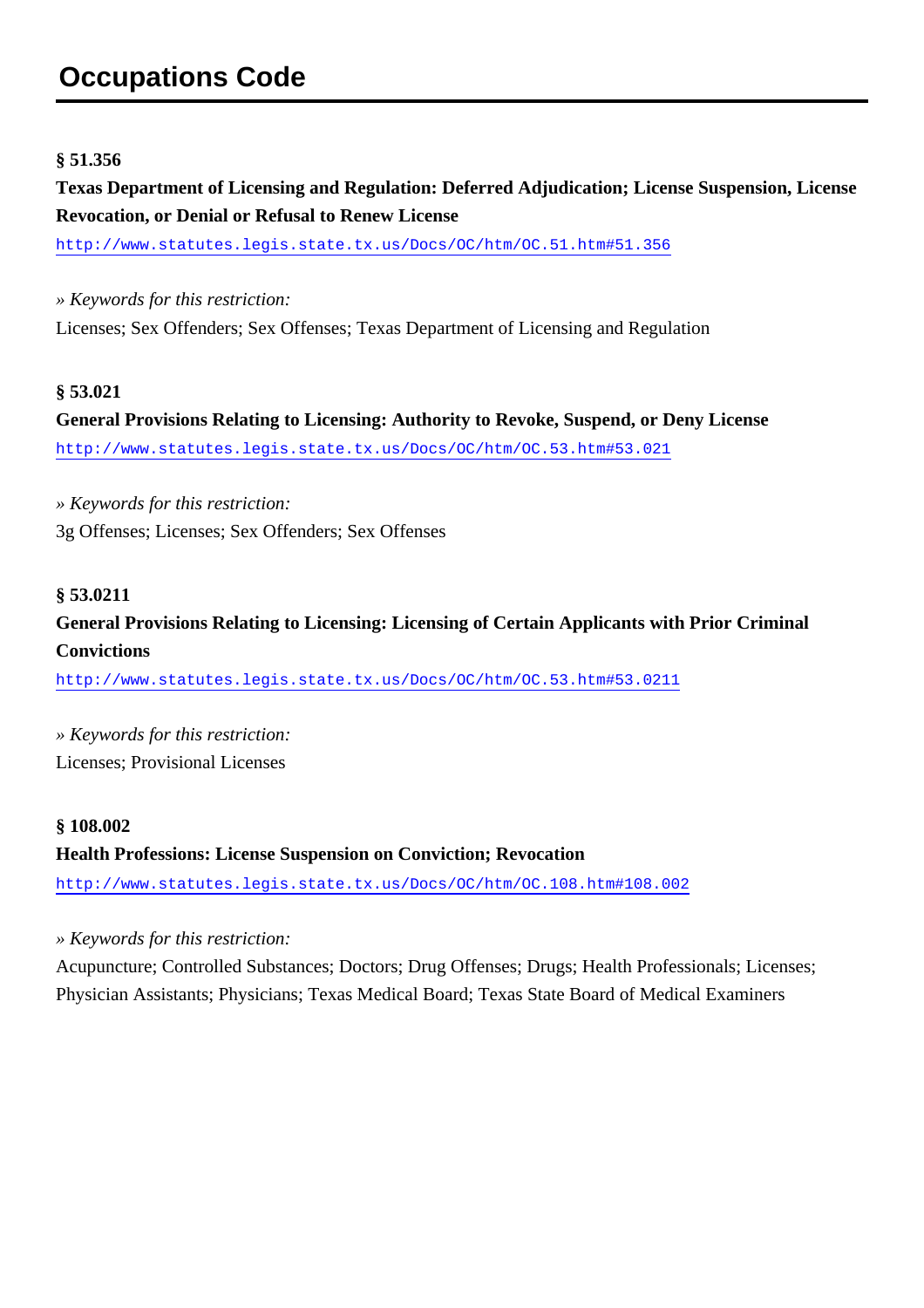# **Occupations Code**

#### **§ 51.356**

**Texas Department of Licensing and Regulation: Deferred Adjudication; License Suspension, License Revocation, or Denial or Refusal to Renew License**

<http://www.statutes.legis.state.tx.us/Docs/OC/htm/OC.51.htm#51.356>

*» Keywords for this restriction:* Licenses; Sex Offenders; Sex Offenses; Texas Department of Licensing and Regulation

#### **§ 53.021**

**General Provisions Relating to Licensing: Authority to Revoke, Suspend, or Deny License** <http://www.statutes.legis.state.tx.us/Docs/OC/htm/OC.53.htm#53.021>

*» Keywords for this restriction:* 3g Offenses; Licenses; Sex Offenders; Sex Offenses

#### **§ 53.0211**

**General Provisions Relating to Licensing: Licensing of Certain Applicants with Prior Criminal Convictions**

<http://www.statutes.legis.state.tx.us/Docs/OC/htm/OC.53.htm#53.0211>

*» Keywords for this restriction:* Licenses; Provisional Licenses

#### **§ 108.002**

**Health Professions: License Suspension on Conviction; Revocation** <http://www.statutes.legis.state.tx.us/Docs/OC/htm/OC.108.htm#108.002>

*» Keywords for this restriction:*

Acupuncture; Controlled Substances; Doctors; Drug Offenses; Drugs; Health Professionals; Licenses; Physician Assistants; Physicians; Texas Medical Board; Texas State Board of Medical Examiners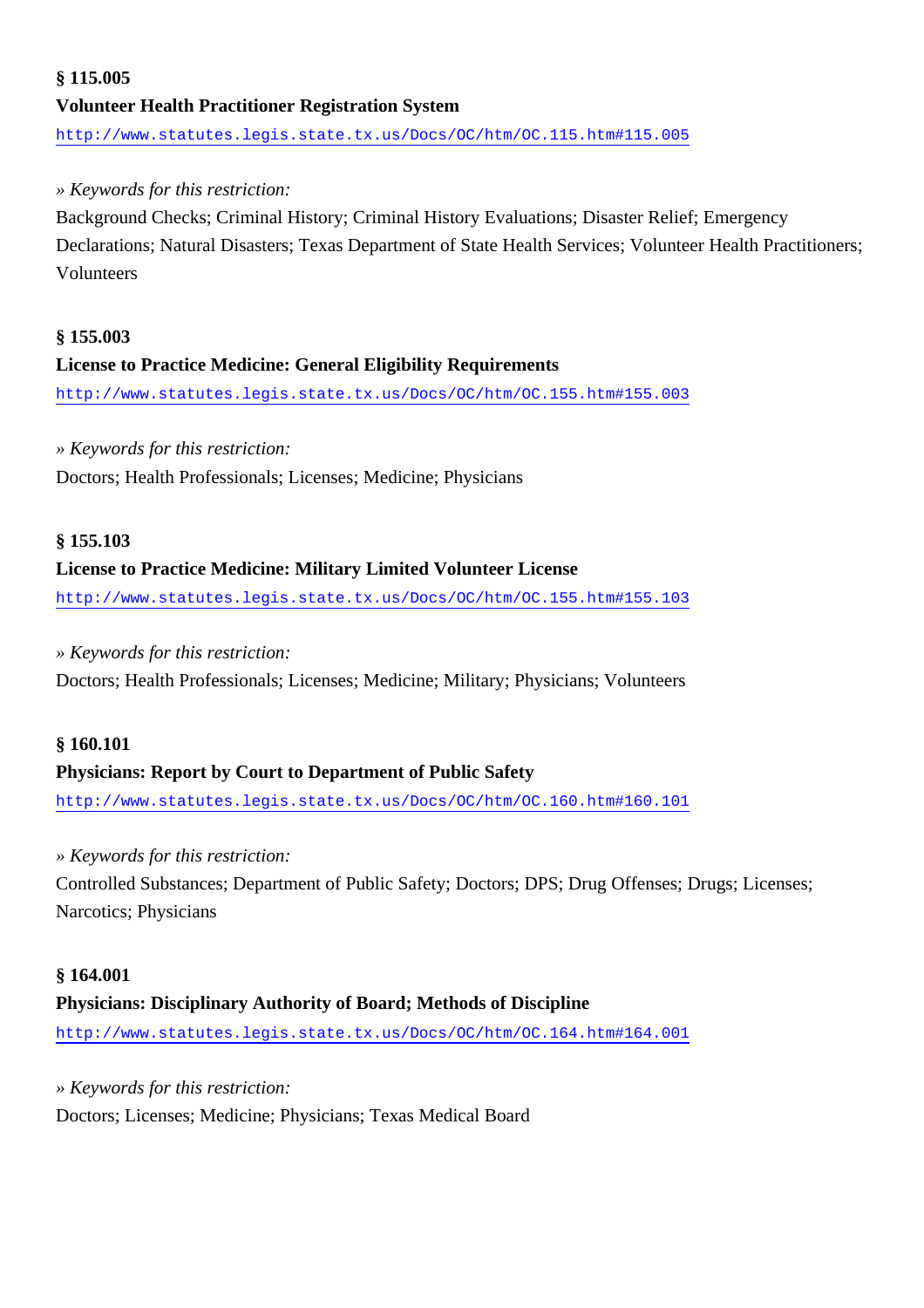### **§ 115.005 Volunteer Health Practitioner Registration System** <http://www.statutes.legis.state.tx.us/Docs/OC/htm/OC.115.htm#115.005>

#### *» Keywords for this restriction:*

Background Checks; Criminal History; Criminal History Evaluations; Disaster Relief; Emergency Declarations; Natural Disasters; Texas Department of State Health Services; Volunteer Health Practitioners; Volunteers

#### **§ 155.003**

#### **License to Practice Medicine: General Eligibility Requirements**

<http://www.statutes.legis.state.tx.us/Docs/OC/htm/OC.155.htm#155.003>

#### *» Keywords for this restriction:*

Doctors; Health Professionals; Licenses; Medicine; Physicians

#### **§ 155.103**

#### **License to Practice Medicine: Military Limited Volunteer License**

<http://www.statutes.legis.state.tx.us/Docs/OC/htm/OC.155.htm#155.103>

#### *» Keywords for this restriction:*

Doctors; Health Professionals; Licenses; Medicine; Military; Physicians; Volunteers

#### **§ 160.101**

#### **Physicians: Report by Court to Department of Public Safety**

<http://www.statutes.legis.state.tx.us/Docs/OC/htm/OC.160.htm#160.101>

#### *» Keywords for this restriction:*

Controlled Substances; Department of Public Safety; Doctors; DPS; Drug Offenses; Drugs; Licenses; Narcotics; Physicians

#### **§ 164.001**

#### **Physicians: Disciplinary Authority of Board; Methods of Discipline**

<http://www.statutes.legis.state.tx.us/Docs/OC/htm/OC.164.htm#164.001>

#### *» Keywords for this restriction:*

Doctors; Licenses; Medicine; Physicians; Texas Medical Board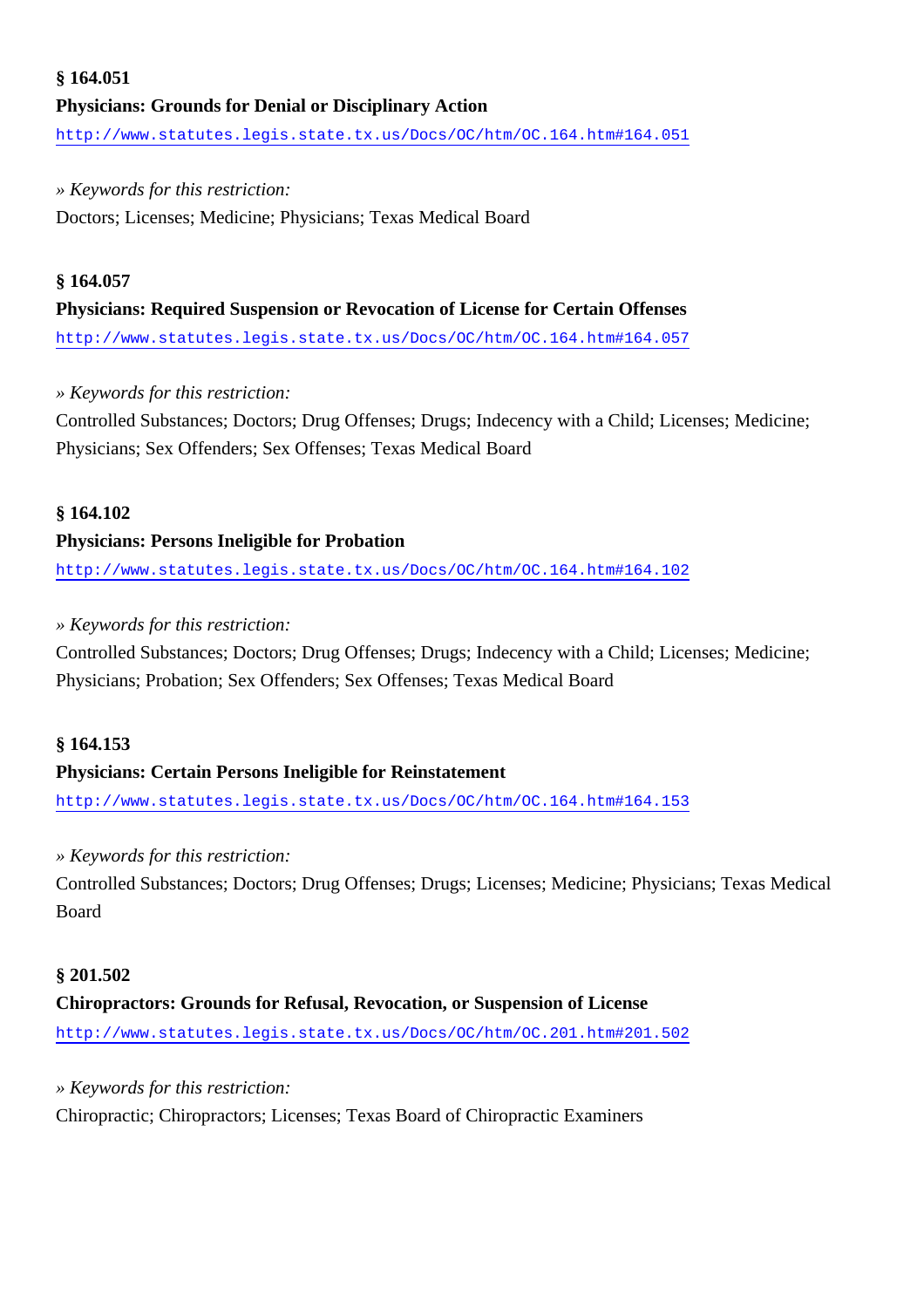### **§ 164.051 Physicians: Grounds for Denial or Disciplinary Action** <http://www.statutes.legis.state.tx.us/Docs/OC/htm/OC.164.htm#164.051>

#### *» Keywords for this restriction:*

Doctors; Licenses; Medicine; Physicians; Texas Medical Board

#### **§ 164.057**

#### **Physicians: Required Suspension or Revocation of License for Certain Offenses**

<http://www.statutes.legis.state.tx.us/Docs/OC/htm/OC.164.htm#164.057>

#### *» Keywords for this restriction:*

Controlled Substances; Doctors; Drug Offenses; Drugs; Indecency with a Child; Licenses; Medicine; Physicians; Sex Offenders; Sex Offenses; Texas Medical Board

#### **§ 164.102**

#### **Physicians: Persons Ineligible for Probation**

<http://www.statutes.legis.state.tx.us/Docs/OC/htm/OC.164.htm#164.102>

#### *» Keywords for this restriction:*

Controlled Substances; Doctors; Drug Offenses; Drugs; Indecency with a Child; Licenses; Medicine; Physicians; Probation; Sex Offenders; Sex Offenses; Texas Medical Board

#### **§ 164.153**

#### **Physicians: Certain Persons Ineligible for Reinstatement**

<http://www.statutes.legis.state.tx.us/Docs/OC/htm/OC.164.htm#164.153>

#### *» Keywords for this restriction:*

Controlled Substances; Doctors; Drug Offenses; Drugs; Licenses; Medicine; Physicians; Texas Medical Board

### **§ 201.502**

### **Chiropractors: Grounds for Refusal, Revocation, or Suspension of License**

<http://www.statutes.legis.state.tx.us/Docs/OC/htm/OC.201.htm#201.502>

#### *» Keywords for this restriction:*

Chiropractic; Chiropractors; Licenses; Texas Board of Chiropractic Examiners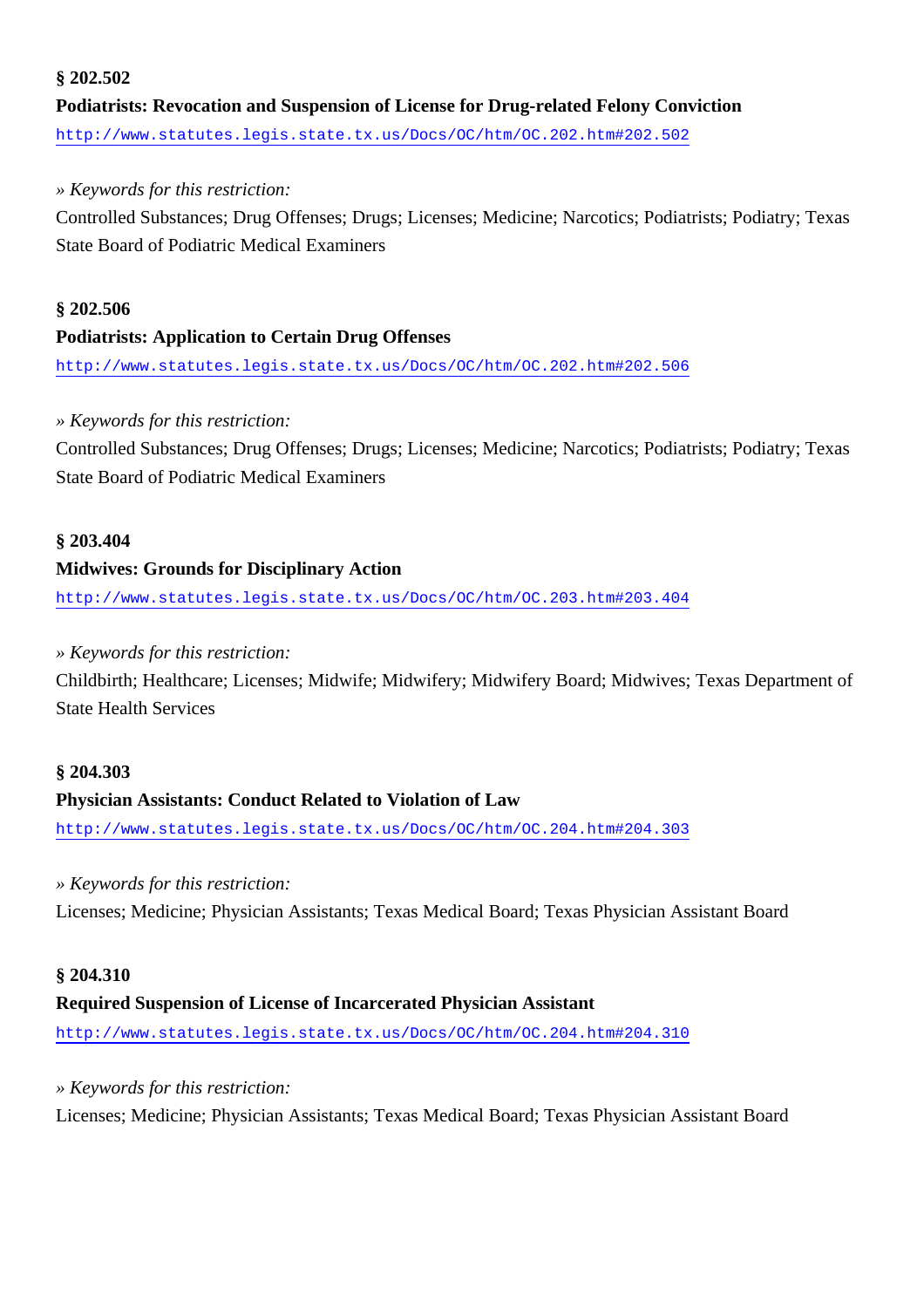#### **§ 202.502**

**Podiatrists: Revocation and Suspension of License for Drug-related Felony Conviction** <http://www.statutes.legis.state.tx.us/Docs/OC/htm/OC.202.htm#202.502>

#### *» Keywords for this restriction:*

Controlled Substances; Drug Offenses; Drugs; Licenses; Medicine; Narcotics; Podiatrists; Podiatry; Texas State Board of Podiatric Medical Examiners

#### **§ 202.506**

#### **Podiatrists: Application to Certain Drug Offenses**

<http://www.statutes.legis.state.tx.us/Docs/OC/htm/OC.202.htm#202.506>

#### *» Keywords for this restriction:*

Controlled Substances; Drug Offenses; Drugs; Licenses; Medicine; Narcotics; Podiatrists; Podiatry; Texas State Board of Podiatric Medical Examiners

#### **§ 203.404**

#### **Midwives: Grounds for Disciplinary Action**

<http://www.statutes.legis.state.tx.us/Docs/OC/htm/OC.203.htm#203.404>

#### *» Keywords for this restriction:*

Childbirth; Healthcare; Licenses; Midwife; Midwifery; Midwifery Board; Midwives; Texas Department of State Health Services

#### **§ 204.303**

#### **Physician Assistants: Conduct Related to Violation of Law**

<http://www.statutes.legis.state.tx.us/Docs/OC/htm/OC.204.htm#204.303>

#### *» Keywords for this restriction:*

Licenses; Medicine; Physician Assistants; Texas Medical Board; Texas Physician Assistant Board

#### **§ 204.310**

#### **Required Suspension of License of Incarcerated Physician Assistant**

<http://www.statutes.legis.state.tx.us/Docs/OC/htm/OC.204.htm#204.310>

*» Keywords for this restriction:*

Licenses; Medicine; Physician Assistants; Texas Medical Board; Texas Physician Assistant Board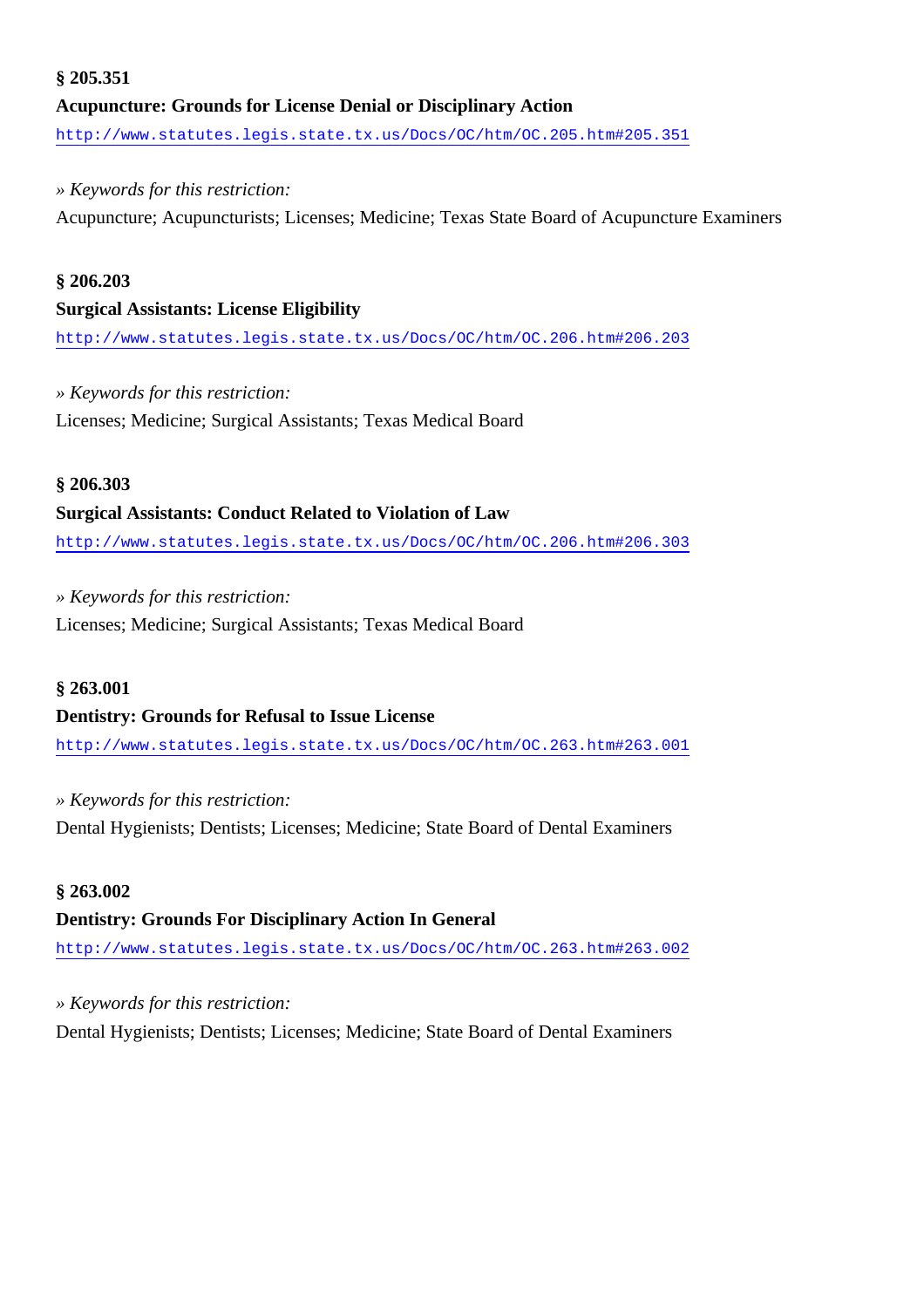### **§ 205.351 Acupuncture: Grounds for License Denial or Disciplinary Action** <http://www.statutes.legis.state.tx.us/Docs/OC/htm/OC.205.htm#205.351>

#### *» Keywords for this restriction:*

Acupuncture; Acupuncturists; Licenses; Medicine; Texas State Board of Acupuncture Examiners

#### **§ 206.203**

#### **Surgical Assistants: License Eligibility**

<http://www.statutes.legis.state.tx.us/Docs/OC/htm/OC.206.htm#206.203>

#### *» Keywords for this restriction:*

Licenses; Medicine; Surgical Assistants; Texas Medical Board

#### **§ 206.303**

#### **Surgical Assistants: Conduct Related to Violation of Law**

<http://www.statutes.legis.state.tx.us/Docs/OC/htm/OC.206.htm#206.303>

#### *» Keywords for this restriction:*

Licenses; Medicine; Surgical Assistants; Texas Medical Board

#### **§ 263.001**

#### **Dentistry: Grounds for Refusal to Issue License**

<http://www.statutes.legis.state.tx.us/Docs/OC/htm/OC.263.htm#263.001>

*» Keywords for this restriction:* Dental Hygienists; Dentists; Licenses; Medicine; State Board of Dental Examiners

#### **§ 263.002**

#### **Dentistry: Grounds For Disciplinary Action In General**

<http://www.statutes.legis.state.tx.us/Docs/OC/htm/OC.263.htm#263.002>

#### *» Keywords for this restriction:*

Dental Hygienists; Dentists; Licenses; Medicine; State Board of Dental Examiners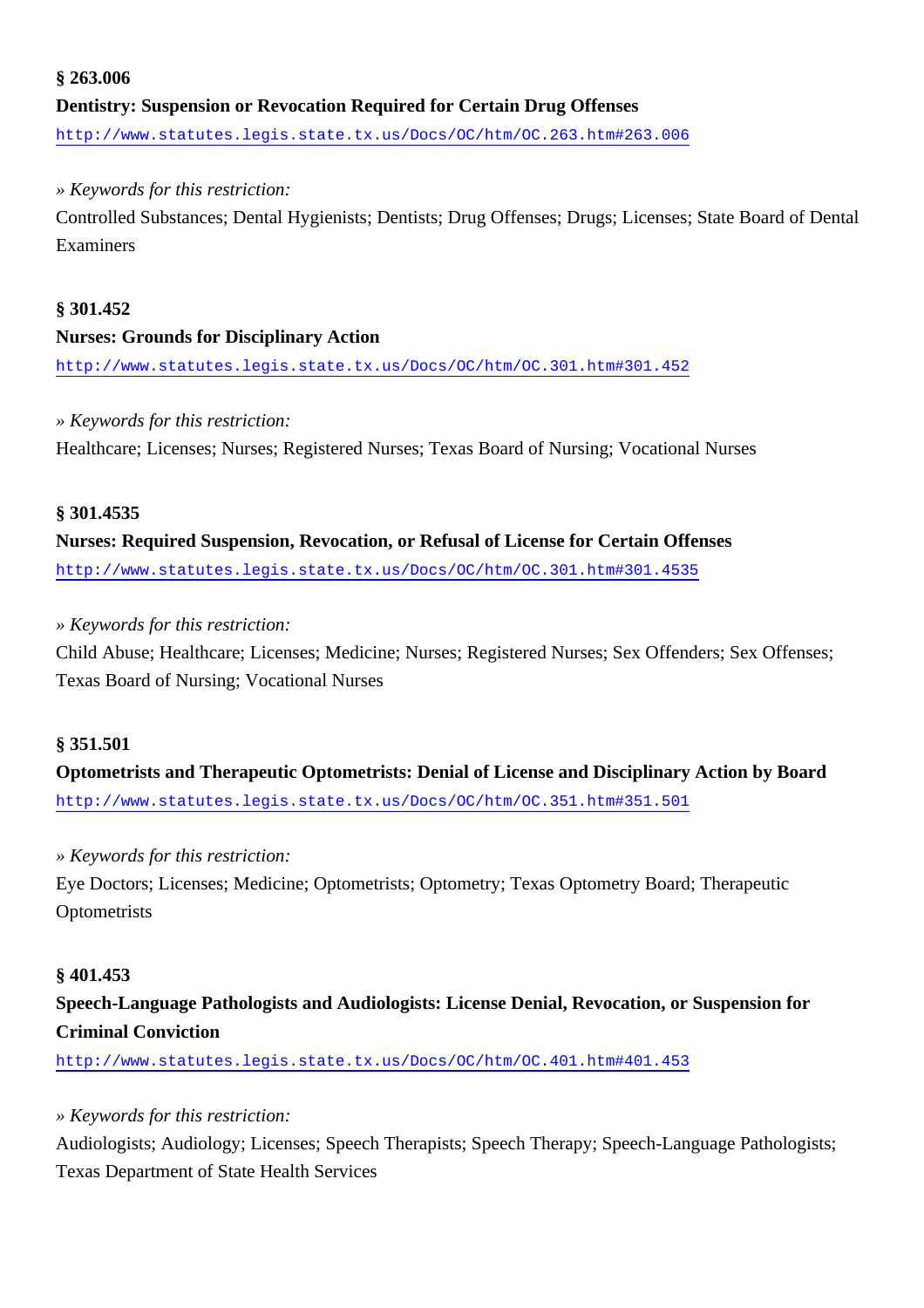### **§ 263.006 Dentistry: Suspension or Revocation Required for Certain Drug Offenses** <http://www.statutes.legis.state.tx.us/Docs/OC/htm/OC.263.htm#263.006>

#### *» Keywords for this restriction:*

Controlled Substances; Dental Hygienists; Dentists; Drug Offenses; Drugs; Licenses; State Board of Dental Examiners

#### **§ 301.452**

#### **Nurses: Grounds for Disciplinary Action**

<http://www.statutes.legis.state.tx.us/Docs/OC/htm/OC.301.htm#301.452>

#### *» Keywords for this restriction:*

Healthcare; Licenses; Nurses; Registered Nurses; Texas Board of Nursing; Vocational Nurses

#### **§ 301.4535**

**Nurses: Required Suspension, Revocation, or Refusal of License for Certain Offenses** <http://www.statutes.legis.state.tx.us/Docs/OC/htm/OC.301.htm#301.4535>

#### *» Keywords for this restriction:*

Child Abuse; Healthcare; Licenses; Medicine; Nurses; Registered Nurses; Sex Offenders; Sex Offenses; Texas Board of Nursing; Vocational Nurses

#### **§ 351.501**

**Optometrists and Therapeutic Optometrists: Denial of License and Disciplinary Action by Board** <http://www.statutes.legis.state.tx.us/Docs/OC/htm/OC.351.htm#351.501>

#### *» Keywords for this restriction:*

Eye Doctors; Licenses; Medicine; Optometrists; Optometry; Texas Optometry Board; Therapeutic **Optometrists** 

#### **§ 401.453**

### **Speech-Language Pathologists and Audiologists: License Denial, Revocation, or Suspension for Criminal Conviction**

<http://www.statutes.legis.state.tx.us/Docs/OC/htm/OC.401.htm#401.453>

#### *» Keywords for this restriction:*

Audiologists; Audiology; Licenses; Speech Therapists; Speech Therapy; Speech-Language Pathologists; Texas Department of State Health Services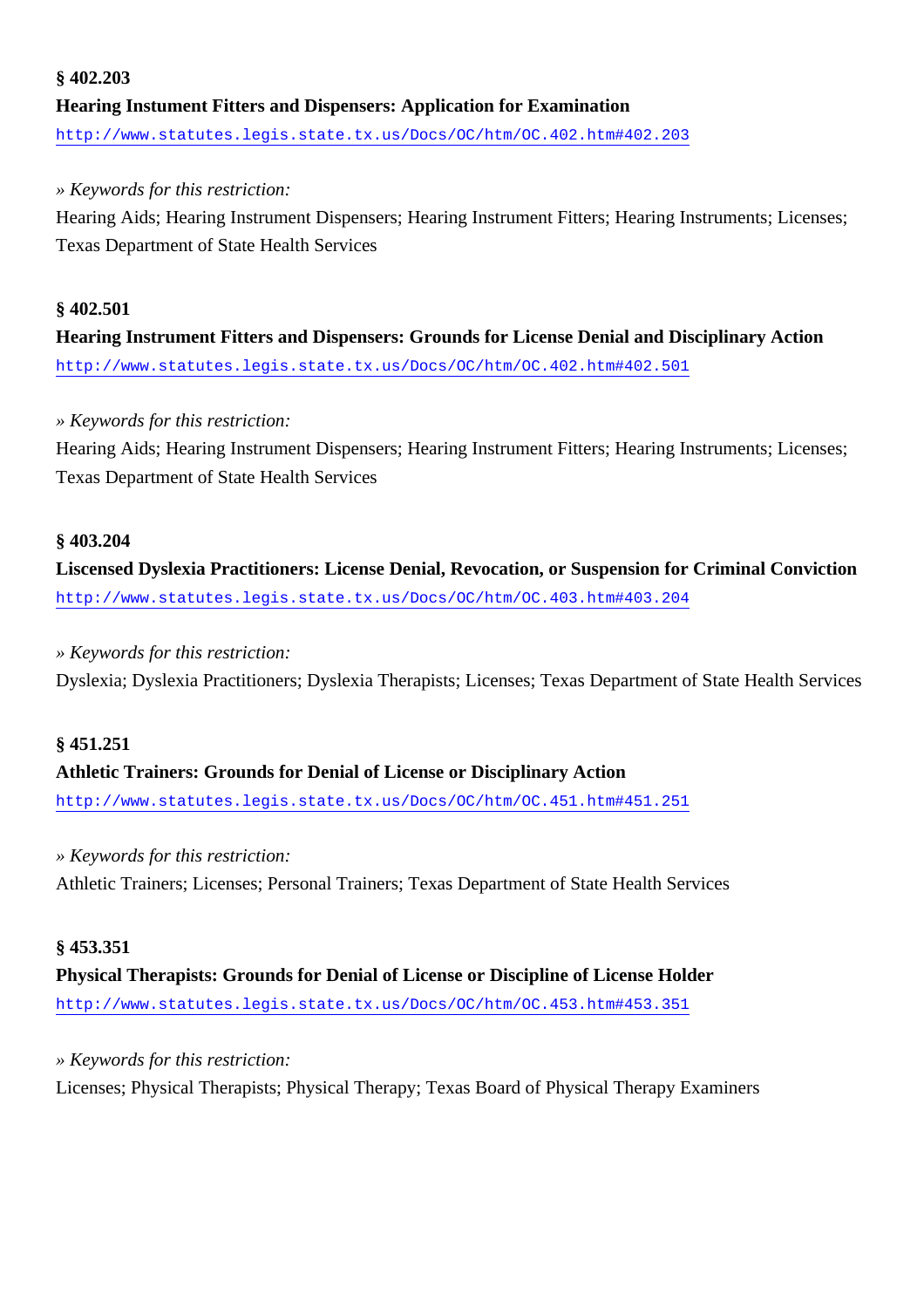### **§ 402.203 Hearing Instument Fitters and Dispensers: Application for Examination** <http://www.statutes.legis.state.tx.us/Docs/OC/htm/OC.402.htm#402.203>

#### *» Keywords for this restriction:*

Hearing Aids; Hearing Instrument Dispensers; Hearing Instrument Fitters; Hearing Instruments; Licenses; Texas Department of State Health Services

### **§ 402.501 Hearing Instrument Fitters and Dispensers: Grounds for License Denial and Disciplinary Action** <http://www.statutes.legis.state.tx.us/Docs/OC/htm/OC.402.htm#402.501>

#### *» Keywords for this restriction:*

Hearing Aids; Hearing Instrument Dispensers; Hearing Instrument Fitters; Hearing Instruments; Licenses; Texas Department of State Health Services

#### **§ 403.204**

**Liscensed Dyslexia Practitioners: License Denial, Revocation, or Suspension for Criminal Conviction** <http://www.statutes.legis.state.tx.us/Docs/OC/htm/OC.403.htm#403.204>

#### *» Keywords for this restriction:*

Dyslexia; Dyslexia Practitioners; Dyslexia Therapists; Licenses; Texas Department of State Health Services

#### **§ 451.251**

### **Athletic Trainers: Grounds for Denial of License or Disciplinary Action**

<http://www.statutes.legis.state.tx.us/Docs/OC/htm/OC.451.htm#451.251>

#### *» Keywords for this restriction:*

Athletic Trainers; Licenses; Personal Trainers; Texas Department of State Health Services

#### **§ 453.351**

### **Physical Therapists: Grounds for Denial of License or Discipline of License Holder** <http://www.statutes.legis.state.tx.us/Docs/OC/htm/OC.453.htm#453.351>

#### *» Keywords for this restriction:*

Licenses; Physical Therapists; Physical Therapy; Texas Board of Physical Therapy Examiners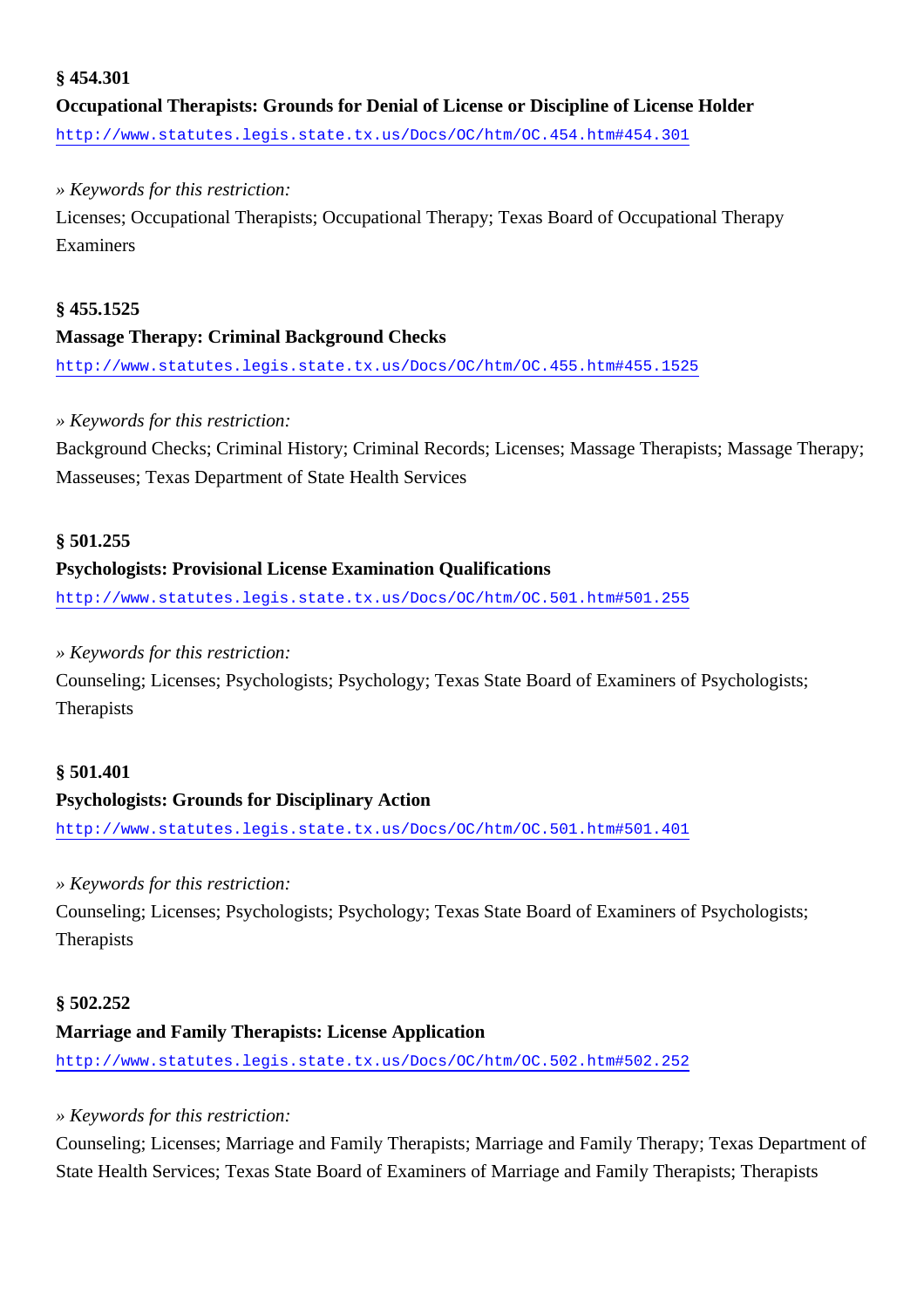#### **§ 454.301**

**Occupational Therapists: Grounds for Denial of License or Discipline of License Holder** <http://www.statutes.legis.state.tx.us/Docs/OC/htm/OC.454.htm#454.301>

#### *» Keywords for this restriction:*

Licenses; Occupational Therapists; Occupational Therapy; Texas Board of Occupational Therapy Examiners

#### **§ 455.1525**

#### **Massage Therapy: Criminal Background Checks**

<http://www.statutes.legis.state.tx.us/Docs/OC/htm/OC.455.htm#455.1525>

#### *» Keywords for this restriction:*

Background Checks; Criminal History; Criminal Records; Licenses; Massage Therapists; Massage Therapy; Masseuses; Texas Department of State Health Services

#### **§ 501.255**

#### **Psychologists: Provisional License Examination Qualifications**

<http://www.statutes.legis.state.tx.us/Docs/OC/htm/OC.501.htm#501.255>

#### *» Keywords for this restriction:*

Counseling; Licenses; Psychologists; Psychology; Texas State Board of Examiners of Psychologists; **Therapists** 

#### **§ 501.401 Psychologists: Grounds for Disciplinary Action**

<http://www.statutes.legis.state.tx.us/Docs/OC/htm/OC.501.htm#501.401>

#### *» Keywords for this restriction:*

Counseling; Licenses; Psychologists; Psychology; Texas State Board of Examiners of Psychologists; Therapists

#### **§ 502.252**

#### **Marriage and Family Therapists: License Application**

<http://www.statutes.legis.state.tx.us/Docs/OC/htm/OC.502.htm#502.252>

#### *» Keywords for this restriction:*

Counseling; Licenses; Marriage and Family Therapists; Marriage and Family Therapy; Texas Department of State Health Services; Texas State Board of Examiners of Marriage and Family Therapists; Therapists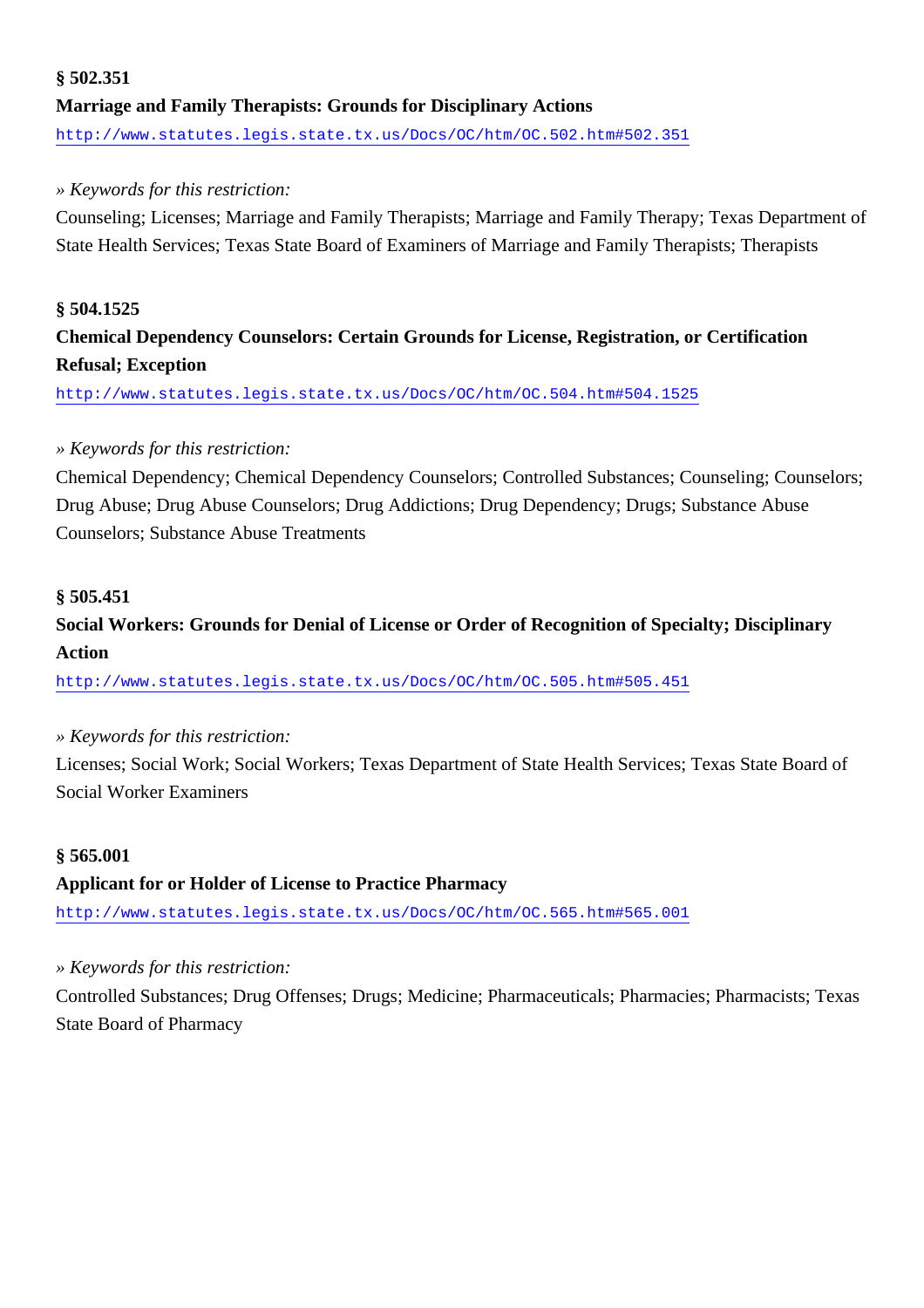### **§ 502.351 Marriage and Family Therapists: Grounds for Disciplinary Actions** <http://www.statutes.legis.state.tx.us/Docs/OC/htm/OC.502.htm#502.351>

#### *» Keywords for this restriction:*

Counseling; Licenses; Marriage and Family Therapists; Marriage and Family Therapy; Texas Department of State Health Services; Texas State Board of Examiners of Marriage and Family Therapists; Therapists

#### **§ 504.1525**

### **Chemical Dependency Counselors: Certain Grounds for License, Registration, or Certification Refusal; Exception**

<http://www.statutes.legis.state.tx.us/Docs/OC/htm/OC.504.htm#504.1525>

#### *» Keywords for this restriction:*

Chemical Dependency; Chemical Dependency Counselors; Controlled Substances; Counseling; Counselors; Drug Abuse; Drug Abuse Counselors; Drug Addictions; Drug Dependency; Drugs; Substance Abuse Counselors; Substance Abuse Treatments

#### **§ 505.451**

### **Social Workers: Grounds for Denial of License or Order of Recognition of Specialty; Disciplinary Action**

<http://www.statutes.legis.state.tx.us/Docs/OC/htm/OC.505.htm#505.451>

#### *» Keywords for this restriction:*

Licenses; Social Work; Social Workers; Texas Department of State Health Services; Texas State Board of Social Worker Examiners

#### **§ 565.001**

#### **Applicant for or Holder of License to Practice Pharmacy**

<http://www.statutes.legis.state.tx.us/Docs/OC/htm/OC.565.htm#565.001>

#### *» Keywords for this restriction:*

Controlled Substances; Drug Offenses; Drugs; Medicine; Pharmaceuticals; Pharmacies; Pharmacists; Texas State Board of Pharmacy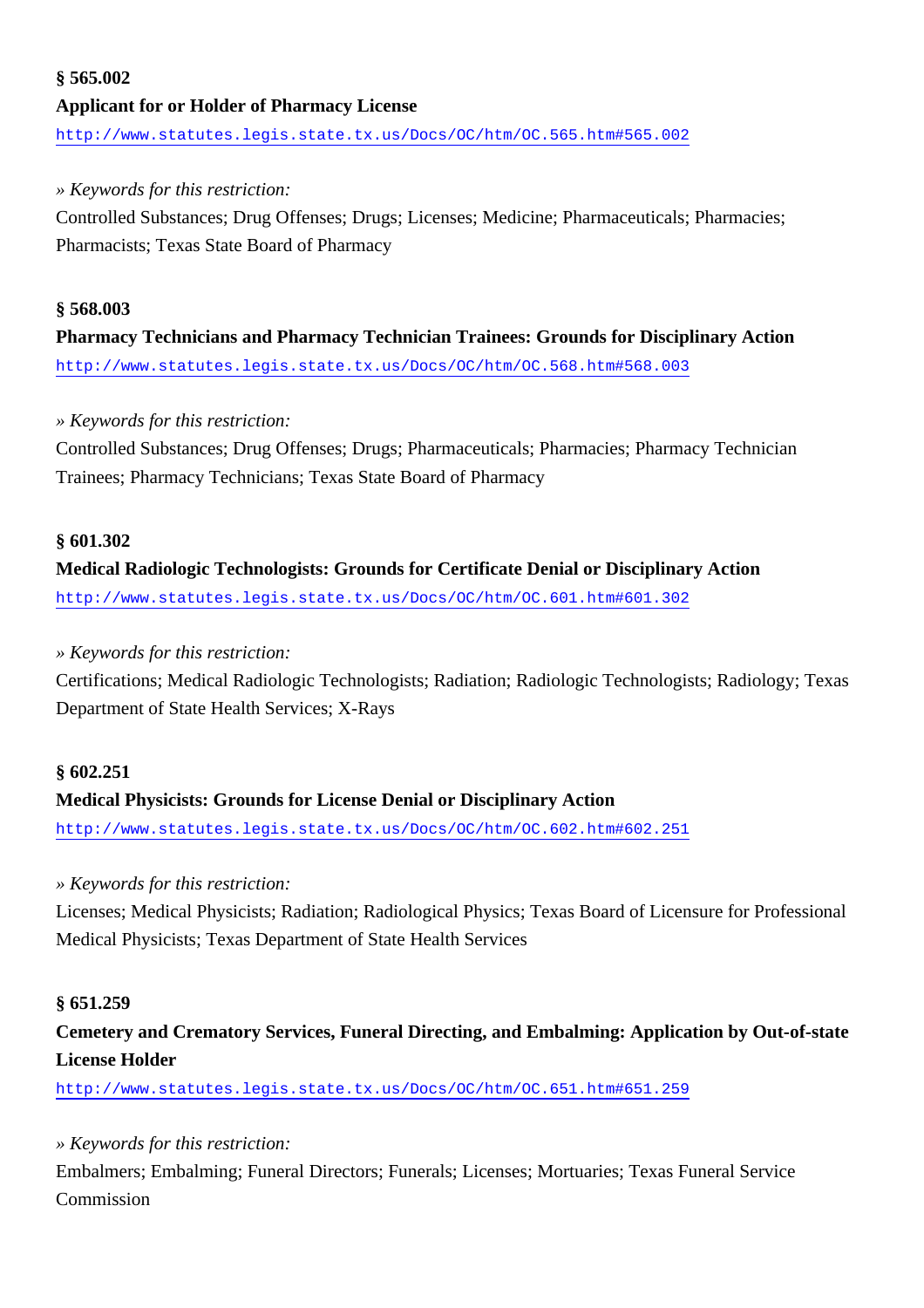### **§ 565.002 Applicant for or Holder of Pharmacy License** <http://www.statutes.legis.state.tx.us/Docs/OC/htm/OC.565.htm#565.002>

#### *» Keywords for this restriction:*

Controlled Substances; Drug Offenses; Drugs; Licenses; Medicine; Pharmaceuticals; Pharmacies; Pharmacists; Texas State Board of Pharmacy

#### **§ 568.003**

**Pharmacy Technicians and Pharmacy Technician Trainees: Grounds for Disciplinary Action** <http://www.statutes.legis.state.tx.us/Docs/OC/htm/OC.568.htm#568.003>

#### *» Keywords for this restriction:*

Controlled Substances; Drug Offenses; Drugs; Pharmaceuticals; Pharmacies; Pharmacy Technician Trainees; Pharmacy Technicians; Texas State Board of Pharmacy

#### **§ 601.302**

### **Medical Radiologic Technologists: Grounds for Certificate Denial or Disciplinary Action** <http://www.statutes.legis.state.tx.us/Docs/OC/htm/OC.601.htm#601.302>

#### *» Keywords for this restriction:*

Certifications; Medical Radiologic Technologists; Radiation; Radiologic Technologists; Radiology; Texas Department of State Health Services; X-Rays

#### **§ 602.251**

#### **Medical Physicists: Grounds for License Denial or Disciplinary Action**

<http://www.statutes.legis.state.tx.us/Docs/OC/htm/OC.602.htm#602.251>

#### *» Keywords for this restriction:*

Licenses; Medical Physicists; Radiation; Radiological Physics; Texas Board of Licensure for Professional Medical Physicists; Texas Department of State Health Services

#### **§ 651.259**

### **Cemetery and Crematory Services, Funeral Directing, and Embalming: Application by Out-of-state License Holder**

<http://www.statutes.legis.state.tx.us/Docs/OC/htm/OC.651.htm#651.259>

#### *» Keywords for this restriction:*

Embalmers; Embalming; Funeral Directors; Funerals; Licenses; Mortuaries; Texas Funeral Service Commission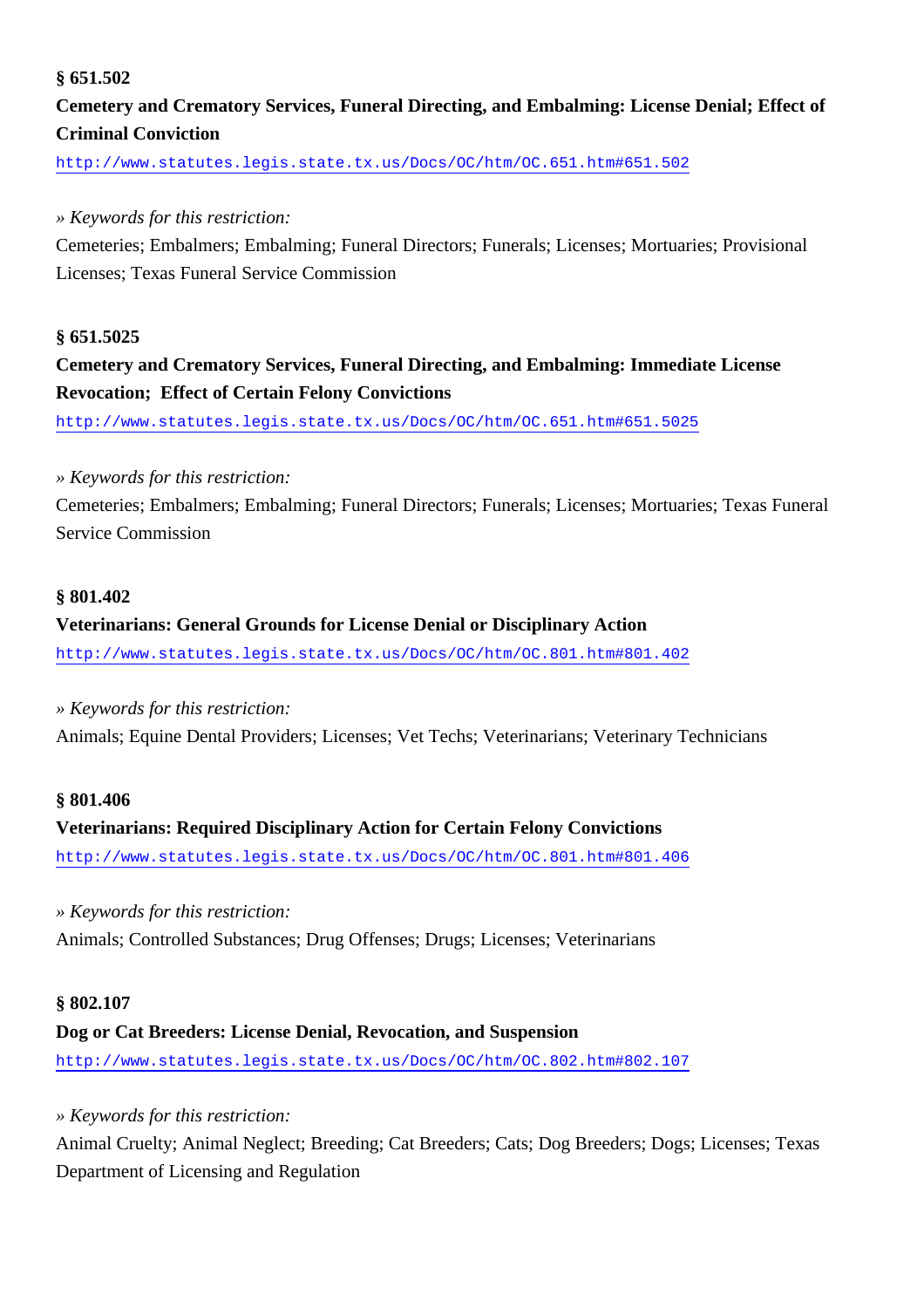#### **§ 651.502**

### **Cemetery and Crematory Services, Funeral Directing, and Embalming: License Denial; Effect of Criminal Conviction**

<http://www.statutes.legis.state.tx.us/Docs/OC/htm/OC.651.htm#651.502>

#### *» Keywords for this restriction:*

Cemeteries; Embalmers; Embalming; Funeral Directors; Funerals; Licenses; Mortuaries; Provisional Licenses; Texas Funeral Service Commission

#### **§ 651.5025**

### **Cemetery and Crematory Services, Funeral Directing, and Embalming: Immediate License Revocation; Effect of Certain Felony Convictions**

<http://www.statutes.legis.state.tx.us/Docs/OC/htm/OC.651.htm#651.5025>

#### *» Keywords for this restriction:*

Cemeteries; Embalmers; Embalming; Funeral Directors; Funerals; Licenses; Mortuaries; Texas Funeral Service Commission

#### **§ 801.402**

#### **Veterinarians: General Grounds for License Denial or Disciplinary Action**

<http://www.statutes.legis.state.tx.us/Docs/OC/htm/OC.801.htm#801.402>

#### *» Keywords for this restriction:*

Animals; Equine Dental Providers; Licenses; Vet Techs; Veterinarians; Veterinary Technicians

#### **§ 801.406**

## **Veterinarians: Required Disciplinary Action for Certain Felony Convictions** <http://www.statutes.legis.state.tx.us/Docs/OC/htm/OC.801.htm#801.406>

*» Keywords for this restriction:*

Animals; Controlled Substances; Drug Offenses; Drugs; Licenses; Veterinarians

#### **§ 802.107**

#### **Dog or Cat Breeders: License Denial, Revocation, and Suspension**

<http://www.statutes.legis.state.tx.us/Docs/OC/htm/OC.802.htm#802.107>

#### *» Keywords for this restriction:*

Animal Cruelty; Animal Neglect; Breeding; Cat Breeders; Cats; Dog Breeders; Dogs; Licenses; Texas Department of Licensing and Regulation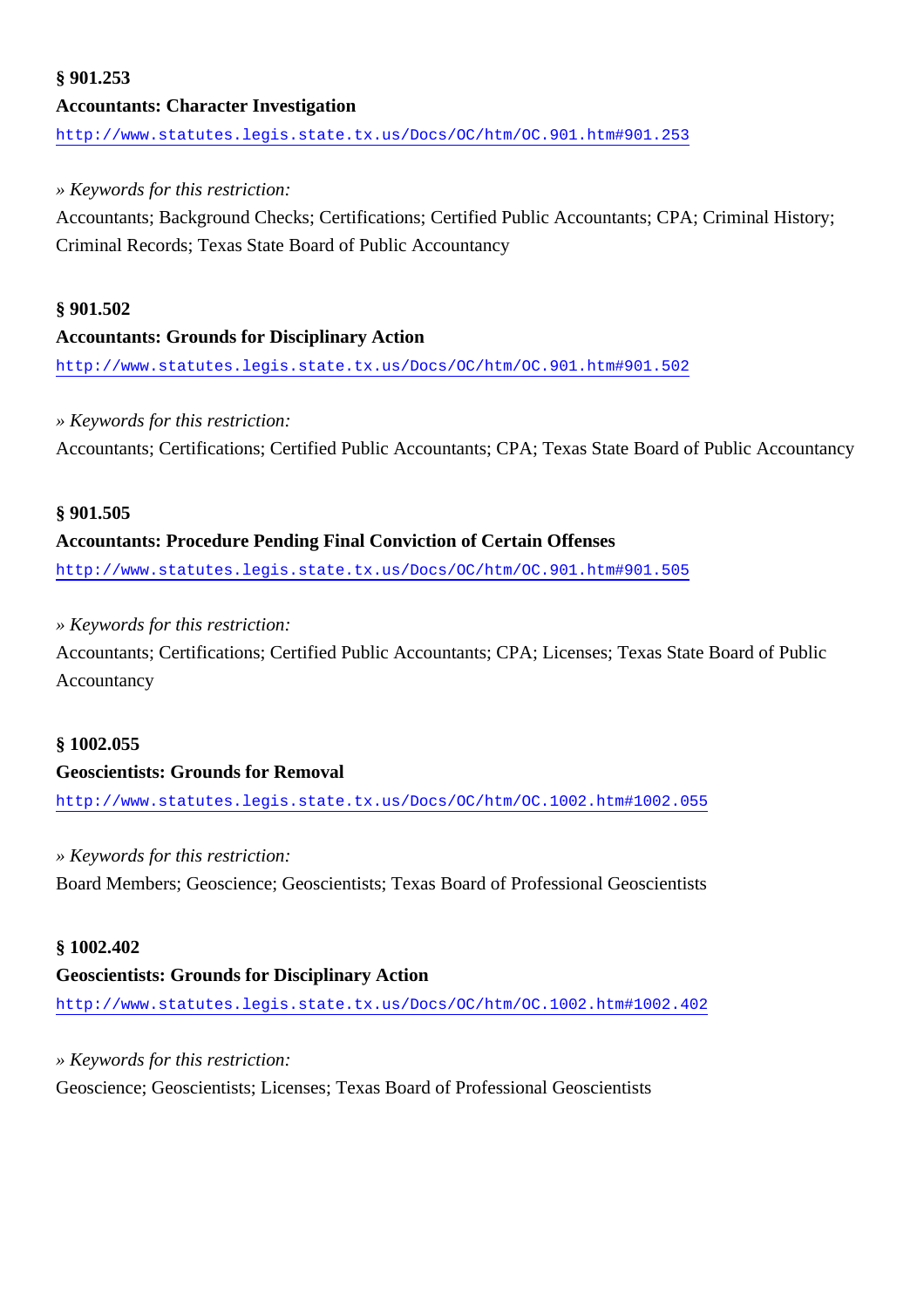### **§ 901.253 Accountants: Character Investigation** <http://www.statutes.legis.state.tx.us/Docs/OC/htm/OC.901.htm#901.253>

#### *» Keywords for this restriction:*

Accountants; Background Checks; Certifications; Certified Public Accountants; CPA; Criminal History; Criminal Records; Texas State Board of Public Accountancy

### **§ 901.502 Accountants: Grounds for Disciplinary Action**

<http://www.statutes.legis.state.tx.us/Docs/OC/htm/OC.901.htm#901.502>

#### *» Keywords for this restriction:*

Accountants; Certifications; Certified Public Accountants; CPA; Texas State Board of Public Accountancy

#### **§ 901.505**

#### **Accountants: Procedure Pending Final Conviction of Certain Offenses**

<http://www.statutes.legis.state.tx.us/Docs/OC/htm/OC.901.htm#901.505>

#### *» Keywords for this restriction:*

Accountants; Certifications; Certified Public Accountants; CPA; Licenses; Texas State Board of Public Accountancy

#### **§ 1002.055**

#### **Geoscientists: Grounds for Removal**

<http://www.statutes.legis.state.tx.us/Docs/OC/htm/OC.1002.htm#1002.055>

#### *» Keywords for this restriction:*

Board Members; Geoscience; Geoscientists; Texas Board of Professional Geoscientists

#### **§ 1002.402**

#### **Geoscientists: Grounds for Disciplinary Action**

<http://www.statutes.legis.state.tx.us/Docs/OC/htm/OC.1002.htm#1002.402>

#### *» Keywords for this restriction:*

Geoscience; Geoscientists; Licenses; Texas Board of Professional Geoscientists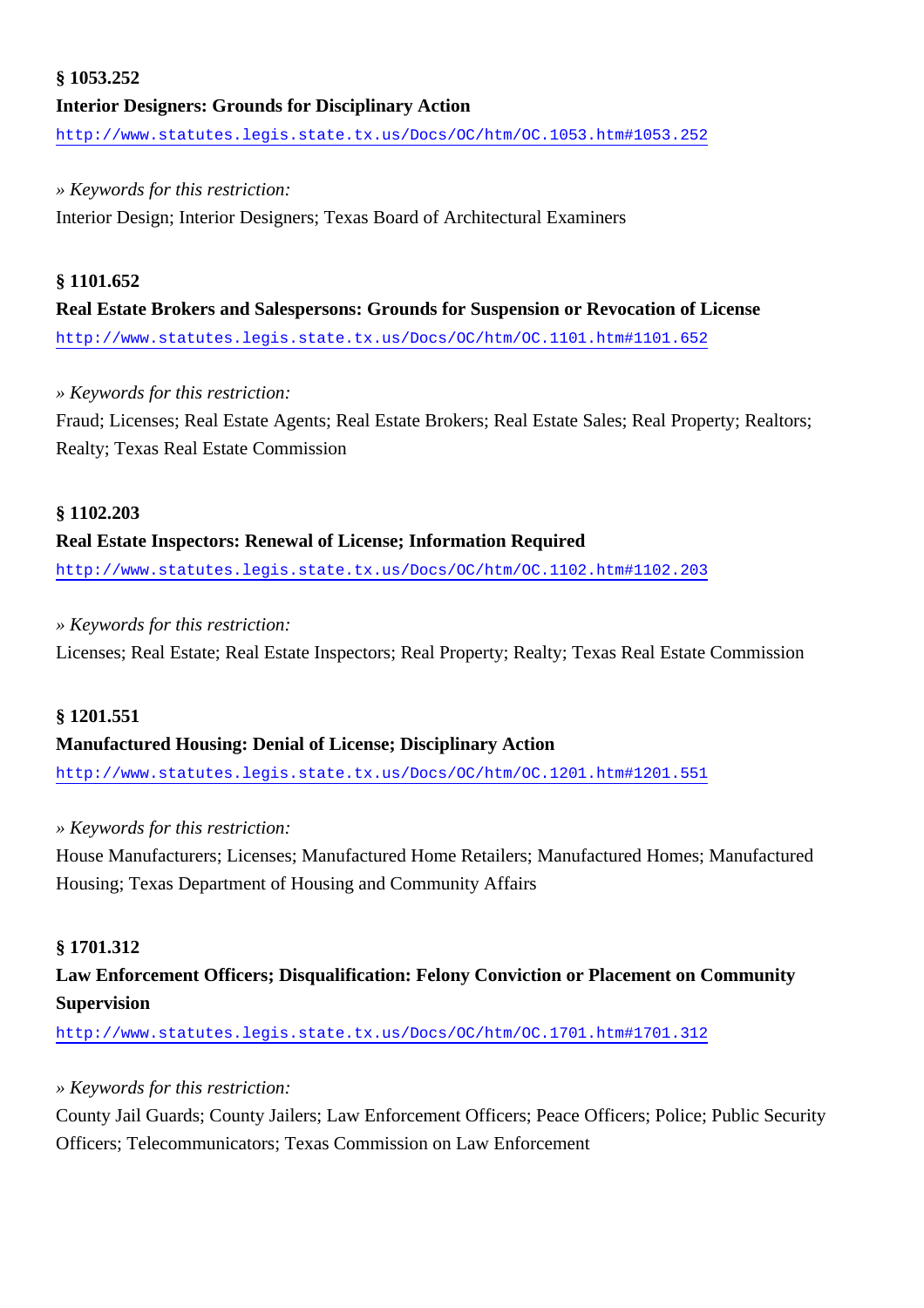### **§ 1053.252 Interior Designers: Grounds for Disciplinary Action** <http://www.statutes.legis.state.tx.us/Docs/OC/htm/OC.1053.htm#1053.252>

#### *» Keywords for this restriction:*

Interior Design; Interior Designers; Texas Board of Architectural Examiners

#### **§ 1101.652**

**Real Estate Brokers and Salespersons: Grounds for Suspension or Revocation of License** <http://www.statutes.legis.state.tx.us/Docs/OC/htm/OC.1101.htm#1101.652>

#### *» Keywords for this restriction:*

Fraud; Licenses; Real Estate Agents; Real Estate Brokers; Real Estate Sales; Real Property; Realtors; Realty; Texas Real Estate Commission

#### **§ 1102.203**

#### **Real Estate Inspectors: Renewal of License; Information Required**

<http://www.statutes.legis.state.tx.us/Docs/OC/htm/OC.1102.htm#1102.203>

#### *» Keywords for this restriction:*

Licenses; Real Estate; Real Estate Inspectors; Real Property; Realty; Texas Real Estate Commission

#### **§ 1201.551**

#### **Manufactured Housing: Denial of License; Disciplinary Action**

<http://www.statutes.legis.state.tx.us/Docs/OC/htm/OC.1201.htm#1201.551>

#### *» Keywords for this restriction:*

House Manufacturers; Licenses; Manufactured Home Retailers; Manufactured Homes; Manufactured Housing; Texas Department of Housing and Community Affairs

#### **§ 1701.312**

### **Law Enforcement Officers; Disqualification: Felony Conviction or Placement on Community Supervision**

<http://www.statutes.legis.state.tx.us/Docs/OC/htm/OC.1701.htm#1701.312>

#### *» Keywords for this restriction:*

County Jail Guards; County Jailers; Law Enforcement Officers; Peace Officers; Police; Public Security Officers; Telecommunicators; Texas Commission on Law Enforcement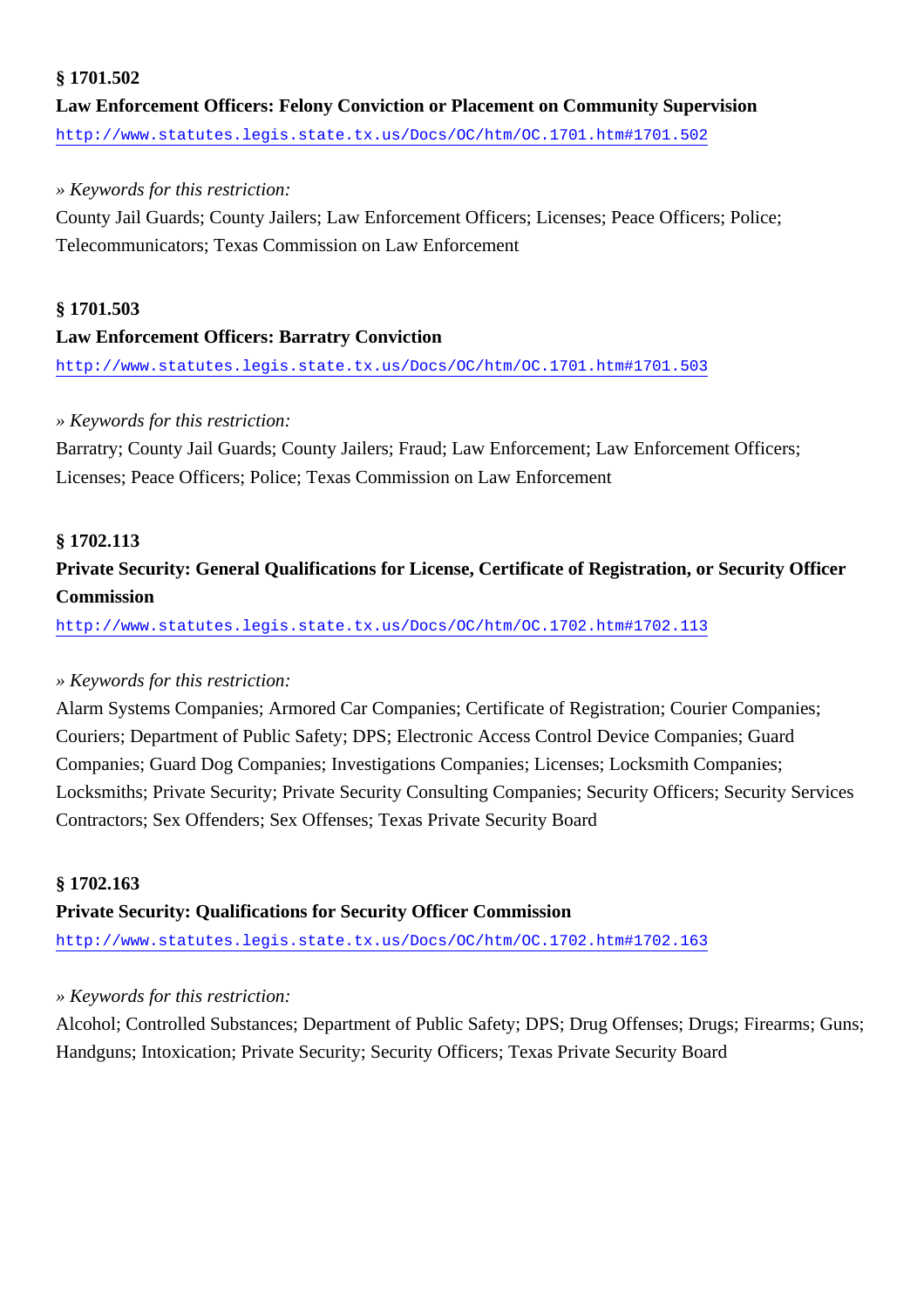#### **§ 1701.502**

**Law Enforcement Officers: Felony Conviction or Placement on Community Supervision** <http://www.statutes.legis.state.tx.us/Docs/OC/htm/OC.1701.htm#1701.502>

#### *» Keywords for this restriction:*

County Jail Guards; County Jailers; Law Enforcement Officers; Licenses; Peace Officers; Police; Telecommunicators; Texas Commission on Law Enforcement

#### **§ 1701.503**

#### **Law Enforcement Officers: Barratry Conviction**

<http://www.statutes.legis.state.tx.us/Docs/OC/htm/OC.1701.htm#1701.503>

#### *» Keywords for this restriction:*

Barratry; County Jail Guards; County Jailers; Fraud; Law Enforcement; Law Enforcement Officers; Licenses; Peace Officers; Police; Texas Commission on Law Enforcement

#### **§ 1702.113**

### **Private Security: General Qualifications for License, Certificate of Registration, or Security Officer Commission**

<http://www.statutes.legis.state.tx.us/Docs/OC/htm/OC.1702.htm#1702.113>

#### *» Keywords for this restriction:*

Alarm Systems Companies; Armored Car Companies; Certificate of Registration; Courier Companies; Couriers; Department of Public Safety; DPS; Electronic Access Control Device Companies; Guard Companies; Guard Dog Companies; Investigations Companies; Licenses; Locksmith Companies; Locksmiths; Private Security; Private Security Consulting Companies; Security Officers; Security Services Contractors; Sex Offenders; Sex Offenses; Texas Private Security Board

#### **§ 1702.163**

#### **Private Security: Qualifications for Security Officer Commission**

<http://www.statutes.legis.state.tx.us/Docs/OC/htm/OC.1702.htm#1702.163>

#### *» Keywords for this restriction:*

Alcohol; Controlled Substances; Department of Public Safety; DPS; Drug Offenses; Drugs; Firearms; Guns; Handguns; Intoxication; Private Security; Security Officers; Texas Private Security Board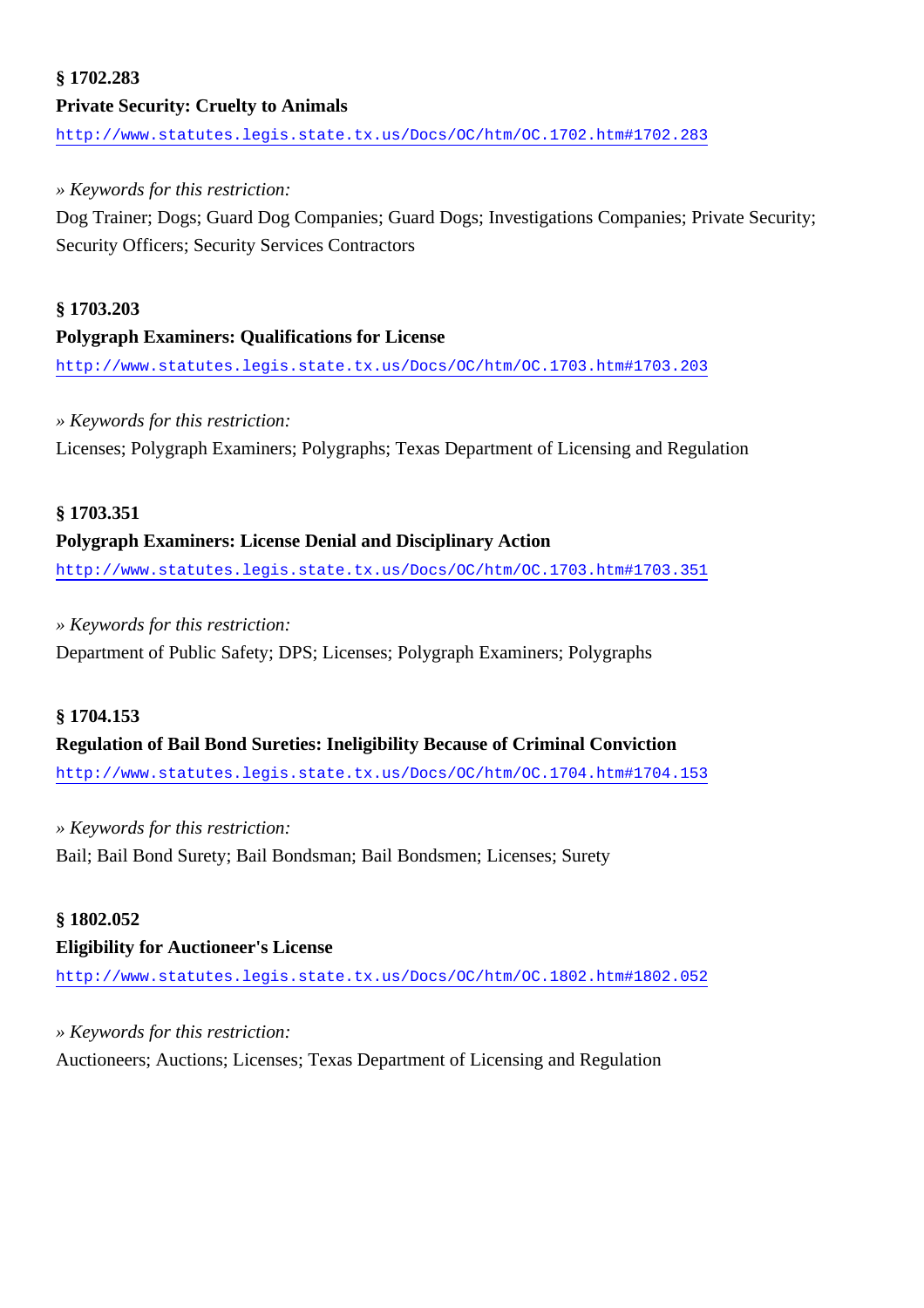# **§ 1702.283 Private Security: Cruelty to Animals**

<http://www.statutes.legis.state.tx.us/Docs/OC/htm/OC.1702.htm#1702.283>

#### *» Keywords for this restriction:*

Dog Trainer; Dogs; Guard Dog Companies; Guard Dogs; Investigations Companies; Private Security; Security Officers; Security Services Contractors

#### **§ 1703.203**

#### **Polygraph Examiners: Qualifications for License**

<http://www.statutes.legis.state.tx.us/Docs/OC/htm/OC.1703.htm#1703.203>

#### *» Keywords for this restriction:*

Licenses; Polygraph Examiners; Polygraphs; Texas Department of Licensing and Regulation

#### **§ 1703.351**

#### **Polygraph Examiners: License Denial and Disciplinary Action**

<http://www.statutes.legis.state.tx.us/Docs/OC/htm/OC.1703.htm#1703.351>

#### *» Keywords for this restriction:*

Department of Public Safety; DPS; Licenses; Polygraph Examiners; Polygraphs

#### **§ 1704.153**

#### **Regulation of Bail Bond Sureties: Ineligibility Because of Criminal Conviction**

<http://www.statutes.legis.state.tx.us/Docs/OC/htm/OC.1704.htm#1704.153>

#### *» Keywords for this restriction:*

Bail; Bail Bond Surety; Bail Bondsman; Bail Bondsmen; Licenses; Surety

#### **§ 1802.052**

#### **Eligibility for Auctioneer's License**

<http://www.statutes.legis.state.tx.us/Docs/OC/htm/OC.1802.htm#1802.052>

#### *» Keywords for this restriction:*

Auctioneers; Auctions; Licenses; Texas Department of Licensing and Regulation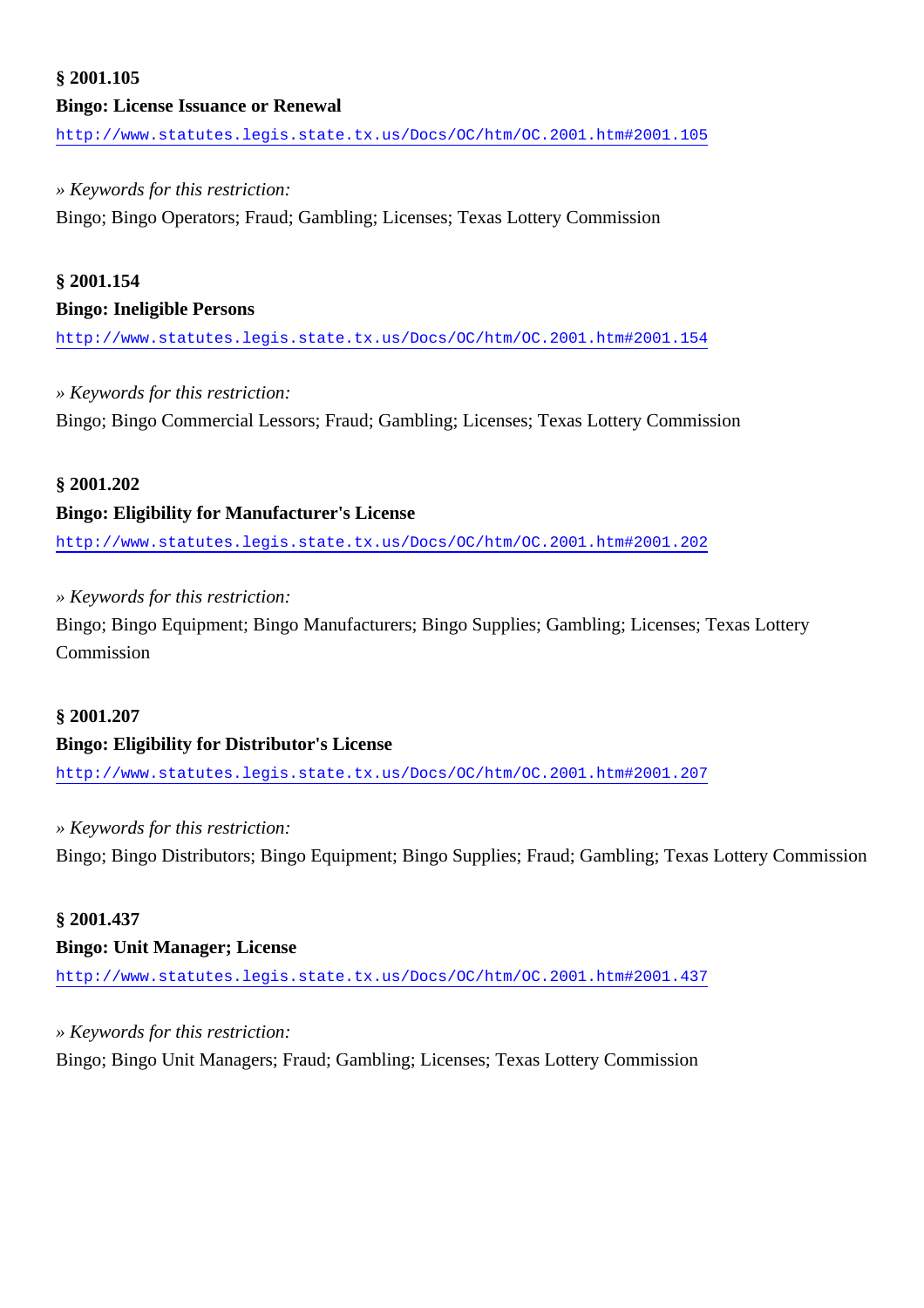# **§ 2001.105 Bingo: License Issuance or Renewal**

<http://www.statutes.legis.state.tx.us/Docs/OC/htm/OC.2001.htm#2001.105>

#### *» Keywords for this restriction:*

Bingo; Bingo Operators; Fraud; Gambling; Licenses; Texas Lottery Commission

#### **§ 2001.154**

#### **Bingo: Ineligible Persons**

<http://www.statutes.legis.state.tx.us/Docs/OC/htm/OC.2001.htm#2001.154>

### *» Keywords for this restriction:*

Bingo; Bingo Commercial Lessors; Fraud; Gambling; Licenses; Texas Lottery Commission

#### **§ 2001.202**

#### **Bingo: Eligibility for Manufacturer's License**

<http://www.statutes.legis.state.tx.us/Docs/OC/htm/OC.2001.htm#2001.202>

#### *» Keywords for this restriction:*

Bingo; Bingo Equipment; Bingo Manufacturers; Bingo Supplies; Gambling; Licenses; Texas Lottery Commission

#### **§ 2001.207**

#### **Bingo: Eligibility for Distributor's License**

<http://www.statutes.legis.state.tx.us/Docs/OC/htm/OC.2001.htm#2001.207>

#### *» Keywords for this restriction:*

Bingo; Bingo Distributors; Bingo Equipment; Bingo Supplies; Fraud; Gambling; Texas Lottery Commission

#### **§ 2001.437**

#### **Bingo: Unit Manager; License**

<http://www.statutes.legis.state.tx.us/Docs/OC/htm/OC.2001.htm#2001.437>

#### *» Keywords for this restriction:*

Bingo; Bingo Unit Managers; Fraud; Gambling; Licenses; Texas Lottery Commission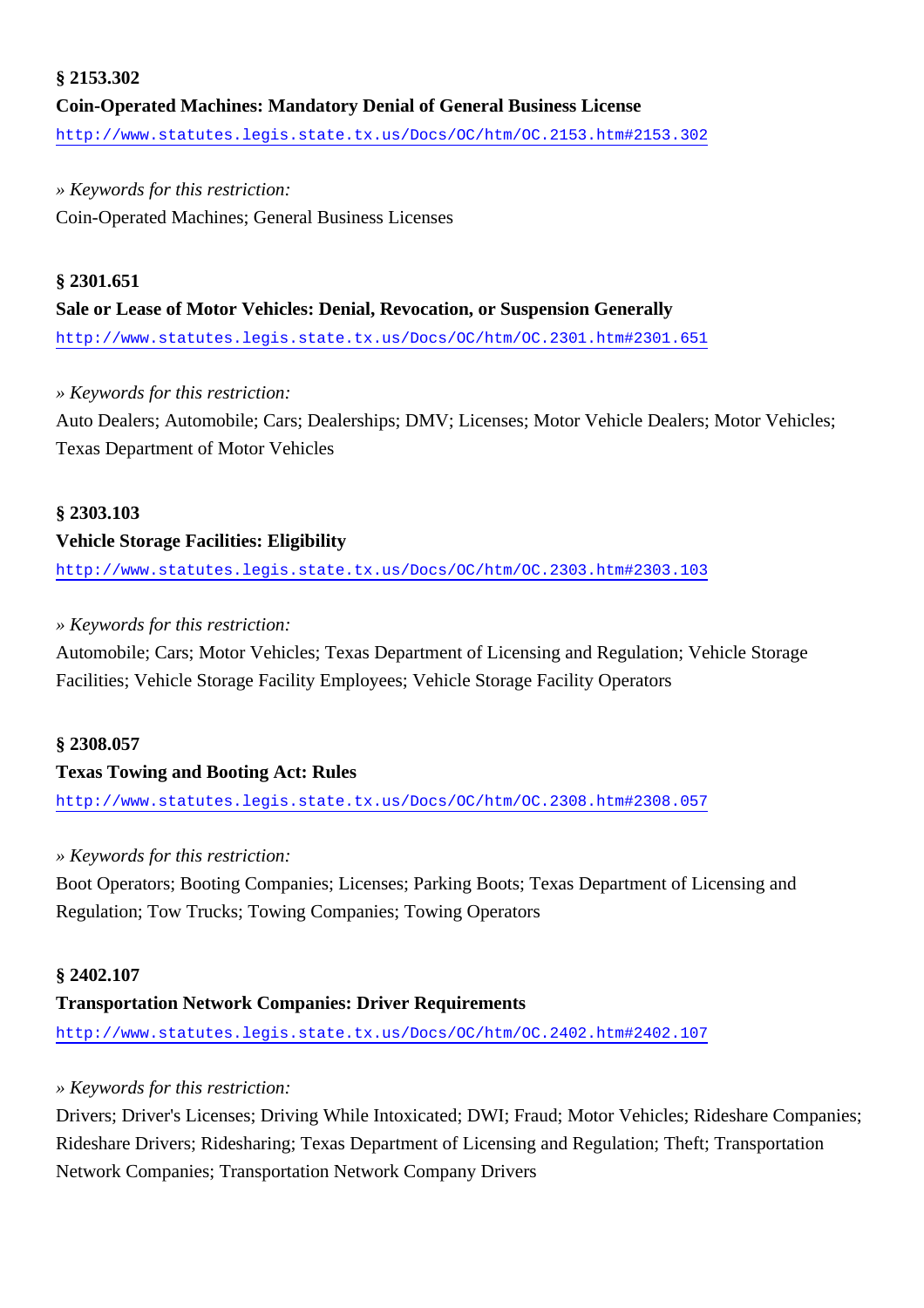### **§ 2153.302 Coin-Operated Machines: Mandatory Denial of General Business License** <http://www.statutes.legis.state.tx.us/Docs/OC/htm/OC.2153.htm#2153.302>

### *» Keywords for this restriction:*

Coin-Operated Machines; General Business Licenses

#### **§ 2301.651**

#### **Sale or Lease of Motor Vehicles: Denial, Revocation, or Suspension Generally**

<http://www.statutes.legis.state.tx.us/Docs/OC/htm/OC.2301.htm#2301.651>

#### *» Keywords for this restriction:*

Auto Dealers; Automobile; Cars; Dealerships; DMV; Licenses; Motor Vehicle Dealers; Motor Vehicles; Texas Department of Motor Vehicles

#### **§ 2303.103**

#### **Vehicle Storage Facilities: Eligibility**

<http://www.statutes.legis.state.tx.us/Docs/OC/htm/OC.2303.htm#2303.103>

#### *» Keywords for this restriction:*

Automobile; Cars; Motor Vehicles; Texas Department of Licensing and Regulation; Vehicle Storage Facilities; Vehicle Storage Facility Employees; Vehicle Storage Facility Operators

#### **§ 2308.057**

#### **Texas Towing and Booting Act: Rules**

<http://www.statutes.legis.state.tx.us/Docs/OC/htm/OC.2308.htm#2308.057>

#### *» Keywords for this restriction:*

Boot Operators; Booting Companies; Licenses; Parking Boots; Texas Department of Licensing and Regulation; Tow Trucks; Towing Companies; Towing Operators

#### **§ 2402.107**

### **Transportation Network Companies: Driver Requirements**

<http://www.statutes.legis.state.tx.us/Docs/OC/htm/OC.2402.htm#2402.107>

### *» Keywords for this restriction:*

Drivers; Driver's Licenses; Driving While Intoxicated; DWI; Fraud; Motor Vehicles; Rideshare Companies; Rideshare Drivers; Ridesharing; Texas Department of Licensing and Regulation; Theft; Transportation Network Companies; Transportation Network Company Drivers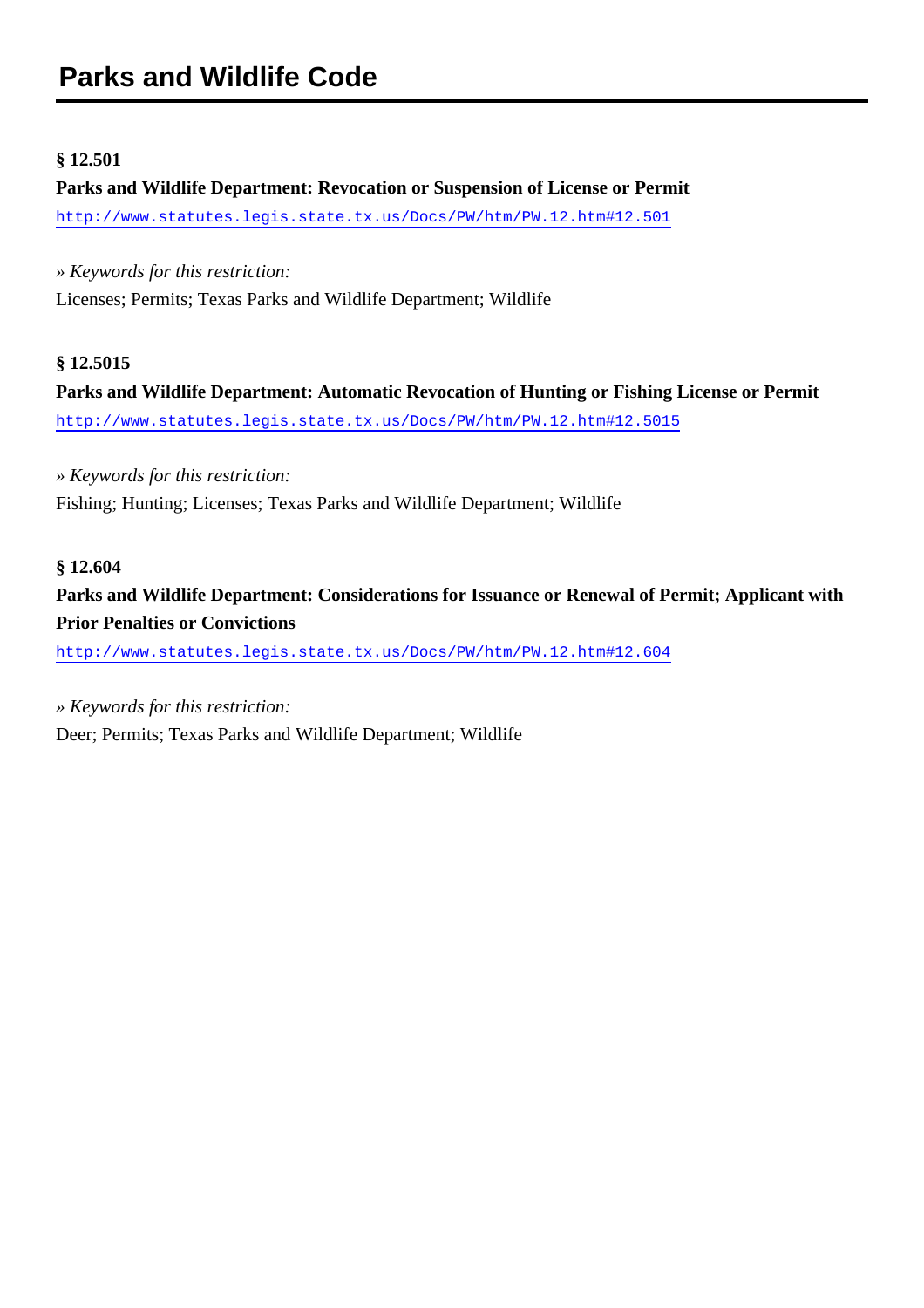#### **§ 12.501**

# **Parks and Wildlife Department: Revocation or Suspension of License or Permit**

<http://www.statutes.legis.state.tx.us/Docs/PW/htm/PW.12.htm#12.501>

*» Keywords for this restriction:*

Licenses; Permits; Texas Parks and Wildlife Department; Wildlife

#### **§ 12.5015**

**Parks and Wildlife Department: Automatic Revocation of Hunting or Fishing License or Permit** <http://www.statutes.legis.state.tx.us/Docs/PW/htm/PW.12.htm#12.5015>

*» Keywords for this restriction:* Fishing; Hunting; Licenses; Texas Parks and Wildlife Department; Wildlife

#### **§ 12.604**

**Parks and Wildlife Department: Considerations for Issuance or Renewal of Permit; Applicant with Prior Penalties or Convictions**

<http://www.statutes.legis.state.tx.us/Docs/PW/htm/PW.12.htm#12.604>

*» Keywords for this restriction:*

Deer; Permits; Texas Parks and Wildlife Department; Wildlife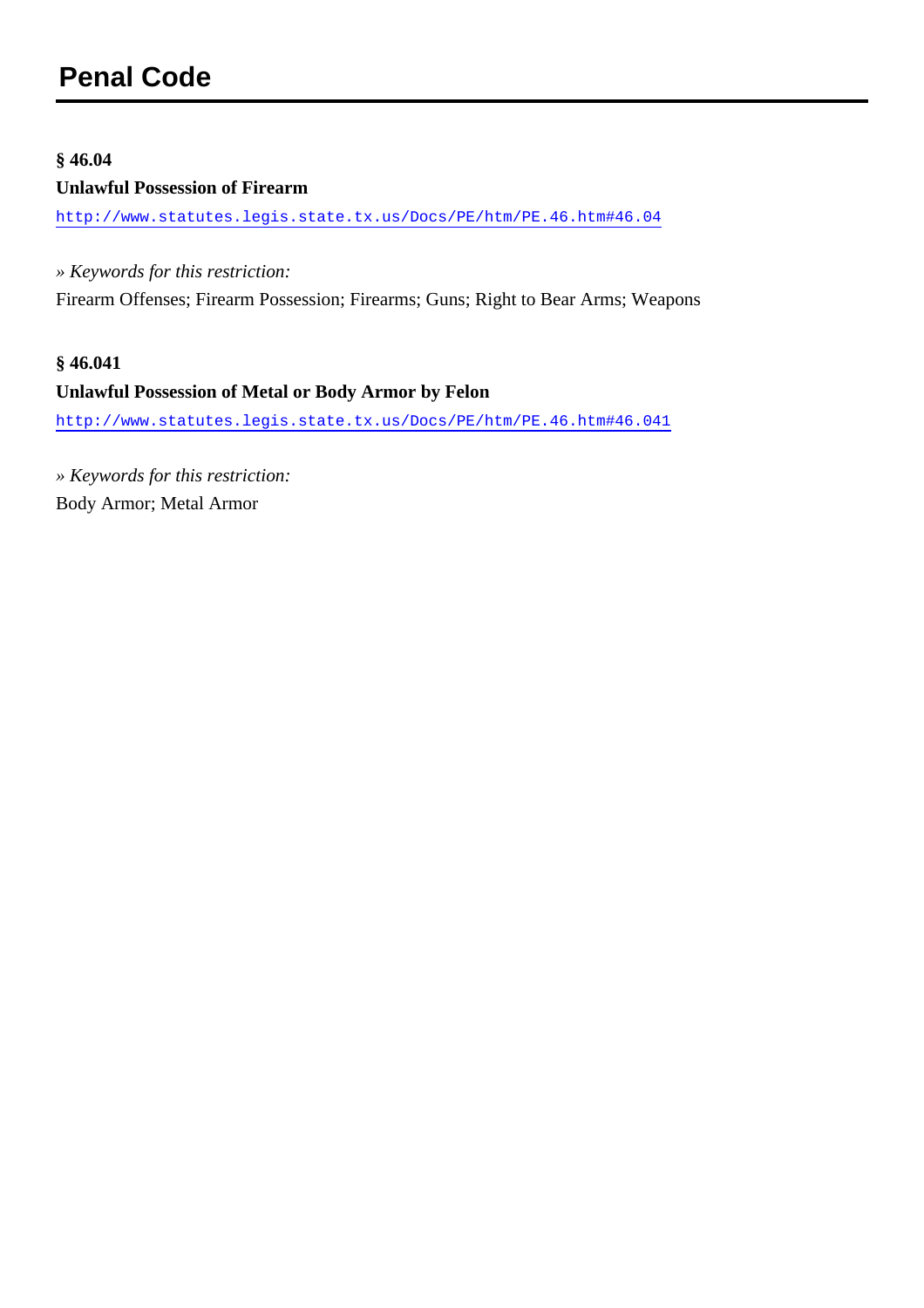#### **§ 46.04**

#### **Unlawful Possession of Firearm**

<http://www.statutes.legis.state.tx.us/Docs/PE/htm/PE.46.htm#46.04>

*» Keywords for this restriction:*

Firearm Offenses; Firearm Possession; Firearms; Guns; Right to Bear Arms; Weapons

#### **§ 46.041**

#### **Unlawful Possession of Metal or Body Armor by Felon**

<http://www.statutes.legis.state.tx.us/Docs/PE/htm/PE.46.htm#46.041>

*» Keywords for this restriction:* Body Armor; Metal Armor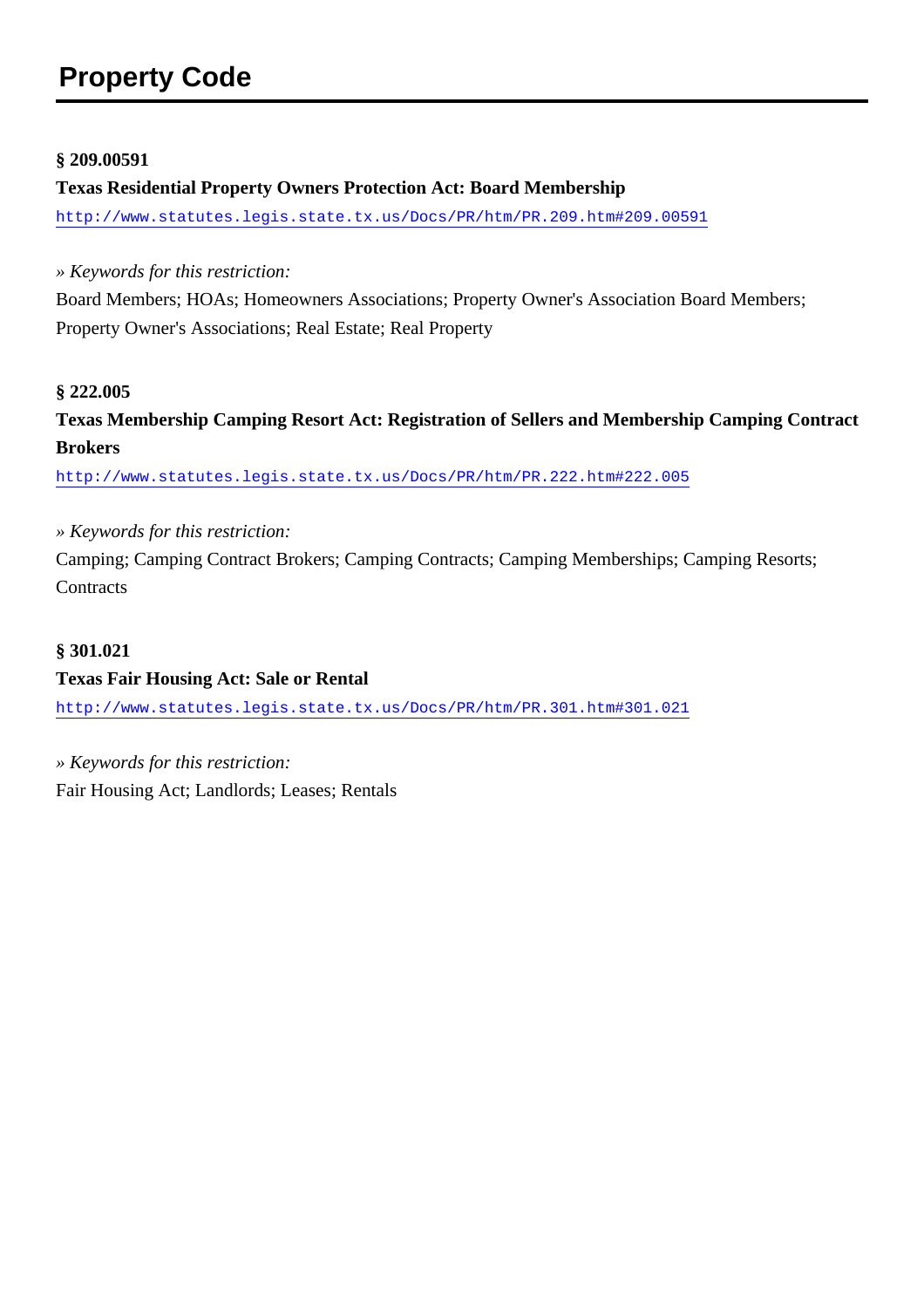# **Property Code**

#### **§ 209.00591**

#### **Texas Residential Property Owners Protection Act: Board Membership**

<http://www.statutes.legis.state.tx.us/Docs/PR/htm/PR.209.htm#209.00591>

*» Keywords for this restriction:*

Board Members; HOAs; Homeowners Associations; Property Owner's Association Board Members; Property Owner's Associations; Real Estate; Real Property

#### **§ 222.005**

**Texas Membership Camping Resort Act: Registration of Sellers and Membership Camping Contract Brokers**

<http://www.statutes.legis.state.tx.us/Docs/PR/htm/PR.222.htm#222.005>

*» Keywords for this restriction:*

Camping; Camping Contract Brokers; Camping Contracts; Camping Memberships; Camping Resorts; **Contracts** 

#### **§ 301.021**

#### **Texas Fair Housing Act: Sale or Rental**

<http://www.statutes.legis.state.tx.us/Docs/PR/htm/PR.301.htm#301.021>

*» Keywords for this restriction:* Fair Housing Act; Landlords; Leases; Rentals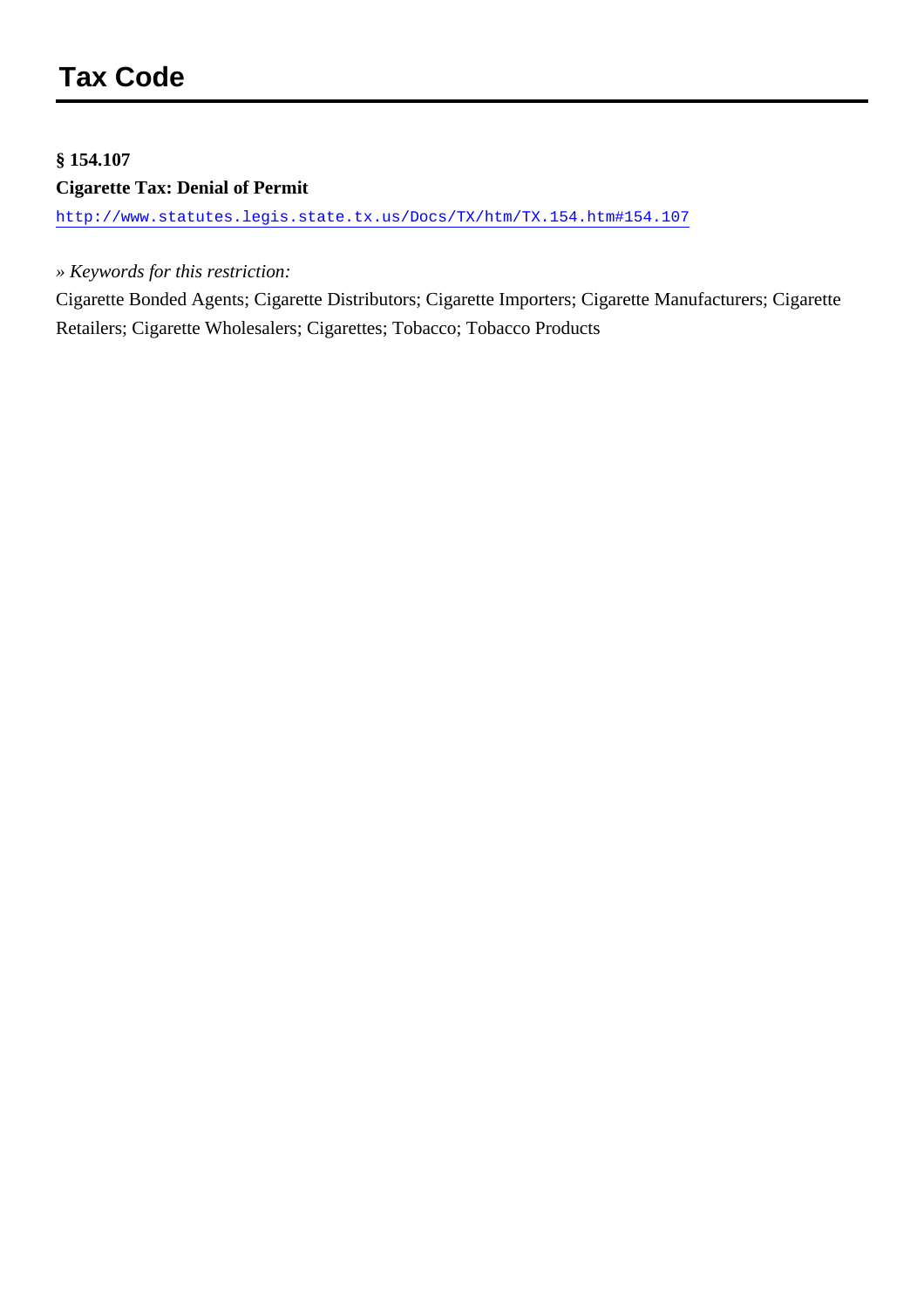#### **§ 154.107**

#### **Cigarette Tax: Denial of Permit**

<http://www.statutes.legis.state.tx.us/Docs/TX/htm/TX.154.htm#154.107>

#### *» Keywords for this restriction:*

Cigarette Bonded Agents; Cigarette Distributors; Cigarette Importers; Cigarette Manufacturers; Cigarette Retailers; Cigarette Wholesalers; Cigarettes; Tobacco; Tobacco Products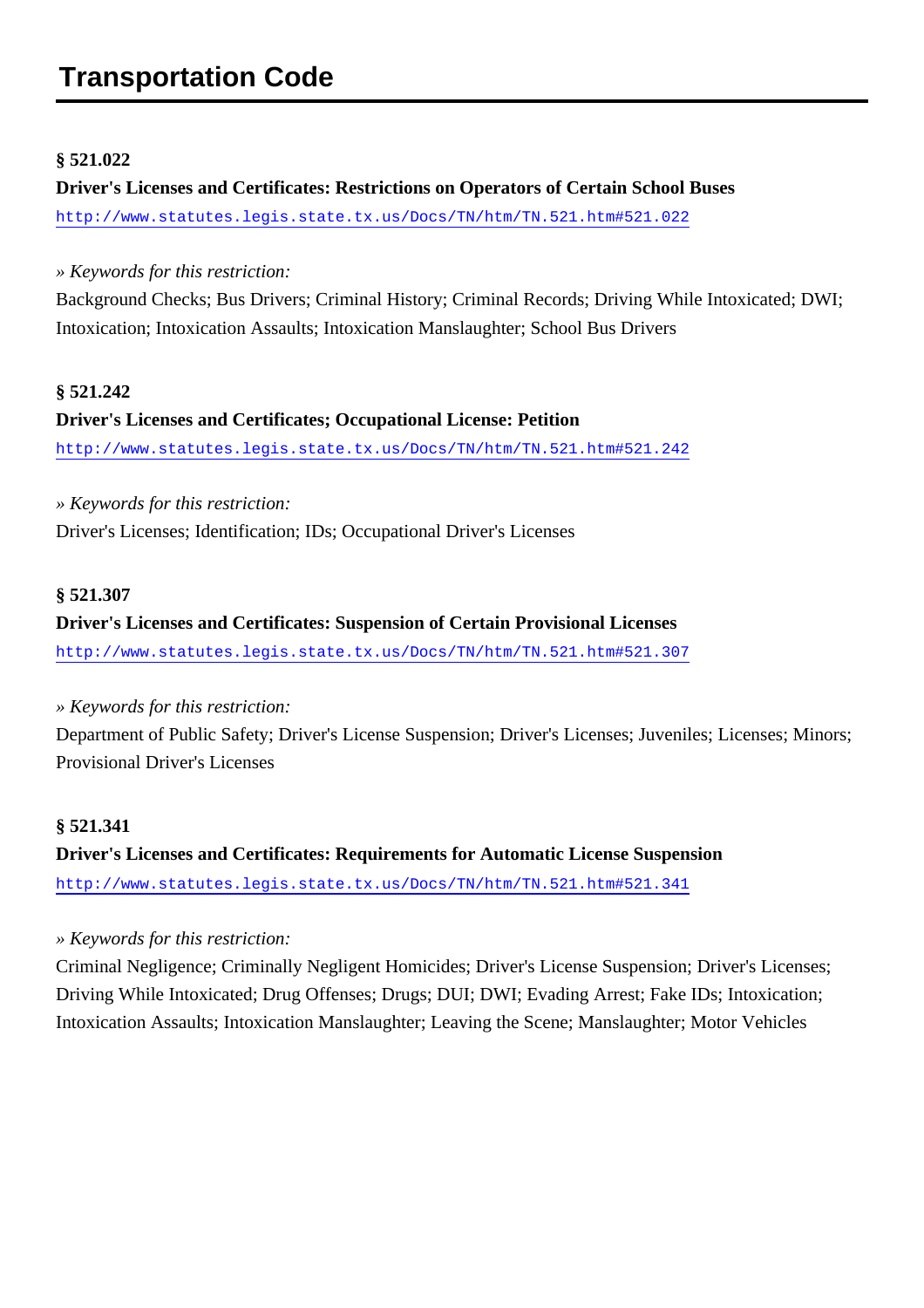# **Transportation Code**

#### **§ 521.022**

### **Driver's Licenses and Certificates: Restrictions on Operators of Certain School Buses** <http://www.statutes.legis.state.tx.us/Docs/TN/htm/TN.521.htm#521.022>

#### *» Keywords for this restriction:*

Background Checks; Bus Drivers; Criminal History; Criminal Records; Driving While Intoxicated; DWI; Intoxication; Intoxication Assaults; Intoxication Manslaughter; School Bus Drivers

#### **§ 521.242**

### **Driver's Licenses and Certificates; Occupational License: Petition** <http://www.statutes.legis.state.tx.us/Docs/TN/htm/TN.521.htm#521.242>

*» Keywords for this restriction:* Driver's Licenses; Identification; IDs; Occupational Driver's Licenses

#### **§ 521.307**

## **Driver's Licenses and Certificates: Suspension of Certain Provisional Licenses**

<http://www.statutes.legis.state.tx.us/Docs/TN/htm/TN.521.htm#521.307>

#### *» Keywords for this restriction:*

Department of Public Safety; Driver's License Suspension; Driver's Licenses; Juveniles; Licenses; Minors; Provisional Driver's Licenses

#### **§ 521.341**

**Driver's Licenses and Certificates: Requirements for Automatic License Suspension** <http://www.statutes.legis.state.tx.us/Docs/TN/htm/TN.521.htm#521.341>

#### *» Keywords for this restriction:*

Criminal Negligence; Criminally Negligent Homicides; Driver's License Suspension; Driver's Licenses; Driving While Intoxicated; Drug Offenses; Drugs; DUI; DWI; Evading Arrest; Fake IDs; Intoxication; Intoxication Assaults; Intoxication Manslaughter; Leaving the Scene; Manslaughter; Motor Vehicles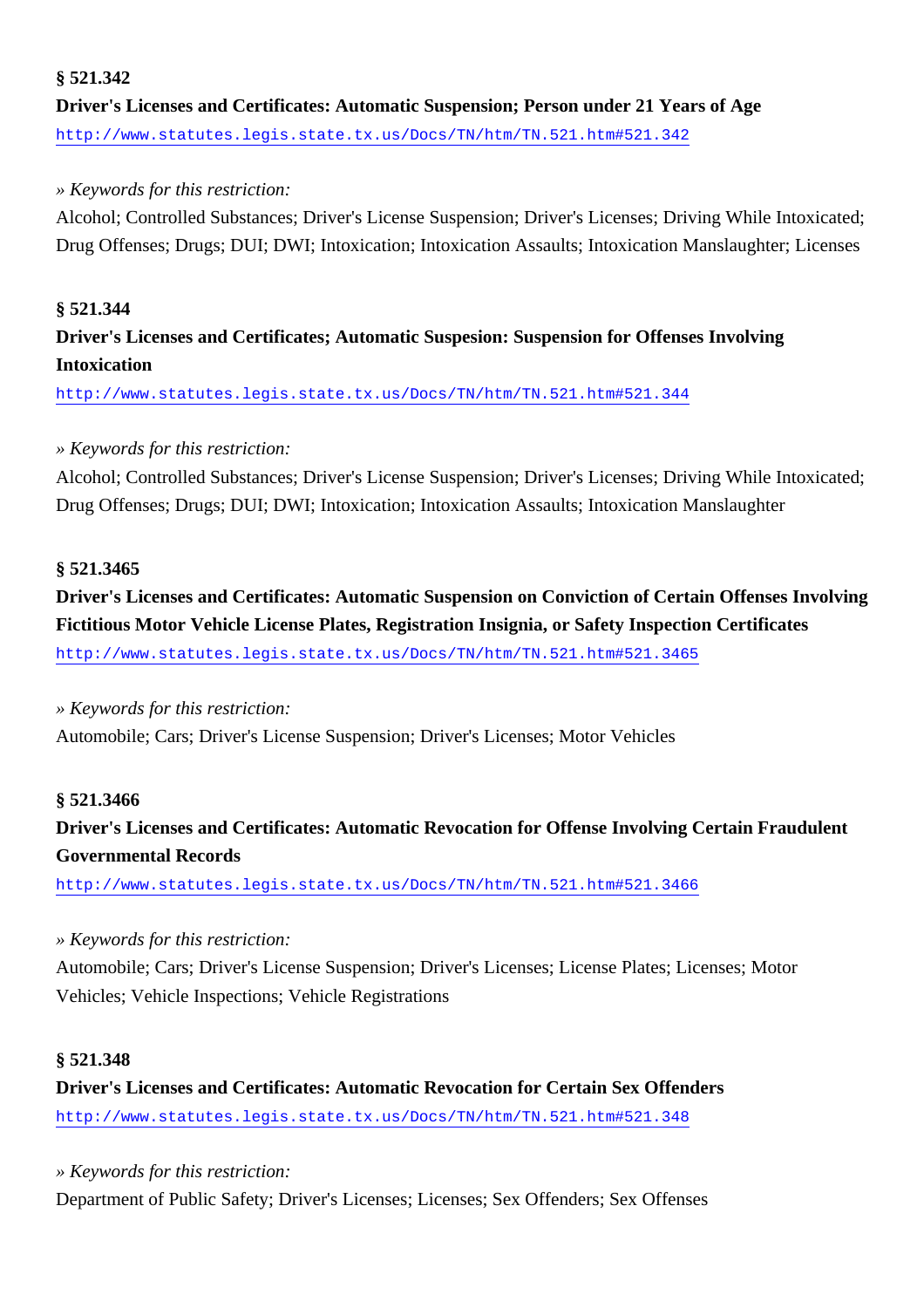## **§ 521.342 Driver's Licenses and Certificates: Automatic Suspension; Person under 21 Years of Age** <http://www.statutes.legis.state.tx.us/Docs/TN/htm/TN.521.htm#521.342>

## *» Keywords for this restriction:*

Alcohol; Controlled Substances; Driver's License Suspension; Driver's Licenses; Driving While Intoxicated; Drug Offenses; Drugs; DUI; DWI; Intoxication; Intoxication Assaults; Intoxication Manslaughter; Licenses

## **§ 521.344 Driver's Licenses and Certificates; Automatic Suspesion: Suspension for Offenses Involving Intoxication**

<http://www.statutes.legis.state.tx.us/Docs/TN/htm/TN.521.htm#521.344>

## *» Keywords for this restriction:*

Alcohol; Controlled Substances; Driver's License Suspension; Driver's Licenses; Driving While Intoxicated; Drug Offenses; Drugs; DUI; DWI; Intoxication; Intoxication Assaults; Intoxication Manslaughter

## **§ 521.3465**

**Driver's Licenses and Certificates: Automatic Suspension on Conviction of Certain Offenses Involving Fictitious Motor Vehicle License Plates, Registration Insignia, or Safety Inspection Certificates** <http://www.statutes.legis.state.tx.us/Docs/TN/htm/TN.521.htm#521.3465>

## *» Keywords for this restriction:*

Automobile; Cars; Driver's License Suspension; Driver's Licenses; Motor Vehicles

## **§ 521.3466**

## **Driver's Licenses and Certificates: Automatic Revocation for Offense Involving Certain Fraudulent Governmental Records**

<http://www.statutes.legis.state.tx.us/Docs/TN/htm/TN.521.htm#521.3466>

## *» Keywords for this restriction:*

Automobile; Cars; Driver's License Suspension; Driver's Licenses; License Plates; Licenses; Motor Vehicles; Vehicle Inspections; Vehicle Registrations

## **§ 521.348**

**Driver's Licenses and Certificates: Automatic Revocation for Certain Sex Offenders** <http://www.statutes.legis.state.tx.us/Docs/TN/htm/TN.521.htm#521.348>

*» Keywords for this restriction:* Department of Public Safety; Driver's Licenses; Licenses; Sex Offenders; Sex Offenses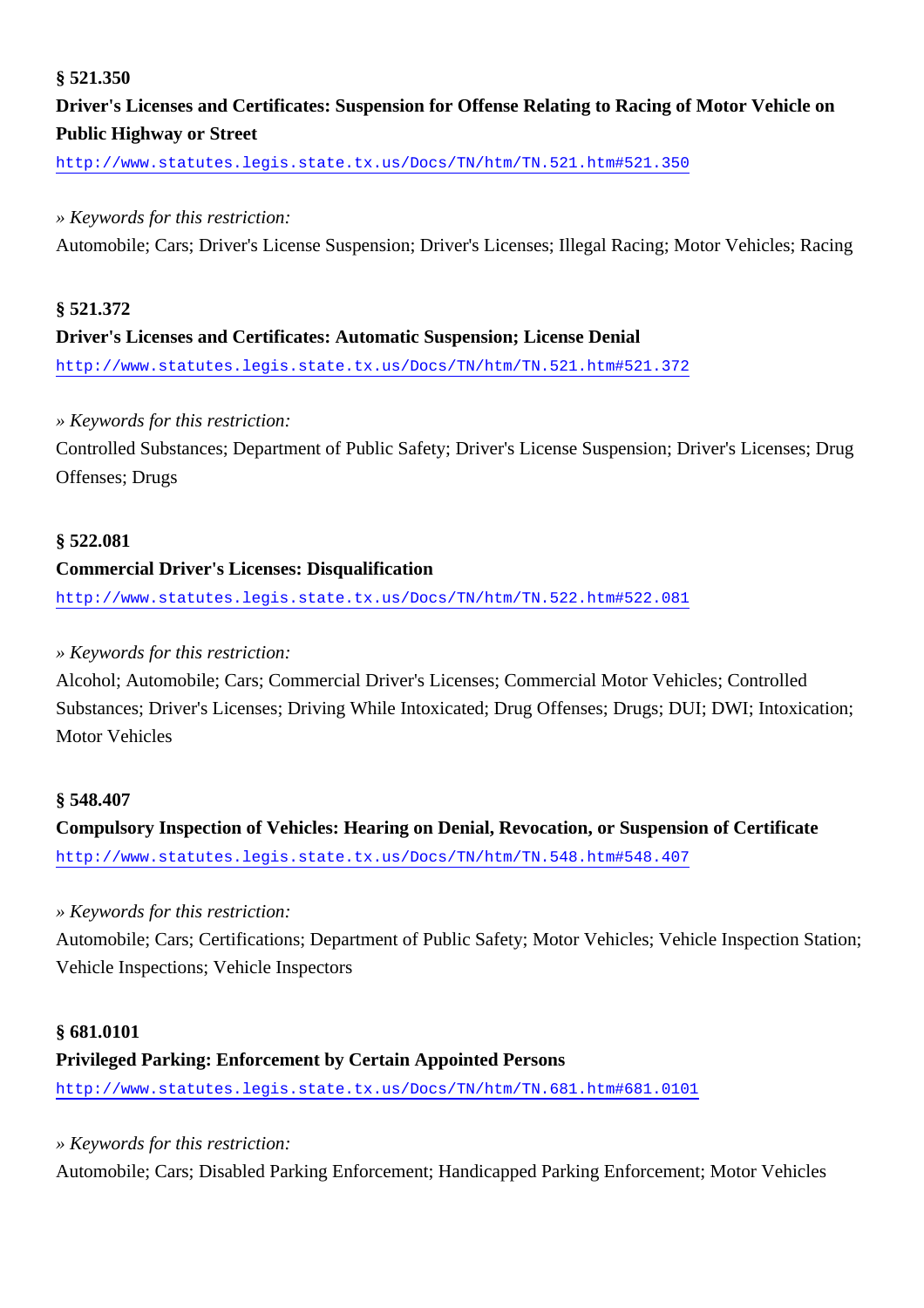## **§ 521.350**

## **Driver's Licenses and Certificates: Suspension for Offense Relating to Racing of Motor Vehicle on Public Highway or Street**

<http://www.statutes.legis.state.tx.us/Docs/TN/htm/TN.521.htm#521.350>

#### *» Keywords for this restriction:*

Automobile; Cars; Driver's License Suspension; Driver's Licenses; Illegal Racing; Motor Vehicles; Racing

## **§ 521.372 Driver's Licenses and Certificates: Automatic Suspension; License Denial** <http://www.statutes.legis.state.tx.us/Docs/TN/htm/TN.521.htm#521.372>

#### *» Keywords for this restriction:*

Controlled Substances; Department of Public Safety; Driver's License Suspension; Driver's Licenses; Drug Offenses; Drugs

#### **§ 522.081**

#### **Commercial Driver's Licenses: Disqualification**

<http://www.statutes.legis.state.tx.us/Docs/TN/htm/TN.522.htm#522.081>

#### *» Keywords for this restriction:*

Alcohol; Automobile; Cars; Commercial Driver's Licenses; Commercial Motor Vehicles; Controlled Substances; Driver's Licenses; Driving While Intoxicated; Drug Offenses; Drugs; DUI; DWI; Intoxication; Motor Vehicles

#### **§ 548.407**

**Compulsory Inspection of Vehicles: Hearing on Denial, Revocation, or Suspension of Certificate** <http://www.statutes.legis.state.tx.us/Docs/TN/htm/TN.548.htm#548.407>

#### *» Keywords for this restriction:*

Automobile; Cars; Certifications; Department of Public Safety; Motor Vehicles; Vehicle Inspection Station; Vehicle Inspections; Vehicle Inspectors

#### **§ 681.0101**

## **Privileged Parking: Enforcement by Certain Appointed Persons**

<http://www.statutes.legis.state.tx.us/Docs/TN/htm/TN.681.htm#681.0101>

*» Keywords for this restriction:*

Automobile; Cars; Disabled Parking Enforcement; Handicapped Parking Enforcement; Motor Vehicles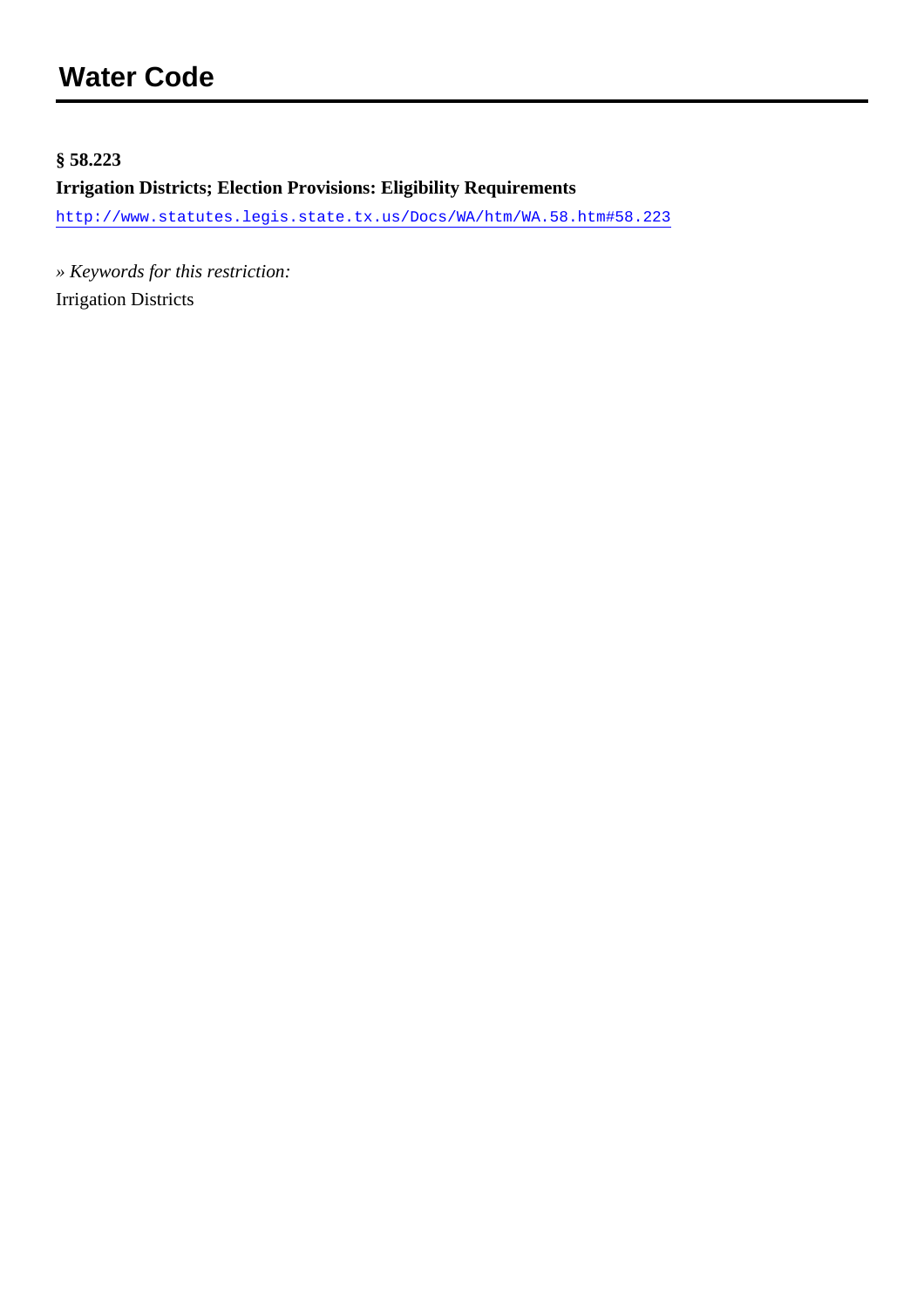## **§ 58.223**

## **Irrigation Districts; Election Provisions: Eligibility Requirements**

<http://www.statutes.legis.state.tx.us/Docs/WA/htm/WA.58.htm#58.223>

*» Keywords for this restriction:* Irrigation Districts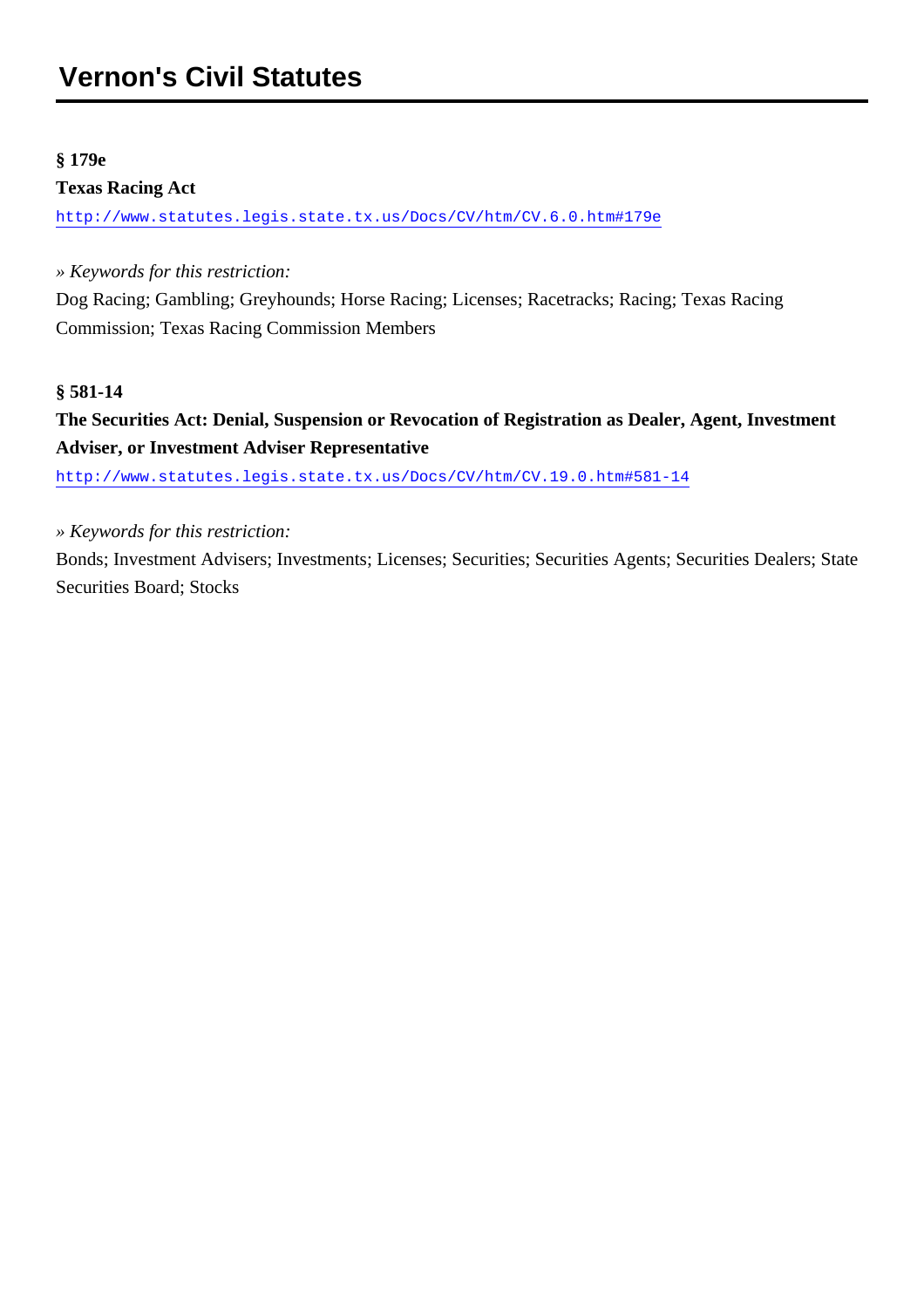## **§ 179e**

## **Texas Racing Act**

<http://www.statutes.legis.state.tx.us/Docs/CV/htm/CV.6.0.htm#179e>

*» Keywords for this restriction:*

Dog Racing; Gambling; Greyhounds; Horse Racing; Licenses; Racetracks; Racing; Texas Racing Commission; Texas Racing Commission Members

## **§ 581-14**

## **The Securities Act: Denial, Suspension or Revocation of Registration as Dealer, Agent, Investment Adviser, or Investment Adviser Representative**

<http://www.statutes.legis.state.tx.us/Docs/CV/htm/CV.19.0.htm#581-14>

*» Keywords for this restriction:*

Bonds; Investment Advisers; Investments; Licenses; Securities; Securities Agents; Securities Dealers; State Securities Board; Stocks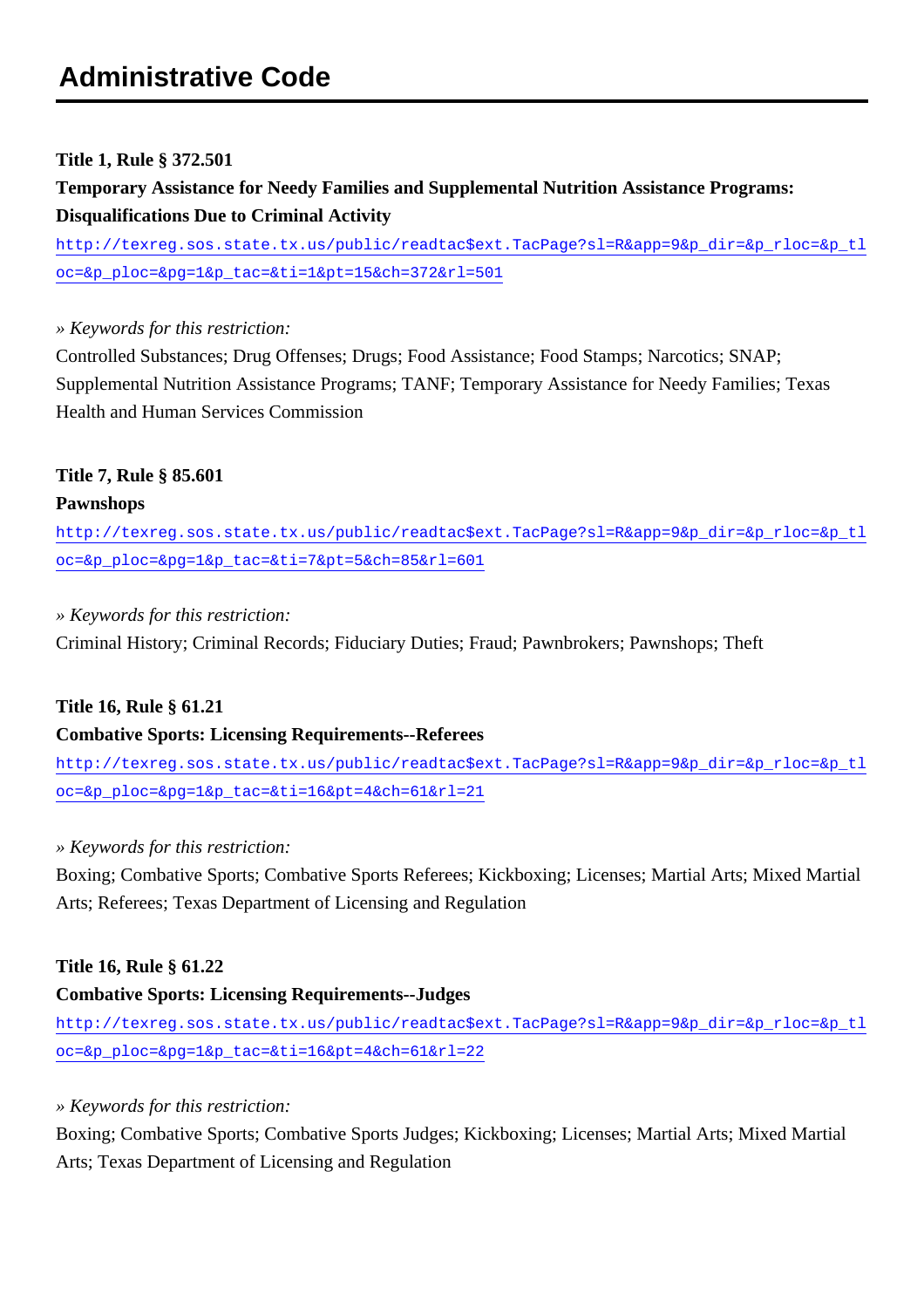## **Title 1, Rule § 372.501**

**Temporary Assistance for Needy Families and Supplemental Nutrition Assistance Programs: Disqualifications Due to Criminal Activity**

[http://texreg.sos.state.tx.us/public/readtac\\$ext.TacPage?sl=R&app=9&p\\_dir=&p\\_rloc=&p\\_tl](http://texreg.sos.state.tx.us/public/readtac$ext.TacPage?sl=R&app=9&p_dir=&p_rloc=&p_tloc=&p_ploc=&pg=1&p_tac=&ti=1&pt=15&ch=372&rl=501) [oc=&p\\_ploc=&pg=1&p\\_tac=&ti=1&pt=15&ch=372&rl=501](http://texreg.sos.state.tx.us/public/readtac$ext.TacPage?sl=R&app=9&p_dir=&p_rloc=&p_tloc=&p_ploc=&pg=1&p_tac=&ti=1&pt=15&ch=372&rl=501)

## *» Keywords for this restriction:*

Controlled Substances; Drug Offenses; Drugs; Food Assistance; Food Stamps; Narcotics; SNAP; Supplemental Nutrition Assistance Programs; TANF; Temporary Assistance for Needy Families; Texas Health and Human Services Commission

## **Title 7, Rule § 85.601 Pawnshops**

[http://texreg.sos.state.tx.us/public/readtac\\$ext.TacPage?sl=R&app=9&p\\_dir=&p\\_rloc=&p\\_tl](http://texreg.sos.state.tx.us/public/readtac$ext.TacPage?sl=R&app=9&p_dir=&p_rloc=&p_tloc=&p_ploc=&pg=1&p_tac=&ti=7&pt=5&ch=85&rl=601) [oc=&p\\_ploc=&pg=1&p\\_tac=&ti=7&pt=5&ch=85&rl=601](http://texreg.sos.state.tx.us/public/readtac$ext.TacPage?sl=R&app=9&p_dir=&p_rloc=&p_tloc=&p_ploc=&pg=1&p_tac=&ti=7&pt=5&ch=85&rl=601)

## *» Keywords for this restriction:*

Criminal History; Criminal Records; Fiduciary Duties; Fraud; Pawnbrokers; Pawnshops; Theft

## **Title 16, Rule § 61.21**

## **Combative Sports: Licensing Requirements--Referees**

[http://texreg.sos.state.tx.us/public/readtac\\$ext.TacPage?sl=R&app=9&p\\_dir=&p\\_rloc=&p\\_tl](http://texreg.sos.state.tx.us/public/readtac$ext.TacPage?sl=R&app=9&p_dir=&p_rloc=&p_tloc=&p_ploc=&pg=1&p_tac=&ti=16&pt=4&ch=61&rl=21) [oc=&p\\_ploc=&pg=1&p\\_tac=&ti=16&pt=4&ch=61&rl=21](http://texreg.sos.state.tx.us/public/readtac$ext.TacPage?sl=R&app=9&p_dir=&p_rloc=&p_tloc=&p_ploc=&pg=1&p_tac=&ti=16&pt=4&ch=61&rl=21)

## *» Keywords for this restriction:*

Boxing; Combative Sports; Combative Sports Referees; Kickboxing; Licenses; Martial Arts; Mixed Martial Arts; Referees; Texas Department of Licensing and Regulation

## **Title 16, Rule § 61.22**

## **Combative Sports: Licensing Requirements--Judges**

[http://texreg.sos.state.tx.us/public/readtac\\$ext.TacPage?sl=R&app=9&p\\_dir=&p\\_rloc=&p\\_tl](http://texreg.sos.state.tx.us/public/readtac$ext.TacPage?sl=R&app=9&p_dir=&p_rloc=&p_tloc=&p_ploc=&pg=1&p_tac=&ti=16&pt=4&ch=61&rl=22) [oc=&p\\_ploc=&pg=1&p\\_tac=&ti=16&pt=4&ch=61&rl=22](http://texreg.sos.state.tx.us/public/readtac$ext.TacPage?sl=R&app=9&p_dir=&p_rloc=&p_tloc=&p_ploc=&pg=1&p_tac=&ti=16&pt=4&ch=61&rl=22)

## *» Keywords for this restriction:*

Boxing; Combative Sports; Combative Sports Judges; Kickboxing; Licenses; Martial Arts; Mixed Martial Arts; Texas Department of Licensing and Regulation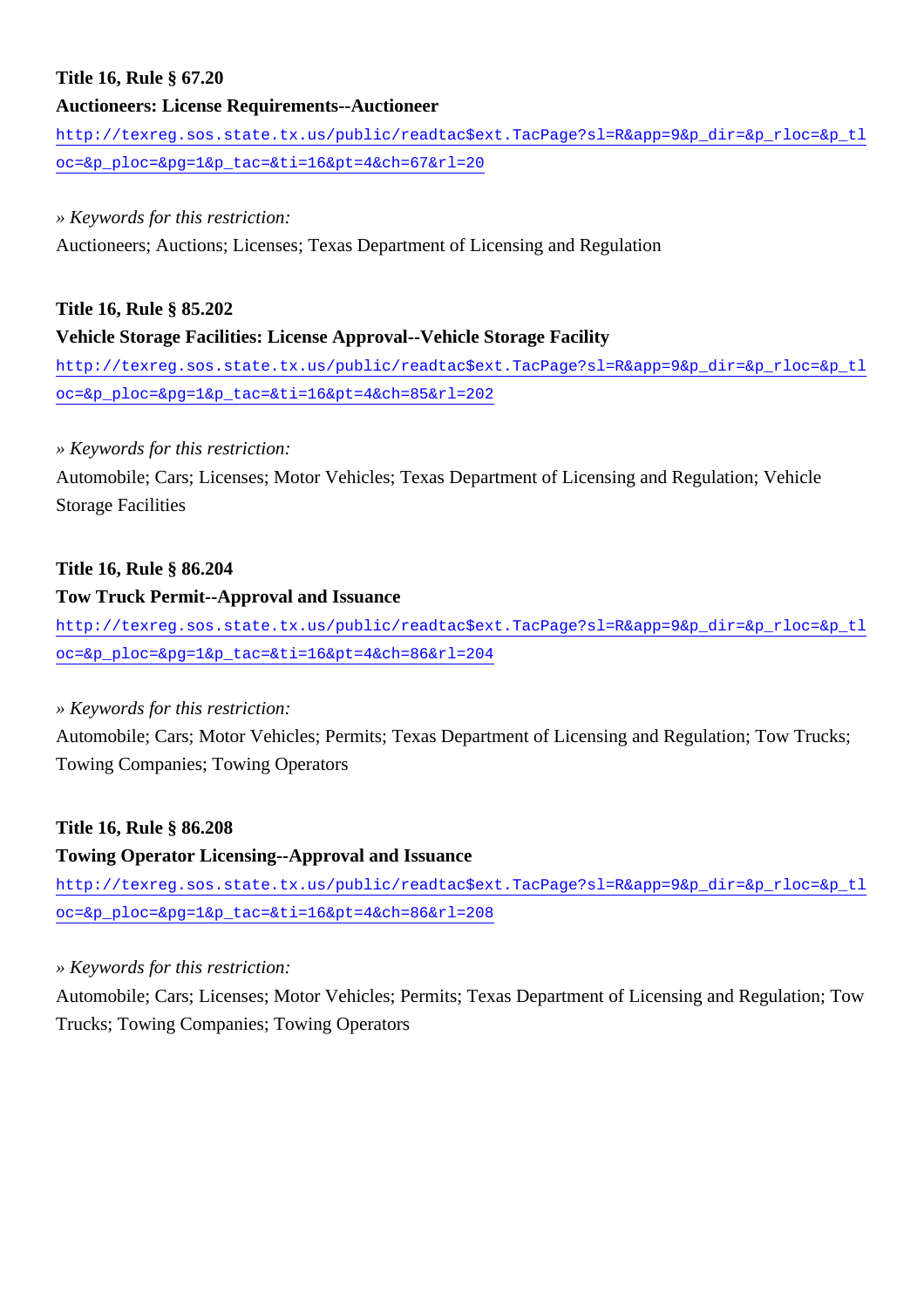## **Title 16, Rule § 67.20**

### **Auctioneers: License Requirements--Auctioneer**

[http://texreg.sos.state.tx.us/public/readtac\\$ext.TacPage?sl=R&app=9&p\\_dir=&p\\_rloc=&p\\_tl](http://texreg.sos.state.tx.us/public/readtac$ext.TacPage?sl=R&app=9&p_dir=&p_rloc=&p_tloc=&p_ploc=&pg=1&p_tac=&ti=16&pt=4&ch=67&rl=20) [oc=&p\\_ploc=&pg=1&p\\_tac=&ti=16&pt=4&ch=67&rl=20](http://texreg.sos.state.tx.us/public/readtac$ext.TacPage?sl=R&app=9&p_dir=&p_rloc=&p_tloc=&p_ploc=&pg=1&p_tac=&ti=16&pt=4&ch=67&rl=20)

#### *» Keywords for this restriction:*

Auctioneers; Auctions; Licenses; Texas Department of Licensing and Regulation

## **Title 16, Rule § 85.202**

## **Vehicle Storage Facilities: License Approval--Vehicle Storage Facility**

[http://texreg.sos.state.tx.us/public/readtac\\$ext.TacPage?sl=R&app=9&p\\_dir=&p\\_rloc=&p\\_tl](http://texreg.sos.state.tx.us/public/readtac$ext.TacPage?sl=R&app=9&p_dir=&p_rloc=&p_tloc=&p_ploc=&pg=1&p_tac=&ti=16&pt=4&ch=85&rl=202) [oc=&p\\_ploc=&pg=1&p\\_tac=&ti=16&pt=4&ch=85&rl=202](http://texreg.sos.state.tx.us/public/readtac$ext.TacPage?sl=R&app=9&p_dir=&p_rloc=&p_tloc=&p_ploc=&pg=1&p_tac=&ti=16&pt=4&ch=85&rl=202)

## *» Keywords for this restriction:*

Automobile; Cars; Licenses; Motor Vehicles; Texas Department of Licensing and Regulation; Vehicle Storage Facilities

## **Title 16, Rule § 86.204**

## **Tow Truck Permit--Approval and Issuance**

[http://texreg.sos.state.tx.us/public/readtac\\$ext.TacPage?sl=R&app=9&p\\_dir=&p\\_rloc=&p\\_tl](http://texreg.sos.state.tx.us/public/readtac$ext.TacPage?sl=R&app=9&p_dir=&p_rloc=&p_tloc=&p_ploc=&pg=1&p_tac=&ti=16&pt=4&ch=86&rl=204) [oc=&p\\_ploc=&pg=1&p\\_tac=&ti=16&pt=4&ch=86&rl=204](http://texreg.sos.state.tx.us/public/readtac$ext.TacPage?sl=R&app=9&p_dir=&p_rloc=&p_tloc=&p_ploc=&pg=1&p_tac=&ti=16&pt=4&ch=86&rl=204)

## *» Keywords for this restriction:*

Automobile; Cars; Motor Vehicles; Permits; Texas Department of Licensing and Regulation; Tow Trucks; Towing Companies; Towing Operators

## **Title 16, Rule § 86.208**

## **Towing Operator Licensing--Approval and Issuance**

[http://texreg.sos.state.tx.us/public/readtac\\$ext.TacPage?sl=R&app=9&p\\_dir=&p\\_rloc=&p\\_tl](http://texreg.sos.state.tx.us/public/readtac$ext.TacPage?sl=R&app=9&p_dir=&p_rloc=&p_tloc=&p_ploc=&pg=1&p_tac=&ti=16&pt=4&ch=86&rl=208) [oc=&p\\_ploc=&pg=1&p\\_tac=&ti=16&pt=4&ch=86&rl=208](http://texreg.sos.state.tx.us/public/readtac$ext.TacPage?sl=R&app=9&p_dir=&p_rloc=&p_tloc=&p_ploc=&pg=1&p_tac=&ti=16&pt=4&ch=86&rl=208)

## *» Keywords for this restriction:*

Automobile; Cars; Licenses; Motor Vehicles; Permits; Texas Department of Licensing and Regulation; Tow Trucks; Towing Companies; Towing Operators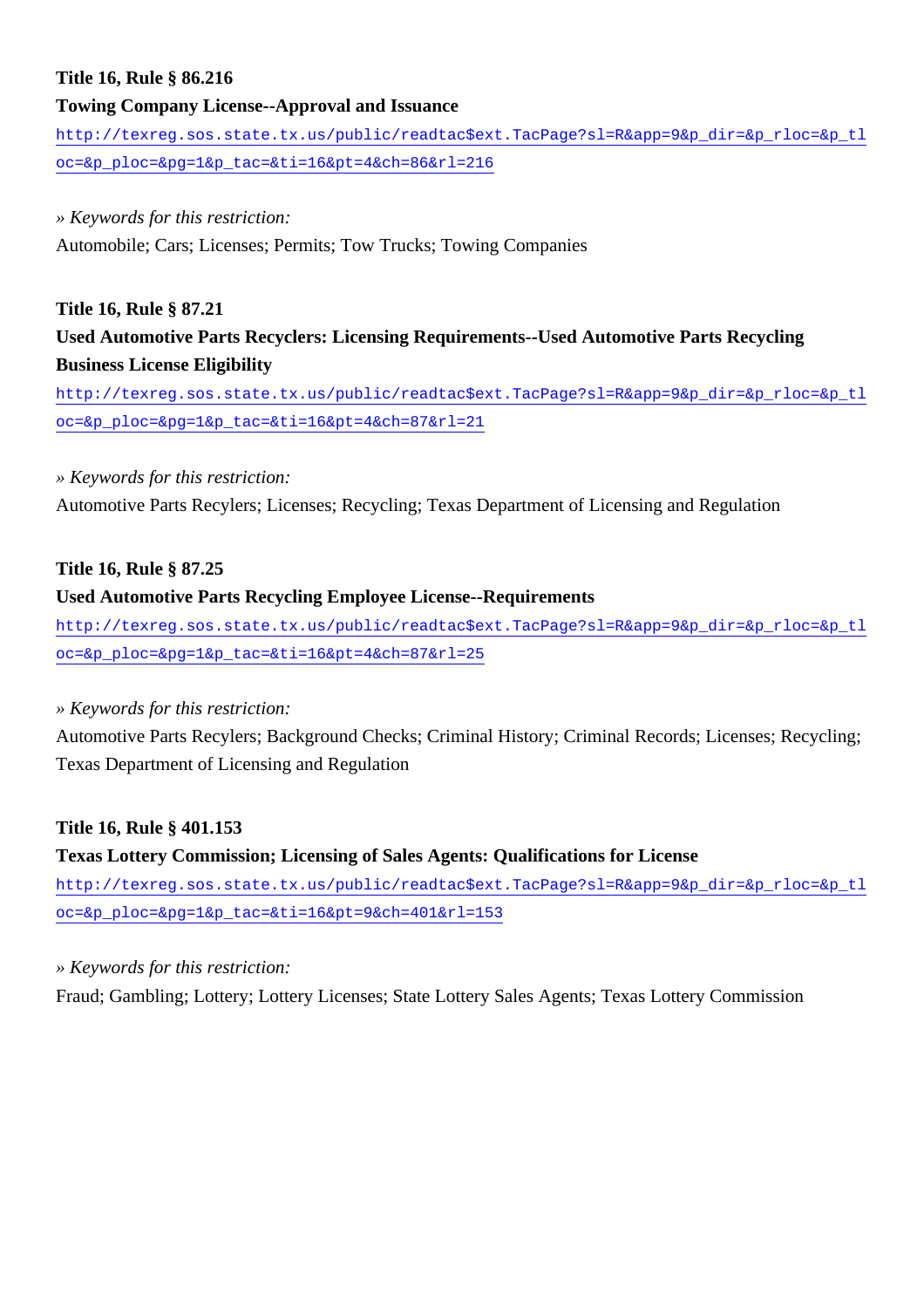## **Title 16, Rule § 86.216**

#### **Towing Company License--Approval and Issuance**

[http://texreg.sos.state.tx.us/public/readtac\\$ext.TacPage?sl=R&app=9&p\\_dir=&p\\_rloc=&p\\_tl](http://texreg.sos.state.tx.us/public/readtac$ext.TacPage?sl=R&app=9&p_dir=&p_rloc=&p_tloc=&p_ploc=&pg=1&p_tac=&ti=16&pt=4&ch=86&rl=216) [oc=&p\\_ploc=&pg=1&p\\_tac=&ti=16&pt=4&ch=86&rl=216](http://texreg.sos.state.tx.us/public/readtac$ext.TacPage?sl=R&app=9&p_dir=&p_rloc=&p_tloc=&p_ploc=&pg=1&p_tac=&ti=16&pt=4&ch=86&rl=216)

#### *» Keywords for this restriction:*

Automobile; Cars; Licenses; Permits; Tow Trucks; Towing Companies

### **Title 16, Rule § 87.21**

**Used Automotive Parts Recyclers: Licensing Requirements--Used Automotive Parts Recycling Business License Eligibility**

[http://texreg.sos.state.tx.us/public/readtac\\$ext.TacPage?sl=R&app=9&p\\_dir=&p\\_rloc=&p\\_tl](http://texreg.sos.state.tx.us/public/readtac$ext.TacPage?sl=R&app=9&p_dir=&p_rloc=&p_tloc=&p_ploc=&pg=1&p_tac=&ti=16&pt=4&ch=87&rl=21) [oc=&p\\_ploc=&pg=1&p\\_tac=&ti=16&pt=4&ch=87&rl=21](http://texreg.sos.state.tx.us/public/readtac$ext.TacPage?sl=R&app=9&p_dir=&p_rloc=&p_tloc=&p_ploc=&pg=1&p_tac=&ti=16&pt=4&ch=87&rl=21)

#### *» Keywords for this restriction:*

Automotive Parts Recylers; Licenses; Recycling; Texas Department of Licensing and Regulation

#### **Title 16, Rule § 87.25**

#### **Used Automotive Parts Recycling Employee License--Requirements**

[http://texreg.sos.state.tx.us/public/readtac\\$ext.TacPage?sl=R&app=9&p\\_dir=&p\\_rloc=&p\\_tl](http://texreg.sos.state.tx.us/public/readtac$ext.TacPage?sl=R&app=9&p_dir=&p_rloc=&p_tloc=&p_ploc=&pg=1&p_tac=&ti=16&pt=4&ch=87&rl=25) [oc=&p\\_ploc=&pg=1&p\\_tac=&ti=16&pt=4&ch=87&rl=25](http://texreg.sos.state.tx.us/public/readtac$ext.TacPage?sl=R&app=9&p_dir=&p_rloc=&p_tloc=&p_ploc=&pg=1&p_tac=&ti=16&pt=4&ch=87&rl=25)

## *» Keywords for this restriction:*

Automotive Parts Recylers; Background Checks; Criminal History; Criminal Records; Licenses; Recycling; Texas Department of Licensing and Regulation

## **Title 16, Rule § 401.153**

## **Texas Lottery Commission; Licensing of Sales Agents: Qualifications for License** [http://texreg.sos.state.tx.us/public/readtac\\$ext.TacPage?sl=R&app=9&p\\_dir=&p\\_rloc=&p\\_tl](http://texreg.sos.state.tx.us/public/readtac$ext.TacPage?sl=R&app=9&p_dir=&p_rloc=&p_tloc=&p_ploc=&pg=1&p_tac=&ti=16&pt=9&ch=401&rl=153) [oc=&p\\_ploc=&pg=1&p\\_tac=&ti=16&pt=9&ch=401&rl=153](http://texreg.sos.state.tx.us/public/readtac$ext.TacPage?sl=R&app=9&p_dir=&p_rloc=&p_tloc=&p_ploc=&pg=1&p_tac=&ti=16&pt=9&ch=401&rl=153)

## *» Keywords for this restriction:*

Fraud; Gambling; Lottery; Lottery Licenses; State Lottery Sales Agents; Texas Lottery Commission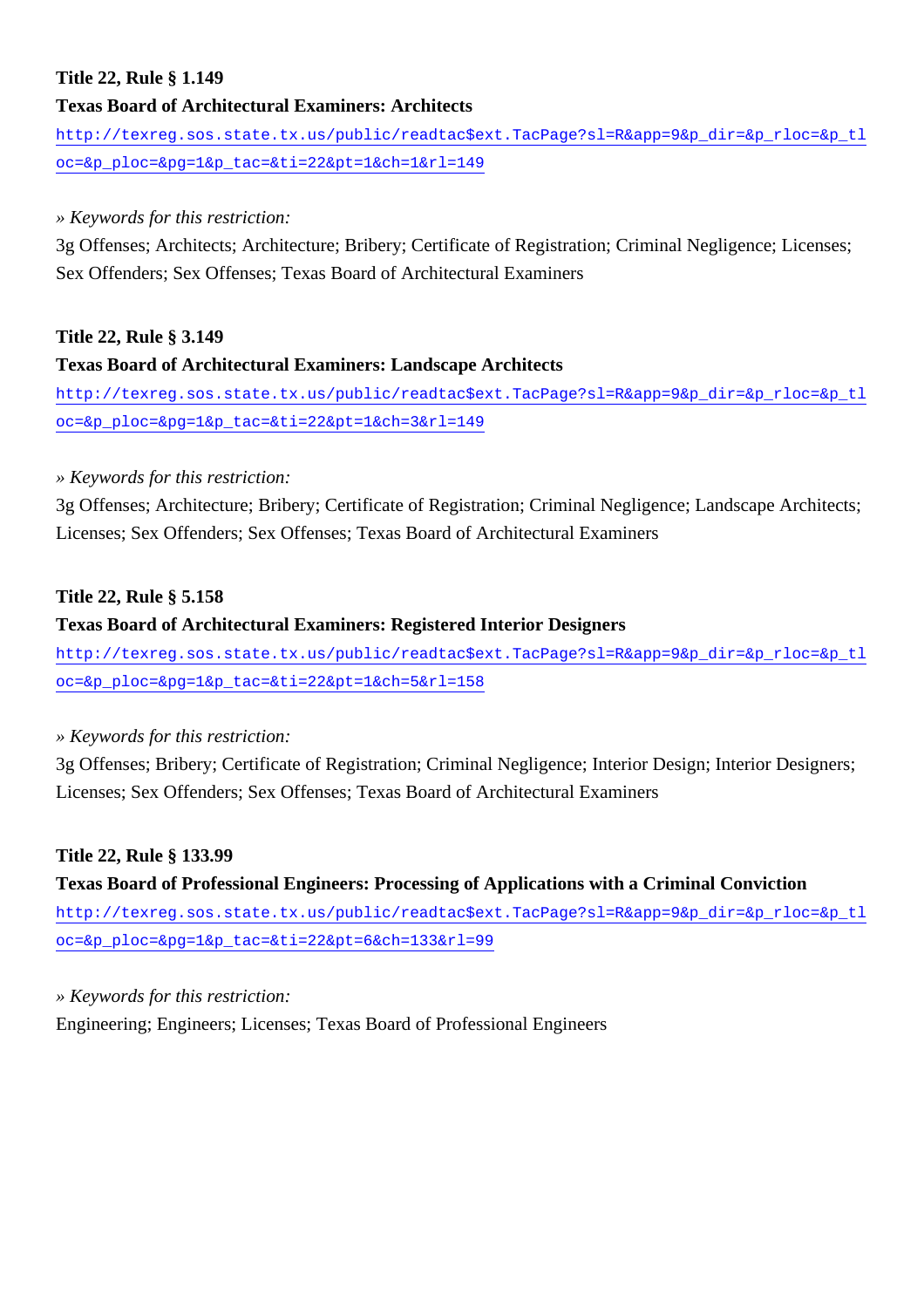## **Title 22, Rule § 1.149**

## **Texas Board of Architectural Examiners: Architects**

[http://texreg.sos.state.tx.us/public/readtac\\$ext.TacPage?sl=R&app=9&p\\_dir=&p\\_rloc=&p\\_tl](http://texreg.sos.state.tx.us/public/readtac$ext.TacPage?sl=R&app=9&p_dir=&p_rloc=&p_tloc=&p_ploc=&pg=1&p_tac=&ti=22&pt=1&ch=1&rl=149) [oc=&p\\_ploc=&pg=1&p\\_tac=&ti=22&pt=1&ch=1&rl=149](http://texreg.sos.state.tx.us/public/readtac$ext.TacPage?sl=R&app=9&p_dir=&p_rloc=&p_tloc=&p_ploc=&pg=1&p_tac=&ti=22&pt=1&ch=1&rl=149)

### *» Keywords for this restriction:*

3g Offenses; Architects; Architecture; Bribery; Certificate of Registration; Criminal Negligence; Licenses; Sex Offenders; Sex Offenses; Texas Board of Architectural Examiners

## **Title 22, Rule § 3.149**

## **Texas Board of Architectural Examiners: Landscape Architects**

[http://texreg.sos.state.tx.us/public/readtac\\$ext.TacPage?sl=R&app=9&p\\_dir=&p\\_rloc=&p\\_tl](http://texreg.sos.state.tx.us/public/readtac$ext.TacPage?sl=R&app=9&p_dir=&p_rloc=&p_tloc=&p_ploc=&pg=1&p_tac=&ti=22&pt=1&ch=3&rl=149) [oc=&p\\_ploc=&pg=1&p\\_tac=&ti=22&pt=1&ch=3&rl=149](http://texreg.sos.state.tx.us/public/readtac$ext.TacPage?sl=R&app=9&p_dir=&p_rloc=&p_tloc=&p_ploc=&pg=1&p_tac=&ti=22&pt=1&ch=3&rl=149)

## *» Keywords for this restriction:*

3g Offenses; Architecture; Bribery; Certificate of Registration; Criminal Negligence; Landscape Architects; Licenses; Sex Offenders; Sex Offenses; Texas Board of Architectural Examiners

## **Title 22, Rule § 5.158**

## **Texas Board of Architectural Examiners: Registered Interior Designers**

[http://texreg.sos.state.tx.us/public/readtac\\$ext.TacPage?sl=R&app=9&p\\_dir=&p\\_rloc=&p\\_tl](http://texreg.sos.state.tx.us/public/readtac$ext.TacPage?sl=R&app=9&p_dir=&p_rloc=&p_tloc=&p_ploc=&pg=1&p_tac=&ti=22&pt=1&ch=5&rl=158) [oc=&p\\_ploc=&pg=1&p\\_tac=&ti=22&pt=1&ch=5&rl=158](http://texreg.sos.state.tx.us/public/readtac$ext.TacPage?sl=R&app=9&p_dir=&p_rloc=&p_tloc=&p_ploc=&pg=1&p_tac=&ti=22&pt=1&ch=5&rl=158)

## *» Keywords for this restriction:*

3g Offenses; Bribery; Certificate of Registration; Criminal Negligence; Interior Design; Interior Designers; Licenses; Sex Offenders; Sex Offenses; Texas Board of Architectural Examiners

## **Title 22, Rule § 133.99**

## **Texas Board of Professional Engineers: Processing of Applications with a Criminal Conviction**

[http://texreg.sos.state.tx.us/public/readtac\\$ext.TacPage?sl=R&app=9&p\\_dir=&p\\_rloc=&p\\_tl](http://texreg.sos.state.tx.us/public/readtac$ext.TacPage?sl=R&app=9&p_dir=&p_rloc=&p_tloc=&p_ploc=&pg=1&p_tac=&ti=22&pt=6&ch=133&rl=99) [oc=&p\\_ploc=&pg=1&p\\_tac=&ti=22&pt=6&ch=133&rl=99](http://texreg.sos.state.tx.us/public/readtac$ext.TacPage?sl=R&app=9&p_dir=&p_rloc=&p_tloc=&p_ploc=&pg=1&p_tac=&ti=22&pt=6&ch=133&rl=99)

## *» Keywords for this restriction:*

Engineering; Engineers; Licenses; Texas Board of Professional Engineers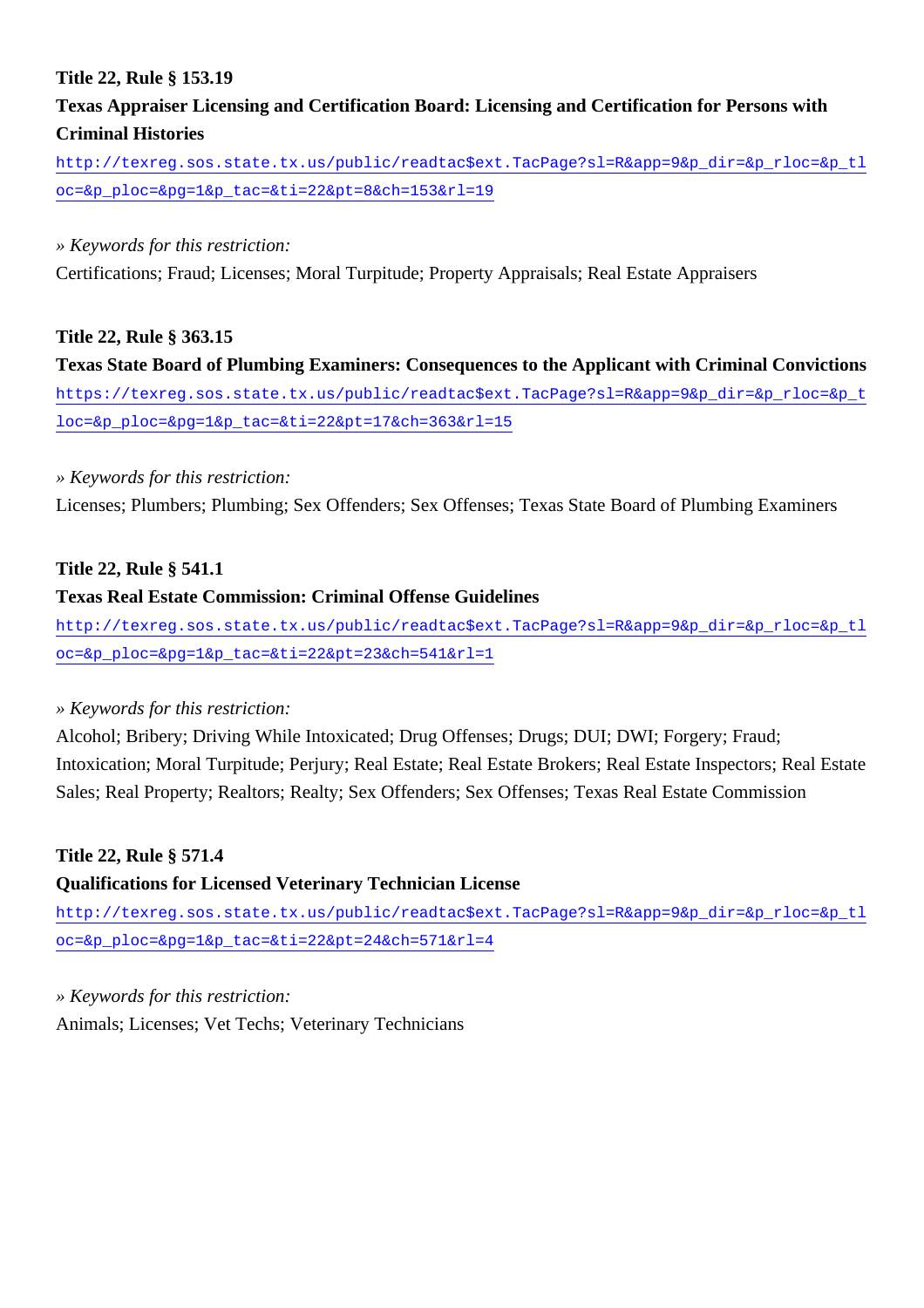## **Title 22, Rule § 153.19**

## **Texas Appraiser Licensing and Certification Board: Licensing and Certification for Persons with Criminal Histories**

[http://texreg.sos.state.tx.us/public/readtac\\$ext.TacPage?sl=R&app=9&p\\_dir=&p\\_rloc=&p\\_tl](http://texreg.sos.state.tx.us/public/readtac$ext.TacPage?sl=R&app=9&p_dir=&p_rloc=&p_tloc=&p_ploc=&pg=1&p_tac=&ti=22&pt=8&ch=153&rl=19) [oc=&p\\_ploc=&pg=1&p\\_tac=&ti=22&pt=8&ch=153&rl=19](http://texreg.sos.state.tx.us/public/readtac$ext.TacPage?sl=R&app=9&p_dir=&p_rloc=&p_tloc=&p_ploc=&pg=1&p_tac=&ti=22&pt=8&ch=153&rl=19)

### *» Keywords for this restriction:*

Certifications; Fraud; Licenses; Moral Turpitude; Property Appraisals; Real Estate Appraisers

## **Title 22, Rule § 363.15**

**Texas State Board of Plumbing Examiners: Consequences to the Applicant with Criminal Convictions** [https://texreg.sos.state.tx.us/public/readtac\\$ext.TacPage?sl=R&app=9&p\\_dir=&p\\_rloc=&p\\_t](https://texreg.sos.state.tx.us/public/readtac$ext.TacPage?sl=R&app=9&p_dir=&p_rloc=&p_tloc=&p_ploc=&pg=1&p_tac=&ti=22&pt=17&ch=363&rl=15) [loc=&p\\_ploc=&pg=1&p\\_tac=&ti=22&pt=17&ch=363&rl=15](https://texreg.sos.state.tx.us/public/readtac$ext.TacPage?sl=R&app=9&p_dir=&p_rloc=&p_tloc=&p_ploc=&pg=1&p_tac=&ti=22&pt=17&ch=363&rl=15)

## *» Keywords for this restriction:*

Licenses; Plumbers; Plumbing; Sex Offenders; Sex Offenses; Texas State Board of Plumbing Examiners

## **Title 22, Rule § 541.1**

## **Texas Real Estate Commission: Criminal Offense Guidelines**

[http://texreg.sos.state.tx.us/public/readtac\\$ext.TacPage?sl=R&app=9&p\\_dir=&p\\_rloc=&p\\_tl](http://texreg.sos.state.tx.us/public/readtac$ext.TacPage?sl=R&app=9&p_dir=&p_rloc=&p_tloc=&p_ploc=&pg=1&p_tac=&ti=22&pt=23&ch=541&rl=1) [oc=&p\\_ploc=&pg=1&p\\_tac=&ti=22&pt=23&ch=541&rl=1](http://texreg.sos.state.tx.us/public/readtac$ext.TacPage?sl=R&app=9&p_dir=&p_rloc=&p_tloc=&p_ploc=&pg=1&p_tac=&ti=22&pt=23&ch=541&rl=1)

## *» Keywords for this restriction:*

Alcohol; Bribery; Driving While Intoxicated; Drug Offenses; Drugs; DUI; DWI; Forgery; Fraud; Intoxication; Moral Turpitude; Perjury; Real Estate; Real Estate Brokers; Real Estate Inspectors; Real Estate Sales; Real Property; Realtors; Realty; Sex Offenders; Sex Offenses; Texas Real Estate Commission

## **Title 22, Rule § 571.4**

## **Qualifications for Licensed Veterinary Technician License**

[http://texreg.sos.state.tx.us/public/readtac\\$ext.TacPage?sl=R&app=9&p\\_dir=&p\\_rloc=&p\\_tl](http://texreg.sos.state.tx.us/public/readtac$ext.TacPage?sl=R&app=9&p_dir=&p_rloc=&p_tloc=&p_ploc=&pg=1&p_tac=&ti=22&pt=24&ch=571&rl=4) [oc=&p\\_ploc=&pg=1&p\\_tac=&ti=22&pt=24&ch=571&rl=4](http://texreg.sos.state.tx.us/public/readtac$ext.TacPage?sl=R&app=9&p_dir=&p_rloc=&p_tloc=&p_ploc=&pg=1&p_tac=&ti=22&pt=24&ch=571&rl=4)

## *» Keywords for this restriction:*

Animals; Licenses; Vet Techs; Veterinary Technicians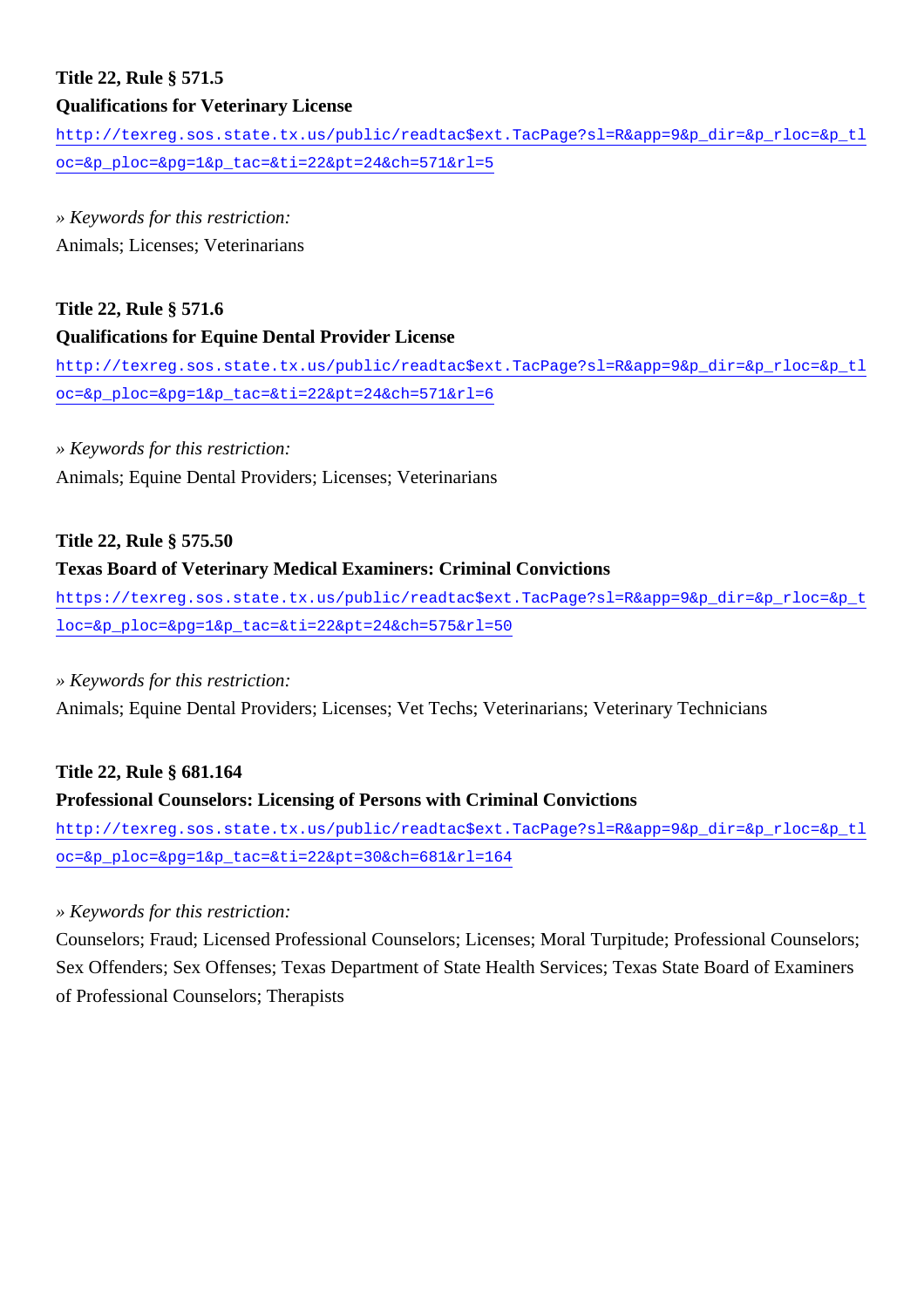# **Title 22, Rule § 571.5**

## **Qualifications for Veterinary License**

[http://texreg.sos.state.tx.us/public/readtac\\$ext.TacPage?sl=R&app=9&p\\_dir=&p\\_rloc=&p\\_tl](http://texreg.sos.state.tx.us/public/readtac$ext.TacPage?sl=R&app=9&p_dir=&p_rloc=&p_tloc=&p_ploc=&pg=1&p_tac=&ti=22&pt=24&ch=571&rl=5) [oc=&p\\_ploc=&pg=1&p\\_tac=&ti=22&pt=24&ch=571&rl=5](http://texreg.sos.state.tx.us/public/readtac$ext.TacPage?sl=R&app=9&p_dir=&p_rloc=&p_tloc=&p_ploc=&pg=1&p_tac=&ti=22&pt=24&ch=571&rl=5)

*» Keywords for this restriction:* Animals; Licenses; Veterinarians

## **Title 22, Rule § 571.6**

## **Qualifications for Equine Dental Provider License**

[http://texreg.sos.state.tx.us/public/readtac\\$ext.TacPage?sl=R&app=9&p\\_dir=&p\\_rloc=&p\\_tl](http://texreg.sos.state.tx.us/public/readtac$ext.TacPage?sl=R&app=9&p_dir=&p_rloc=&p_tloc=&p_ploc=&pg=1&p_tac=&ti=22&pt=24&ch=571&rl=6) [oc=&p\\_ploc=&pg=1&p\\_tac=&ti=22&pt=24&ch=571&rl=6](http://texreg.sos.state.tx.us/public/readtac$ext.TacPage?sl=R&app=9&p_dir=&p_rloc=&p_tloc=&p_ploc=&pg=1&p_tac=&ti=22&pt=24&ch=571&rl=6)

## *» Keywords for this restriction:*

Animals; Equine Dental Providers; Licenses; Veterinarians

## **Title 22, Rule § 575.50**

## **Texas Board of Veterinary Medical Examiners: Criminal Convictions**

[https://texreg.sos.state.tx.us/public/readtac\\$ext.TacPage?sl=R&app=9&p\\_dir=&p\\_rloc=&p\\_t](https://texreg.sos.state.tx.us/public/readtac$ext.TacPage?sl=R&app=9&p_dir=&p_rloc=&p_tloc=&p_ploc=&pg=1&p_tac=&ti=22&pt=24&ch=575&rl=50) [loc=&p\\_ploc=&pg=1&p\\_tac=&ti=22&pt=24&ch=575&rl=50](https://texreg.sos.state.tx.us/public/readtac$ext.TacPage?sl=R&app=9&p_dir=&p_rloc=&p_tloc=&p_ploc=&pg=1&p_tac=&ti=22&pt=24&ch=575&rl=50)

## *» Keywords for this restriction:*

Animals; Equine Dental Providers; Licenses; Vet Techs; Veterinarians; Veterinary Technicians

## **Title 22, Rule § 681.164**

## **Professional Counselors: Licensing of Persons with Criminal Convictions**

[http://texreg.sos.state.tx.us/public/readtac\\$ext.TacPage?sl=R&app=9&p\\_dir=&p\\_rloc=&p\\_tl](http://texreg.sos.state.tx.us/public/readtac$ext.TacPage?sl=R&app=9&p_dir=&p_rloc=&p_tloc=&p_ploc=&pg=1&p_tac=&ti=22&pt=30&ch=681&rl=164) [oc=&p\\_ploc=&pg=1&p\\_tac=&ti=22&pt=30&ch=681&rl=164](http://texreg.sos.state.tx.us/public/readtac$ext.TacPage?sl=R&app=9&p_dir=&p_rloc=&p_tloc=&p_ploc=&pg=1&p_tac=&ti=22&pt=30&ch=681&rl=164)

## *» Keywords for this restriction:*

Counselors; Fraud; Licensed Professional Counselors; Licenses; Moral Turpitude; Professional Counselors; Sex Offenders; Sex Offenses; Texas Department of State Health Services; Texas State Board of Examiners of Professional Counselors; Therapists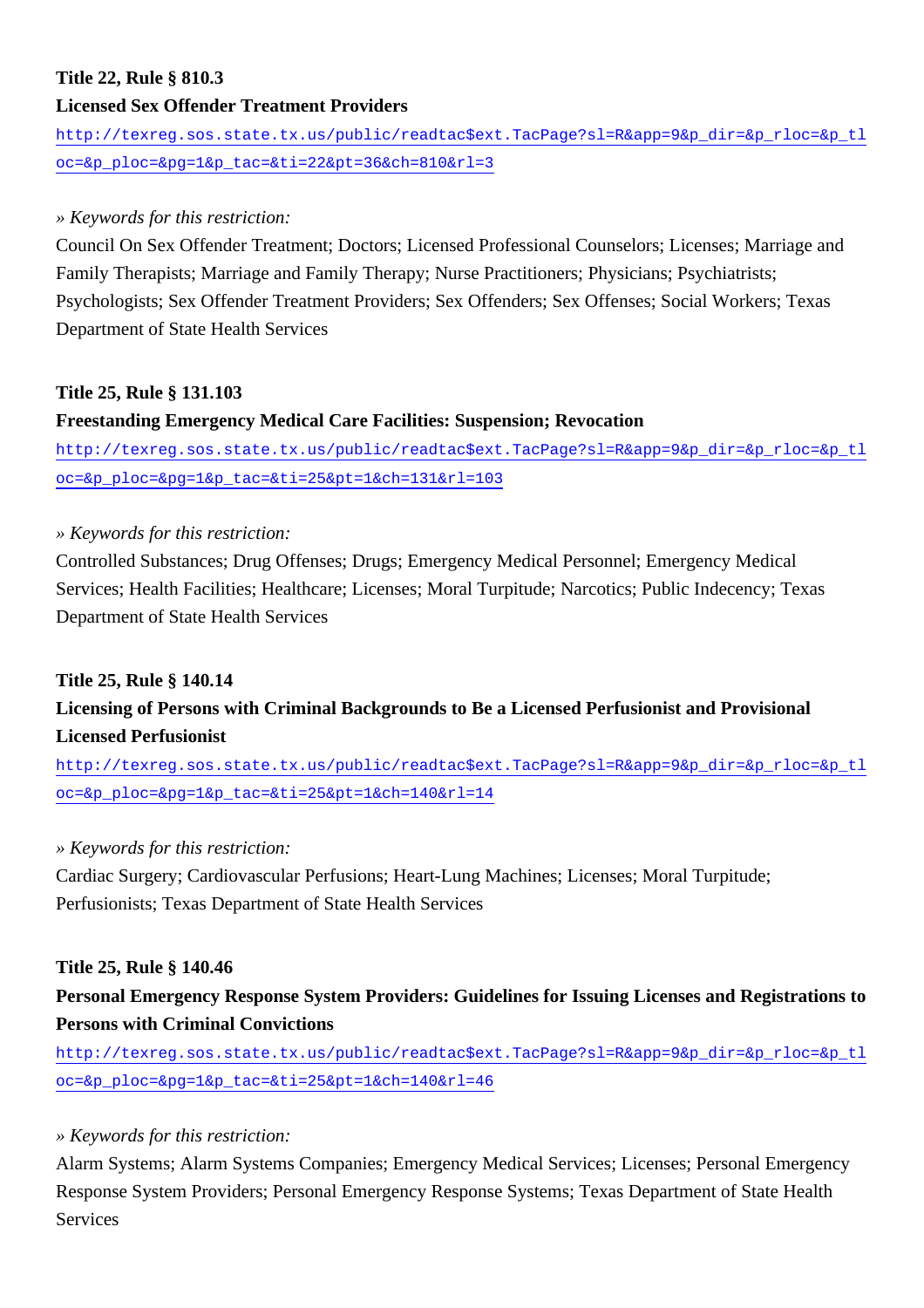## **Title 22, Rule § 810.3**

## **Licensed Sex Offender Treatment Providers**

[http://texreg.sos.state.tx.us/public/readtac\\$ext.TacPage?sl=R&app=9&p\\_dir=&p\\_rloc=&p\\_tl](http://texreg.sos.state.tx.us/public/readtac$ext.TacPage?sl=R&app=9&p_dir=&p_rloc=&p_tloc=&p_ploc=&pg=1&p_tac=&ti=22&pt=36&ch=810&rl=3) [oc=&p\\_ploc=&pg=1&p\\_tac=&ti=22&pt=36&ch=810&rl=3](http://texreg.sos.state.tx.us/public/readtac$ext.TacPage?sl=R&app=9&p_dir=&p_rloc=&p_tloc=&p_ploc=&pg=1&p_tac=&ti=22&pt=36&ch=810&rl=3)

## *» Keywords for this restriction:*

Council On Sex Offender Treatment; Doctors; Licensed Professional Counselors; Licenses; Marriage and Family Therapists; Marriage and Family Therapy; Nurse Practitioners; Physicians; Psychiatrists; Psychologists; Sex Offender Treatment Providers; Sex Offenders; Sex Offenses; Social Workers; Texas Department of State Health Services

## **Title 25, Rule § 131.103**

## **Freestanding Emergency Medical Care Facilities: Suspension; Revocation**

[http://texreg.sos.state.tx.us/public/readtac\\$ext.TacPage?sl=R&app=9&p\\_dir=&p\\_rloc=&p\\_tl](http://texreg.sos.state.tx.us/public/readtac$ext.TacPage?sl=R&app=9&p_dir=&p_rloc=&p_tloc=&p_ploc=&pg=1&p_tac=&ti=25&pt=1&ch=131&rl=103) [oc=&p\\_ploc=&pg=1&p\\_tac=&ti=25&pt=1&ch=131&rl=103](http://texreg.sos.state.tx.us/public/readtac$ext.TacPage?sl=R&app=9&p_dir=&p_rloc=&p_tloc=&p_ploc=&pg=1&p_tac=&ti=25&pt=1&ch=131&rl=103)

## *» Keywords for this restriction:*

Controlled Substances; Drug Offenses; Drugs; Emergency Medical Personnel; Emergency Medical Services; Health Facilities; Healthcare; Licenses; Moral Turpitude; Narcotics; Public Indecency; Texas Department of State Health Services

## **Title 25, Rule § 140.14**

## **Licensing of Persons with Criminal Backgrounds to Be a Licensed Perfusionist and Provisional Licensed Perfusionist**

[http://texreg.sos.state.tx.us/public/readtac\\$ext.TacPage?sl=R&app=9&p\\_dir=&p\\_rloc=&p\\_tl](http://texreg.sos.state.tx.us/public/readtac$ext.TacPage?sl=R&app=9&p_dir=&p_rloc=&p_tloc=&p_ploc=&pg=1&p_tac=&ti=25&pt=1&ch=140&rl=14) [oc=&p\\_ploc=&pg=1&p\\_tac=&ti=25&pt=1&ch=140&rl=14](http://texreg.sos.state.tx.us/public/readtac$ext.TacPage?sl=R&app=9&p_dir=&p_rloc=&p_tloc=&p_ploc=&pg=1&p_tac=&ti=25&pt=1&ch=140&rl=14)

## *» Keywords for this restriction:*

Cardiac Surgery; Cardiovascular Perfusions; Heart-Lung Machines; Licenses; Moral Turpitude; Perfusionists; Texas Department of State Health Services

## **Title 25, Rule § 140.46**

## **Personal Emergency Response System Providers: Guidelines for Issuing Licenses and Registrations to Persons with Criminal Convictions**

[http://texreg.sos.state.tx.us/public/readtac\\$ext.TacPage?sl=R&app=9&p\\_dir=&p\\_rloc=&p\\_tl](http://texreg.sos.state.tx.us/public/readtac$ext.TacPage?sl=R&app=9&p_dir=&p_rloc=&p_tloc=&p_ploc=&pg=1&p_tac=&ti=25&pt=1&ch=140&rl=46) [oc=&p\\_ploc=&pg=1&p\\_tac=&ti=25&pt=1&ch=140&rl=46](http://texreg.sos.state.tx.us/public/readtac$ext.TacPage?sl=R&app=9&p_dir=&p_rloc=&p_tloc=&p_ploc=&pg=1&p_tac=&ti=25&pt=1&ch=140&rl=46)

## *» Keywords for this restriction:*

Alarm Systems; Alarm Systems Companies; Emergency Medical Services; Licenses; Personal Emergency Response System Providers; Personal Emergency Response Systems; Texas Department of State Health **Services**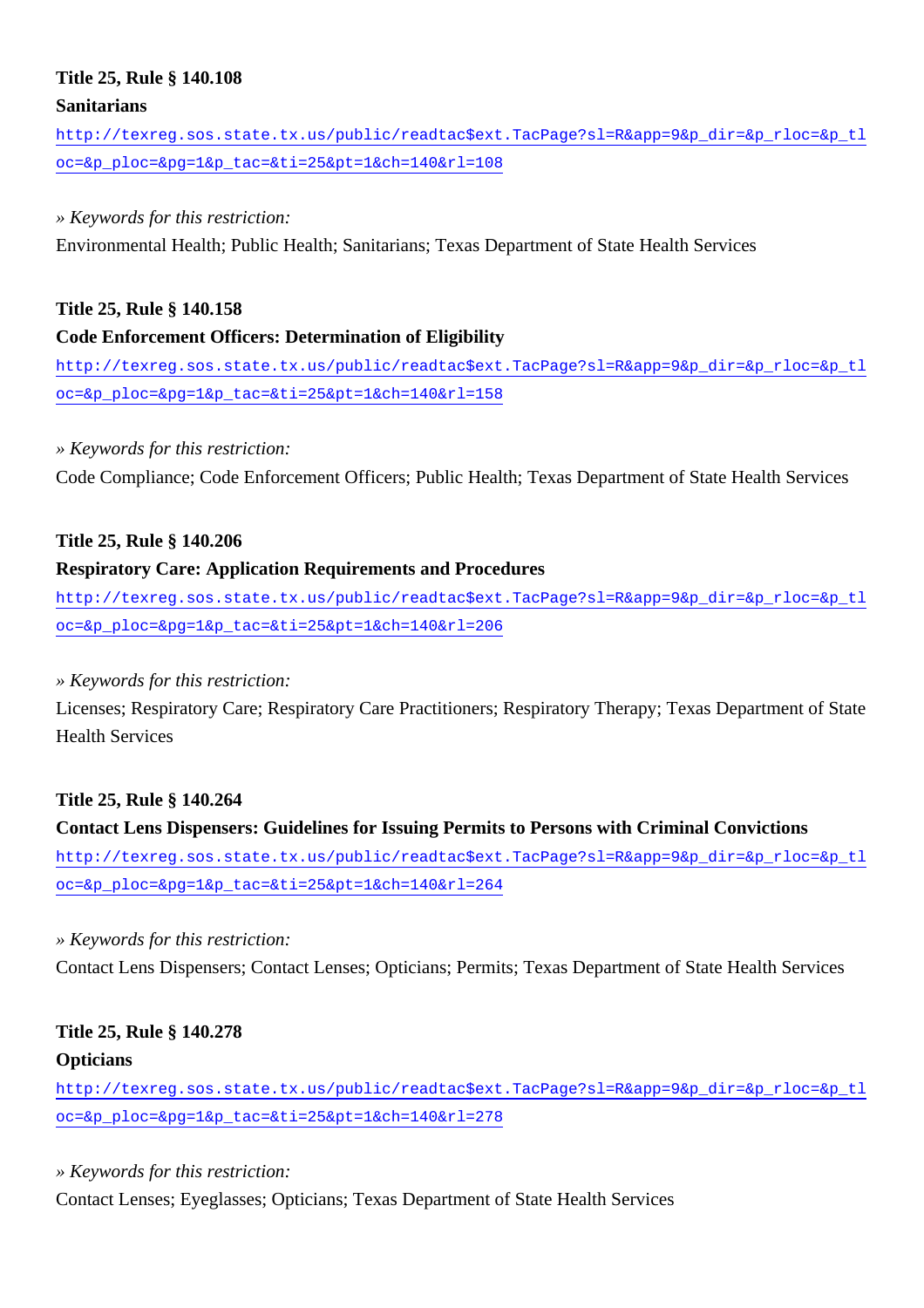### **Title 25, Rule § 140.108**

#### **Sanitarians**

[http://texreg.sos.state.tx.us/public/readtac\\$ext.TacPage?sl=R&app=9&p\\_dir=&p\\_rloc=&p\\_tl](http://texreg.sos.state.tx.us/public/readtac$ext.TacPage?sl=R&app=9&p_dir=&p_rloc=&p_tloc=&p_ploc=&pg=1&p_tac=&ti=25&pt=1&ch=140&rl=108) [oc=&p\\_ploc=&pg=1&p\\_tac=&ti=25&pt=1&ch=140&rl=108](http://texreg.sos.state.tx.us/public/readtac$ext.TacPage?sl=R&app=9&p_dir=&p_rloc=&p_tloc=&p_ploc=&pg=1&p_tac=&ti=25&pt=1&ch=140&rl=108)

#### *» Keywords for this restriction:*

Environmental Health; Public Health; Sanitarians; Texas Department of State Health Services

#### **Title 25, Rule § 140.158**

#### **Code Enforcement Officers: Determination of Eligibility**

[http://texreg.sos.state.tx.us/public/readtac\\$ext.TacPage?sl=R&app=9&p\\_dir=&p\\_rloc=&p\\_tl](http://texreg.sos.state.tx.us/public/readtac$ext.TacPage?sl=R&app=9&p_dir=&p_rloc=&p_tloc=&p_ploc=&pg=1&p_tac=&ti=25&pt=1&ch=140&rl=158) [oc=&p\\_ploc=&pg=1&p\\_tac=&ti=25&pt=1&ch=140&rl=158](http://texreg.sos.state.tx.us/public/readtac$ext.TacPage?sl=R&app=9&p_dir=&p_rloc=&p_tloc=&p_ploc=&pg=1&p_tac=&ti=25&pt=1&ch=140&rl=158)

#### *» Keywords for this restriction:*

Code Compliance; Code Enforcement Officers; Public Health; Texas Department of State Health Services

#### **Title 25, Rule § 140.206**

#### **Respiratory Care: Application Requirements and Procedures**

[http://texreg.sos.state.tx.us/public/readtac\\$ext.TacPage?sl=R&app=9&p\\_dir=&p\\_rloc=&p\\_tl](http://texreg.sos.state.tx.us/public/readtac$ext.TacPage?sl=R&app=9&p_dir=&p_rloc=&p_tloc=&p_ploc=&pg=1&p_tac=&ti=25&pt=1&ch=140&rl=206) [oc=&p\\_ploc=&pg=1&p\\_tac=&ti=25&pt=1&ch=140&rl=206](http://texreg.sos.state.tx.us/public/readtac$ext.TacPage?sl=R&app=9&p_dir=&p_rloc=&p_tloc=&p_ploc=&pg=1&p_tac=&ti=25&pt=1&ch=140&rl=206)

#### *» Keywords for this restriction:*

Licenses; Respiratory Care; Respiratory Care Practitioners; Respiratory Therapy; Texas Department of State Health Services

#### **Title 25, Rule § 140.264**

#### **Contact Lens Dispensers: Guidelines for Issuing Permits to Persons with Criminal Convictions**

[http://texreg.sos.state.tx.us/public/readtac\\$ext.TacPage?sl=R&app=9&p\\_dir=&p\\_rloc=&p\\_tl](http://texreg.sos.state.tx.us/public/readtac$ext.TacPage?sl=R&app=9&p_dir=&p_rloc=&p_tloc=&p_ploc=&pg=1&p_tac=&ti=25&pt=1&ch=140&rl=264) [oc=&p\\_ploc=&pg=1&p\\_tac=&ti=25&pt=1&ch=140&rl=264](http://texreg.sos.state.tx.us/public/readtac$ext.TacPage?sl=R&app=9&p_dir=&p_rloc=&p_tloc=&p_ploc=&pg=1&p_tac=&ti=25&pt=1&ch=140&rl=264)

#### *» Keywords for this restriction:*

Contact Lens Dispensers; Contact Lenses; Opticians; Permits; Texas Department of State Health Services

## **Title 25, Rule § 140.278**

#### **Opticians**

[http://texreg.sos.state.tx.us/public/readtac\\$ext.TacPage?sl=R&app=9&p\\_dir=&p\\_rloc=&p\\_tl](http://texreg.sos.state.tx.us/public/readtac$ext.TacPage?sl=R&app=9&p_dir=&p_rloc=&p_tloc=&p_ploc=&pg=1&p_tac=&ti=25&pt=1&ch=140&rl=278) [oc=&p\\_ploc=&pg=1&p\\_tac=&ti=25&pt=1&ch=140&rl=278](http://texreg.sos.state.tx.us/public/readtac$ext.TacPage?sl=R&app=9&p_dir=&p_rloc=&p_tloc=&p_ploc=&pg=1&p_tac=&ti=25&pt=1&ch=140&rl=278)

*» Keywords for this restriction:*

Contact Lenses; Eyeglasses; Opticians; Texas Department of State Health Services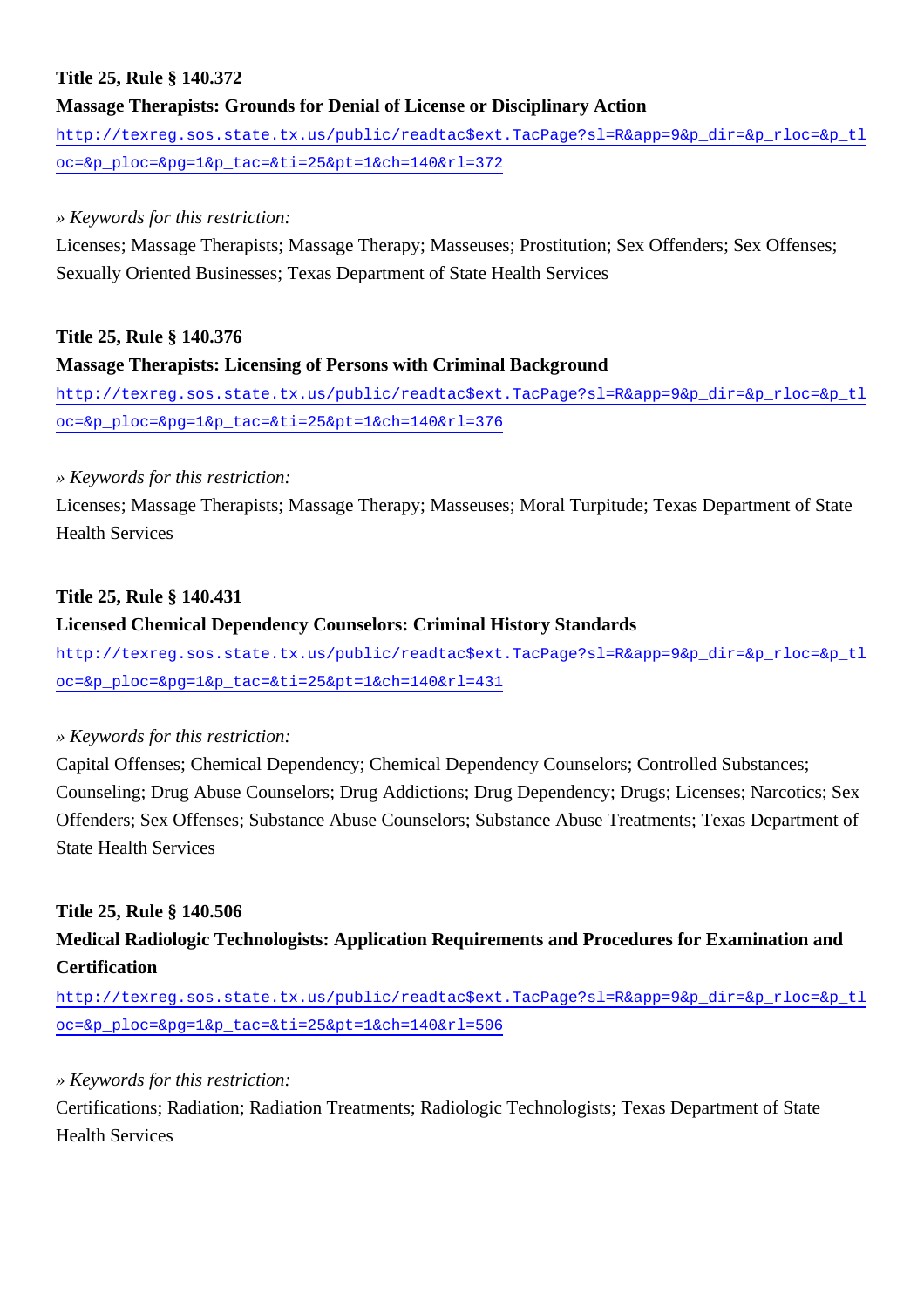## **Title 25, Rule § 140.372**

## **Massage Therapists: Grounds for Denial of License or Disciplinary Action**

[http://texreg.sos.state.tx.us/public/readtac\\$ext.TacPage?sl=R&app=9&p\\_dir=&p\\_rloc=&p\\_tl](http://texreg.sos.state.tx.us/public/readtac$ext.TacPage?sl=R&app=9&p_dir=&p_rloc=&p_tloc=&p_ploc=&pg=1&p_tac=&ti=25&pt=1&ch=140&rl=372) [oc=&p\\_ploc=&pg=1&p\\_tac=&ti=25&pt=1&ch=140&rl=372](http://texreg.sos.state.tx.us/public/readtac$ext.TacPage?sl=R&app=9&p_dir=&p_rloc=&p_tloc=&p_ploc=&pg=1&p_tac=&ti=25&pt=1&ch=140&rl=372)

### *» Keywords for this restriction:*

Licenses; Massage Therapists; Massage Therapy; Masseuses; Prostitution; Sex Offenders; Sex Offenses; Sexually Oriented Businesses; Texas Department of State Health Services

## **Title 25, Rule § 140.376**

## **Massage Therapists: Licensing of Persons with Criminal Background**

[http://texreg.sos.state.tx.us/public/readtac\\$ext.TacPage?sl=R&app=9&p\\_dir=&p\\_rloc=&p\\_tl](http://texreg.sos.state.tx.us/public/readtac$ext.TacPage?sl=R&app=9&p_dir=&p_rloc=&p_tloc=&p_ploc=&pg=1&p_tac=&ti=25&pt=1&ch=140&rl=376) [oc=&p\\_ploc=&pg=1&p\\_tac=&ti=25&pt=1&ch=140&rl=376](http://texreg.sos.state.tx.us/public/readtac$ext.TacPage?sl=R&app=9&p_dir=&p_rloc=&p_tloc=&p_ploc=&pg=1&p_tac=&ti=25&pt=1&ch=140&rl=376)

## *» Keywords for this restriction:*

Licenses; Massage Therapists; Massage Therapy; Masseuses; Moral Turpitude; Texas Department of State Health Services

## **Title 25, Rule § 140.431**

## **Licensed Chemical Dependency Counselors: Criminal History Standards**

[http://texreg.sos.state.tx.us/public/readtac\\$ext.TacPage?sl=R&app=9&p\\_dir=&p\\_rloc=&p\\_tl](http://texreg.sos.state.tx.us/public/readtac$ext.TacPage?sl=R&app=9&p_dir=&p_rloc=&p_tloc=&p_ploc=&pg=1&p_tac=&ti=25&pt=1&ch=140&rl=431) [oc=&p\\_ploc=&pg=1&p\\_tac=&ti=25&pt=1&ch=140&rl=431](http://texreg.sos.state.tx.us/public/readtac$ext.TacPage?sl=R&app=9&p_dir=&p_rloc=&p_tloc=&p_ploc=&pg=1&p_tac=&ti=25&pt=1&ch=140&rl=431)

## *» Keywords for this restriction:*

Capital Offenses; Chemical Dependency; Chemical Dependency Counselors; Controlled Substances; Counseling; Drug Abuse Counselors; Drug Addictions; Drug Dependency; Drugs; Licenses; Narcotics; Sex Offenders; Sex Offenses; Substance Abuse Counselors; Substance Abuse Treatments; Texas Department of State Health Services

## **Title 25, Rule § 140.506**

## **Medical Radiologic Technologists: Application Requirements and Procedures for Examination and Certification**

[http://texreg.sos.state.tx.us/public/readtac\\$ext.TacPage?sl=R&app=9&p\\_dir=&p\\_rloc=&p\\_tl](http://texreg.sos.state.tx.us/public/readtac$ext.TacPage?sl=R&app=9&p_dir=&p_rloc=&p_tloc=&p_ploc=&pg=1&p_tac=&ti=25&pt=1&ch=140&rl=506) [oc=&p\\_ploc=&pg=1&p\\_tac=&ti=25&pt=1&ch=140&rl=506](http://texreg.sos.state.tx.us/public/readtac$ext.TacPage?sl=R&app=9&p_dir=&p_rloc=&p_tloc=&p_ploc=&pg=1&p_tac=&ti=25&pt=1&ch=140&rl=506)

## *» Keywords for this restriction:*

Certifications; Radiation; Radiation Treatments; Radiologic Technologists; Texas Department of State Health Services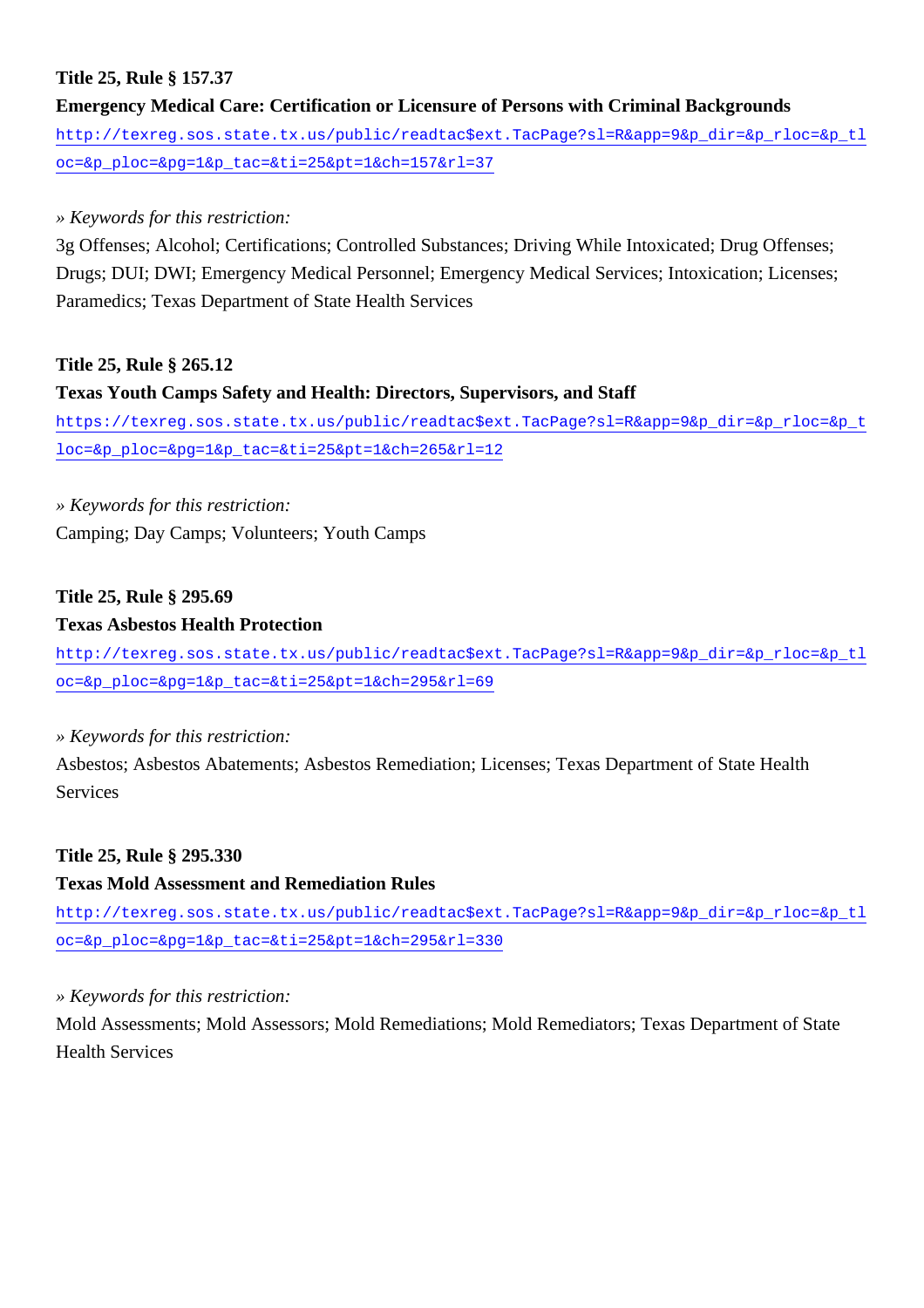## **Title 25, Rule § 157.37**

**Emergency Medical Care: Certification or Licensure of Persons with Criminal Backgrounds** [http://texreg.sos.state.tx.us/public/readtac\\$ext.TacPage?sl=R&app=9&p\\_dir=&p\\_rloc=&p\\_tl](http://texreg.sos.state.tx.us/public/readtac$ext.TacPage?sl=R&app=9&p_dir=&p_rloc=&p_tloc=&p_ploc=&pg=1&p_tac=&ti=25&pt=1&ch=157&rl=37) [oc=&p\\_ploc=&pg=1&p\\_tac=&ti=25&pt=1&ch=157&rl=37](http://texreg.sos.state.tx.us/public/readtac$ext.TacPage?sl=R&app=9&p_dir=&p_rloc=&p_tloc=&p_ploc=&pg=1&p_tac=&ti=25&pt=1&ch=157&rl=37)

## *» Keywords for this restriction:*

3g Offenses; Alcohol; Certifications; Controlled Substances; Driving While Intoxicated; Drug Offenses; Drugs; DUI; DWI; Emergency Medical Personnel; Emergency Medical Services; Intoxication; Licenses; Paramedics; Texas Department of State Health Services

#### **Title 25, Rule § 265.12**

#### **Texas Youth Camps Safety and Health: Directors, Supervisors, and Staff**

[https://texreg.sos.state.tx.us/public/readtac\\$ext.TacPage?sl=R&app=9&p\\_dir=&p\\_rloc=&p\\_t](https://texreg.sos.state.tx.us/public/readtac$ext.TacPage?sl=R&app=9&p_dir=&p_rloc=&p_tloc=&p_ploc=&pg=1&p_tac=&ti=25&pt=1&ch=265&rl=12) [loc=&p\\_ploc=&pg=1&p\\_tac=&ti=25&pt=1&ch=265&rl=12](https://texreg.sos.state.tx.us/public/readtac$ext.TacPage?sl=R&app=9&p_dir=&p_rloc=&p_tloc=&p_ploc=&pg=1&p_tac=&ti=25&pt=1&ch=265&rl=12)

## *» Keywords for this restriction:*

Camping; Day Camps; Volunteers; Youth Camps

## **Title 25, Rule § 295.69**

#### **Texas Asbestos Health Protection**

[http://texreg.sos.state.tx.us/public/readtac\\$ext.TacPage?sl=R&app=9&p\\_dir=&p\\_rloc=&p\\_tl](http://texreg.sos.state.tx.us/public/readtac$ext.TacPage?sl=R&app=9&p_dir=&p_rloc=&p_tloc=&p_ploc=&pg=1&p_tac=&ti=25&pt=1&ch=295&rl=69) [oc=&p\\_ploc=&pg=1&p\\_tac=&ti=25&pt=1&ch=295&rl=69](http://texreg.sos.state.tx.us/public/readtac$ext.TacPage?sl=R&app=9&p_dir=&p_rloc=&p_tloc=&p_ploc=&pg=1&p_tac=&ti=25&pt=1&ch=295&rl=69)

#### *» Keywords for this restriction:*

Asbestos; Asbestos Abatements; Asbestos Remediation; Licenses; Texas Department of State Health Services

## **Title 25, Rule § 295.330**

## **Texas Mold Assessment and Remediation Rules**

[http://texreg.sos.state.tx.us/public/readtac\\$ext.TacPage?sl=R&app=9&p\\_dir=&p\\_rloc=&p\\_tl](http://texreg.sos.state.tx.us/public/readtac$ext.TacPage?sl=R&app=9&p_dir=&p_rloc=&p_tloc=&p_ploc=&pg=1&p_tac=&ti=25&pt=1&ch=295&rl=330) [oc=&p\\_ploc=&pg=1&p\\_tac=&ti=25&pt=1&ch=295&rl=330](http://texreg.sos.state.tx.us/public/readtac$ext.TacPage?sl=R&app=9&p_dir=&p_rloc=&p_tloc=&p_ploc=&pg=1&p_tac=&ti=25&pt=1&ch=295&rl=330)

#### *» Keywords for this restriction:*

Mold Assessments; Mold Assessors; Mold Remediations; Mold Remediators; Texas Department of State Health Services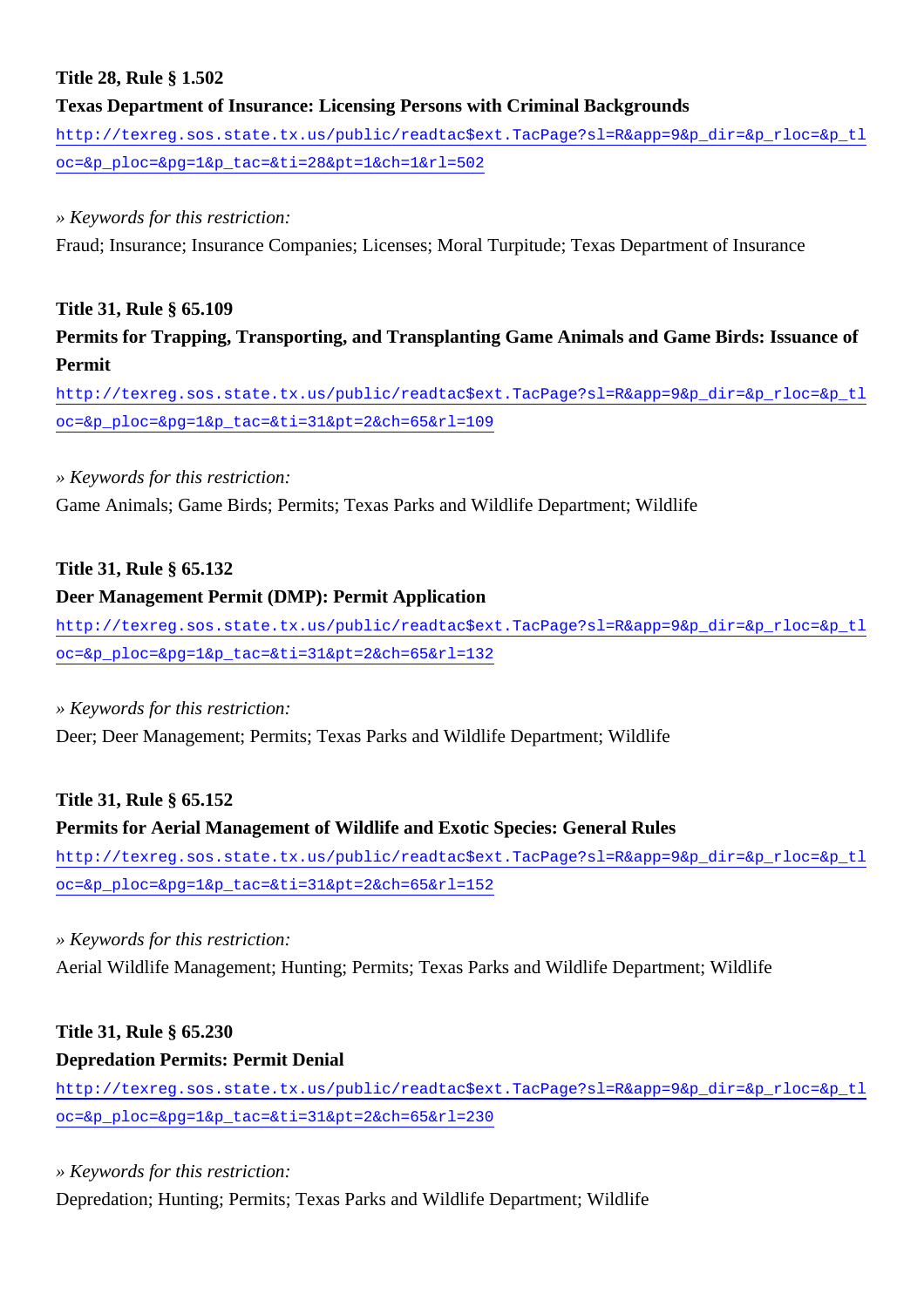## **Title 28, Rule § 1.502**

## **Texas Department of Insurance: Licensing Persons with Criminal Backgrounds**

[http://texreg.sos.state.tx.us/public/readtac\\$ext.TacPage?sl=R&app=9&p\\_dir=&p\\_rloc=&p\\_tl](http://texreg.sos.state.tx.us/public/readtac$ext.TacPage?sl=R&app=9&p_dir=&p_rloc=&p_tloc=&p_ploc=&pg=1&p_tac=&ti=28&pt=1&ch=1&rl=502) [oc=&p\\_ploc=&pg=1&p\\_tac=&ti=28&pt=1&ch=1&rl=502](http://texreg.sos.state.tx.us/public/readtac$ext.TacPage?sl=R&app=9&p_dir=&p_rloc=&p_tloc=&p_ploc=&pg=1&p_tac=&ti=28&pt=1&ch=1&rl=502)

#### *» Keywords for this restriction:*

Fraud; Insurance; Insurance Companies; Licenses; Moral Turpitude; Texas Department of Insurance

## **Title 31, Rule § 65.109**

## **Permits for Trapping, Transporting, and Transplanting Game Animals and Game Birds: Issuance of Permit**

[http://texreg.sos.state.tx.us/public/readtac\\$ext.TacPage?sl=R&app=9&p\\_dir=&p\\_rloc=&p\\_tl](http://texreg.sos.state.tx.us/public/readtac$ext.TacPage?sl=R&app=9&p_dir=&p_rloc=&p_tloc=&p_ploc=&pg=1&p_tac=&ti=31&pt=2&ch=65&rl=109) [oc=&p\\_ploc=&pg=1&p\\_tac=&ti=31&pt=2&ch=65&rl=109](http://texreg.sos.state.tx.us/public/readtac$ext.TacPage?sl=R&app=9&p_dir=&p_rloc=&p_tloc=&p_ploc=&pg=1&p_tac=&ti=31&pt=2&ch=65&rl=109)

#### *» Keywords for this restriction:*

Game Animals; Game Birds; Permits; Texas Parks and Wildlife Department; Wildlife

#### **Title 31, Rule § 65.132**

## **Deer Management Permit (DMP): Permit Application**

[http://texreg.sos.state.tx.us/public/readtac\\$ext.TacPage?sl=R&app=9&p\\_dir=&p\\_rloc=&p\\_tl](http://texreg.sos.state.tx.us/public/readtac$ext.TacPage?sl=R&app=9&p_dir=&p_rloc=&p_tloc=&p_ploc=&pg=1&p_tac=&ti=31&pt=2&ch=65&rl=132) [oc=&p\\_ploc=&pg=1&p\\_tac=&ti=31&pt=2&ch=65&rl=132](http://texreg.sos.state.tx.us/public/readtac$ext.TacPage?sl=R&app=9&p_dir=&p_rloc=&p_tloc=&p_ploc=&pg=1&p_tac=&ti=31&pt=2&ch=65&rl=132)

#### *» Keywords for this restriction:*

Deer; Deer Management; Permits; Texas Parks and Wildlife Department; Wildlife

## **Title 31, Rule § 65.152**

## **Permits for Aerial Management of Wildlife and Exotic Species: General Rules**

[http://texreg.sos.state.tx.us/public/readtac\\$ext.TacPage?sl=R&app=9&p\\_dir=&p\\_rloc=&p\\_tl](http://texreg.sos.state.tx.us/public/readtac$ext.TacPage?sl=R&app=9&p_dir=&p_rloc=&p_tloc=&p_ploc=&pg=1&p_tac=&ti=31&pt=2&ch=65&rl=152) [oc=&p\\_ploc=&pg=1&p\\_tac=&ti=31&pt=2&ch=65&rl=152](http://texreg.sos.state.tx.us/public/readtac$ext.TacPage?sl=R&app=9&p_dir=&p_rloc=&p_tloc=&p_ploc=&pg=1&p_tac=&ti=31&pt=2&ch=65&rl=152)

*» Keywords for this restriction:*

Aerial Wildlife Management; Hunting; Permits; Texas Parks and Wildlife Department; Wildlife

## **Title 31, Rule § 65.230**

## **Depredation Permits: Permit Denial**

[http://texreg.sos.state.tx.us/public/readtac\\$ext.TacPage?sl=R&app=9&p\\_dir=&p\\_rloc=&p\\_tl](http://texreg.sos.state.tx.us/public/readtac$ext.TacPage?sl=R&app=9&p_dir=&p_rloc=&p_tloc=&p_ploc=&pg=1&p_tac=&ti=31&pt=2&ch=65&rl=230) [oc=&p\\_ploc=&pg=1&p\\_tac=&ti=31&pt=2&ch=65&rl=230](http://texreg.sos.state.tx.us/public/readtac$ext.TacPage?sl=R&app=9&p_dir=&p_rloc=&p_tloc=&p_ploc=&pg=1&p_tac=&ti=31&pt=2&ch=65&rl=230)

*» Keywords for this restriction:*

Depredation; Hunting; Permits; Texas Parks and Wildlife Department; Wildlife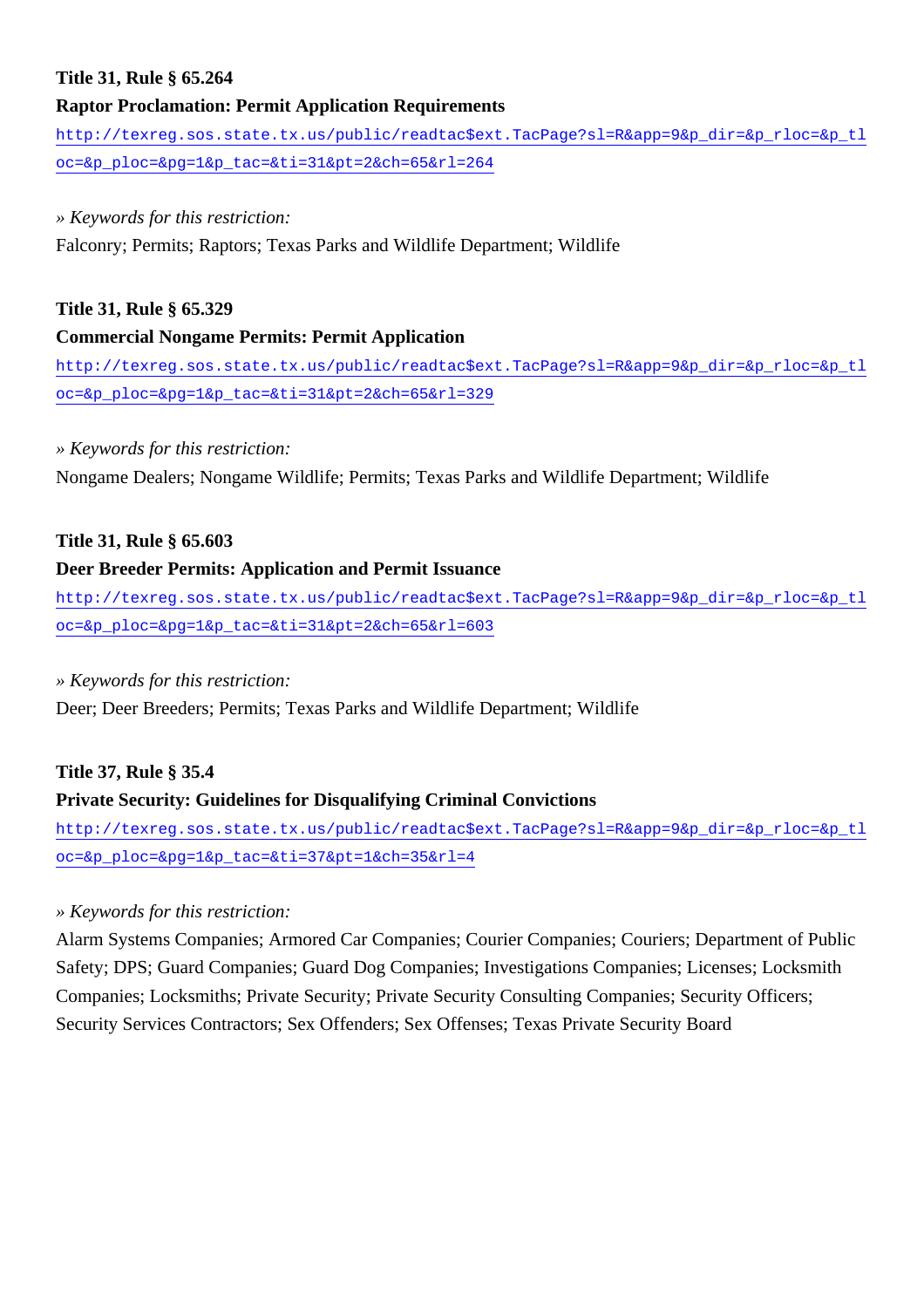## **Title 31, Rule § 65.264**

#### **Raptor Proclamation: Permit Application Requirements**

[http://texreg.sos.state.tx.us/public/readtac\\$ext.TacPage?sl=R&app=9&p\\_dir=&p\\_rloc=&p\\_tl](http://texreg.sos.state.tx.us/public/readtac$ext.TacPage?sl=R&app=9&p_dir=&p_rloc=&p_tloc=&p_ploc=&pg=1&p_tac=&ti=31&pt=2&ch=65&rl=264) [oc=&p\\_ploc=&pg=1&p\\_tac=&ti=31&pt=2&ch=65&rl=264](http://texreg.sos.state.tx.us/public/readtac$ext.TacPage?sl=R&app=9&p_dir=&p_rloc=&p_tloc=&p_ploc=&pg=1&p_tac=&ti=31&pt=2&ch=65&rl=264)

#### *» Keywords for this restriction:*

Falconry; Permits; Raptors; Texas Parks and Wildlife Department; Wildlife

#### **Title 31, Rule § 65.329**

#### **Commercial Nongame Permits: Permit Application**

[http://texreg.sos.state.tx.us/public/readtac\\$ext.TacPage?sl=R&app=9&p\\_dir=&p\\_rloc=&p\\_tl](http://texreg.sos.state.tx.us/public/readtac$ext.TacPage?sl=R&app=9&p_dir=&p_rloc=&p_tloc=&p_ploc=&pg=1&p_tac=&ti=31&pt=2&ch=65&rl=329) [oc=&p\\_ploc=&pg=1&p\\_tac=&ti=31&pt=2&ch=65&rl=329](http://texreg.sos.state.tx.us/public/readtac$ext.TacPage?sl=R&app=9&p_dir=&p_rloc=&p_tloc=&p_ploc=&pg=1&p_tac=&ti=31&pt=2&ch=65&rl=329)

#### *» Keywords for this restriction:*

Nongame Dealers; Nongame Wildlife; Permits; Texas Parks and Wildlife Department; Wildlife

## **Title 31, Rule § 65.603**

#### **Deer Breeder Permits: Application and Permit Issuance**

[http://texreg.sos.state.tx.us/public/readtac\\$ext.TacPage?sl=R&app=9&p\\_dir=&p\\_rloc=&p\\_tl](http://texreg.sos.state.tx.us/public/readtac$ext.TacPage?sl=R&app=9&p_dir=&p_rloc=&p_tloc=&p_ploc=&pg=1&p_tac=&ti=31&pt=2&ch=65&rl=603) [oc=&p\\_ploc=&pg=1&p\\_tac=&ti=31&pt=2&ch=65&rl=603](http://texreg.sos.state.tx.us/public/readtac$ext.TacPage?sl=R&app=9&p_dir=&p_rloc=&p_tloc=&p_ploc=&pg=1&p_tac=&ti=31&pt=2&ch=65&rl=603)

#### *» Keywords for this restriction:*

Deer; Deer Breeders; Permits; Texas Parks and Wildlife Department; Wildlife

#### **Title 37, Rule § 35.4**

## **Private Security: Guidelines for Disqualifying Criminal Convictions**

[http://texreg.sos.state.tx.us/public/readtac\\$ext.TacPage?sl=R&app=9&p\\_dir=&p\\_rloc=&p\\_tl](http://texreg.sos.state.tx.us/public/readtac$ext.TacPage?sl=R&app=9&p_dir=&p_rloc=&p_tloc=&p_ploc=&pg=1&p_tac=&ti=37&pt=1&ch=35&rl=4) [oc=&p\\_ploc=&pg=1&p\\_tac=&ti=37&pt=1&ch=35&rl=4](http://texreg.sos.state.tx.us/public/readtac$ext.TacPage?sl=R&app=9&p_dir=&p_rloc=&p_tloc=&p_ploc=&pg=1&p_tac=&ti=37&pt=1&ch=35&rl=4)

## *» Keywords for this restriction:*

Alarm Systems Companies; Armored Car Companies; Courier Companies; Couriers; Department of Public Safety; DPS; Guard Companies; Guard Dog Companies; Investigations Companies; Licenses; Locksmith Companies; Locksmiths; Private Security; Private Security Consulting Companies; Security Officers; Security Services Contractors; Sex Offenders; Sex Offenses; Texas Private Security Board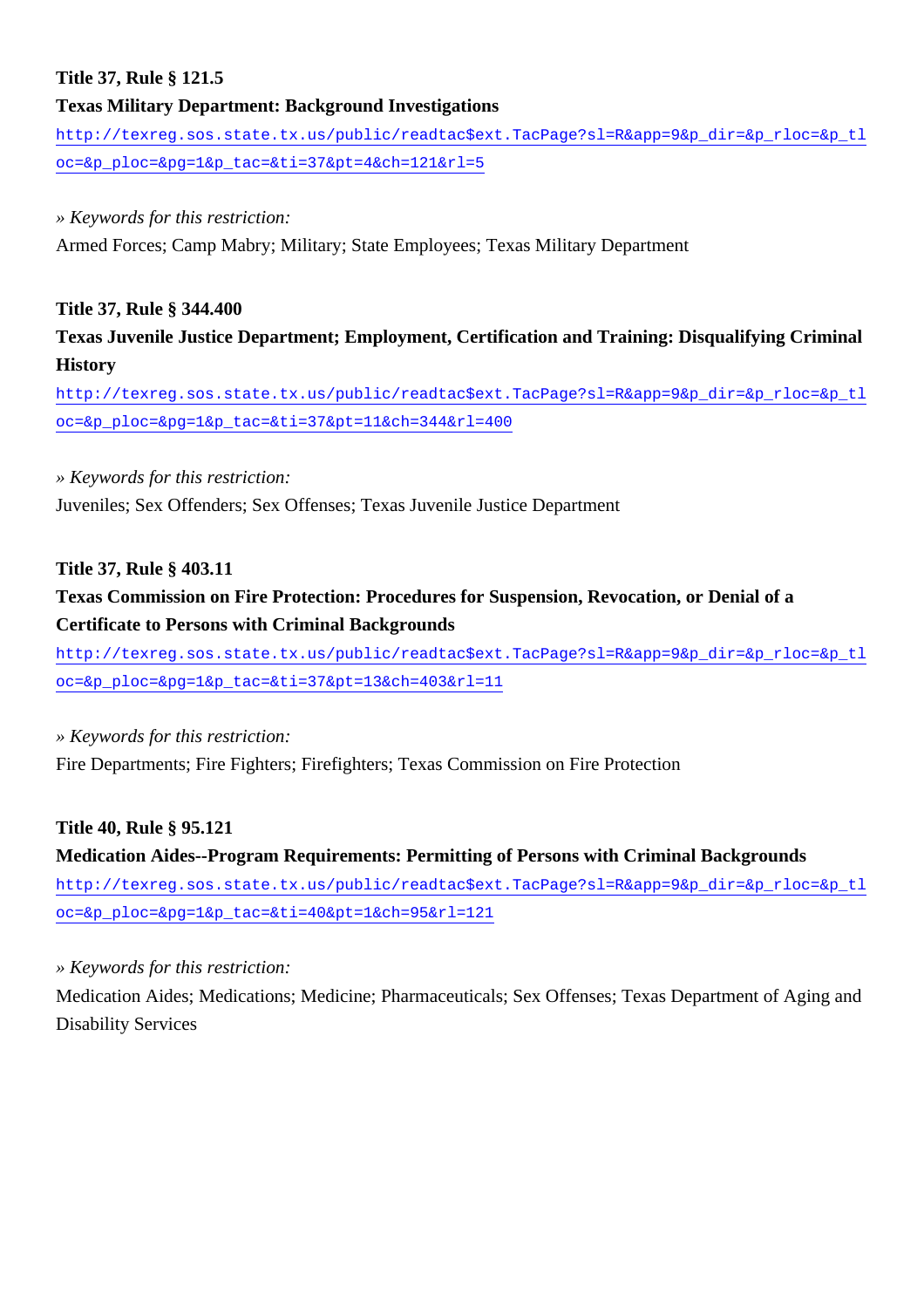## **Title 37, Rule § 121.5**

## **Texas Military Department: Background Investigations**

[http://texreg.sos.state.tx.us/public/readtac\\$ext.TacPage?sl=R&app=9&p\\_dir=&p\\_rloc=&p\\_tl](http://texreg.sos.state.tx.us/public/readtac$ext.TacPage?sl=R&app=9&p_dir=&p_rloc=&p_tloc=&p_ploc=&pg=1&p_tac=&ti=37&pt=4&ch=121&rl=5) [oc=&p\\_ploc=&pg=1&p\\_tac=&ti=37&pt=4&ch=121&rl=5](http://texreg.sos.state.tx.us/public/readtac$ext.TacPage?sl=R&app=9&p_dir=&p_rloc=&p_tloc=&p_ploc=&pg=1&p_tac=&ti=37&pt=4&ch=121&rl=5)

#### *» Keywords for this restriction:*

Armed Forces; Camp Mabry; Military; State Employees; Texas Military Department

## **Title 37, Rule § 344.400**

**Texas Juvenile Justice Department; Employment, Certification and Training: Disqualifying Criminal History**

[http://texreg.sos.state.tx.us/public/readtac\\$ext.TacPage?sl=R&app=9&p\\_dir=&p\\_rloc=&p\\_tl](http://texreg.sos.state.tx.us/public/readtac$ext.TacPage?sl=R&app=9&p_dir=&p_rloc=&p_tloc=&p_ploc=&pg=1&p_tac=&ti=37&pt=11&ch=344&rl=400) [oc=&p\\_ploc=&pg=1&p\\_tac=&ti=37&pt=11&ch=344&rl=400](http://texreg.sos.state.tx.us/public/readtac$ext.TacPage?sl=R&app=9&p_dir=&p_rloc=&p_tloc=&p_ploc=&pg=1&p_tac=&ti=37&pt=11&ch=344&rl=400)

## *» Keywords for this restriction:*

Juveniles; Sex Offenders; Sex Offenses; Texas Juvenile Justice Department

## **Title 37, Rule § 403.11**

## **Texas Commission on Fire Protection: Procedures for Suspension, Revocation, or Denial of a Certificate to Persons with Criminal Backgrounds**

[http://texreg.sos.state.tx.us/public/readtac\\$ext.TacPage?sl=R&app=9&p\\_dir=&p\\_rloc=&p\\_tl](http://texreg.sos.state.tx.us/public/readtac$ext.TacPage?sl=R&app=9&p_dir=&p_rloc=&p_tloc=&p_ploc=&pg=1&p_tac=&ti=37&pt=13&ch=403&rl=11) [oc=&p\\_ploc=&pg=1&p\\_tac=&ti=37&pt=13&ch=403&rl=11](http://texreg.sos.state.tx.us/public/readtac$ext.TacPage?sl=R&app=9&p_dir=&p_rloc=&p_tloc=&p_ploc=&pg=1&p_tac=&ti=37&pt=13&ch=403&rl=11)

*» Keywords for this restriction:*

Fire Departments; Fire Fighters; Firefighters; Texas Commission on Fire Protection

## **Title 40, Rule § 95.121**

# **Medication Aides--Program Requirements: Permitting of Persons with Criminal Backgrounds** [http://texreg.sos.state.tx.us/public/readtac\\$ext.TacPage?sl=R&app=9&p\\_dir=&p\\_rloc=&p\\_tl](http://texreg.sos.state.tx.us/public/readtac$ext.TacPage?sl=R&app=9&p_dir=&p_rloc=&p_tloc=&p_ploc=&pg=1&p_tac=&ti=40&pt=1&ch=95&rl=121)

[oc=&p\\_ploc=&pg=1&p\\_tac=&ti=40&pt=1&ch=95&rl=121](http://texreg.sos.state.tx.us/public/readtac$ext.TacPage?sl=R&app=9&p_dir=&p_rloc=&p_tloc=&p_ploc=&pg=1&p_tac=&ti=40&pt=1&ch=95&rl=121)

## *» Keywords for this restriction:*

Medication Aides; Medications; Medicine; Pharmaceuticals; Sex Offenses; Texas Department of Aging and Disability Services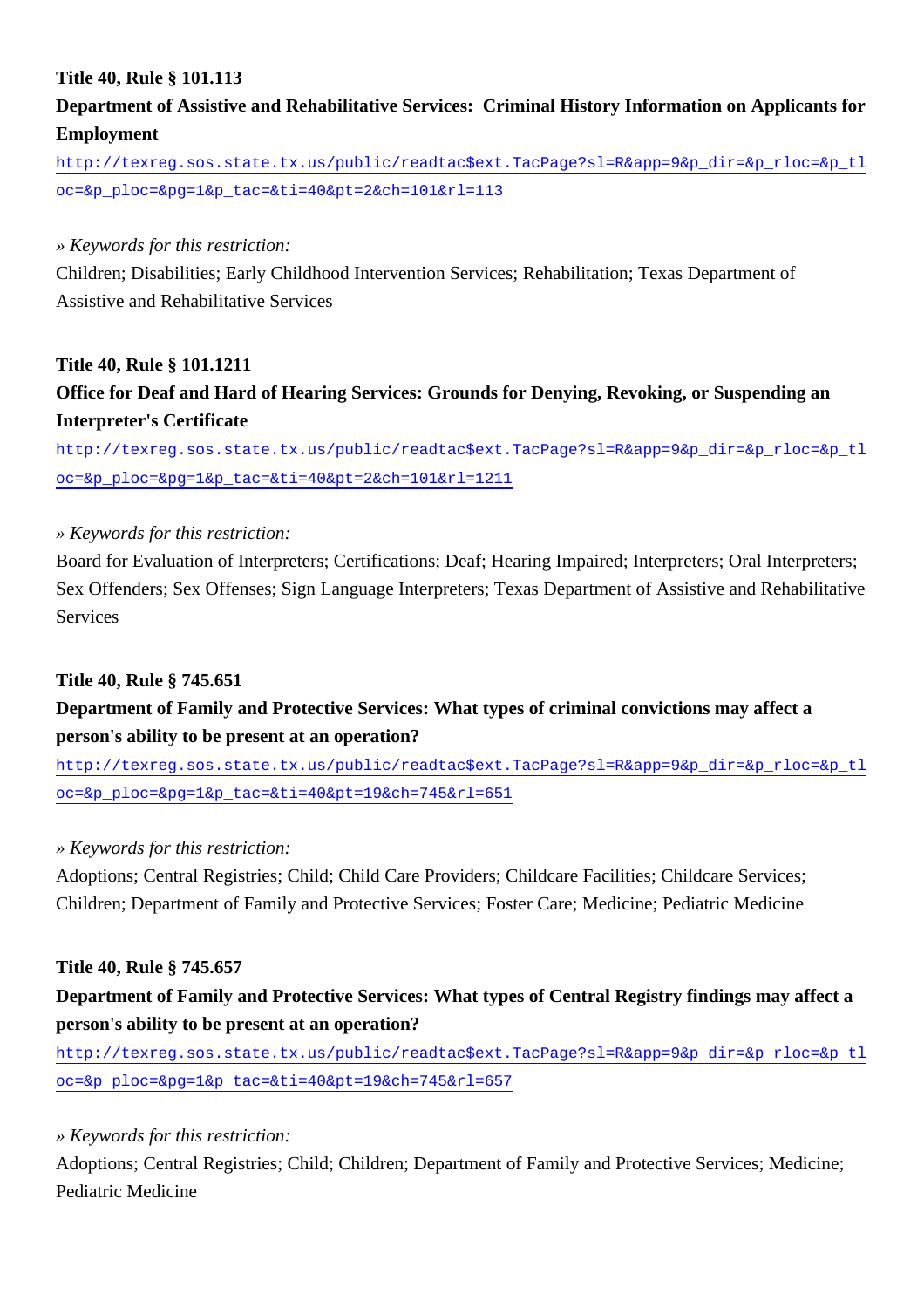## **Title 40, Rule § 101.113**

## **Department of Assistive and Rehabilitative Services: Criminal History Information on Applicants for Employment**

[http://texreg.sos.state.tx.us/public/readtac\\$ext.TacPage?sl=R&app=9&p\\_dir=&p\\_rloc=&p\\_tl](http://texreg.sos.state.tx.us/public/readtac$ext.TacPage?sl=R&app=9&p_dir=&p_rloc=&p_tloc=&p_ploc=&pg=1&p_tac=&ti=40&pt=2&ch=101&rl=113) [oc=&p\\_ploc=&pg=1&p\\_tac=&ti=40&pt=2&ch=101&rl=113](http://texreg.sos.state.tx.us/public/readtac$ext.TacPage?sl=R&app=9&p_dir=&p_rloc=&p_tloc=&p_ploc=&pg=1&p_tac=&ti=40&pt=2&ch=101&rl=113)

### *» Keywords for this restriction:*

Children; Disabilities; Early Childhood Intervention Services; Rehabilitation; Texas Department of Assistive and Rehabilitative Services

## **Title 40, Rule § 101.1211**

## **Office for Deaf and Hard of Hearing Services: Grounds for Denying, Revoking, or Suspending an Interpreter's Certificate**

[http://texreg.sos.state.tx.us/public/readtac\\$ext.TacPage?sl=R&app=9&p\\_dir=&p\\_rloc=&p\\_tl](http://texreg.sos.state.tx.us/public/readtac$ext.TacPage?sl=R&app=9&p_dir=&p_rloc=&p_tloc=&p_ploc=&pg=1&p_tac=&ti=40&pt=2&ch=101&rl=1211) [oc=&p\\_ploc=&pg=1&p\\_tac=&ti=40&pt=2&ch=101&rl=1211](http://texreg.sos.state.tx.us/public/readtac$ext.TacPage?sl=R&app=9&p_dir=&p_rloc=&p_tloc=&p_ploc=&pg=1&p_tac=&ti=40&pt=2&ch=101&rl=1211)

## *» Keywords for this restriction:*

Board for Evaluation of Interpreters; Certifications; Deaf; Hearing Impaired; Interpreters; Oral Interpreters; Sex Offenders; Sex Offenses; Sign Language Interpreters; Texas Department of Assistive and Rehabilitative Services

## **Title 40, Rule § 745.651**

## **Department of Family and Protective Services: What types of criminal convictions may affect a person's ability to be present at an operation?**

[http://texreg.sos.state.tx.us/public/readtac\\$ext.TacPage?sl=R&app=9&p\\_dir=&p\\_rloc=&p\\_tl](http://texreg.sos.state.tx.us/public/readtac$ext.TacPage?sl=R&app=9&p_dir=&p_rloc=&p_tloc=&p_ploc=&pg=1&p_tac=&ti=40&pt=19&ch=745&rl=651) [oc=&p\\_ploc=&pg=1&p\\_tac=&ti=40&pt=19&ch=745&rl=651](http://texreg.sos.state.tx.us/public/readtac$ext.TacPage?sl=R&app=9&p_dir=&p_rloc=&p_tloc=&p_ploc=&pg=1&p_tac=&ti=40&pt=19&ch=745&rl=651)

## *» Keywords for this restriction:*

Adoptions; Central Registries; Child; Child Care Providers; Childcare Facilities; Childcare Services; Children; Department of Family and Protective Services; Foster Care; Medicine; Pediatric Medicine

## **Title 40, Rule § 745.657**

## **Department of Family and Protective Services: What types of Central Registry findings may affect a person's ability to be present at an operation?**

[http://texreg.sos.state.tx.us/public/readtac\\$ext.TacPage?sl=R&app=9&p\\_dir=&p\\_rloc=&p\\_tl](http://texreg.sos.state.tx.us/public/readtac$ext.TacPage?sl=R&app=9&p_dir=&p_rloc=&p_tloc=&p_ploc=&pg=1&p_tac=&ti=40&pt=19&ch=745&rl=657) [oc=&p\\_ploc=&pg=1&p\\_tac=&ti=40&pt=19&ch=745&rl=657](http://texreg.sos.state.tx.us/public/readtac$ext.TacPage?sl=R&app=9&p_dir=&p_rloc=&p_tloc=&p_ploc=&pg=1&p_tac=&ti=40&pt=19&ch=745&rl=657)

#### *» Keywords for this restriction:*

Adoptions; Central Registries; Child; Children; Department of Family and Protective Services; Medicine; Pediatric Medicine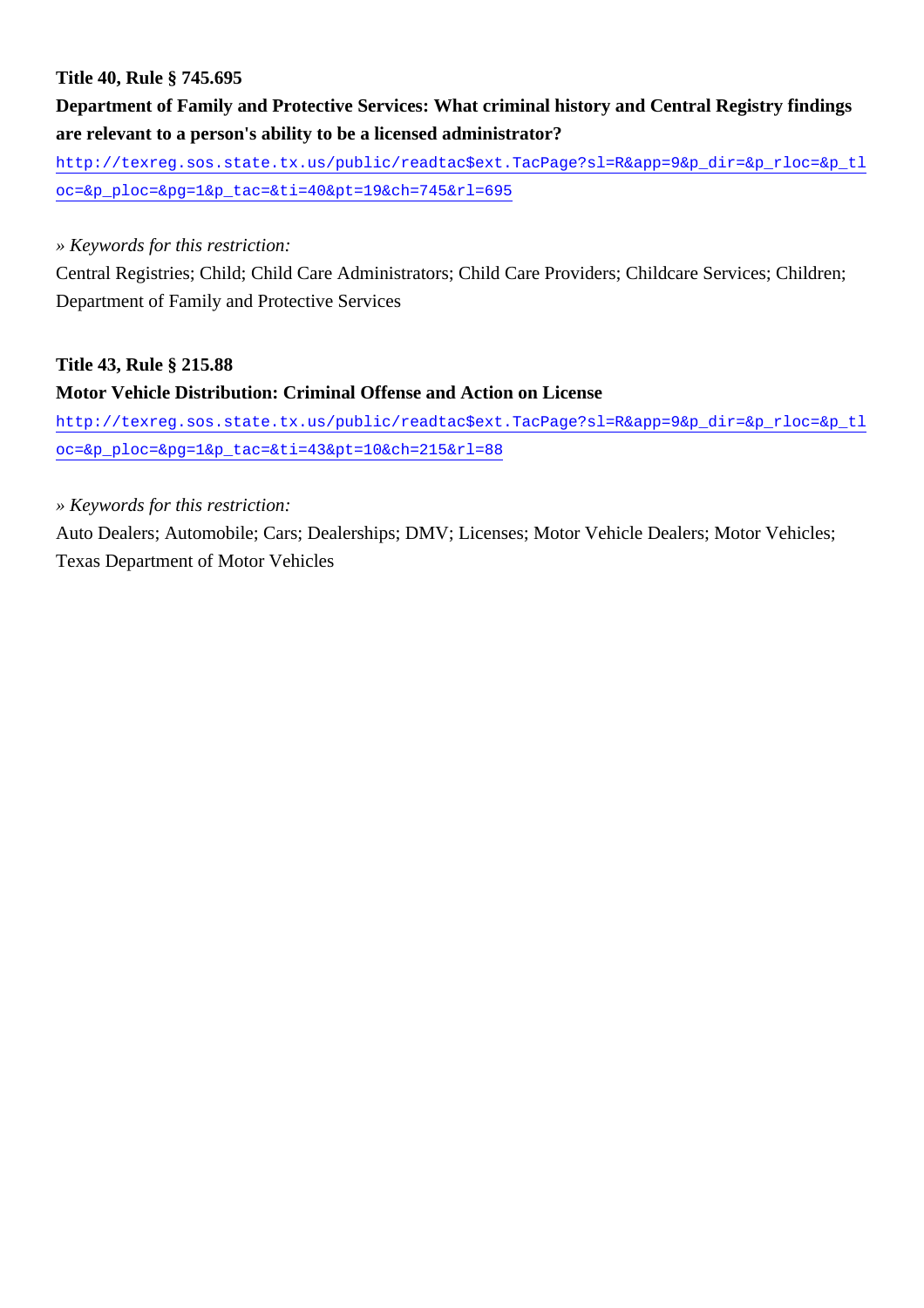## **Title 40, Rule § 745.695**

## **Department of Family and Protective Services: What criminal history and Central Registry findings are relevant to a person's ability to be a licensed administrator?**

[http://texreg.sos.state.tx.us/public/readtac\\$ext.TacPage?sl=R&app=9&p\\_dir=&p\\_rloc=&p\\_tl](http://texreg.sos.state.tx.us/public/readtac$ext.TacPage?sl=R&app=9&p_dir=&p_rloc=&p_tloc=&p_ploc=&pg=1&p_tac=&ti=40&pt=19&ch=745&rl=695) [oc=&p\\_ploc=&pg=1&p\\_tac=&ti=40&pt=19&ch=745&rl=695](http://texreg.sos.state.tx.us/public/readtac$ext.TacPage?sl=R&app=9&p_dir=&p_rloc=&p_tloc=&p_ploc=&pg=1&p_tac=&ti=40&pt=19&ch=745&rl=695)

### *» Keywords for this restriction:*

Central Registries; Child; Child Care Administrators; Child Care Providers; Childcare Services; Children; Department of Family and Protective Services

## **Title 43, Rule § 215.88**

## **Motor Vehicle Distribution: Criminal Offense and Action on License**

[http://texreg.sos.state.tx.us/public/readtac\\$ext.TacPage?sl=R&app=9&p\\_dir=&p\\_rloc=&p\\_tl](http://texreg.sos.state.tx.us/public/readtac$ext.TacPage?sl=R&app=9&p_dir=&p_rloc=&p_tloc=&p_ploc=&pg=1&p_tac=&ti=43&pt=10&ch=215&rl=88) [oc=&p\\_ploc=&pg=1&p\\_tac=&ti=43&pt=10&ch=215&rl=88](http://texreg.sos.state.tx.us/public/readtac$ext.TacPage?sl=R&app=9&p_dir=&p_rloc=&p_tloc=&p_ploc=&pg=1&p_tac=&ti=43&pt=10&ch=215&rl=88)

#### *» Keywords for this restriction:*

Auto Dealers; Automobile; Cars; Dealerships; DMV; Licenses; Motor Vehicle Dealers; Motor Vehicles; Texas Department of Motor Vehicles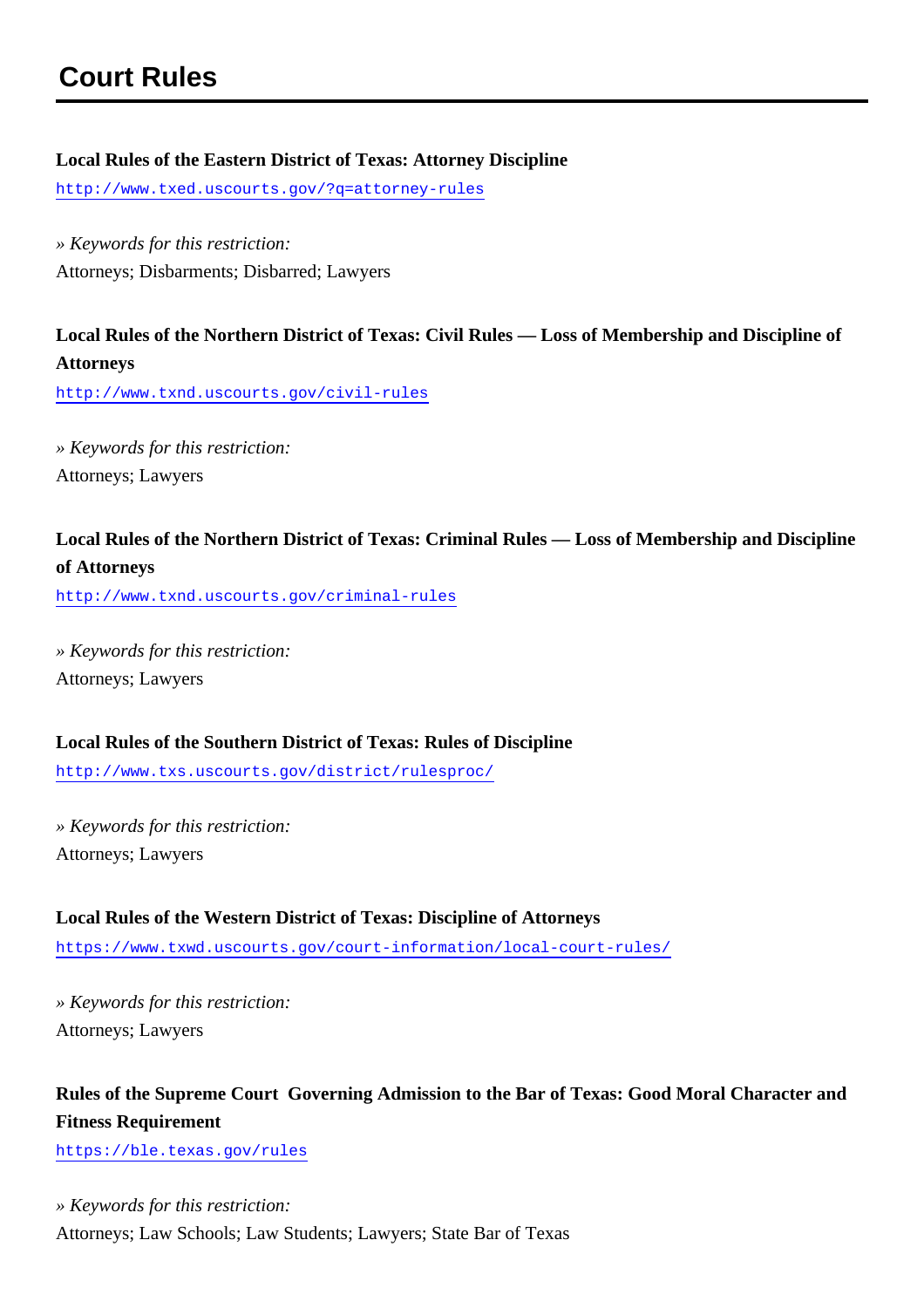## **Local Rules of the Eastern District of Texas: Attorney Discipline**

<http://www.txed.uscourts.gov/?q=attorney-rules>

*» Keywords for this restriction:* Attorneys; Disbarments; Disbarred; Lawyers

## **Local Rules of the Northern District of Texas: Civil Rules — Loss of Membership and Discipline of Attorneys**

<http://www.txnd.uscourts.gov/civil-rules>

*» Keywords for this restriction:* Attorneys; Lawyers

## **Local Rules of the Northern District of Texas: Criminal Rules — Loss of Membership and Discipline of Attorneys**

<http://www.txnd.uscourts.gov/criminal-rules>

*» Keywords for this restriction:* Attorneys; Lawyers

## **Local Rules of the Southern District of Texas: Rules of Discipline**

<http://www.txs.uscourts.gov/district/rulesproc/>

*» Keywords for this restriction:* Attorneys; Lawyers

# **Local Rules of the Western District of Texas: Discipline of Attorneys**

<https://www.txwd.uscourts.gov/court-information/local-court-rules/>

*» Keywords for this restriction:* Attorneys; Lawyers

## **Rules of the Supreme Court Governing Admission to the Bar of Texas: Good Moral Character and Fitness Requirement**

<https://ble.texas.gov/rules>

*» Keywords for this restriction:* Attorneys; Law Schools; Law Students; Lawyers; State Bar of Texas